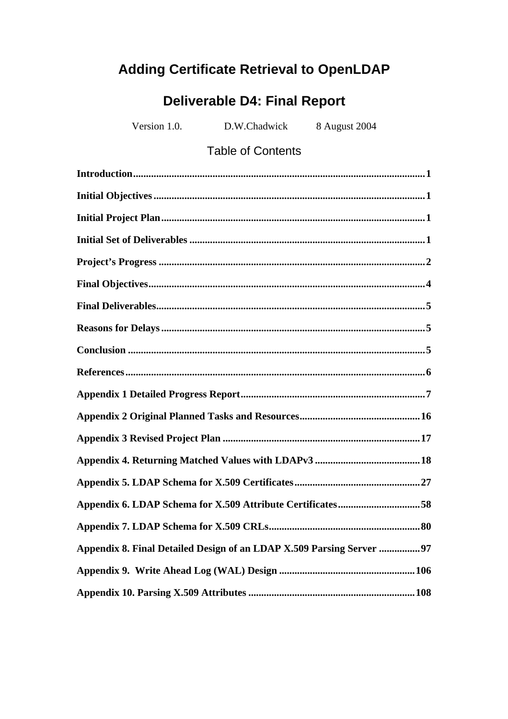# **Adding Certificate Retrieval to OpenLDAP**

# **Deliverable D4: Final Report**

| Version 1.0. | D.W.Chadwick             | 8 August 2004                                                         |
|--------------|--------------------------|-----------------------------------------------------------------------|
|              | <b>Table of Contents</b> |                                                                       |
|              |                          |                                                                       |
|              |                          |                                                                       |
|              |                          |                                                                       |
|              |                          |                                                                       |
|              |                          |                                                                       |
|              |                          |                                                                       |
|              |                          |                                                                       |
|              |                          |                                                                       |
|              |                          |                                                                       |
|              |                          |                                                                       |
|              |                          |                                                                       |
|              |                          |                                                                       |
|              |                          |                                                                       |
|              |                          |                                                                       |
|              |                          |                                                                       |
|              |                          |                                                                       |
|              |                          |                                                                       |
|              |                          | Appendix 8. Final Detailed Design of an LDAP X.509 Parsing Server  97 |
|              |                          |                                                                       |
|              |                          |                                                                       |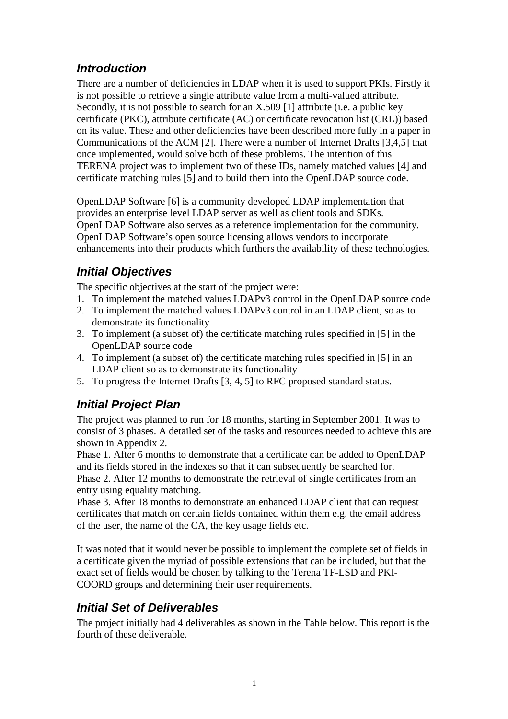# *Introduction*

There are a number of deficiencies in LDAP when it is used to support PKIs. Firstly it is not possible to retrieve a single attribute value from a multi-valued attribute. Secondly, it is not possible to search for an X.509 [1] attribute (i.e. a public key certificate (PKC), attribute certificate (AC) or certificate revocation list (CRL)) based on its value. These and other deficiencies have been described more fully in a paper in Communications of the ACM [2]. There were a number of Internet Drafts [3,4,5] that once implemented, would solve both of these problems. The intention of this TERENA project was to implement two of these IDs, namely matched values [4] and certificate matching rules [5] and to build them into the OpenLDAP source code.

OpenLDAP Software [6] is a community developed LDAP implementation that provides an enterprise level LDAP server as well as client tools and SDKs. OpenLDAP Software also serves as a reference implementation for the community. OpenLDAP Software's open source licensing allows vendors to incorporate enhancements into their products which furthers the availability of these technologies.

# *Initial Objectives*

The specific objectives at the start of the project were:

- 1. To implement the matched values LDAPv3 control in the OpenLDAP source code
- 2. To implement the matched values LDAPv3 control in an LDAP client, so as to demonstrate its functionality
- 3. To implement (a subset of) the certificate matching rules specified in [5] in the OpenLDAP source code
- 4. To implement (a subset of) the certificate matching rules specified in [5] in an LDAP client so as to demonstrate its functionality
- 5. To progress the Internet Drafts [3, 4, 5] to RFC proposed standard status.

# *Initial Project Plan*

The project was planned to run for 18 months, starting in September 2001. It was to consist of 3 phases. A detailed set of the tasks and resources needed to achieve this are shown in Appendix 2.

Phase 1. After 6 months to demonstrate that a certificate can be added to OpenLDAP and its fields stored in the indexes so that it can subsequently be searched for. Phase 2. After 12 months to demonstrate the retrieval of single certificates from an entry using equality matching.

Phase 3. After 18 months to demonstrate an enhanced LDAP client that can request certificates that match on certain fields contained within them e.g. the email address of the user, the name of the CA, the key usage fields etc.

It was noted that it would never be possible to implement the complete set of fields in a certificate given the myriad of possible extensions that can be included, but that the exact set of fields would be chosen by talking to the Terena TF-LSD and PKI-COORD groups and determining their user requirements.

# *Initial Set of Deliverables*

The project initially had 4 deliverables as shown in the Table below. This report is the fourth of these deliverable.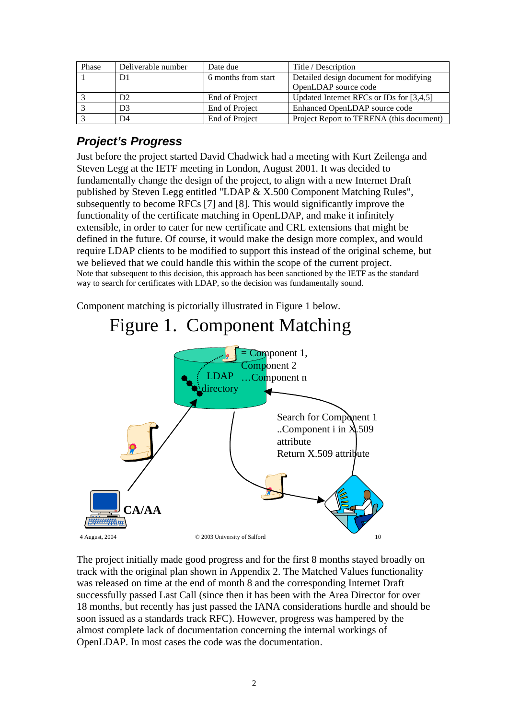| Phase | Deliverable number | Date due            | Title / Description                      |
|-------|--------------------|---------------------|------------------------------------------|
|       | D1                 | 6 months from start | Detailed design document for modifying   |
|       |                    |                     | OpenLDAP source code                     |
|       | D2                 | End of Project      | Updated Internet RFCs or IDs for [3,4,5] |
|       | D3                 | End of Project      | Enhanced OpenLDAP source code            |
|       | D4                 | End of Project      | Project Report to TERENA (this document) |

# *Project's Progress*

**CA/AA**

Just before the project started David Chadwick had a meeting with Kurt Zeilenga and Steven Legg at the IETF meeting in London, August 2001. It was decided to fundamentally change the design of the project, to align with a new Internet Draft published by Steven Legg entitled "LDAP & X.500 Component Matching Rules", subsequently to become RFCs [7] and [8]. This would significantly improve the functionality of the certificate matching in OpenLDAP, and make it infinitely extensible, in order to cater for new certificate and CRL extensions that might be defined in the future. Of course, it would make the design more complex, and would require LDAP clients to be modified to support this instead of the original scheme, but we believed that we could handle this within the scope of the current project. Note that subsequent to this decision, this approach has been sanctioned by the IETF as the standard way to search for certificates with LDAP, so the decision was fundamentally sound.

Component matching is pictorially illustrated in Figure 1 below.

# Figure 1. Component Matching LDAP directory Search for Component 1 ..Component i in  $\lambda$  509 attribute Return X.509 attribute **=** Component 1, Component 2 ...Component n



The project initially made good progress and for the first 8 months stayed broadly on track with the original plan shown in Appendix 2. The Matched Values functionality was released on time at the end of month 8 and the corresponding Internet Draft successfully passed Last Call (since then it has been with the Area Director for over 18 months, but recently has just passed the IANA considerations hurdle and should be soon issued as a standards track RFC). However, progress was hampered by the almost complete lack of documentation concerning the internal workings of OpenLDAP. In most cases the code was the documentation.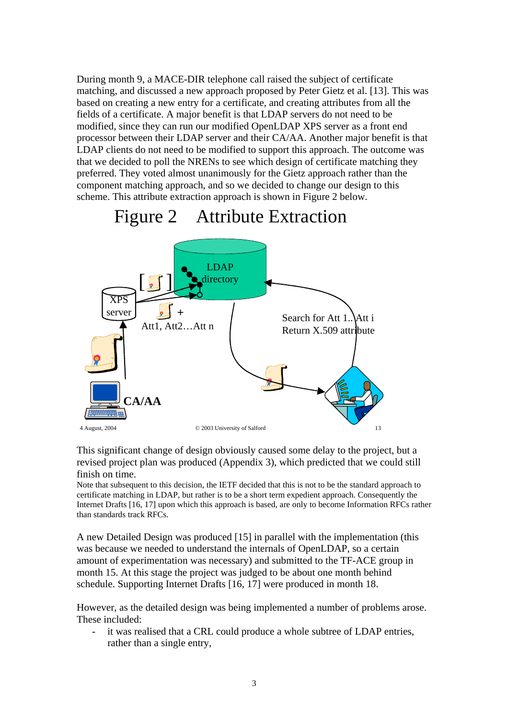During month 9, a MACE-DIR telephone call raised the subject of certificate matching, and discussed a new approach proposed by Peter Gietz et al. [13]. This was based on creating a new entry for a certificate, and creating attributes from all the fields of a certificate. A major benefit is that LDAP servers do not need to be modified, since they can run our modified OpenLDAP XPS server as a front end processor between their LDAP server and their CA/AA. Another major benefit is that LDAP clients do not need to be modified to support this approach. The outcome was that we decided to poll the NRENs to see which design of certificate matching they preferred. They voted almost unanimously for the Gietz approach rather than the component matching approach, and so we decided to change our design to this scheme. This attribute extraction approach is shown in Figure 2 below.



This significant change of design obviously caused some delay to the project, but a revised project plan was produced (Appendix 3), which predicted that we could still finish on time.

Note that subsequent to this decision, the IETF decided that this is not to be the standard approach to certificate matching in LDAP, but rather is to be a short term expedient approach. Consequently the Internet Drafts [16, 17] upon which this approach is based, are only to become Information RFCs rather than standards track RFCs.

A new Detailed Design was produced [15] in parallel with the implementation (this was because we needed to understand the internals of OpenLDAP, so a certain amount of experimentation was necessary) and submitted to the TF-ACE group in month 15. At this stage the project was judged to be about one month behind schedule. Supporting Internet Drafts [16, 17] were produced in month 18.

However, as the detailed design was being implemented a number of problems arose. These included:

it was realised that a CRL could produce a whole subtree of LDAP entries, rather than a single entry,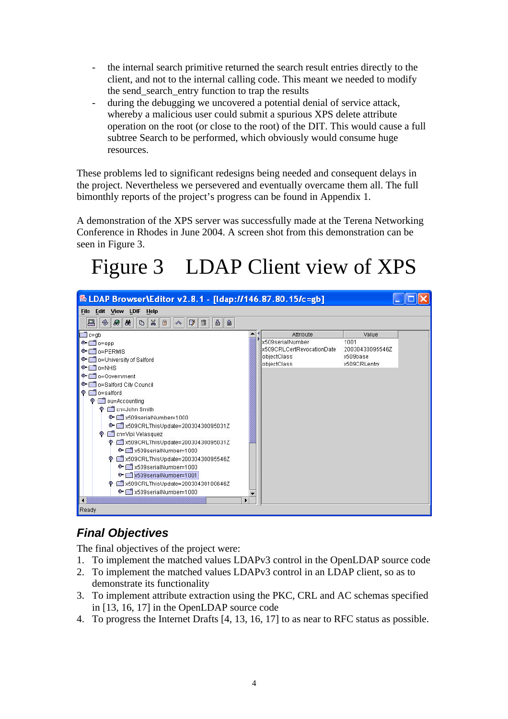- the internal search primitive returned the search result entries directly to the client, and not to the internal calling code. This meant we needed to modify the send search entry function to trap the results
- during the debugging we uncovered a potential denial of service attack, whereby a malicious user could submit a spurious XPS delete attribute operation on the root (or close to the root) of the DIT. This would cause a full subtree Search to be performed, which obviously would consume huge resources.

These problems led to significant redesigns being needed and consequent delays in the project. Nevertheless we persevered and eventually overcame them all. The full bimonthly reports of the project's progress can be found in Appendix 1.

A demonstration of the XPS server was successfully made at the Terena Networking Conference in Rhodes in June 2004. A screen shot from this demonstration can be seen in Figure 3.

# Figure 3 LDAP Client view of XPS



# *Final Objectives*

The final objectives of the project were:

- 1. To implement the matched values LDAPv3 control in the OpenLDAP source code
- 2. To implement the matched values LDAPv3 control in an LDAP client, so as to demonstrate its functionality
- 3. To implement attribute extraction using the PKC, CRL and AC schemas specified in [13, 16, 17] in the OpenLDAP source code
- 4. To progress the Internet Drafts [4, 13, 16, 17] to as near to RFC status as possible.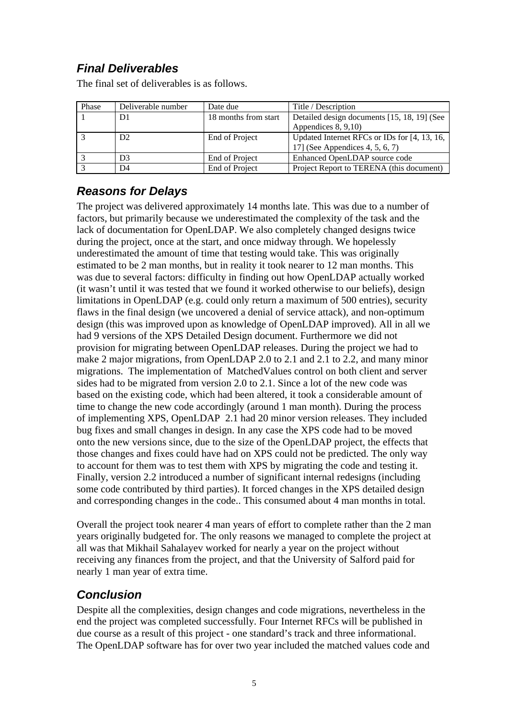# *Final Deliverables*

The final set of deliverables is as follows.

| Phase | Deliverable number | Date due             | Title / Description                          |
|-------|--------------------|----------------------|----------------------------------------------|
|       | D1                 | 18 months from start | Detailed design documents [15, 18, 19] (See  |
|       |                    |                      | Appendices $8, 9,10$                         |
|       | D <sub>2</sub>     | End of Project       | Updated Internet RFCs or IDs for [4, 13, 16, |
|       |                    |                      | 17] (See Appendices 4, 5, 6, 7)              |
|       | D3                 | End of Project       | Enhanced OpenLDAP source code                |
|       | D4                 | End of Project       | Project Report to TERENA (this document)     |

# *Reasons for Delays*

The project was delivered approximately 14 months late. This was due to a number of factors, but primarily because we underestimated the complexity of the task and the lack of documentation for OpenLDAP. We also completely changed designs twice during the project, once at the start, and once midway through. We hopelessly underestimated the amount of time that testing would take. This was originally estimated to be 2 man months, but in reality it took nearer to 12 man months. This was due to several factors: difficulty in finding out how OpenLDAP actually worked (it wasn't until it was tested that we found it worked otherwise to our beliefs), design limitations in OpenLDAP (e.g. could only return a maximum of 500 entries), security flaws in the final design (we uncovered a denial of service attack), and non-optimum design (this was improved upon as knowledge of OpenLDAP improved). All in all we had 9 versions of the XPS Detailed Design document. Furthermore we did not provision for migrating between OpenLDAP releases. During the project we had to make 2 major migrations, from OpenLDAP 2.0 to 2.1 and 2.1 to 2.2, and many minor migrations. The implementation of MatchedValues control on both client and server sides had to be migrated from version 2.0 to 2.1. Since a lot of the new code was based on the existing code, which had been altered, it took a considerable amount of time to change the new code accordingly (around 1 man month). During the process of implementing XPS, OpenLDAP 2.1 had 20 minor version releases. They included bug fixes and small changes in design. In any case the XPS code had to be moved onto the new versions since, due to the size of the OpenLDAP project, the effects that those changes and fixes could have had on XPS could not be predicted. The only way to account for them was to test them with XPS by migrating the code and testing it. Finally, version 2.2 introduced a number of significant internal redesigns (including some code contributed by third parties). It forced changes in the XPS detailed design and corresponding changes in the code.. This consumed about 4 man months in total.

Overall the project took nearer 4 man years of effort to complete rather than the 2 man years originally budgeted for. The only reasons we managed to complete the project at all was that Mikhail Sahalayev worked for nearly a year on the project without receiving any finances from the project, and that the University of Salford paid for nearly 1 man year of extra time.

# *Conclusion*

Despite all the complexities, design changes and code migrations, nevertheless in the end the project was completed successfully. Four Internet RFCs will be published in due course as a result of this project - one standard's track and three informational. The OpenLDAP software has for over two year included the matched values code and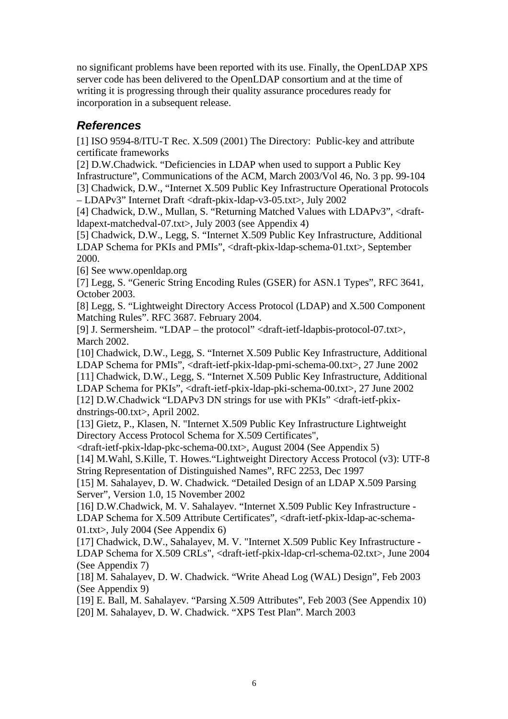no significant problems have been reported with its use. Finally, the OpenLDAP XPS server code has been delivered to the OpenLDAP consortium and at the time of writing it is progressing through their quality assurance procedures ready for incorporation in a subsequent release.

# *References*

[1] ISO 9594-8/ITU-T Rec. X.509 (2001) The Directory: Public-key and attribute certificate frameworks

[2] D.W.Chadwick. "Deficiencies in LDAP when used to support a Public Key

Infrastructure", Communications of the ACM, March 2003/Vol 46, No. 3 pp. 99-104 [3] Chadwick, D.W., "Internet X.509 Public Key Infrastructure Operational Protocols

– LDAPv3" Internet Draft <draft-pkix-ldap-v3-05.txt>, July 2002

[4] Chadwick, D.W., Mullan, S. "Returning Matched Values with LDAPv3", <draftldapext-matchedval-07.txt>, July 2003 (see Appendix 4)

[5] Chadwick, D.W., Legg, S. "Internet X.509 Public Key Infrastructure, Additional LDAP Schema for PKIs and PMIs", <draft-pkix-ldap-schema-01.txt>, September 2000.

[6] See www.openldap.org

[7] Legg, S. "Generic String Encoding Rules (GSER) for ASN.1 Types", RFC 3641, October 2003.

[8] Legg, S. "Lightweight Directory Access Protocol (LDAP) and X.500 Component Matching Rules". RFC 3687. February 2004.

[9] J. Sermersheim. "LDAP – the protocol" <draft-ietf-ldapbis-protocol-07.txt>, March 2002.

[10] Chadwick, D.W., Legg, S. "Internet X.509 Public Key Infrastructure, Additional LDAP Schema for PMIs", <draft-ietf-pkix-ldap-pmi-schema-00.txt>, 27 June 2002

[11] Chadwick, D.W., Legg, S. "Internet X.509 Public Key Infrastructure, Additional LDAP Schema for PKIs", <draft-ietf-pkix-ldap-pki-schema-00.txt>, 27 June 2002

[12] D.W.Chadwick "LDAPv3 DN strings for use with PKIs" <draft-ietf-pkixdnstrings-00.txt>, April 2002.

[13] Gietz, P., Klasen, N. "Internet X.509 Public Key Infrastructure Lightweight Directory Access Protocol Schema for X.509 Certificates",

<draft-ietf-pkix-ldap-pkc-schema-00.txt>, August 2004 (See Appendix 5)

[14] M.Wahl, S.Kille, T. Howes."Lightweight Directory Access Protocol (v3): UTF-8 String Representation of Distinguished Names", RFC 2253, Dec 1997

[15] M. Sahalayev, D. W. Chadwick. "Detailed Design of an LDAP X.509 Parsing Server", Version 1.0, 15 November 2002

[16] D.W.Chadwick, M. V. Sahalayev. "Internet X.509 Public Key Infrastructure - LDAP Schema for X.509 Attribute Certificates", <draft-ietf-pkix-ldap-ac-schema-01.txt>, July 2004 (See Appendix 6)

[17] Chadwick, D.W., Sahalayev, M. V. "Internet X.509 Public Key Infrastructure - LDAP Schema for X.509 CRLs", <draft-ietf-pkix-ldap-crl-schema-02.txt>, June 2004 (See Appendix 7)

[18] M. Sahalayev, D. W. Chadwick. "Write Ahead Log (WAL) Design", Feb 2003 (See Appendix 9)

[19] E. Ball, M. Sahalayev. "Parsing X.509 Attributes", Feb 2003 (See Appendix 10) [20] M. Sahalayev, D. W. Chadwick. "XPS Test Plan". March 2003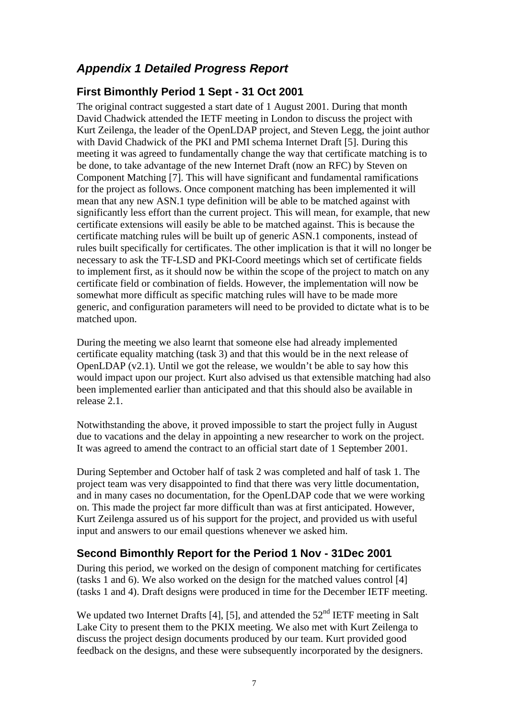# *Appendix 1 Detailed Progress Report*

# **First Bimonthly Period 1 Sept - 31 Oct 2001**

The original contract suggested a start date of 1 August 2001. During that month David Chadwick attended the IETF meeting in London to discuss the project with Kurt Zeilenga, the leader of the OpenLDAP project, and Steven Legg, the joint author with David Chadwick of the PKI and PMI schema Internet Draft [5]. During this meeting it was agreed to fundamentally change the way that certificate matching is to be done, to take advantage of the new Internet Draft (now an RFC) by Steven on Component Matching [7]. This will have significant and fundamental ramifications for the project as follows. Once component matching has been implemented it will mean that any new ASN.1 type definition will be able to be matched against with significantly less effort than the current project. This will mean, for example, that new certificate extensions will easily be able to be matched against. This is because the certificate matching rules will be built up of generic ASN.1 components, instead of rules built specifically for certificates. The other implication is that it will no longer be necessary to ask the TF-LSD and PKI-Coord meetings which set of certificate fields to implement first, as it should now be within the scope of the project to match on any certificate field or combination of fields. However, the implementation will now be somewhat more difficult as specific matching rules will have to be made more generic, and configuration parameters will need to be provided to dictate what is to be matched upon.

During the meeting we also learnt that someone else had already implemented certificate equality matching (task 3) and that this would be in the next release of OpenLDAP (v2.1). Until we got the release, we wouldn't be able to say how this would impact upon our project. Kurt also advised us that extensible matching had also been implemented earlier than anticipated and that this should also be available in release 2.1.

Notwithstanding the above, it proved impossible to start the project fully in August due to vacations and the delay in appointing a new researcher to work on the project. It was agreed to amend the contract to an official start date of 1 September 2001.

During September and October half of task 2 was completed and half of task 1. The project team was very disappointed to find that there was very little documentation, and in many cases no documentation, for the OpenLDAP code that we were working on. This made the project far more difficult than was at first anticipated. However, Kurt Zeilenga assured us of his support for the project, and provided us with useful input and answers to our email questions whenever we asked him.

# **Second Bimonthly Report for the Period 1 Nov - 31Dec 2001**

During this period, we worked on the design of component matching for certificates (tasks 1 and 6). We also worked on the design for the matched values control [4] (tasks 1 and 4). Draft designs were produced in time for the December IETF meeting.

We updated two Internet Drafts [4], [5], and attended the  $52<sup>nd</sup> IETF meeting in Salt$ Lake City to present them to the PKIX meeting. We also met with Kurt Zeilenga to discuss the project design documents produced by our team. Kurt provided good feedback on the designs, and these were subsequently incorporated by the designers.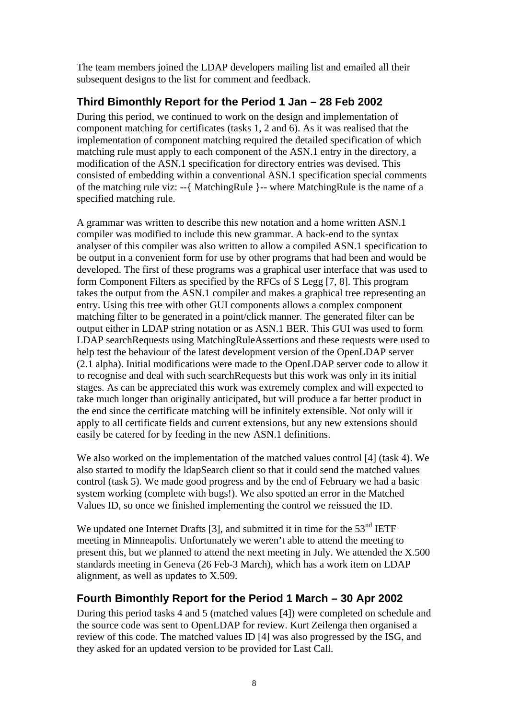The team members joined the LDAP developers mailing list and emailed all their subsequent designs to the list for comment and feedback.

# **Third Bimonthly Report for the Period 1 Jan – 28 Feb 2002**

During this period, we continued to work on the design and implementation of component matching for certificates (tasks 1, 2 and 6). As it was realised that the implementation of component matching required the detailed specification of which matching rule must apply to each component of the ASN.1 entry in the directory, a modification of the ASN.1 specification for directory entries was devised. This consisted of embedding within a conventional ASN.1 specification special comments of the matching rule viz: --{ MatchingRule }-- where MatchingRule is the name of a specified matching rule.

A grammar was written to describe this new notation and a home written ASN.1 compiler was modified to include this new grammar. A back-end to the syntax analyser of this compiler was also written to allow a compiled ASN.1 specification to be output in a convenient form for use by other programs that had been and would be developed. The first of these programs was a graphical user interface that was used to form Component Filters as specified by the RFCs of S Legg [7, 8]. This program takes the output from the ASN.1 compiler and makes a graphical tree representing an entry. Using this tree with other GUI components allows a complex component matching filter to be generated in a point/click manner. The generated filter can be output either in LDAP string notation or as ASN.1 BER. This GUI was used to form LDAP searchRequests using MatchingRuleAssertions and these requests were used to help test the behaviour of the latest development version of the OpenLDAP server (2.1 alpha). Initial modifications were made to the OpenLDAP server code to allow it to recognise and deal with such searchRequests but this work was only in its initial stages. As can be appreciated this work was extremely complex and will expected to take much longer than originally anticipated, but will produce a far better product in the end since the certificate matching will be infinitely extensible. Not only will it apply to all certificate fields and current extensions, but any new extensions should easily be catered for by feeding in the new ASN.1 definitions.

We also worked on the implementation of the matched values control [4] (task 4). We also started to modify the ldapSearch client so that it could send the matched values control (task 5). We made good progress and by the end of February we had a basic system working (complete with bugs!). We also spotted an error in the Matched Values ID, so once we finished implementing the control we reissued the ID.

We updated one Internet Drafts [3], and submitted it in time for the  $53<sup>nd</sup> IETF$ meeting in Minneapolis. Unfortunately we weren't able to attend the meeting to present this, but we planned to attend the next meeting in July. We attended the X.500 standards meeting in Geneva (26 Feb-3 March), which has a work item on LDAP alignment, as well as updates to X.509.

# **Fourth Bimonthly Report for the Period 1 March – 30 Apr 2002**

During this period tasks 4 and 5 (matched values [4]) were completed on schedule and the source code was sent to OpenLDAP for review. Kurt Zeilenga then organised a review of this code. The matched values ID [4] was also progressed by the ISG, and they asked for an updated version to be provided for Last Call.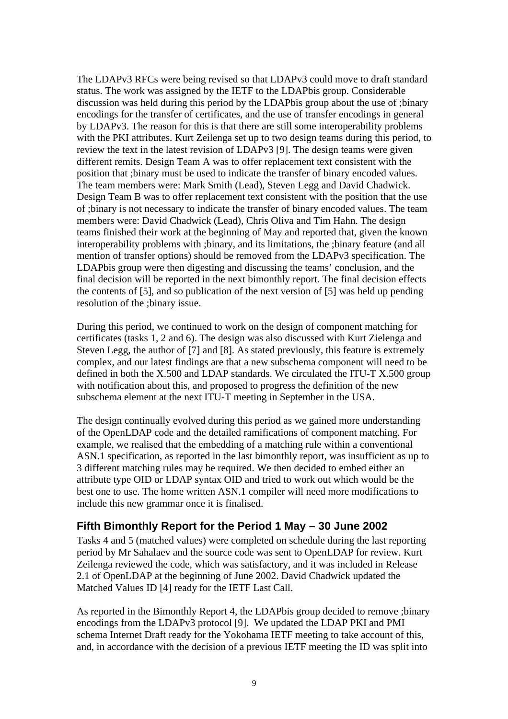The LDAPv3 RFCs were being revised so that LDAPv3 could move to draft standard status. The work was assigned by the IETF to the LDAPbis group. Considerable discussion was held during this period by the LDAPbis group about the use of ;binary encodings for the transfer of certificates, and the use of transfer encodings in general by LDAPv3. The reason for this is that there are still some interoperability problems with the PKI attributes. Kurt Zeilenga set up to two design teams during this period, to review the text in the latest revision of LDAPv3 [9]. The design teams were given different remits. Design Team A was to offer replacement text consistent with the position that ;binary must be used to indicate the transfer of binary encoded values. The team members were: Mark Smith (Lead), Steven Legg and David Chadwick. Design Team B was to offer replacement text consistent with the position that the use of ;binary is not necessary to indicate the transfer of binary encoded values. The team members were: David Chadwick (Lead), Chris Oliva and Tim Hahn. The design teams finished their work at the beginning of May and reported that, given the known interoperability problems with ;binary, and its limitations, the ;binary feature (and all mention of transfer options) should be removed from the LDAPv3 specification. The LDAPbis group were then digesting and discussing the teams' conclusion, and the final decision will be reported in the next bimonthly report. The final decision effects the contents of [5], and so publication of the next version of [5] was held up pending resolution of the ;binary issue.

During this period, we continued to work on the design of component matching for certificates (tasks 1, 2 and 6). The design was also discussed with Kurt Zielenga and Steven Legg, the author of [7] and [8]. As stated previously, this feature is extremely complex, and our latest findings are that a new subschema component will need to be defined in both the X.500 and LDAP standards. We circulated the ITU-T X.500 group with notification about this, and proposed to progress the definition of the new subschema element at the next ITU-T meeting in September in the USA.

The design continually evolved during this period as we gained more understanding of the OpenLDAP code and the detailed ramifications of component matching. For example, we realised that the embedding of a matching rule within a conventional ASN.1 specification, as reported in the last bimonthly report, was insufficient as up to 3 different matching rules may be required. We then decided to embed either an attribute type OID or LDAP syntax OID and tried to work out which would be the best one to use. The home written ASN.1 compiler will need more modifications to include this new grammar once it is finalised.

#### **Fifth Bimonthly Report for the Period 1 May – 30 June 2002**

Tasks 4 and 5 (matched values) were completed on schedule during the last reporting period by Mr Sahalaev and the source code was sent to OpenLDAP for review. Kurt Zeilenga reviewed the code, which was satisfactory, and it was included in Release 2.1 of OpenLDAP at the beginning of June 2002. David Chadwick updated the Matched Values ID [4] ready for the IETF Last Call.

As reported in the Bimonthly Report 4, the LDAPbis group decided to remove ;binary encodings from the LDAPv3 protocol [9]. We updated the LDAP PKI and PMI schema Internet Draft ready for the Yokohama IETF meeting to take account of this, and, in accordance with the decision of a previous IETF meeting the ID was split into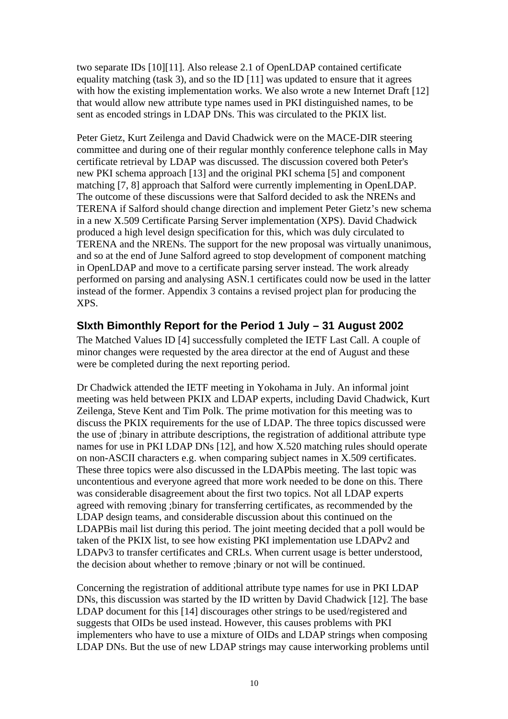two separate IDs [10][11]. Also release 2.1 of OpenLDAP contained certificate equality matching (task 3), and so the ID [11] was updated to ensure that it agrees with how the existing implementation works. We also wrote a new Internet Draft [12] that would allow new attribute type names used in PKI distinguished names, to be sent as encoded strings in LDAP DNs. This was circulated to the PKIX list.

Peter Gietz, Kurt Zeilenga and David Chadwick were on the MACE-DIR steering committee and during one of their regular monthly conference telephone calls in May certificate retrieval by LDAP was discussed. The discussion covered both Peter's new PKI schema approach [13] and the original PKI schema [5] and component matching [7, 8] approach that Salford were currently implementing in OpenLDAP. The outcome of these discussions were that Salford decided to ask the NRENs and TERENA if Salford should change direction and implement Peter Gietz's new schema in a new X.509 Certificate Parsing Server implementation (XPS). David Chadwick produced a high level design specification for this, which was duly circulated to TERENA and the NRENs. The support for the new proposal was virtually unanimous, and so at the end of June Salford agreed to stop development of component matching in OpenLDAP and move to a certificate parsing server instead. The work already performed on parsing and analysing ASN.1 certificates could now be used in the latter instead of the former. Appendix 3 contains a revised project plan for producing the XPS.

# **SIxth Bimonthly Report for the Period 1 July – 31 August 2002**

The Matched Values ID [4] successfully completed the IETF Last Call. A couple of minor changes were requested by the area director at the end of August and these were be completed during the next reporting period.

Dr Chadwick attended the IETF meeting in Yokohama in July. An informal joint meeting was held between PKIX and LDAP experts, including David Chadwick, Kurt Zeilenga, Steve Kent and Tim Polk. The prime motivation for this meeting was to discuss the PKIX requirements for the use of LDAP. The three topics discussed were the use of ;binary in attribute descriptions, the registration of additional attribute type names for use in PKI LDAP DNs [12], and how X.520 matching rules should operate on non-ASCII characters e.g. when comparing subject names in X.509 certificates. These three topics were also discussed in the LDAPbis meeting. The last topic was uncontentious and everyone agreed that more work needed to be done on this. There was considerable disagreement about the first two topics. Not all LDAP experts agreed with removing ;binary for transferring certificates, as recommended by the LDAP design teams, and considerable discussion about this continued on the LDAPBis mail list during this period. The joint meeting decided that a poll would be taken of the PKIX list, to see how existing PKI implementation use LDAPv2 and LDAPv3 to transfer certificates and CRLs. When current usage is better understood, the decision about whether to remove ;binary or not will be continued.

Concerning the registration of additional attribute type names for use in PKI LDAP DNs, this discussion was started by the ID written by David Chadwick [12]. The base LDAP document for this [14] discourages other strings to be used/registered and suggests that OIDs be used instead. However, this causes problems with PKI implementers who have to use a mixture of OIDs and LDAP strings when composing LDAP DNs. But the use of new LDAP strings may cause interworking problems until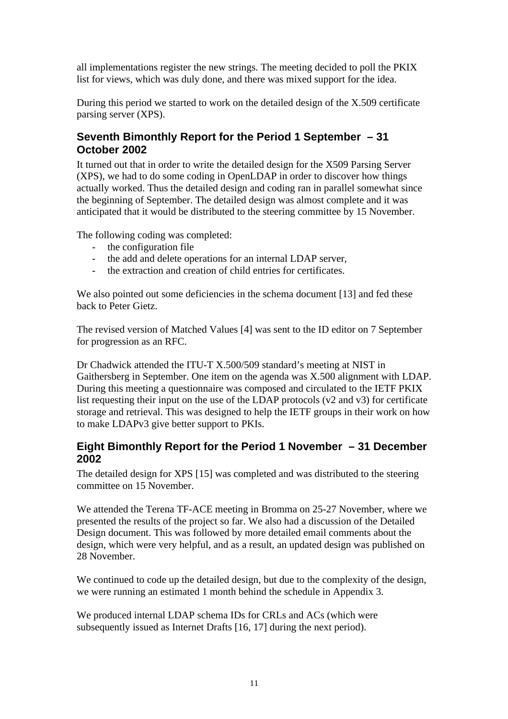all implementations register the new strings. The meeting decided to poll the PKIX list for views, which was duly done, and there was mixed support for the idea.

During this period we started to work on the detailed design of the X.509 certificate parsing server (XPS).

# **Seventh Bimonthly Report for the Period 1 September – 31 October 2002**

It turned out that in order to write the detailed design for the X509 Parsing Server (XPS), we had to do some coding in OpenLDAP in order to discover how things actually worked. Thus the detailed design and coding ran in parallel somewhat since the beginning of September. The detailed design was almost complete and it was anticipated that it would be distributed to the steering committee by 15 November.

The following coding was completed:

- the configuration file
- the add and delete operations for an internal LDAP server.
- the extraction and creation of child entries for certificates.

We also pointed out some deficiencies in the schema document [13] and fed these back to Peter Gietz.

The revised version of Matched Values [4] was sent to the ID editor on 7 September for progression as an RFC.

Dr Chadwick attended the ITU-T X.500/509 standard's meeting at NIST in Gaithersberg in September. One item on the agenda was X.500 alignment with LDAP. During this meeting a questionnaire was composed and circulated to the IETF PKIX list requesting their input on the use of the LDAP protocols (v2 and v3) for certificate storage and retrieval. This was designed to help the IETF groups in their work on how to make LDAPv3 give better support to PKIs.

#### **Eight Bimonthly Report for the Period 1 November – 31 December 2002**

The detailed design for XPS [15] was completed and was distributed to the steering committee on 15 November.

We attended the Terena TF-ACE meeting in Bromma on 25-27 November, where we presented the results of the project so far. We also had a discussion of the Detailed Design document. This was followed by more detailed email comments about the design, which were very helpful, and as a result, an updated design was published on 28 November.

We continued to code up the detailed design, but due to the complexity of the design, we were running an estimated 1 month behind the schedule in Appendix 3.

We produced internal LDAP schema IDs for CRLs and ACs (which were subsequently issued as Internet Drafts [16, 17] during the next period).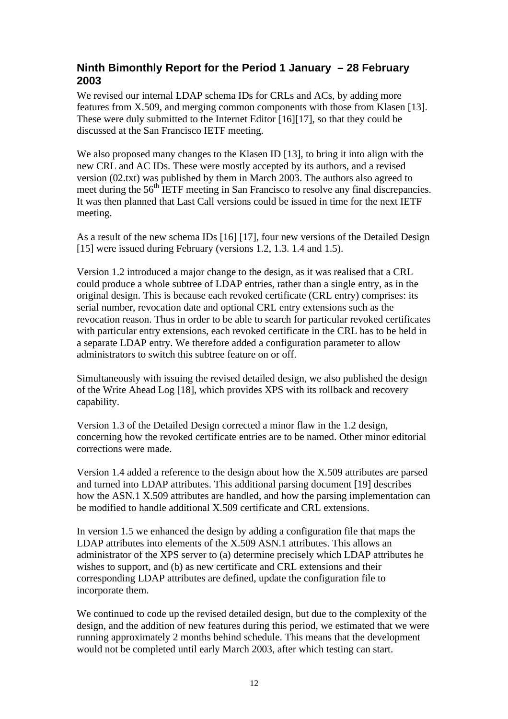# **Ninth Bimonthly Report for the Period 1 January – 28 February 2003**

We revised our internal LDAP schema IDs for CRLs and ACs, by adding more features from X.509, and merging common components with those from Klasen [13]. These were duly submitted to the Internet Editor [16][17], so that they could be discussed at the San Francisco IETF meeting.

We also proposed many changes to the Klasen ID [13], to bring it into align with the new CRL and AC IDs. These were mostly accepted by its authors, and a revised version (02.txt) was published by them in March 2003. The authors also agreed to meet during the 56<sup>th</sup> IETF meeting in San Francisco to resolve any final discrepancies. It was then planned that Last Call versions could be issued in time for the next IETF meeting.

As a result of the new schema IDs [16] [17], four new versions of the Detailed Design [15] were issued during February (versions 1.2, 1.3, 1.4 and 1.5).

Version 1.2 introduced a major change to the design, as it was realised that a CRL could produce a whole subtree of LDAP entries, rather than a single entry, as in the original design. This is because each revoked certificate (CRL entry) comprises: its serial number, revocation date and optional CRL entry extensions such as the revocation reason. Thus in order to be able to search for particular revoked certificates with particular entry extensions, each revoked certificate in the CRL has to be held in a separate LDAP entry. We therefore added a configuration parameter to allow administrators to switch this subtree feature on or off.

Simultaneously with issuing the revised detailed design, we also published the design of the Write Ahead Log [18], which provides XPS with its rollback and recovery capability.

Version 1.3 of the Detailed Design corrected a minor flaw in the 1.2 design, concerning how the revoked certificate entries are to be named. Other minor editorial corrections were made.

Version 1.4 added a reference to the design about how the X.509 attributes are parsed and turned into LDAP attributes. This additional parsing document [19] describes how the ASN.1 X.509 attributes are handled, and how the parsing implementation can be modified to handle additional X.509 certificate and CRL extensions.

In version 1.5 we enhanced the design by adding a configuration file that maps the LDAP attributes into elements of the X.509 ASN.1 attributes. This allows an administrator of the XPS server to (a) determine precisely which LDAP attributes he wishes to support, and (b) as new certificate and CRL extensions and their corresponding LDAP attributes are defined, update the configuration file to incorporate them.

We continued to code up the revised detailed design, but due to the complexity of the design, and the addition of new features during this period, we estimated that we were running approximately 2 months behind schedule. This means that the development would not be completed until early March 2003, after which testing can start.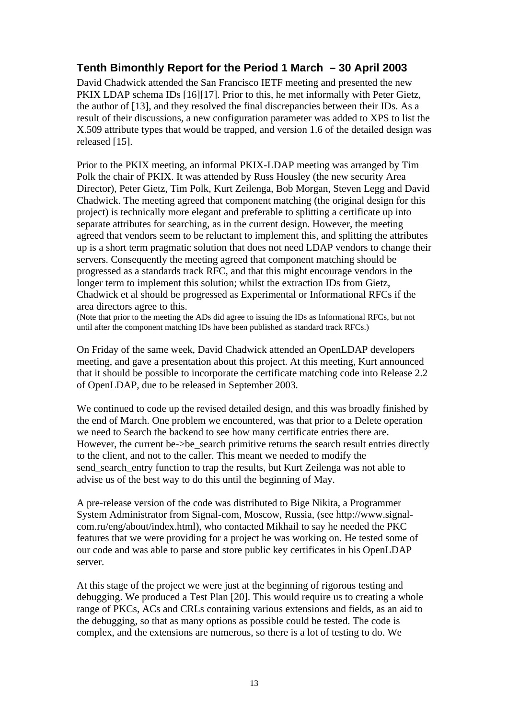# **Tenth Bimonthly Report for the Period 1 March – 30 April 2003**

David Chadwick attended the San Francisco IETF meeting and presented the new PKIX LDAP schema IDs [16][17]. Prior to this, he met informally with Peter Gietz, the author of [13], and they resolved the final discrepancies between their IDs. As a result of their discussions, a new configuration parameter was added to XPS to list the X.509 attribute types that would be trapped, and version 1.6 of the detailed design was released [15].

Prior to the PKIX meeting, an informal PKIX-LDAP meeting was arranged by Tim Polk the chair of PKIX. It was attended by Russ Housley (the new security Area Director), Peter Gietz, Tim Polk, Kurt Zeilenga, Bob Morgan, Steven Legg and David Chadwick. The meeting agreed that component matching (the original design for this project) is technically more elegant and preferable to splitting a certificate up into separate attributes for searching, as in the current design. However, the meeting agreed that vendors seem to be reluctant to implement this, and splitting the attributes up is a short term pragmatic solution that does not need LDAP vendors to change their servers. Consequently the meeting agreed that component matching should be progressed as a standards track RFC, and that this might encourage vendors in the longer term to implement this solution; whilst the extraction IDs from Gietz, Chadwick et al should be progressed as Experimental or Informational RFCs if the area directors agree to this.

(Note that prior to the meeting the ADs did agree to issuing the IDs as Informational RFCs, but not until after the component matching IDs have been published as standard track RFCs.)

On Friday of the same week, David Chadwick attended an OpenLDAP developers meeting, and gave a presentation about this project. At this meeting, Kurt announced that it should be possible to incorporate the certificate matching code into Release 2.2 of OpenLDAP, due to be released in September 2003.

We continued to code up the revised detailed design, and this was broadly finished by the end of March. One problem we encountered, was that prior to a Delete operation we need to Search the backend to see how many certificate entries there are. However, the current be->be\_search primitive returns the search result entries directly to the client, and not to the caller. This meant we needed to modify the send\_search\_entry function to trap the results, but Kurt Zeilenga was not able to advise us of the best way to do this until the beginning of May.

A pre-release version of the code was distributed to Bige Nikita, a Programmer System Administrator from Signal-com, Moscow, Russia, (see http://www.signalcom.ru/eng/about/index.html), who contacted Mikhail to say he needed the PKC features that we were providing for a project he was working on. He tested some of our code and was able to parse and store public key certificates in his OpenLDAP server.

At this stage of the project we were just at the beginning of rigorous testing and debugging. We produced a Test Plan [20]. This would require us to creating a whole range of PKCs, ACs and CRLs containing various extensions and fields, as an aid to the debugging, so that as many options as possible could be tested. The code is complex, and the extensions are numerous, so there is a lot of testing to do. We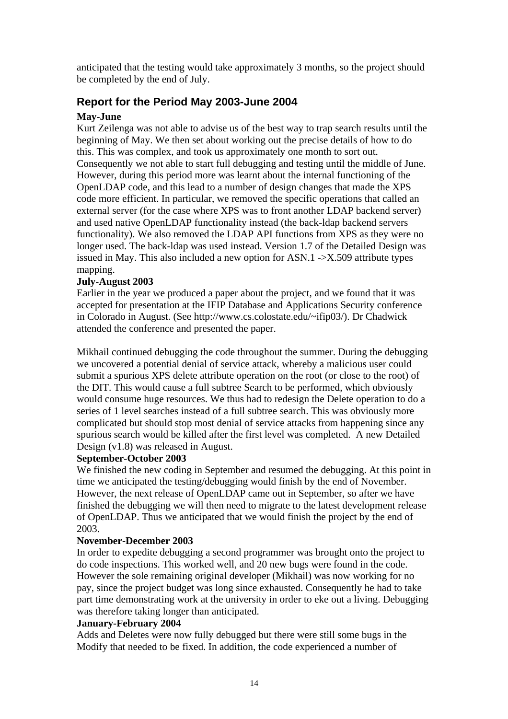anticipated that the testing would take approximately 3 months, so the project should be completed by the end of July.

### **Report for the Period May 2003-June 2004**

#### **May-June**

Kurt Zeilenga was not able to advise us of the best way to trap search results until the beginning of May. We then set about working out the precise details of how to do this. This was complex, and took us approximately one month to sort out. Consequently we not able to start full debugging and testing until the middle of June. However, during this period more was learnt about the internal functioning of the OpenLDAP code, and this lead to a number of design changes that made the XPS code more efficient. In particular, we removed the specific operations that called an external server (for the case where XPS was to front another LDAP backend server) and used native OpenLDAP functionality instead (the back-ldap backend servers functionality). We also removed the LDAP API functions from XPS as they were no longer used. The back-ldap was used instead. Version 1.7 of the Detailed Design was issued in May. This also included a new option for ASN.1  $\rightarrow$ X.509 attribute types mapping.

#### **July-August 2003**

Earlier in the year we produced a paper about the project, and we found that it was accepted for presentation at the IFIP Database and Applications Security conference in Colorado in August. (See http://www.cs.colostate.edu/~ifip03/). Dr Chadwick attended the conference and presented the paper.

Mikhail continued debugging the code throughout the summer. During the debugging we uncovered a potential denial of service attack, whereby a malicious user could submit a spurious XPS delete attribute operation on the root (or close to the root) of the DIT. This would cause a full subtree Search to be performed, which obviously would consume huge resources. We thus had to redesign the Delete operation to do a series of 1 level searches instead of a full subtree search. This was obviously more complicated but should stop most denial of service attacks from happening since any spurious search would be killed after the first level was completed. A new Detailed Design (v1.8) was released in August.

#### **September-October 2003**

We finished the new coding in September and resumed the debugging. At this point in time we anticipated the testing/debugging would finish by the end of November. However, the next release of OpenLDAP came out in September, so after we have finished the debugging we will then need to migrate to the latest development release of OpenLDAP. Thus we anticipated that we would finish the project by the end of 2003.

#### **November-December 2003**

In order to expedite debugging a second programmer was brought onto the project to do code inspections. This worked well, and 20 new bugs were found in the code. However the sole remaining original developer (Mikhail) was now working for no pay, since the project budget was long since exhausted. Consequently he had to take part time demonstrating work at the university in order to eke out a living. Debugging was therefore taking longer than anticipated.

#### **January-February 2004**

Adds and Deletes were now fully debugged but there were still some bugs in the Modify that needed to be fixed. In addition, the code experienced a number of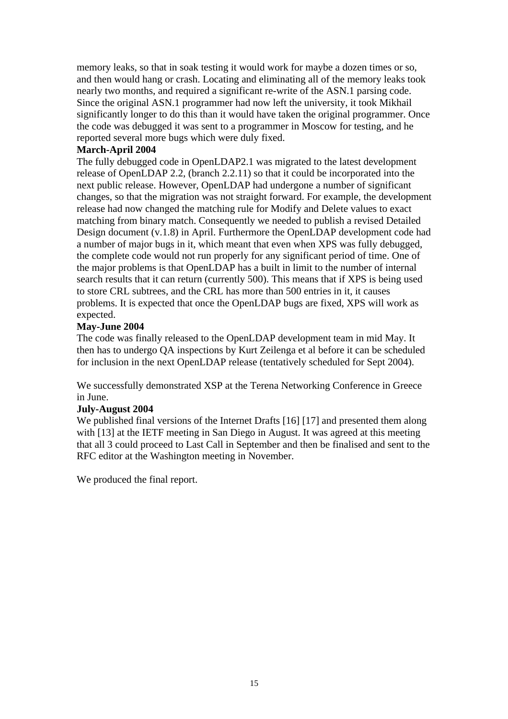memory leaks, so that in soak testing it would work for maybe a dozen times or so, and then would hang or crash. Locating and eliminating all of the memory leaks took nearly two months, and required a significant re-write of the ASN.1 parsing code. Since the original ASN.1 programmer had now left the university, it took Mikhail significantly longer to do this than it would have taken the original programmer. Once the code was debugged it was sent to a programmer in Moscow for testing, and he reported several more bugs which were duly fixed.

#### **March-April 2004**

The fully debugged code in OpenLDAP2.1 was migrated to the latest development release of OpenLDAP 2.2, (branch 2.2.11) so that it could be incorporated into the next public release. However, OpenLDAP had undergone a number of significant changes, so that the migration was not straight forward. For example, the development release had now changed the matching rule for Modify and Delete values to exact matching from binary match. Consequently we needed to publish a revised Detailed Design document (v.1.8) in April. Furthermore the OpenLDAP development code had a number of major bugs in it, which meant that even when XPS was fully debugged, the complete code would not run properly for any significant period of time. One of the major problems is that OpenLDAP has a built in limit to the number of internal search results that it can return (currently 500). This means that if XPS is being used to store CRL subtrees, and the CRL has more than 500 entries in it, it causes problems. It is expected that once the OpenLDAP bugs are fixed, XPS will work as expected.

#### **May-June 2004**

The code was finally released to the OpenLDAP development team in mid May. It then has to undergo QA inspections by Kurt Zeilenga et al before it can be scheduled for inclusion in the next OpenLDAP release (tentatively scheduled for Sept 2004).

We successfully demonstrated XSP at the Terena Networking Conference in Greece in June.

#### **July-August 2004**

We published final versions of the Internet Drafts [16] [17] and presented them along with [13] at the IETF meeting in San Diego in August. It was agreed at this meeting that all 3 could proceed to Last Call in September and then be finalised and sent to the RFC editor at the Washington meeting in November.

We produced the final report.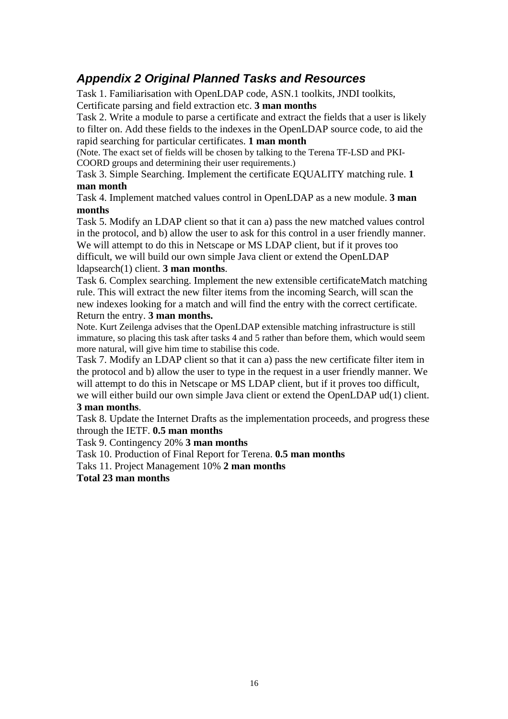# *Appendix 2 Original Planned Tasks and Resources*

Task 1. Familiarisation with OpenLDAP code, ASN.1 toolkits, JNDI toolkits, Certificate parsing and field extraction etc. **3 man months**

Task 2. Write a module to parse a certificate and extract the fields that a user is likely to filter on. Add these fields to the indexes in the OpenLDAP source code, to aid the rapid searching for particular certificates. **1 man month**

(Note. The exact set of fields will be chosen by talking to the Terena TF-LSD and PKI-COORD groups and determining their user requirements.)

Task 3. Simple Searching. Implement the certificate EQUALITY matching rule. **1 man month**

Task 4. Implement matched values control in OpenLDAP as a new module. **3 man months**

Task 5. Modify an LDAP client so that it can a) pass the new matched values control in the protocol, and b) allow the user to ask for this control in a user friendly manner. We will attempt to do this in Netscape or MS LDAP client, but if it proves too difficult, we will build our own simple Java client or extend the OpenLDAP ldapsearch(1) client. **3 man months**.

Task 6. Complex searching. Implement the new extensible certificateMatch matching rule. This will extract the new filter items from the incoming Search, will scan the new indexes looking for a match and will find the entry with the correct certificate. Return the entry. **3 man months.**

Note. Kurt Zeilenga advises that the OpenLDAP extensible matching infrastructure is still immature, so placing this task after tasks 4 and 5 rather than before them, which would seem more natural, will give him time to stabilise this code.

Task 7. Modify an LDAP client so that it can a) pass the new certificate filter item in the protocol and b) allow the user to type in the request in a user friendly manner. We will attempt to do this in Netscape or MS LDAP client, but if it proves too difficult, we will either build our own simple Java client or extend the OpenLDAP ud(1) client. **3 man months**.

Task 8. Update the Internet Drafts as the implementation proceeds, and progress these through the IETF. **0.5 man months**

Task 9. Contingency 20% **3 man months**

Task 10. Production of Final Report for Terena. **0.5 man months**

Taks 11. Project Management 10% **2 man months**

**Total 23 man months**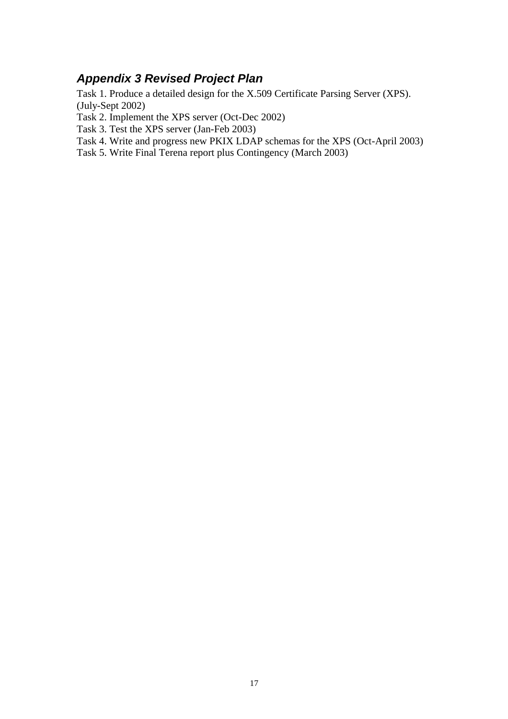# *Appendix 3 Revised Project Plan*

Task 1. Produce a detailed design for the X.509 Certificate Parsing Server (XPS). (July-Sept 2002)

Task 2. Implement the XPS server (Oct-Dec 2002)

Task 3. Test the XPS server (Jan-Feb 2003)

Task 4. Write and progress new PKIX LDAP schemas for the XPS (Oct-April 2003)

Task 5. Write Final Terena report plus Contingency (March 2003)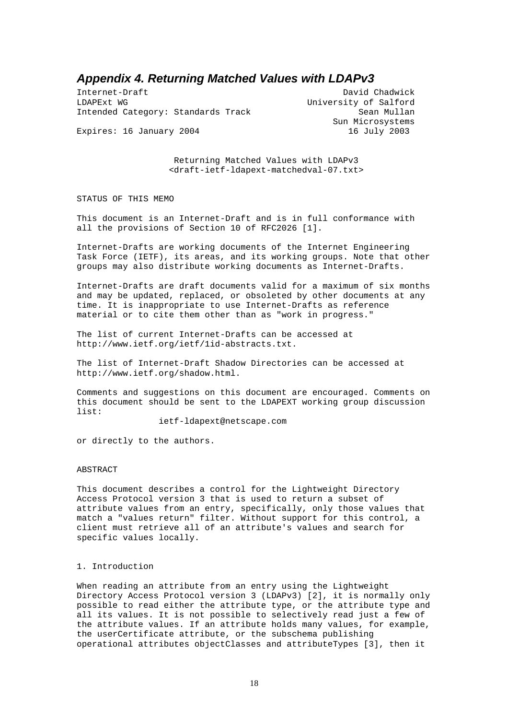#### *Appendix 4. Returning Matched Values with LDAPv3*

Internet-Draft **David Chadwick** David Chadwick LDAPExt WG University of Salford Intended Category: Standards Track Sean Mullan

Sun Microsystems

Expires: 16 January 2004 16 July 2003

 Returning Matched Values with LDAPv3 <draft-ietf-ldapext-matchedval-07.txt>

#### STATUS OF THIS MEMO

This document is an Internet-Draft and is in full conformance with all the provisions of Section 10 of RFC2026 [1].

Internet-Drafts are working documents of the Internet Engineering Task Force (IETF), its areas, and its working groups. Note that other groups may also distribute working documents as Internet-Drafts.

Internet-Drafts are draft documents valid for a maximum of six months and may be updated, replaced, or obsoleted by other documents at any time. It is inappropriate to use Internet-Drafts as reference material or to cite them other than as "work in progress."

The list of current Internet-Drafts can be accessed at http://www.ietf.org/ietf/1id-abstracts.txt.

The list of Internet-Draft Shadow Directories can be accessed at http://www.ietf.org/shadow.html.

Comments and suggestions on this document are encouraged. Comments on this document should be sent to the LDAPEXT working group discussion list:

ietf-ldapext@netscape.com

or directly to the authors.

#### ABSTRACT

This document describes a control for the Lightweight Directory Access Protocol version 3 that is used to return a subset of attribute values from an entry, specifically, only those values that match a "values return" filter. Without support for this control, a client must retrieve all of an attribute's values and search for specific values locally.

#### 1. Introduction

When reading an attribute from an entry using the Lightweight Directory Access Protocol version 3 (LDAPv3) [2], it is normally only possible to read either the attribute type, or the attribute type and all its values. It is not possible to selectively read just a few of the attribute values. If an attribute holds many values, for example, the userCertificate attribute, or the subschema publishing operational attributes objectClasses and attributeTypes [3], then it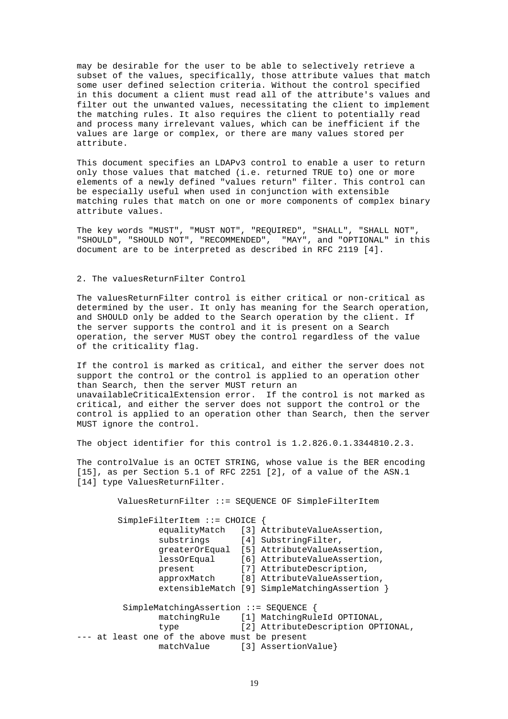may be desirable for the user to be able to selectively retrieve a subset of the values, specifically, those attribute values that match some user defined selection criteria. Without the control specified in this document a client must read all of the attribute's values and filter out the unwanted values, necessitating the client to implement the matching rules. It also requires the client to potentially read and process many irrelevant values, which can be inefficient if the values are large or complex, or there are many values stored per attribute.

This document specifies an LDAPv3 control to enable a user to return only those values that matched (i.e. returned TRUE to) one or more elements of a newly defined "values return" filter. This control can be especially useful when used in conjunction with extensible matching rules that match on one or more components of complex binary attribute values.

The key words "MUST", "MUST NOT", "REQUIRED", "SHALL", "SHALL NOT", "SHOULD", "SHOULD NOT", "RECOMMENDED", "MAY", and "OPTIONAL" in this document are to be interpreted as described in RFC 2119 [4].

#### 2. The valuesReturnFilter Control

The valuesReturnFilter control is either critical or non-critical as determined by the user. It only has meaning for the Search operation, and SHOULD only be added to the Search operation by the client. If the server supports the control and it is present on a Search operation, the server MUST obey the control regardless of the value of the criticality flag.

If the control is marked as critical, and either the server does not support the control or the control is applied to an operation other than Search, then the server MUST return an unavailableCriticalExtension error. If the control is not marked as critical, and either the server does not support the control or the control is applied to an operation other than Search, then the server MUST ignore the control.

The object identifier for this control is 1.2.826.0.1.3344810.2.3.

The controlValue is an OCTET STRING, whose value is the BER encoding [15], as per Section 5.1 of RFC 2251 [2], of a value of the ASN.1 [14] type ValuesReturnFilter.

ValuesReturnFilter ::= SEQUENCE OF SimpleFilterItem

| SimpleFilterItem ::= CHOICE                   |  |                                               |  |  |  |  |  |  |  |  |
|-----------------------------------------------|--|-----------------------------------------------|--|--|--|--|--|--|--|--|
| equalityMatch                                 |  | [3] AttributeValueAssertion,                  |  |  |  |  |  |  |  |  |
| substrings                                    |  | [4] SubstringFilter,                          |  |  |  |  |  |  |  |  |
| qreaterOrEqual                                |  | [5] AttributeValueAssertion,                  |  |  |  |  |  |  |  |  |
| lessOrEqual                                   |  | [6] AttributeValueAssertion,                  |  |  |  |  |  |  |  |  |
| present                                       |  | [7] AttributeDescription,                     |  |  |  |  |  |  |  |  |
| approxMatch                                   |  | [8] AttributeValueAssertion,                  |  |  |  |  |  |  |  |  |
|                                               |  | extensibleMatch [9] SimpleMatchingAssertion } |  |  |  |  |  |  |  |  |
| SimpleMatchingAssertion ::= SEQUENCE          |  |                                               |  |  |  |  |  |  |  |  |
| matchingRule                                  |  | [1] MatchingRuleId OPTIONAL,                  |  |  |  |  |  |  |  |  |
| type                                          |  | [2] AttributeDescription OPTIONAL,            |  |  |  |  |  |  |  |  |
| --- at least one of the above must be present |  |                                               |  |  |  |  |  |  |  |  |
| matchValue                                    |  | [3] AssertionValue}                           |  |  |  |  |  |  |  |  |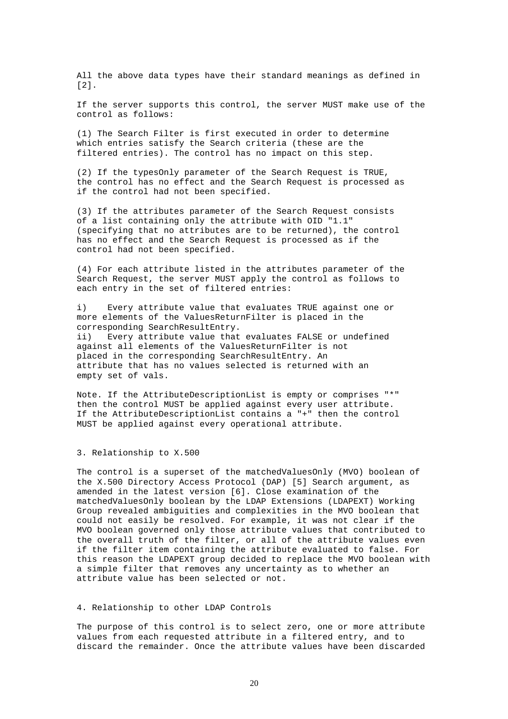All the above data types have their standard meanings as defined in [2].

If the server supports this control, the server MUST make use of the control as follows:

(1) The Search Filter is first executed in order to determine which entries satisfy the Search criteria (these are the filtered entries). The control has no impact on this step.

(2) If the typesOnly parameter of the Search Request is TRUE, the control has no effect and the Search Request is processed as if the control had not been specified.

(3) If the attributes parameter of the Search Request consists of a list containing only the attribute with OID "1.1" (specifying that no attributes are to be returned), the control has no effect and the Search Request is processed as if the control had not been specified.

(4) For each attribute listed in the attributes parameter of the Search Request, the server MUST apply the control as follows to each entry in the set of filtered entries:

i) Every attribute value that evaluates TRUE against one or more elements of the ValuesReturnFilter is placed in the corresponding SearchResultEntry. ii) Every attribute value that evaluates FALSE or undefined against all elements of the ValuesReturnFilter is not placed in the corresponding SearchResultEntry. An attribute that has no values selected is returned with an empty set of vals.

Note. If the AttributeDescriptionList is empty or comprises "\*" then the control MUST be applied against every user attribute. If the AttributeDescriptionList contains a "+" then the control MUST be applied against every operational attribute.

#### 3. Relationship to X.500

The control is a superset of the matchedValuesOnly (MVO) boolean of the X.500 Directory Access Protocol (DAP) [5] Search argument, as amended in the latest version [6]. Close examination of the matchedValuesOnly boolean by the LDAP Extensions (LDAPEXT) Working Group revealed ambiguities and complexities in the MVO boolean that could not easily be resolved. For example, it was not clear if the MVO boolean governed only those attribute values that contributed to the overall truth of the filter, or all of the attribute values even if the filter item containing the attribute evaluated to false. For this reason the LDAPEXT group decided to replace the MVO boolean with a simple filter that removes any uncertainty as to whether an attribute value has been selected or not.

#### 4. Relationship to other LDAP Controls

The purpose of this control is to select zero, one or more attribute values from each requested attribute in a filtered entry, and to discard the remainder. Once the attribute values have been discarded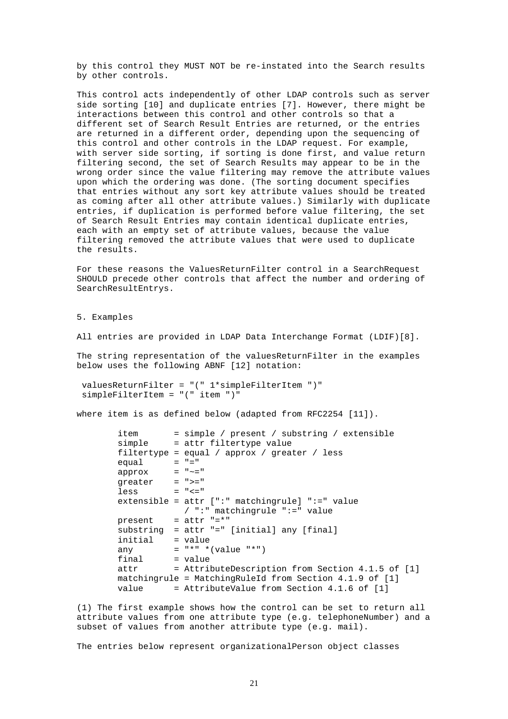by this control they MUST NOT be re-instated into the Search results by other controls.

This control acts independently of other LDAP controls such as server side sorting [10] and duplicate entries [7]. However, there might be interactions between this control and other controls so that a different set of Search Result Entries are returned, or the entries are returned in a different order, depending upon the sequencing of this control and other controls in the LDAP request. For example, with server side sorting, if sorting is done first, and value return filtering second, the set of Search Results may appear to be in the wrong order since the value filtering may remove the attribute values upon which the ordering was done. (The sorting document specifies that entries without any sort key attribute values should be treated as coming after all other attribute values.) Similarly with duplicate entries, if duplication is performed before value filtering, the set of Search Result Entries may contain identical duplicate entries, each with an empty set of attribute values, because the value filtering removed the attribute values that were used to duplicate the results.

For these reasons the ValuesReturnFilter control in a SearchRequest SHOULD precede other controls that affect the number and ordering of SearchResultEntrys.

5. Examples

All entries are provided in LDAP Data Interchange Format (LDIF)[8].

The string representation of the valuesReturnFilter in the examples below uses the following ABNF [12] notation:

 valuesReturnFilter = "(" 1\*simpleFilterItem ")" simpleFilterItem = "(" item ")"

where item is as defined below (adapted from RFC2254 [11]).

|  | item                        | = simple / present / substring / extensible                   |  |  |  |  |  |
|--|-----------------------------|---------------------------------------------------------------|--|--|--|--|--|
|  | simple                      | = attr filtertype value                                       |  |  |  |  |  |
|  |                             | filtertype = equal / approx / greater / less                  |  |  |  |  |  |
|  | equal                       | $=$ $" = "$                                                   |  |  |  |  |  |
|  | $approx$ = " $\sim$ ="      |                                                               |  |  |  |  |  |
|  | qreater = $">="$            |                                                               |  |  |  |  |  |
|  | $=$ $">=$ $">=$ $"$<br>less |                                                               |  |  |  |  |  |
|  |                             | extensible = $attr$ [":" matchingrule] ":=" value             |  |  |  |  |  |
|  |                             | $/$ ":" matchingrule ":=" value                               |  |  |  |  |  |
|  | present                     | $=$ attr $"="$                                                |  |  |  |  |  |
|  |                             | substring = attr "=" [initial] any [final]                    |  |  |  |  |  |
|  | initial = value             |                                                               |  |  |  |  |  |
|  | any                         | $= "*" * (value "*")$                                         |  |  |  |  |  |
|  | final                       | = value                                                       |  |  |  |  |  |
|  | attr                        | = AttributeDescription from Section 4.1.5 of [1]              |  |  |  |  |  |
|  |                             | matchingrule = Matching Rule Id from Section $4.1.9$ of $[1]$ |  |  |  |  |  |
|  | value                       | = AttributeValue from Section 4.1.6 of [1]                    |  |  |  |  |  |
|  |                             |                                                               |  |  |  |  |  |

(1) The first example shows how the control can be set to return all attribute values from one attribute type (e.g. telephoneNumber) and a subset of values from another attribute type (e.g. mail).

The entries below represent organizationalPerson object classes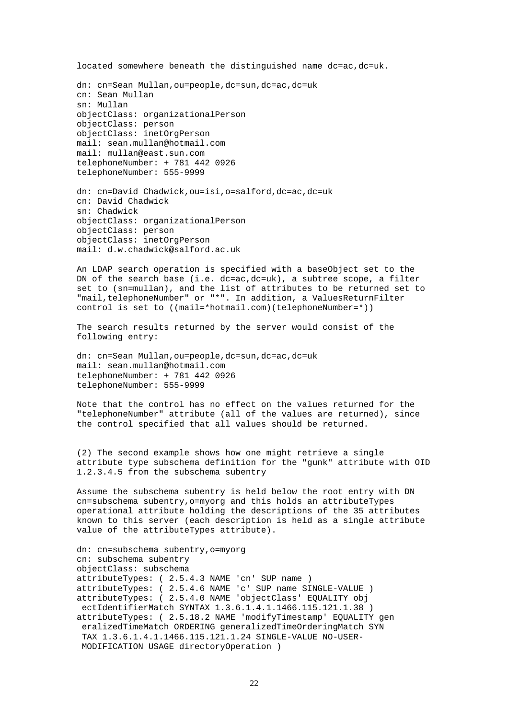located somewhere beneath the distinguished name dc=ac,dc=uk.

dn: cn=Sean Mullan,ou=people,dc=sun,dc=ac,dc=uk cn: Sean Mullan sn: Mullan objectClass: organizationalPerson objectClass: person objectClass: inetOrgPerson mail: sean.mullan@hotmail.com mail: mullan@east.sun.com telephoneNumber: + 781 442 0926 telephoneNumber: 555-9999

dn: cn=David Chadwick,ou=isi,o=salford,dc=ac,dc=uk cn: David Chadwick sn: Chadwick objectClass: organizationalPerson objectClass: person objectClass: inetOrgPerson mail: d.w.chadwick@salford.ac.uk

An LDAP search operation is specified with a baseObject set to the DN of the search base (i.e. dc=ac,dc=uk), a subtree scope, a filter set to (sn=mullan), and the list of attributes to be returned set to "mail,telephoneNumber" or "\*". In addition, a ValuesReturnFilter control is set to ((mail=\*hotmail.com)(telephoneNumber=\*))

The search results returned by the server would consist of the following entry:

dn: cn=Sean Mullan,ou=people,dc=sun,dc=ac,dc=uk mail: sean.mullan@hotmail.com telephoneNumber: + 781 442 0926 telephoneNumber: 555-9999

Note that the control has no effect on the values returned for the "telephoneNumber" attribute (all of the values are returned), since the control specified that all values should be returned.

(2) The second example shows how one might retrieve a single attribute type subschema definition for the "gunk" attribute with OID 1.2.3.4.5 from the subschema subentry

Assume the subschema subentry is held below the root entry with DN cn=subschema subentry,o=myorg and this holds an attributeTypes operational attribute holding the descriptions of the 35 attributes known to this server (each description is held as a single attribute value of the attributeTypes attribute).

dn: cn=subschema subentry,o=myorg cn: subschema subentry objectClass: subschema attributeTypes: ( 2.5.4.3 NAME 'cn' SUP name ) attributeTypes: ( 2.5.4.6 NAME 'c' SUP name SINGLE-VALUE ) attributeTypes: ( 2.5.4.0 NAME 'objectClass' EQUALITY obj ectIdentifierMatch SYNTAX 1.3.6.1.4.1.1466.115.121.1.38 ) attributeTypes: ( 2.5.18.2 NAME 'modifyTimestamp' EQUALITY gen eralizedTimeMatch ORDERING generalizedTimeOrderingMatch SYN TAX 1.3.6.1.4.1.1466.115.121.1.24 SINGLE-VALUE NO-USER- MODIFICATION USAGE directoryOperation )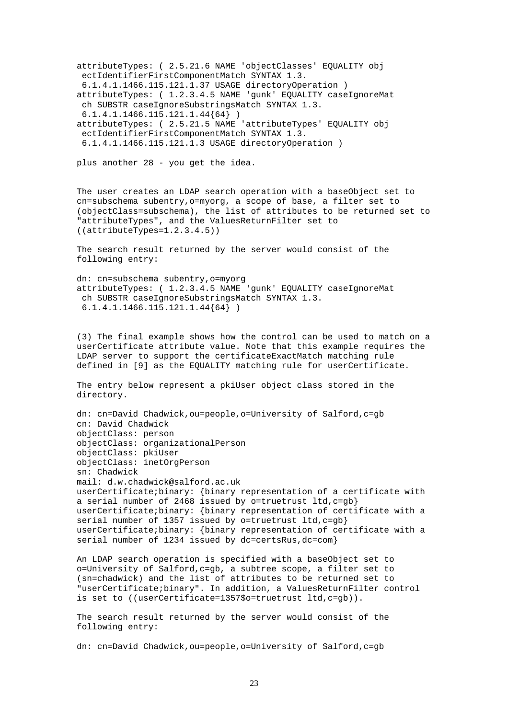attributeTypes: ( 2.5.21.6 NAME 'objectClasses' EQUALITY obj ectIdentifierFirstComponentMatch SYNTAX 1.3. 6.1.4.1.1466.115.121.1.37 USAGE directoryOperation ) attributeTypes: ( 1.2.3.4.5 NAME 'gunk' EQUALITY caseIgnoreMat ch SUBSTR caseIgnoreSubstringsMatch SYNTAX 1.3. 6.1.4.1.1466.115.121.1.44{64} ) attributeTypes: ( 2.5.21.5 NAME 'attributeTypes' EQUALITY obj ectIdentifierFirstComponentMatch SYNTAX 1.3. 6.1.4.1.1466.115.121.1.3 USAGE directoryOperation )

plus another 28 - you get the idea.

The user creates an LDAP search operation with a baseObject set to cn=subschema subentry,o=myorg, a scope of base, a filter set to (objectClass=subschema), the list of attributes to be returned set to "attributeTypes", and the ValuesReturnFilter set to ((attributeTypes=1.2.3.4.5))

The search result returned by the server would consist of the following entry:

dn: cn=subschema subentry,o=myorg attributeTypes: ( 1.2.3.4.5 NAME 'gunk' EQUALITY caseIgnoreMat ch SUBSTR caseIgnoreSubstringsMatch SYNTAX 1.3. 6.1.4.1.1466.115.121.1.44{64} )

(3) The final example shows how the control can be used to match on a userCertificate attribute value. Note that this example requires the LDAP server to support the certificateExactMatch matching rule defined in [9] as the EQUALITY matching rule for userCertificate.

The entry below represent a pkiUser object class stored in the directory.

dn: cn=David Chadwick,ou=people,o=University of Salford,c=gb cn: David Chadwick objectClass: person objectClass: organizationalPerson objectClass: pkiUser objectClass: inetOrgPerson sn: Chadwick mail: d.w.chadwick@salford.ac.uk userCertificate;binary: {binary representation of a certificate with a serial number of 2468 issued by o=truetrust  $ltd, c=gb$ } userCertificate;binary: {binary representation of certificate with a serial number of 1357 issued by o=truetrust ltd,c=qb} userCertificate;binary: {binary representation of certificate with a serial number of 1234 issued by dc=certsRus, dc=com}

An LDAP search operation is specified with a baseObject set to o=University of Salford,c=gb, a subtree scope, a filter set to (sn=chadwick) and the list of attributes to be returned set to "userCertificate;binary". In addition, a ValuesReturnFilter control is set to ((userCertificate=1357\$o=truetrust ltd,c=gb)).

The search result returned by the server would consist of the following entry:

dn: cn=David Chadwick,ou=people,o=University of Salford,c=gb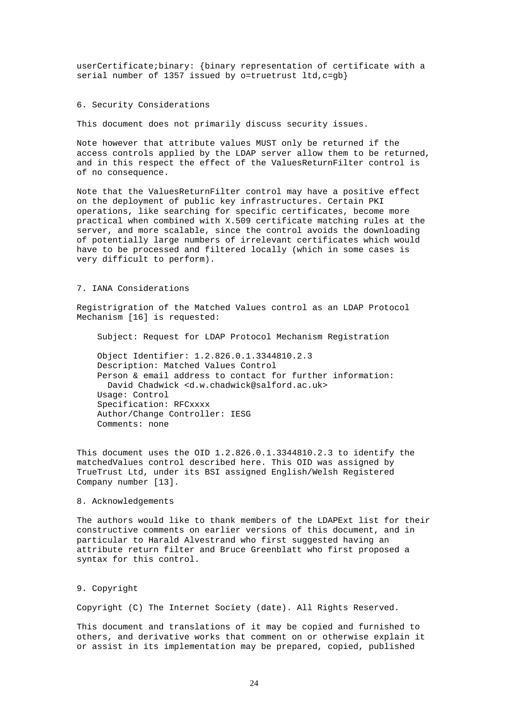userCertificate;binary: {binary representation of certificate with a serial number of 1357 issued by o=truetrust  $ltd, c=qb$ }

#### 6. Security Considerations

This document does not primarily discuss security issues.

Note however that attribute values MUST only be returned if the access controls applied by the LDAP server allow them to be returned, and in this respect the effect of the ValuesReturnFilter control is of no consequence.

Note that the ValuesReturnFilter control may have a positive effect on the deployment of public key infrastructures. Certain PKI operations, like searching for specific certificates, become more practical when combined with X.509 certificate matching rules at the server, and more scalable, since the control avoids the downloading of potentially large numbers of irrelevant certificates which would have to be processed and filtered locally (which in some cases is very difficult to perform).

#### 7. IANA Considerations

Registrigration of the Matched Values control as an LDAP Protocol Mechanism [16] is requested:

Subject: Request for LDAP Protocol Mechanism Registration

 Object Identifier: 1.2.826.0.1.3344810.2.3 Description: Matched Values Control Person & email address to contact for further information: David Chadwick <d.w.chadwick@salford.ac.uk> Usage: Control Specification: RFCxxxx Author/Change Controller: IESG Comments: none

This document uses the OID 1.2.826.0.1.3344810.2.3 to identify the matchedValues control described here. This OID was assigned by TrueTrust Ltd, under its BSI assigned English/Welsh Registered Company number [13].

#### 8. Acknowledgements

The authors would like to thank members of the LDAPExt list for their constructive comments on earlier versions of this document, and in particular to Harald Alvestrand who first suggested having an attribute return filter and Bruce Greenblatt who first proposed a syntax for this control.

#### 9. Copyright

Copyright (C) The Internet Society (date). All Rights Reserved.

This document and translations of it may be copied and furnished to others, and derivative works that comment on or otherwise explain it or assist in its implementation may be prepared, copied, published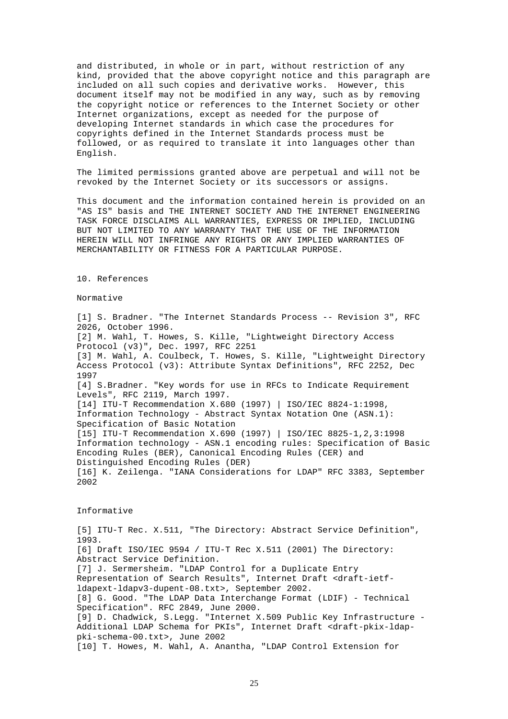and distributed, in whole or in part, without restriction of any kind, provided that the above copyright notice and this paragraph are included on all such copies and derivative works. However, this document itself may not be modified in any way, such as by removing the copyright notice or references to the Internet Society or other Internet organizations, except as needed for the purpose of developing Internet standards in which case the procedures for copyrights defined in the Internet Standards process must be followed, or as required to translate it into languages other than English.

The limited permissions granted above are perpetual and will not be revoked by the Internet Society or its successors or assigns.

This document and the information contained herein is provided on an "AS IS" basis and THE INTERNET SOCIETY AND THE INTERNET ENGINEERING TASK FORCE DISCLAIMS ALL WARRANTIES, EXPRESS OR IMPLIED, INCLUDING BUT NOT LIMITED TO ANY WARRANTY THAT THE USE OF THE INFORMATION HEREIN WILL NOT INFRINGE ANY RIGHTS OR ANY IMPLIED WARRANTIES OF MERCHANTABILITY OR FITNESS FOR A PARTICULAR PURPOSE.

#### 10. References

#### Normative

[1] S. Bradner. "The Internet Standards Process -- Revision 3", RFC 2026, October 1996. [2] M. Wahl, T. Howes, S. Kille, "Lightweight Directory Access Protocol (v3)", Dec. 1997, RFC 2251 [3] M. Wahl, A. Coulbeck, T. Howes, S. Kille, "Lightweight Directory Access Protocol (v3): Attribute Syntax Definitions", RFC 2252, Dec 1997 [4] S.Bradner. "Key words for use in RFCs to Indicate Requirement Levels", RFC 2119, March 1997. [14] ITU-T Recommendation X.680 (1997) | ISO/IEC 8824-1:1998, Information Technology - Abstract Syntax Notation One (ASN.1): Specification of Basic Notation [15] ITU-T Recommendation X.690 (1997) | ISO/IEC 8825-1,2,3:1998 Information technology - ASN.1 encoding rules: Specification of Basic Encoding Rules (BER), Canonical Encoding Rules (CER) and Distinguished Encoding Rules (DER) [16] K. Zeilenga. "IANA Considerations for LDAP" RFC 3383, September 2002

#### Informative

[5] ITU-T Rec. X.511, "The Directory: Abstract Service Definition", 1993. [6] Draft ISO/IEC 9594 / ITU-T Rec X.511 (2001) The Directory: Abstract Service Definition. [7] J. Sermersheim. "LDAP Control for a Duplicate Entry Representation of Search Results", Internet Draft <draft-ietfldapext-ldapv3-dupent-08.txt>, September 2002. [8] G. Good. "The LDAP Data Interchange Format (LDIF) - Technical Specification". RFC 2849, June 2000. [9] D. Chadwick, S.Legg. "Internet X.509 Public Key Infrastructure - Additional LDAP Schema for PKIs", Internet Draft <draft-pkix-ldappki-schema-00.txt>, June 2002 [10] T. Howes, M. Wahl, A. Anantha, "LDAP Control Extension for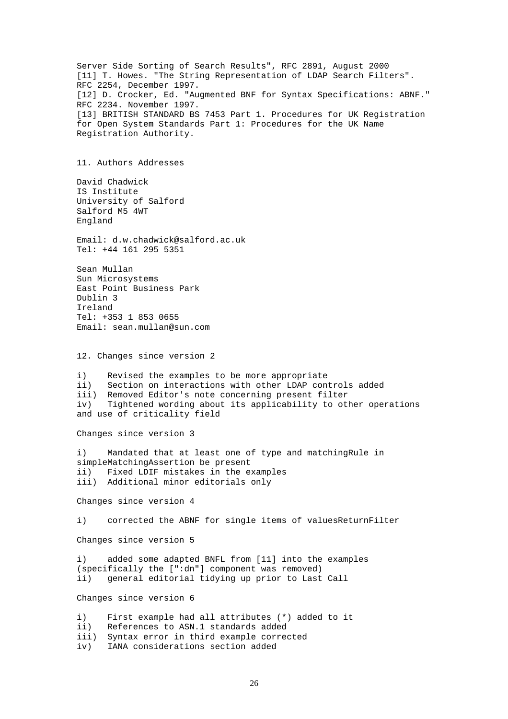Server Side Sorting of Search Results", RFC 2891, August 2000 [11] T. Howes. "The String Representation of LDAP Search Filters". RFC 2254, December 1997. [12] D. Crocker, Ed. "Augmented BNF for Syntax Specifications: ABNF." RFC 2234. November 1997. [13] BRITISH STANDARD BS 7453 Part 1. Procedures for UK Registration for Open System Standards Part 1: Procedures for the UK Name Registration Authority. 11. Authors Addresses David Chadwick IS Institute University of Salford Salford M5 4WT England Email: d.w.chadwick@salford.ac.uk Tel: +44 161 295 5351 Sean Mullan Sun Microsystems East Point Business Park Dublin 3 Ireland Tel: +353 1 853 0655 Email: sean.mullan@sun.com 12. Changes since version 2 i) Revised the examples to be more appropriate ii) Section on interactions with other LDAP controls added iii) Removed Editor's note concerning present filter iv) Tightened wording about its applicability to other operations and use of criticality field Changes since version 3 i) Mandated that at least one of type and matchingRule in simpleMatchingAssertion be present ii) Fixed LDIF mistakes in the examples iii) Additional minor editorials only Changes since version 4 i) corrected the ABNF for single items of valuesReturnFilter Changes since version 5 i) added some adapted BNFL from [11] into the examples (specifically the [":dn"] component was removed) ii) general editorial tidying up prior to Last Call Changes since version 6 i) First example had all attributes (\*) added to it ii) References to ASN.1 standards added iii) Syntax error in third example corrected iv) IANA considerations section added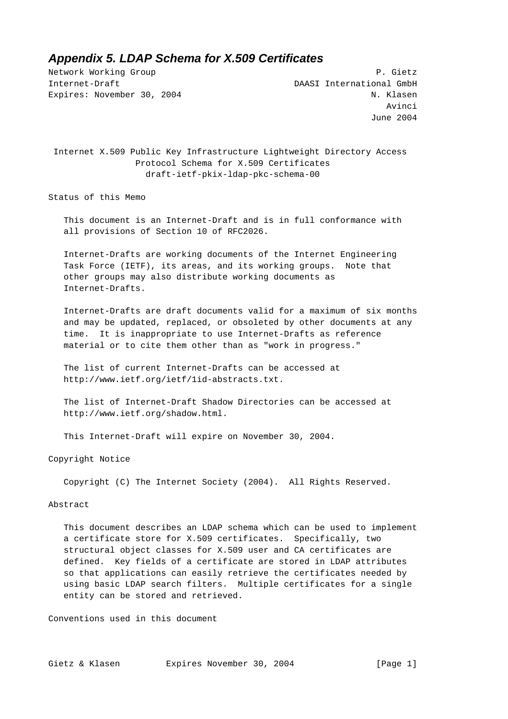#### *Appendix 5. LDAP Schema for X.509 Certificates*

Network Working Group **P. Gietz** Internet-Draft DAASI International GmbH

Expires: November 30, 2004 N. Klasen Avinci June 2004

 Internet X.509 Public Key Infrastructure Lightweight Directory Access Protocol Schema for X.509 Certificates draft-ietf-pkix-ldap-pkc-schema-00

Status of this Memo

 This document is an Internet-Draft and is in full conformance with all provisions of Section 10 of RFC2026.

 Internet-Drafts are working documents of the Internet Engineering Task Force (IETF), its areas, and its working groups. Note that other groups may also distribute working documents as Internet-Drafts.

 Internet-Drafts are draft documents valid for a maximum of six months and may be updated, replaced, or obsoleted by other documents at any time. It is inappropriate to use Internet-Drafts as reference material or to cite them other than as "work in progress."

 The list of current Internet-Drafts can be accessed at http://www.ietf.org/ietf/1id-abstracts.txt.

 The list of Internet-Draft Shadow Directories can be accessed at http://www.ietf.org/shadow.html.

This Internet-Draft will expire on November 30, 2004.

#### Copyright Notice

Copyright (C) The Internet Society (2004). All Rights Reserved.

#### Abstract

 This document describes an LDAP schema which can be used to implement a certificate store for X.509 certificates. Specifically, two structural object classes for X.509 user and CA certificates are defined. Key fields of a certificate are stored in LDAP attributes so that applications can easily retrieve the certificates needed by using basic LDAP search filters. Multiple certificates for a single entity can be stored and retrieved.

Conventions used in this document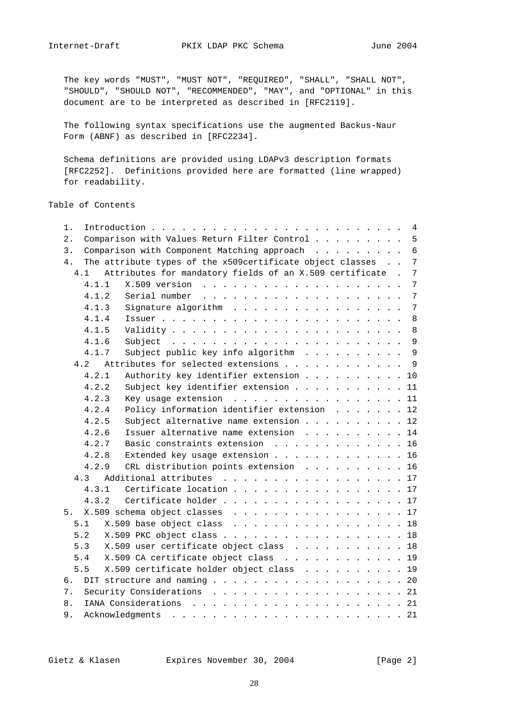The key words "MUST", "MUST NOT", "REQUIRED", "SHALL", "SHALL NOT", "SHOULD", "SHOULD NOT", "RECOMMENDED", "MAY", and "OPTIONAL" in this document are to be interpreted as described in [RFC2119].

 The following syntax specifications use the augmented Backus-Naur Form (ABNF) as described in [RFC2234].

 Schema definitions are provided using LDAPv3 description formats [RFC2252]. Definitions provided here are formatted (line wrapped) for readability.

#### Table of Contents

| 1.            |                                              |  |                                                           |  |  |  |  |  |   |   |  |  |  | 4              |
|---------------|----------------------------------------------|--|-----------------------------------------------------------|--|--|--|--|--|---|---|--|--|--|----------------|
| 2.            | Comparison with Values Return Filter Control |  |                                                           |  |  |  |  |  | 5 |   |  |  |  |                |
| $\mathcal{E}$ | Comparison with Component Matching approach  |  |                                                           |  |  |  |  |  |   | 6 |  |  |  |                |
| 4.            |                                              |  | The attribute types of the x509certificate object classes |  |  |  |  |  |   |   |  |  |  | 7              |
|               | 4.1                                          |  | Attributes for mandatory fields of an X.509 certificate . |  |  |  |  |  |   |   |  |  |  | $\overline{7}$ |
|               | 4.1.1                                        |  |                                                           |  |  |  |  |  |   |   |  |  |  | 7              |
|               | 4.1.2                                        |  |                                                           |  |  |  |  |  |   |   |  |  |  | 7              |
|               | 4.1.3                                        |  | Signature algorithm                                       |  |  |  |  |  |   |   |  |  |  | 7              |
|               | 4.1.4                                        |  |                                                           |  |  |  |  |  |   |   |  |  |  | 8              |
|               | 4.1.5                                        |  |                                                           |  |  |  |  |  |   |   |  |  |  | 8              |
|               | 4.1.6                                        |  | Subject                                                   |  |  |  |  |  |   |   |  |  |  | 9              |
|               | 4.1.7                                        |  | Subject public key info algorithm                         |  |  |  |  |  |   |   |  |  |  | 9              |
|               | 4.2                                          |  | Attributes for selected extensions                        |  |  |  |  |  |   |   |  |  |  | 9              |
|               | 4.2.1                                        |  | Authority key identifier extension 10                     |  |  |  |  |  |   |   |  |  |  |                |
|               | 4.2.2                                        |  | Subject key identifier extension 11                       |  |  |  |  |  |   |   |  |  |  |                |
|               | 4.2.3                                        |  | Key usage extension 11                                    |  |  |  |  |  |   |   |  |  |  |                |
|               | 4.2.4                                        |  | Policy information identifier extension 12                |  |  |  |  |  |   |   |  |  |  |                |
|               | 4.2.5                                        |  | Subject alternative name extension 12                     |  |  |  |  |  |   |   |  |  |  |                |
|               | 4.2.6                                        |  | Issuer alternative name extension 14                      |  |  |  |  |  |   |   |  |  |  |                |
|               | 4.2.7                                        |  | Basic constraints extension 16                            |  |  |  |  |  |   |   |  |  |  |                |
|               | 4.2.8                                        |  |                                                           |  |  |  |  |  |   |   |  |  |  |                |
|               |                                              |  | Extended key usage extension 16                           |  |  |  |  |  |   |   |  |  |  |                |
|               | 4.2.9<br>4.3                                 |  | CRL distribution points extension 16                      |  |  |  |  |  |   |   |  |  |  |                |
|               |                                              |  | Additional attributes 17                                  |  |  |  |  |  |   |   |  |  |  |                |
|               | 4.3.1                                        |  | Certificate location 17                                   |  |  |  |  |  |   |   |  |  |  |                |
|               | 4.3.2                                        |  | Certificate holder 17                                     |  |  |  |  |  |   |   |  |  |  |                |
| 5.            |                                              |  | X.509 schema object classes 17                            |  |  |  |  |  |   |   |  |  |  |                |
|               | 5.1                                          |  | X.509 base object class 18                                |  |  |  |  |  |   |   |  |  |  |                |
|               | 5.2                                          |  | X.509 PKC object class 18                                 |  |  |  |  |  |   |   |  |  |  |                |
|               | 5.3                                          |  | X.509 user certificate object class 18                    |  |  |  |  |  |   |   |  |  |  |                |
|               | 5.4                                          |  | X.509 CA certificate object class 19                      |  |  |  |  |  |   |   |  |  |  |                |
|               | 5.5                                          |  | X.509 certificate holder object class 19                  |  |  |  |  |  |   |   |  |  |  |                |
| б.            |                                              |  | DIT structure and naming 20                               |  |  |  |  |  |   |   |  |  |  |                |
| 7.            |                                              |  | Security Considerations 21                                |  |  |  |  |  |   |   |  |  |  |                |
| 8.            |                                              |  |                                                           |  |  |  |  |  |   |   |  |  |  |                |
| 9.            |                                              |  |                                                           |  |  |  |  |  |   |   |  |  |  |                |

Gietz & Klasen Expires November 30, 2004 [Page 2]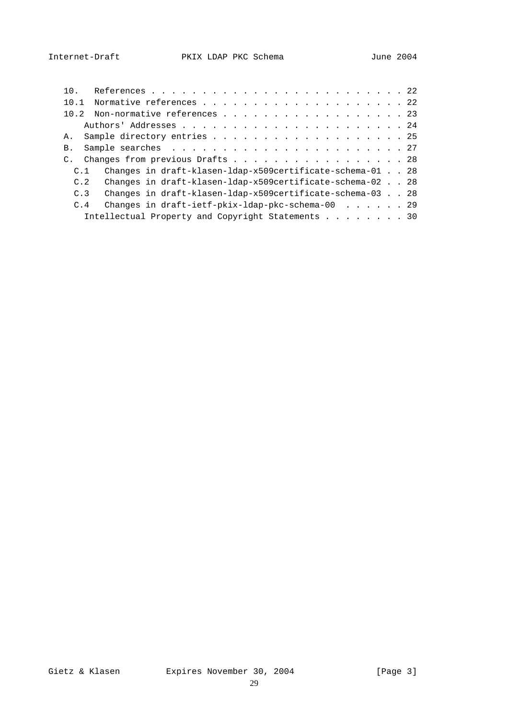| 10.                                                                  |  |
|----------------------------------------------------------------------|--|
|                                                                      |  |
| 10.2 Non-normative references 23                                     |  |
|                                                                      |  |
| Sample directory entries 25<br>$A_{-}$                               |  |
| <b>B.</b>                                                            |  |
| Changes from previous Drafts 28<br>$\mathcal{C}$ .                   |  |
| Changes in draft-klasen-ldap-x509certificate-schema-0128<br>C.1      |  |
| Changes in draft-klasen-1dap-x509certificate-schema-0228<br>C.2      |  |
| Changes in draft-klasen-ldap-x509certificate-schema-03 $. 28$<br>C.3 |  |
| Changes in draft-ietf-pkix-ldap-pkc-schema-00 $\ldots$ 29<br>C.4     |  |
| Intellectual Property and Copyright Statements 30                    |  |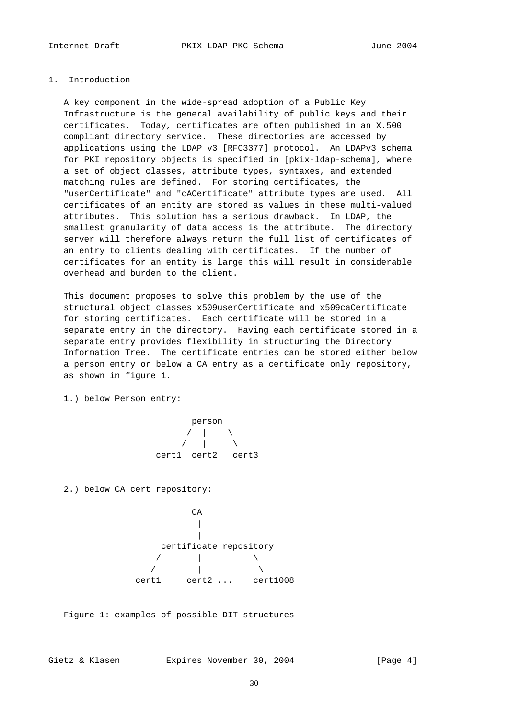#### 1. Introduction

 A key component in the wide-spread adoption of a Public Key Infrastructure is the general availability of public keys and their certificates. Today, certificates are often published in an X.500 compliant directory service. These directories are accessed by applications using the LDAP v3 [RFC3377] protocol. An LDAPv3 schema for PKI repository objects is specified in [pkix-ldap-schema], where a set of object classes, attribute types, syntaxes, and extended matching rules are defined. For storing certificates, the "userCertificate" and "cACertificate" attribute types are used. All certificates of an entity are stored as values in these multi-valued attributes. This solution has a serious drawback. In LDAP, the smallest granularity of data access is the attribute. The directory server will therefore always return the full list of certificates of an entry to clients dealing with certificates. If the number of certificates for an entity is large this will result in considerable overhead and burden to the client.

 This document proposes to solve this problem by the use of the structural object classes x509userCertificate and x509caCertificate for storing certificates. Each certificate will be stored in a separate entry in the directory. Having each certificate stored in a separate entry provides flexibility in structuring the Directory Information Tree. The certificate entries can be stored either below a person entry or below a CA entry as a certificate only repository, as shown in figure 1.

1.) below Person entry:



2.) below CA cert repository:





Gietz & Klasen Expires November 30, 2004 [Page 4]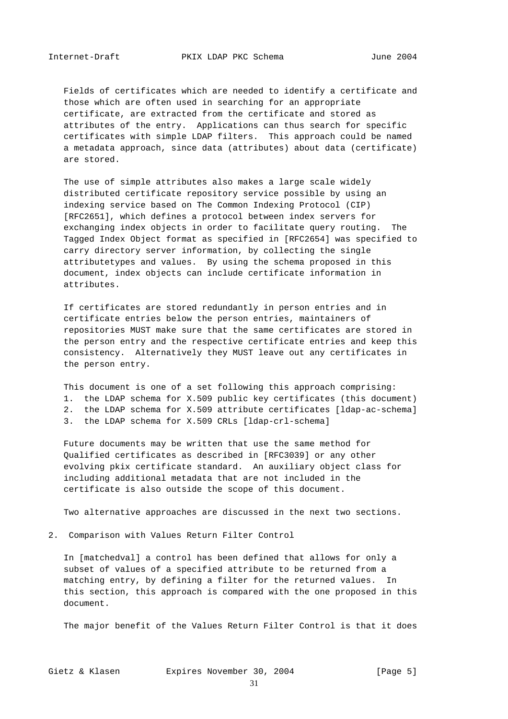Internet-Draft PKIX LDAP PKC Schema June 2004

 Fields of certificates which are needed to identify a certificate and those which are often used in searching for an appropriate certificate, are extracted from the certificate and stored as attributes of the entry. Applications can thus search for specific certificates with simple LDAP filters. This approach could be named a metadata approach, since data (attributes) about data (certificate) are stored.

 The use of simple attributes also makes a large scale widely distributed certificate repository service possible by using an indexing service based on The Common Indexing Protocol (CIP) [RFC2651], which defines a protocol between index servers for exchanging index objects in order to facilitate query routing. The Tagged Index Object format as specified in [RFC2654] was specified to carry directory server information, by collecting the single attributetypes and values. By using the schema proposed in this document, index objects can include certificate information in attributes.

 If certificates are stored redundantly in person entries and in certificate entries below the person entries, maintainers of repositories MUST make sure that the same certificates are stored in the person entry and the respective certificate entries and keep this consistency. Alternatively they MUST leave out any certificates in the person entry.

 This document is one of a set following this approach comprising: 1. the LDAP schema for X.509 public key certificates (this document) 2. the LDAP schema for X.509 attribute certificates [ldap-ac-schema] 3. the LDAP schema for X.509 CRLs [ldap-crl-schema]

 Future documents may be written that use the same method for Qualified certificates as described in [RFC3039] or any other evolving pkix certificate standard. An auxiliary object class for including additional metadata that are not included in the certificate is also outside the scope of this document.

Two alternative approaches are discussed in the next two sections.

2. Comparison with Values Return Filter Control

 In [matchedval] a control has been defined that allows for only a subset of values of a specified attribute to be returned from a matching entry, by defining a filter for the returned values. In this section, this approach is compared with the one proposed in this document.

The major benefit of the Values Return Filter Control is that it does

Gietz & Klasen **Expires November 30, 2004** [Page 5]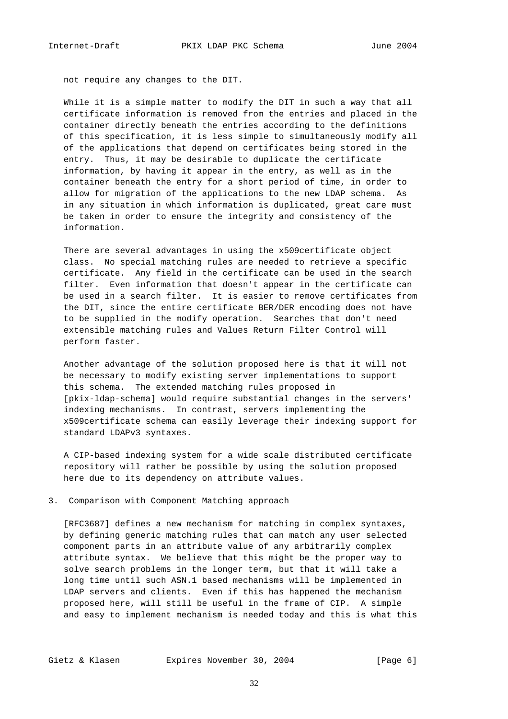not require any changes to the DIT.

 While it is a simple matter to modify the DIT in such a way that all certificate information is removed from the entries and placed in the container directly beneath the entries according to the definitions of this specification, it is less simple to simultaneously modify all of the applications that depend on certificates being stored in the entry. Thus, it may be desirable to duplicate the certificate information, by having it appear in the entry, as well as in the container beneath the entry for a short period of time, in order to allow for migration of the applications to the new LDAP schema. As in any situation in which information is duplicated, great care must be taken in order to ensure the integrity and consistency of the information.

 There are several advantages in using the x509certificate object class. No special matching rules are needed to retrieve a specific certificate. Any field in the certificate can be used in the search filter. Even information that doesn't appear in the certificate can be used in a search filter. It is easier to remove certificates from the DIT, since the entire certificate BER/DER encoding does not have to be supplied in the modify operation. Searches that don't need extensible matching rules and Values Return Filter Control will perform faster.

 Another advantage of the solution proposed here is that it will not be necessary to modify existing server implementations to support this schema. The extended matching rules proposed in [pkix-ldap-schema] would require substantial changes in the servers' indexing mechanisms. In contrast, servers implementing the x509certificate schema can easily leverage their indexing support for standard LDAPv3 syntaxes.

 A CIP-based indexing system for a wide scale distributed certificate repository will rather be possible by using the solution proposed here due to its dependency on attribute values.

3. Comparison with Component Matching approach

 [RFC3687] defines a new mechanism for matching in complex syntaxes, by defining generic matching rules that can match any user selected component parts in an attribute value of any arbitrarily complex attribute syntax. We believe that this might be the proper way to solve search problems in the longer term, but that it will take a long time until such ASN.1 based mechanisms will be implemented in LDAP servers and clients. Even if this has happened the mechanism proposed here, will still be useful in the frame of CIP. A simple and easy to implement mechanism is needed today and this is what this

Gietz & Klasen Expires November 30, 2004 [Page 6]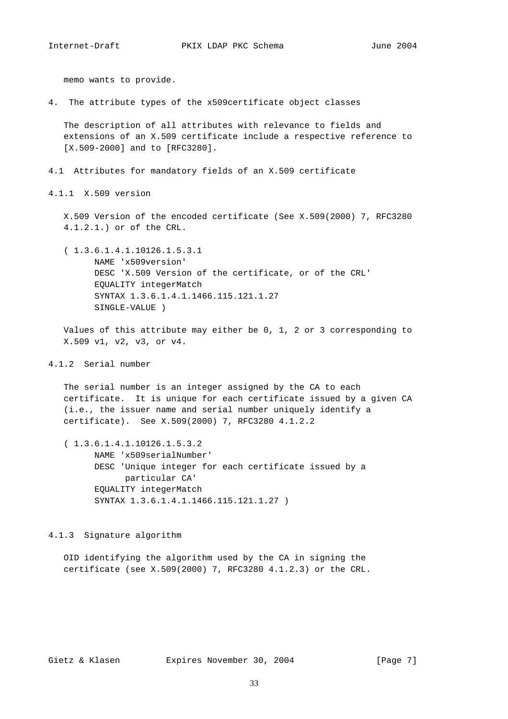Internet-Draft PKIX LDAP PKC Schema June 2004

memo wants to provide.

4. The attribute types of the x509certificate object classes

 The description of all attributes with relevance to fields and extensions of an X.509 certificate include a respective reference to [X.509-2000] and to [RFC3280].

4.1 Attributes for mandatory fields of an X.509 certificate

4.1.1 X.509 version

 X.509 Version of the encoded certificate (See X.509(2000) 7, RFC3280 4.1.2.1.) or of the CRL.

 ( 1.3.6.1.4.1.10126.1.5.3.1 NAME 'x509version' DESC 'X.509 Version of the certificate, or of the CRL' EQUALITY integerMatch SYNTAX 1.3.6.1.4.1.1466.115.121.1.27 SINGLE-VALUE )

 Values of this attribute may either be 0, 1, 2 or 3 corresponding to X.509 v1, v2, v3, or v4.

#### 4.1.2 Serial number

 The serial number is an integer assigned by the CA to each certificate. It is unique for each certificate issued by a given CA (i.e., the issuer name and serial number uniquely identify a certificate). See X.509(2000) 7, RFC3280 4.1.2.2

 ( 1.3.6.1.4.1.10126.1.5.3.2 NAME 'x509serialNumber' DESC 'Unique integer for each certificate issued by a particular CA' EQUALITY integerMatch SYNTAX 1.3.6.1.4.1.1466.115.121.1.27 )

#### 4.1.3 Signature algorithm

 OID identifying the algorithm used by the CA in signing the certificate (see X.509(2000) 7, RFC3280 4.1.2.3) or the CRL.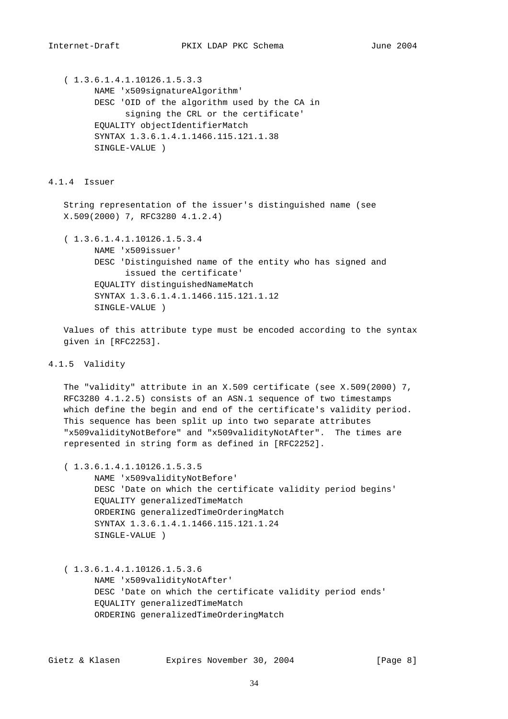( 1.3.6.1.4.1.10126.1.5.3.3 NAME 'x509signatureAlgorithm' DESC 'OID of the algorithm used by the CA in signing the CRL or the certificate' EQUALITY objectIdentifierMatch SYNTAX 1.3.6.1.4.1.1466.115.121.1.38 SINGLE-VALUE )

#### 4.1.4 Issuer

 String representation of the issuer's distinguished name (see X.509(2000) 7, RFC3280 4.1.2.4)

 ( 1.3.6.1.4.1.10126.1.5.3.4 NAME 'x509issuer' DESC 'Distinguished name of the entity who has signed and issued the certificate' EQUALITY distinguishedNameMatch SYNTAX 1.3.6.1.4.1.1466.115.121.1.12 SINGLE-VALUE )

 Values of this attribute type must be encoded according to the syntax given in [RFC2253].

#### 4.1.5 Validity

 The "validity" attribute in an X.509 certificate (see X.509(2000) 7, RFC3280 4.1.2.5) consists of an ASN.1 sequence of two timestamps which define the begin and end of the certificate's validity period. This sequence has been split up into two separate attributes "x509validityNotBefore" and "x509validityNotAfter". The times are represented in string form as defined in [RFC2252].

( 1.3.6.1.4.1.10126.1.5.3.5

 NAME 'x509validityNotBefore' DESC 'Date on which the certificate validity period begins' EQUALITY generalizedTimeMatch ORDERING generalizedTimeOrderingMatch SYNTAX 1.3.6.1.4.1.1466.115.121.1.24 SINGLE-VALUE )

 ( 1.3.6.1.4.1.10126.1.5.3.6 NAME 'x509validityNotAfter' DESC 'Date on which the certificate validity period ends' EQUALITY generalizedTimeMatch ORDERING generalizedTimeOrderingMatch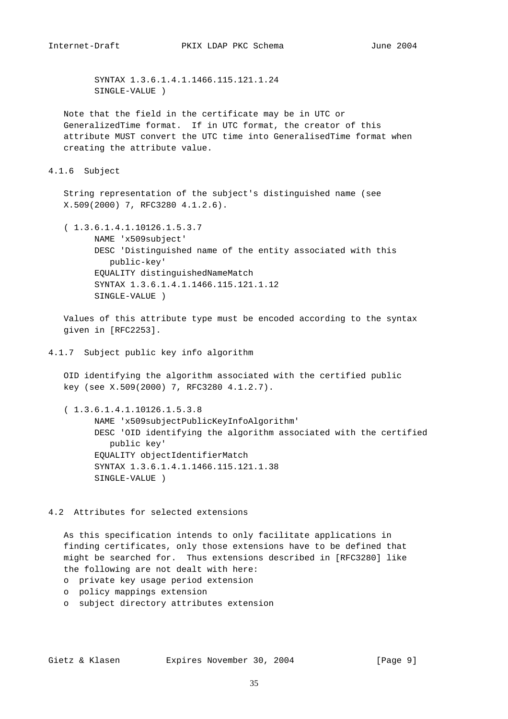SYNTAX 1.3.6.1.4.1.1466.115.121.1.24 SINGLE-VALUE ) Note that the field in the certificate may be in UTC or GeneralizedTime format. If in UTC format, the creator of this attribute MUST convert the UTC time into GeneralisedTime format when creating the attribute value. 4.1.6 Subject

 String representation of the subject's distinguished name (see X.509(2000) 7, RFC3280 4.1.2.6).

 ( 1.3.6.1.4.1.10126.1.5.3.7 NAME 'x509subject' DESC 'Distinguished name of the entity associated with this public-key' EQUALITY distinguishedNameMatch SYNTAX 1.3.6.1.4.1.1466.115.121.1.12 SINGLE-VALUE )

 Values of this attribute type must be encoded according to the syntax given in [RFC2253].

 OID identifying the algorithm associated with the certified public key (see X.509(2000) 7, RFC3280 4.1.2.7).

( 1.3.6.1.4.1.10126.1.5.3.8

 NAME 'x509subjectPublicKeyInfoAlgorithm' DESC 'OID identifying the algorithm associated with the certified public key' EQUALITY objectIdentifierMatch SYNTAX 1.3.6.1.4.1.1466.115.121.1.38 SINGLE-VALUE )

4.2 Attributes for selected extensions

 As this specification intends to only facilitate applications in finding certificates, only those extensions have to be defined that might be searched for. Thus extensions described in [RFC3280] like the following are not dealt with here:

- o private key usage period extension
- o policy mappings extension
- o subject directory attributes extension

<sup>4.1.7</sup> Subject public key info algorithm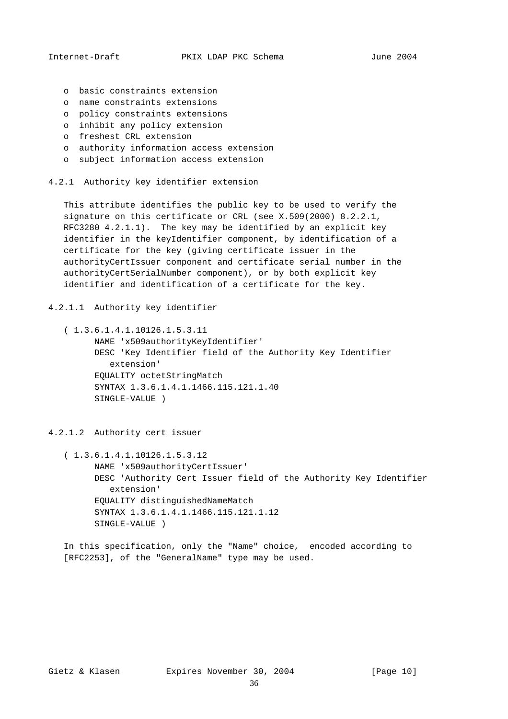- o basic constraints extension
- o name constraints extensions
- o policy constraints extensions
- o inhibit any policy extension
- o freshest CRL extension
- o authority information access extension
- o subject information access extension
- 4.2.1 Authority key identifier extension

 This attribute identifies the public key to be used to verify the signature on this certificate or CRL (see X.509(2000) 8.2.2.1, RFC3280 4.2.1.1). The key may be identified by an explicit key identifier in the keyIdentifier component, by identification of a certificate for the key (giving certificate issuer in the authorityCertIssuer component and certificate serial number in the authorityCertSerialNumber component), or by both explicit key identifier and identification of a certificate for the key.

4.2.1.1 Authority key identifier

 ( 1.3.6.1.4.1.10126.1.5.3.11 NAME 'x509authorityKeyIdentifier' DESC 'Key Identifier field of the Authority Key Identifier extension' EQUALITY octetStringMatch SYNTAX 1.3.6.1.4.1.1466.115.121.1.40 SINGLE-VALUE )

4.2.1.2 Authority cert issuer

 ( 1.3.6.1.4.1.10126.1.5.3.12 NAME 'x509authorityCertIssuer' DESC 'Authority Cert Issuer field of the Authority Key Identifier extension' EQUALITY distinguishedNameMatch SYNTAX 1.3.6.1.4.1.1466.115.121.1.12 SINGLE-VALUE )

 In this specification, only the "Name" choice, encoded according to [RFC2253], of the "GeneralName" type may be used.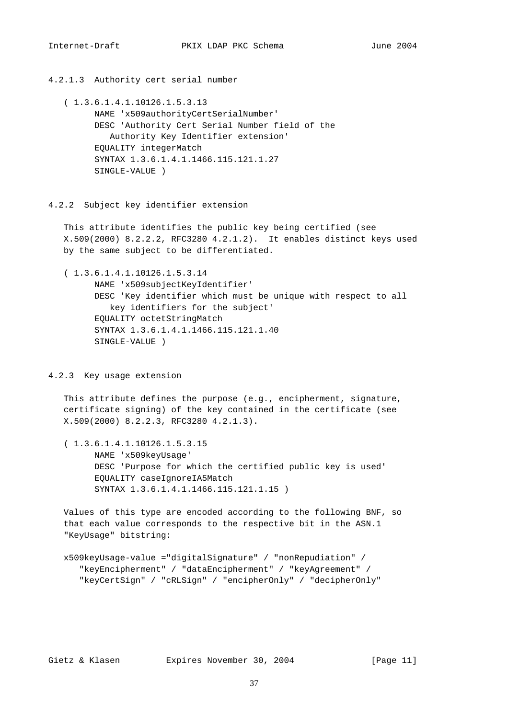4.2.1.3 Authority cert serial number

 ( 1.3.6.1.4.1.10126.1.5.3.13 NAME 'x509authorityCertSerialNumber' DESC 'Authority Cert Serial Number field of the Authority Key Identifier extension' EQUALITY integerMatch SYNTAX 1.3.6.1.4.1.1466.115.121.1.27 SINGLE-VALUE )

### 4.2.2 Subject key identifier extension

 This attribute identifies the public key being certified (see X.509(2000) 8.2.2.2, RFC3280 4.2.1.2). It enables distinct keys used by the same subject to be differentiated.

( 1.3.6.1.4.1.10126.1.5.3.14

 NAME 'x509subjectKeyIdentifier' DESC 'Key identifier which must be unique with respect to all key identifiers for the subject' EQUALITY octetStringMatch SYNTAX 1.3.6.1.4.1.1466.115.121.1.40 SINGLE-VALUE )

4.2.3 Key usage extension

 This attribute defines the purpose (e.g., encipherment, signature, certificate signing) of the key contained in the certificate (see X.509(2000) 8.2.2.3, RFC3280 4.2.1.3).

 ( 1.3.6.1.4.1.10126.1.5.3.15 NAME 'x509keyUsage' DESC 'Purpose for which the certified public key is used' EQUALITY caseIgnoreIA5Match SYNTAX 1.3.6.1.4.1.1466.115.121.1.15 )

 Values of this type are encoded according to the following BNF, so that each value corresponds to the respective bit in the ASN.1 "KeyUsage" bitstring:

```
 x509keyUsage-value ="digitalSignature" / "nonRepudiation" /
    "keyEncipherment" / "dataEncipherment" / "keyAgreement" /
    "keyCertSign" / "cRLSign" / "encipherOnly" / "decipherOnly"
```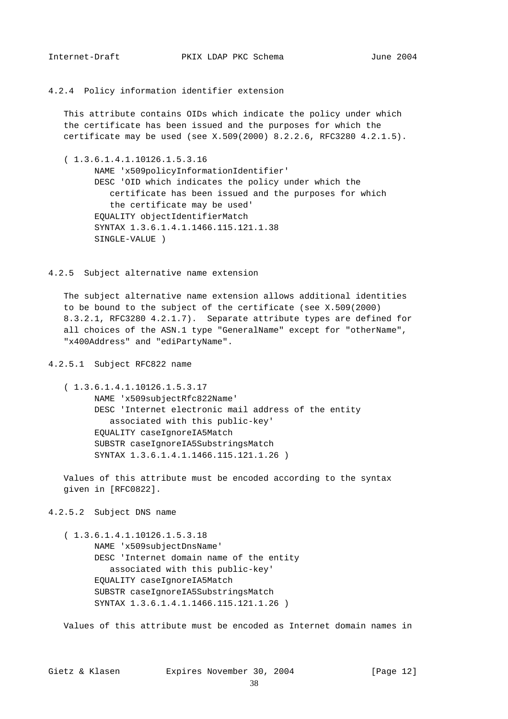4.2.4 Policy information identifier extension

 This attribute contains OIDs which indicate the policy under which the certificate has been issued and the purposes for which the certificate may be used (see X.509(2000) 8.2.2.6, RFC3280 4.2.1.5).

( 1.3.6.1.4.1.10126.1.5.3.16

 NAME 'x509policyInformationIdentifier' DESC 'OID which indicates the policy under which the certificate has been issued and the purposes for which the certificate may be used' EQUALITY objectIdentifierMatch SYNTAX 1.3.6.1.4.1.1466.115.121.1.38 SINGLE-VALUE )

4.2.5 Subject alternative name extension

 The subject alternative name extension allows additional identities to be bound to the subject of the certificate (see X.509(2000) 8.3.2.1, RFC3280 4.2.1.7). Separate attribute types are defined for all choices of the ASN.1 type "GeneralName" except for "otherName", "x400Address" and "ediPartyName".

4.2.5.1 Subject RFC822 name

 ( 1.3.6.1.4.1.10126.1.5.3.17 NAME 'x509subjectRfc822Name' DESC 'Internet electronic mail address of the entity associated with this public-key' EQUALITY caseIgnoreIA5Match SUBSTR caseIgnoreIA5SubstringsMatch SYNTAX 1.3.6.1.4.1.1466.115.121.1.26 )

 Values of this attribute must be encoded according to the syntax given in [RFC0822].

4.2.5.2 Subject DNS name

 ( 1.3.6.1.4.1.10126.1.5.3.18 NAME 'x509subjectDnsName' DESC 'Internet domain name of the entity associated with this public-key' EQUALITY caseIgnoreIA5Match SUBSTR caseIgnoreIA5SubstringsMatch SYNTAX 1.3.6.1.4.1.1466.115.121.1.26 )

Values of this attribute must be encoded as Internet domain names in

Gietz & Klasen Expires November 30, 2004 [Page 12]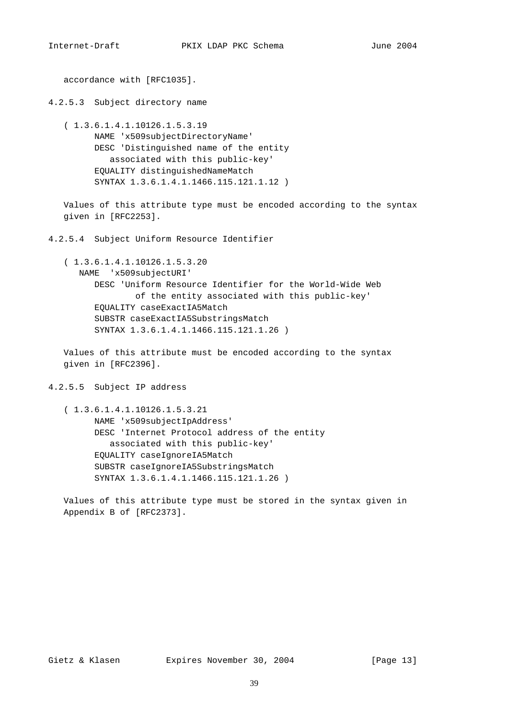accordance with [RFC1035].

4.2.5.3 Subject directory name

 ( 1.3.6.1.4.1.10126.1.5.3.19 NAME 'x509subjectDirectoryName' DESC 'Distinguished name of the entity associated with this public-key' EQUALITY distinguishedNameMatch SYNTAX 1.3.6.1.4.1.1466.115.121.1.12 )

 Values of this attribute type must be encoded according to the syntax given in [RFC2253].

4.2.5.4 Subject Uniform Resource Identifier

 ( 1.3.6.1.4.1.10126.1.5.3.20 NAME 'x509subjectURI' DESC 'Uniform Resource Identifier for the World-Wide Web of the entity associated with this public-key' EQUALITY caseExactIA5Match SUBSTR caseExactIA5SubstringsMatch SYNTAX 1.3.6.1.4.1.1466.115.121.1.26 )

 Values of this attribute must be encoded according to the syntax given in [RFC2396].

4.2.5.5 Subject IP address

 ( 1.3.6.1.4.1.10126.1.5.3.21 NAME 'x509subjectIpAddress' DESC 'Internet Protocol address of the entity associated with this public-key' EQUALITY caseIgnoreIA5Match SUBSTR caseIgnoreIA5SubstringsMatch SYNTAX 1.3.6.1.4.1.1466.115.121.1.26 )

 Values of this attribute type must be stored in the syntax given in Appendix B of [RFC2373].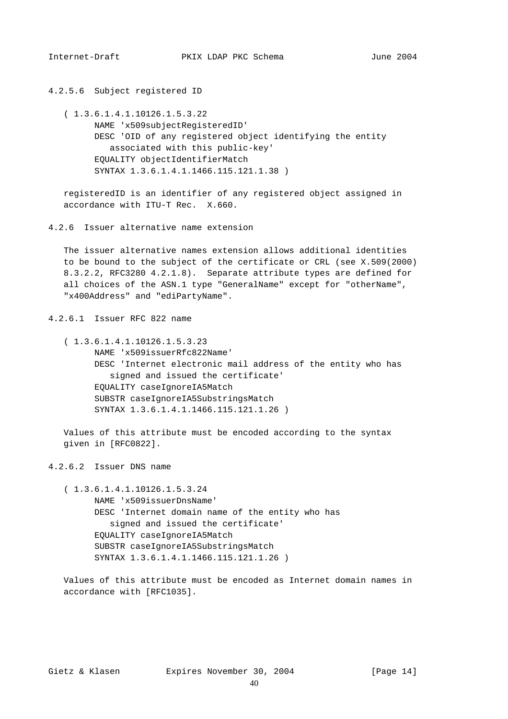```
4.2.5.6 Subject registered ID
```

```
 ( 1.3.6.1.4.1.10126.1.5.3.22
      NAME 'x509subjectRegisteredID'
      DESC 'OID of any registered object identifying the entity
          associated with this public-key'
      EQUALITY objectIdentifierMatch
      SYNTAX 1.3.6.1.4.1.1466.115.121.1.38 )
```
 registeredID is an identifier of any registered object assigned in accordance with ITU-T Rec. X.660.

4.2.6 Issuer alternative name extension

 The issuer alternative names extension allows additional identities to be bound to the subject of the certificate or CRL (see X.509(2000) 8.3.2.2, RFC3280 4.2.1.8). Separate attribute types are defined for all choices of the ASN.1 type "GeneralName" except for "otherName", "x400Address" and "ediPartyName".

4.2.6.1 Issuer RFC 822 name

```
 ( 1.3.6.1.4.1.10126.1.5.3.23
      NAME 'x509issuerRfc822Name'
      DESC 'Internet electronic mail address of the entity who has
         signed and issued the certificate'
      EQUALITY caseIgnoreIA5Match
      SUBSTR caseIgnoreIA5SubstringsMatch
      SYNTAX 1.3.6.1.4.1.1466.115.121.1.26 )
```
 Values of this attribute must be encoded according to the syntax given in [RFC0822].

4.2.6.2 Issuer DNS name

 ( 1.3.6.1.4.1.10126.1.5.3.24 NAME 'x509issuerDnsName' DESC 'Internet domain name of the entity who has signed and issued the certificate' EQUALITY caseIgnoreIA5Match SUBSTR caseIgnoreIA5SubstringsMatch SYNTAX 1.3.6.1.4.1.1466.115.121.1.26 )

 Values of this attribute must be encoded as Internet domain names in accordance with [RFC1035].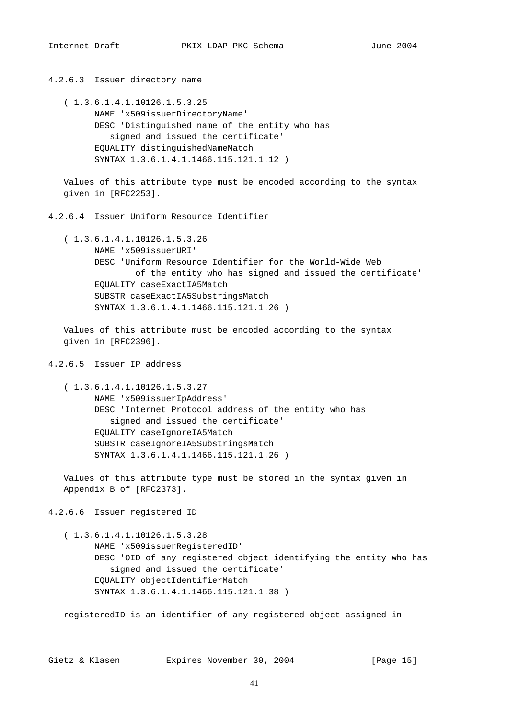4.2.6.3 Issuer directory name ( 1.3.6.1.4.1.10126.1.5.3.25 NAME 'x509issuerDirectoryName' DESC 'Distinguished name of the entity who has signed and issued the certificate' EQUALITY distinguishedNameMatch SYNTAX 1.3.6.1.4.1.1466.115.121.1.12 ) Values of this attribute type must be encoded according to the syntax given in [RFC2253]. 4.2.6.4 Issuer Uniform Resource Identifier ( 1.3.6.1.4.1.10126.1.5.3.26 NAME 'x509issuerURI' DESC 'Uniform Resource Identifier for the World-Wide Web of the entity who has signed and issued the certificate' EQUALITY caseExactIA5Match SUBSTR caseExactIA5SubstringsMatch SYNTAX 1.3.6.1.4.1.1466.115.121.1.26 ) Values of this attribute must be encoded according to the syntax given in [RFC2396]. 4.2.6.5 Issuer IP address ( 1.3.6.1.4.1.10126.1.5.3.27 NAME 'x509issuerIpAddress' DESC 'Internet Protocol address of the entity who has signed and issued the certificate' EQUALITY caseIgnoreIA5Match SUBSTR caseIgnoreIA5SubstringsMatch SYNTAX 1.3.6.1.4.1.1466.115.121.1.26 ) Values of this attribute type must be stored in the syntax given in Appendix B of [RFC2373]. 4.2.6.6 Issuer registered ID ( 1.3.6.1.4.1.10126.1.5.3.28 NAME 'x509issuerRegisteredID' DESC 'OID of any registered object identifying the entity who has signed and issued the certificate' EQUALITY objectIdentifierMatch SYNTAX 1.3.6.1.4.1.1466.115.121.1.38 ) registeredID is an identifier of any registered object assigned in

Gietz & Klasen Expires November 30, 2004 [Page 15]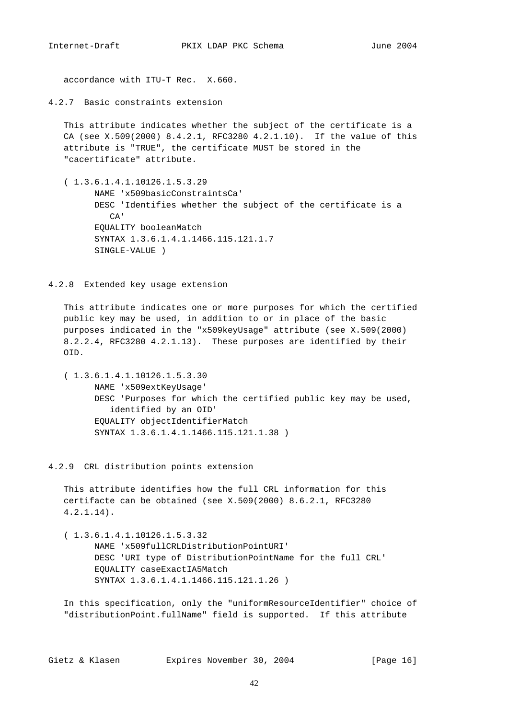accordance with ITU-T Rec. X.660.

4.2.7 Basic constraints extension

 This attribute indicates whether the subject of the certificate is a CA (see X.509(2000) 8.4.2.1, RFC3280 4.2.1.10). If the value of this attribute is "TRUE", the certificate MUST be stored in the "cacertificate" attribute.

 ( 1.3.6.1.4.1.10126.1.5.3.29 NAME 'x509basicConstraintsCa' DESC 'Identifies whether the subject of the certificate is a CA' EQUALITY booleanMatch SYNTAX 1.3.6.1.4.1.1466.115.121.1.7 SINGLE-VALUE )

4.2.8 Extended key usage extension

 This attribute indicates one or more purposes for which the certified public key may be used, in addition to or in place of the basic purposes indicated in the "x509keyUsage" attribute (see X.509(2000) 8.2.2.4, RFC3280 4.2.1.13). These purposes are identified by their OID.

```
 ( 1.3.6.1.4.1.10126.1.5.3.30
      NAME 'x509extKeyUsage'
      DESC 'Purposes for which the certified public key may be used,
          identified by an OID'
       EQUALITY objectIdentifierMatch
       SYNTAX 1.3.6.1.4.1.1466.115.121.1.38 )
```
4.2.9 CRL distribution points extension

 This attribute identifies how the full CRL information for this certifacte can be obtained (see X.509(2000) 8.6.2.1, RFC3280 4.2.1.14).

 ( 1.3.6.1.4.1.10126.1.5.3.32 NAME 'x509fullCRLDistributionPointURI' DESC 'URI type of DistributionPointName for the full CRL' EQUALITY caseExactIA5Match SYNTAX 1.3.6.1.4.1.1466.115.121.1.26 )

 In this specification, only the "uniformResourceIdentifier" choice of "distributionPoint.fullName" field is supported. If this attribute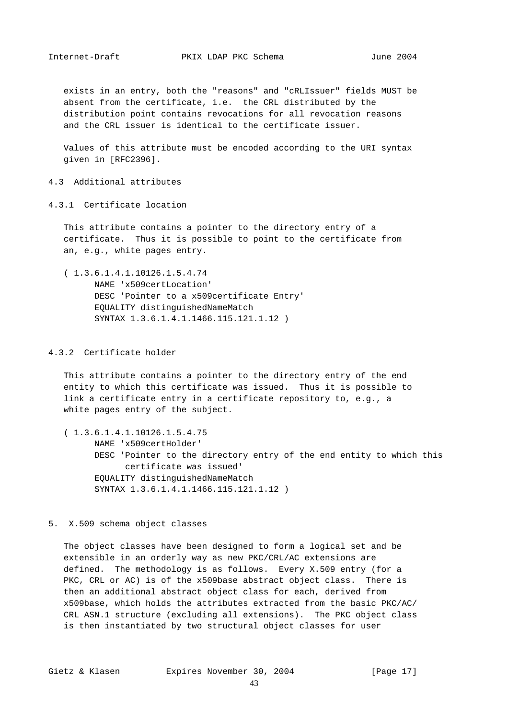exists in an entry, both the "reasons" and "cRLIssuer" fields MUST be absent from the certificate, i.e. the CRL distributed by the distribution point contains revocations for all revocation reasons and the CRL issuer is identical to the certificate issuer.

 Values of this attribute must be encoded according to the URI syntax given in [RFC2396].

# 4.3 Additional attributes

4.3.1 Certificate location

 This attribute contains a pointer to the directory entry of a certificate. Thus it is possible to point to the certificate from an, e.g., white pages entry.

### ( 1.3.6.1.4.1.10126.1.5.4.74

 NAME 'x509certLocation' DESC 'Pointer to a x509certificate Entry' EQUALITY distinguishedNameMatch SYNTAX 1.3.6.1.4.1.1466.115.121.1.12 )

# 4.3.2 Certificate holder

 This attribute contains a pointer to the directory entry of the end entity to which this certificate was issued. Thus it is possible to link a certificate entry in a certificate repository to, e.g., a white pages entry of the subject.

 ( 1.3.6.1.4.1.10126.1.5.4.75 NAME 'x509certHolder' DESC 'Pointer to the directory entry of the end entity to which this certificate was issued' EQUALITY distinguishedNameMatch SYNTAX 1.3.6.1.4.1.1466.115.121.1.12 )

#### 5. X.509 schema object classes

 The object classes have been designed to form a logical set and be extensible in an orderly way as new PKC/CRL/AC extensions are defined. The methodology is as follows. Every X.509 entry (for a PKC, CRL or AC) is of the x509base abstract object class. There is then an additional abstract object class for each, derived from x509base, which holds the attributes extracted from the basic PKC/AC/ CRL ASN.1 structure (excluding all extensions). The PKC object class is then instantiated by two structural object classes for user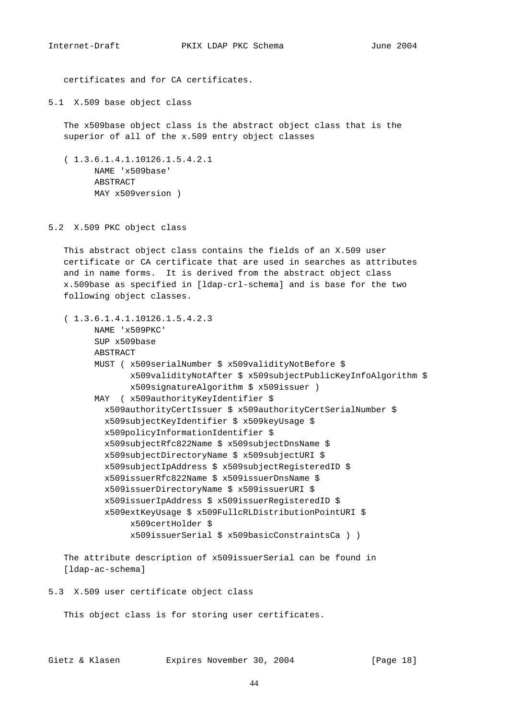certificates and for CA certificates.

5.1 X.509 base object class

 The x509base object class is the abstract object class that is the superior of all of the x.509 entry object classes

 ( 1.3.6.1.4.1.10126.1.5.4.2.1 NAME 'x509base' ABSTRACT MAY x509version )

5.2 X.509 PKC object class

 This abstract object class contains the fields of an X.509 user certificate or CA certificate that are used in searches as attributes and in name forms. It is derived from the abstract object class x.509base as specified in [ldap-crl-schema] and is base for the two following object classes.

```
 ( 1.3.6.1.4.1.10126.1.5.4.2.3
      NAME 'x509PKC'
      SUP x509base
      ABSTRACT
      MUST ( x509serialNumber $ x509validityNotBefore $
              x509validityNotAfter $ x509subjectPublicKeyInfoAlgorithm $
              x509signatureAlgorithm $ x509issuer )
      MAY ( x509authorityKeyIdentifier $
        x509authorityCertIssuer $ x509authorityCertSerialNumber $
        x509subjectKeyIdentifier $ x509keyUsage $
        x509policyInformationIdentifier $
        x509subjectRfc822Name $ x509subjectDnsName $
        x509subjectDirectoryName $ x509subjectURI $
        x509subjectIpAddress $ x509subjectRegisteredID $
        x509issuerRfc822Name $ x509issuerDnsName $
        x509issuerDirectoryName $ x509issuerURI $
        x509issuerIpAddress $ x509issuerRegisteredID $
        x509extKeyUsage $ x509FullcRLDistributionPointURI $
              x509certHolder $
              x509issuerSerial $ x509basicConstraintsCa ) )
```
 The attribute description of x509issuerSerial can be found in [ldap-ac-schema]

5.3 X.509 user certificate object class

This object class is for storing user certificates.

Gietz & Klasen Expires November 30, 2004 [Page 18]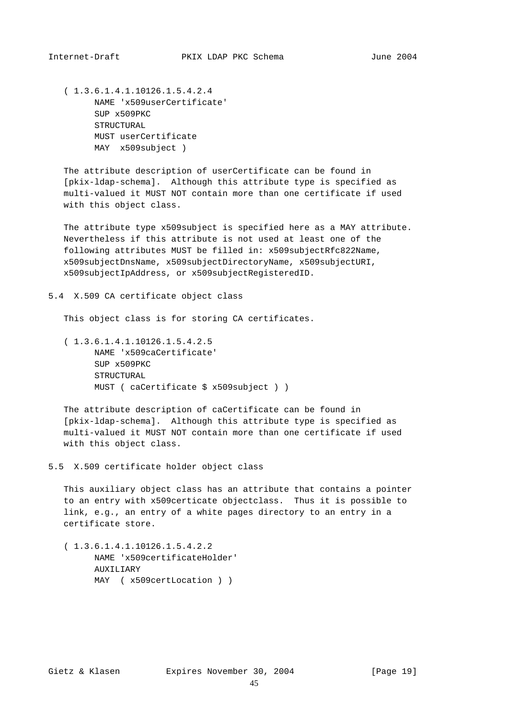( 1.3.6.1.4.1.10126.1.5.4.2.4 NAME 'x509userCertificate' SUP x509PKC STRUCTURAL MUST userCertificate MAY x509subject )

 The attribute description of userCertificate can be found in [pkix-ldap-schema]. Although this attribute type is specified as multi-valued it MUST NOT contain more than one certificate if used with this object class.

 The attribute type x509subject is specified here as a MAY attribute. Nevertheless if this attribute is not used at least one of the following attributes MUST be filled in: x509subjectRfc822Name, x509subjectDnsName, x509subjectDirectoryName, x509subjectURI, x509subjectIpAddress, or x509subjectRegisteredID.

### 5.4 X.509 CA certificate object class

This object class is for storing CA certificates.

 ( 1.3.6.1.4.1.10126.1.5.4.2.5 NAME 'x509caCertificate' SUP x509PKC STRUCTURAL MUST ( caCertificate \$ x509subject ) )

 The attribute description of caCertificate can be found in [pkix-ldap-schema]. Although this attribute type is specified as multi-valued it MUST NOT contain more than one certificate if used with this object class.

 This auxiliary object class has an attribute that contains a pointer to an entry with x509certicate objectclass. Thus it is possible to link, e.g., an entry of a white pages directory to an entry in a certificate store.

```
 ( 1.3.6.1.4.1.10126.1.5.4.2.2
      NAME 'x509certificateHolder'
      AUXILIARY
      MAY ( x509certLocation ) )
```
<sup>5.5</sup> X.509 certificate holder object class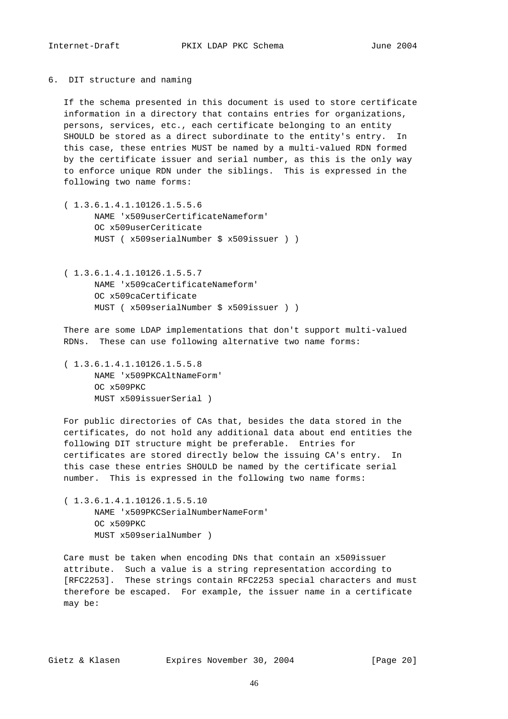Internet-Draft PKIX LDAP PKC Schema June 2004

6. DIT structure and naming

 If the schema presented in this document is used to store certificate information in a directory that contains entries for organizations, persons, services, etc., each certificate belonging to an entity SHOULD be stored as a direct subordinate to the entity's entry. In this case, these entries MUST be named by a multi-valued RDN formed by the certificate issuer and serial number, as this is the only way to enforce unique RDN under the siblings. This is expressed in the following two name forms:

 ( 1.3.6.1.4.1.10126.1.5.5.6 NAME 'x509userCertificateNameform' OC x509userCeriticate MUST ( x509serialNumber \$ x509issuer ) )

 ( 1.3.6.1.4.1.10126.1.5.5.7 NAME 'x509caCertificateNameform' OC x509caCertificate MUST ( x509serialNumber \$ x509issuer ) )

 There are some LDAP implementations that don't support multi-valued RDNs. These can use following alternative two name forms:

 ( 1.3.6.1.4.1.10126.1.5.5.8 NAME 'x509PKCAltNameForm'

> OC x509PKC MUST x509issuerSerial )

 For public directories of CAs that, besides the data stored in the certificates, do not hold any additional data about end entities the following DIT structure might be preferable. Entries for certificates are stored directly below the issuing CA's entry. In this case these entries SHOULD be named by the certificate serial number. This is expressed in the following two name forms:

 ( 1.3.6.1.4.1.10126.1.5.5.10 NAME 'x509PKCSerialNumberNameForm' OC x509PKC MUST x509serialNumber )

 Care must be taken when encoding DNs that contain an x509issuer attribute. Such a value is a string representation according to [RFC2253]. These strings contain RFC2253 special characters and must therefore be escaped. For example, the issuer name in a certificate may be: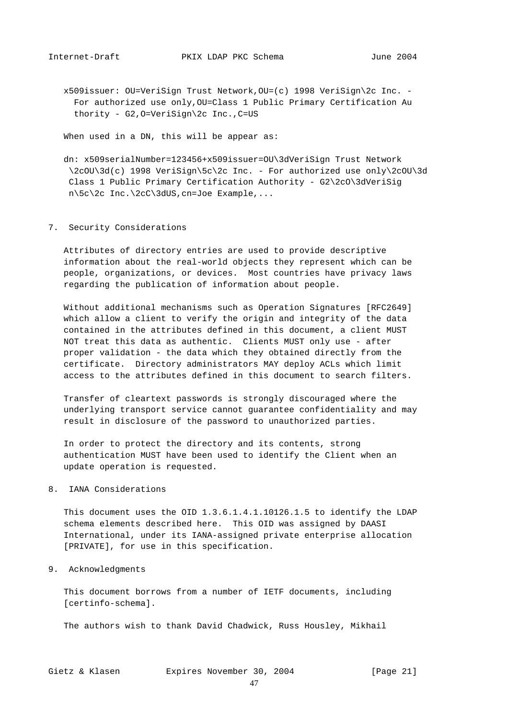x509issuer: OU=VeriSign Trust Network,OU=(c) 1998 VeriSign\2c Inc. - For authorized use only,OU=Class 1 Public Primary Certification Au thority - G2,O=VeriSign\2c Inc.,C=US

When used in a DN, this will be appear as:

- dn: x509serialNumber=123456+x509issuer=OU\3dVeriSign Trust Network \2cOU\3d(c) 1998 VeriSign\5c\2c Inc. - For authorized use only\2cOU\3d Class 1 Public Primary Certification Authority - G2\2cO\3dVeriSig n\5c\2c Inc.\2cC\3dUS,cn=Joe Example,...
- 7. Security Considerations

 Attributes of directory entries are used to provide descriptive information about the real-world objects they represent which can be people, organizations, or devices. Most countries have privacy laws regarding the publication of information about people.

 Without additional mechanisms such as Operation Signatures [RFC2649] which allow a client to verify the origin and integrity of the data contained in the attributes defined in this document, a client MUST NOT treat this data as authentic. Clients MUST only use - after proper validation - the data which they obtained directly from the certificate. Directory administrators MAY deploy ACLs which limit access to the attributes defined in this document to search filters.

 Transfer of cleartext passwords is strongly discouraged where the underlying transport service cannot guarantee confidentiality and may result in disclosure of the password to unauthorized parties.

 In order to protect the directory and its contents, strong authentication MUST have been used to identify the Client when an update operation is requested.

8. IANA Considerations

 This document uses the OID 1.3.6.1.4.1.10126.1.5 to identify the LDAP schema elements described here. This OID was assigned by DAASI International, under its IANA-assigned private enterprise allocation [PRIVATE], for use in this specification.

9. Acknowledgments

 This document borrows from a number of IETF documents, including [certinfo-schema].

The authors wish to thank David Chadwick, Russ Housley, Mikhail

Gietz & Klasen Expires November 30, 2004 [Page 21]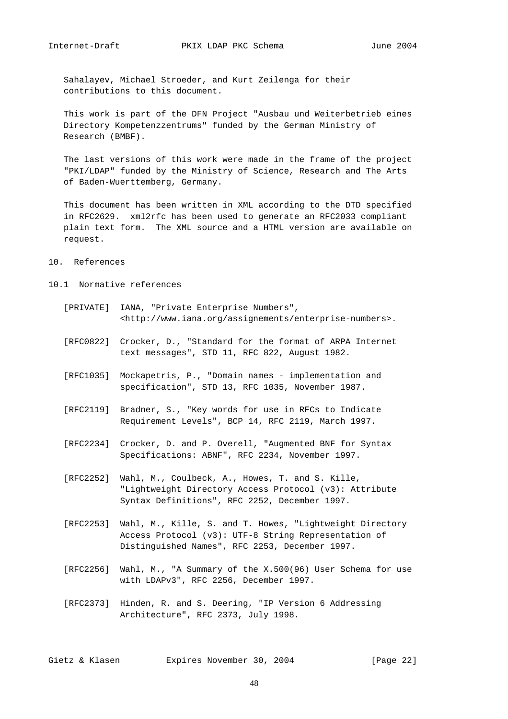Sahalayev, Michael Stroeder, and Kurt Zeilenga for their contributions to this document.

 This work is part of the DFN Project "Ausbau und Weiterbetrieb eines Directory Kompetenzzentrums" funded by the German Ministry of Research (BMBF).

 The last versions of this work were made in the frame of the project "PKI/LDAP" funded by the Ministry of Science, Research and The Arts of Baden-Wuerttemberg, Germany.

 This document has been written in XML according to the DTD specified in RFC2629. xml2rfc has been used to generate an RFC2033 compliant plain text form. The XML source and a HTML version are available on request.

### 10. References

### 10.1 Normative references

- [PRIVATE] IANA, "Private Enterprise Numbers", <http://www.iana.org/assignements/enterprise-numbers>.
- [RFC0822] Crocker, D., "Standard for the format of ARPA Internet text messages", STD 11, RFC 822, August 1982.
- [RFC1035] Mockapetris, P., "Domain names implementation and specification", STD 13, RFC 1035, November 1987.
- [RFC2119] Bradner, S., "Key words for use in RFCs to Indicate Requirement Levels", BCP 14, RFC 2119, March 1997.
- [RFC2234] Crocker, D. and P. Overell, "Augmented BNF for Syntax Specifications: ABNF", RFC 2234, November 1997.
- [RFC2252] Wahl, M., Coulbeck, A., Howes, T. and S. Kille, "Lightweight Directory Access Protocol (v3): Attribute Syntax Definitions", RFC 2252, December 1997.
- [RFC2253] Wahl, M., Kille, S. and T. Howes, "Lightweight Directory Access Protocol (v3): UTF-8 String Representation of Distinguished Names", RFC 2253, December 1997.
- [RFC2256] Wahl, M., "A Summary of the X.500(96) User Schema for use with LDAPv3", RFC 2256, December 1997.
- [RFC2373] Hinden, R. and S. Deering, "IP Version 6 Addressing Architecture", RFC 2373, July 1998.

Gietz & Klasen Expires November 30, 2004 [Page 22]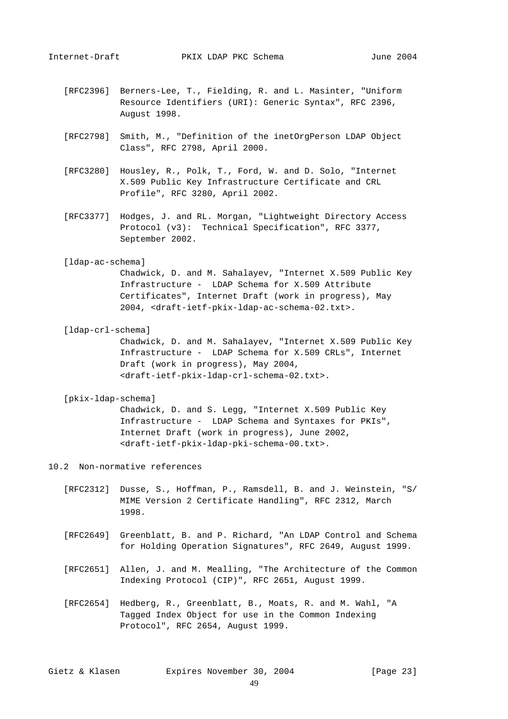- [RFC2396] Berners-Lee, T., Fielding, R. and L. Masinter, "Uniform Resource Identifiers (URI): Generic Syntax", RFC 2396, August 1998.
- [RFC2798] Smith, M., "Definition of the inetOrgPerson LDAP Object Class", RFC 2798, April 2000.
- [RFC3280] Housley, R., Polk, T., Ford, W. and D. Solo, "Internet X.509 Public Key Infrastructure Certificate and CRL Profile", RFC 3280, April 2002.
- [RFC3377] Hodges, J. and RL. Morgan, "Lightweight Directory Access Protocol (v3): Technical Specification", RFC 3377, September 2002.
- [ldap-ac-schema]

 Chadwick, D. and M. Sahalayev, "Internet X.509 Public Key Infrastructure - LDAP Schema for X.509 Attribute Certificates", Internet Draft (work in progress), May 2004, <draft-ietf-pkix-ldap-ac-schema-02.txt>.

[ldap-crl-schema]

 Chadwick, D. and M. Sahalayev, "Internet X.509 Public Key Infrastructure - LDAP Schema for X.509 CRLs", Internet Draft (work in progress), May 2004, <draft-ietf-pkix-ldap-crl-schema-02.txt>.

[pkix-ldap-schema]

 Chadwick, D. and S. Legg, "Internet X.509 Public Key Infrastructure - LDAP Schema and Syntaxes for PKIs", Internet Draft (work in progress), June 2002, <draft-ietf-pkix-ldap-pki-schema-00.txt>.

### 10.2 Non-normative references

- [RFC2312] Dusse, S., Hoffman, P., Ramsdell, B. and J. Weinstein, "S/ MIME Version 2 Certificate Handling", RFC 2312, March 1998.
- [RFC2649] Greenblatt, B. and P. Richard, "An LDAP Control and Schema for Holding Operation Signatures", RFC 2649, August 1999.
- [RFC2651] Allen, J. and M. Mealling, "The Architecture of the Common Indexing Protocol (CIP)", RFC 2651, August 1999.
- [RFC2654] Hedberg, R., Greenblatt, B., Moats, R. and M. Wahl, "A Tagged Index Object for use in the Common Indexing Protocol", RFC 2654, August 1999.

Gietz & Klasen Expires November 30, 2004 [Page 23]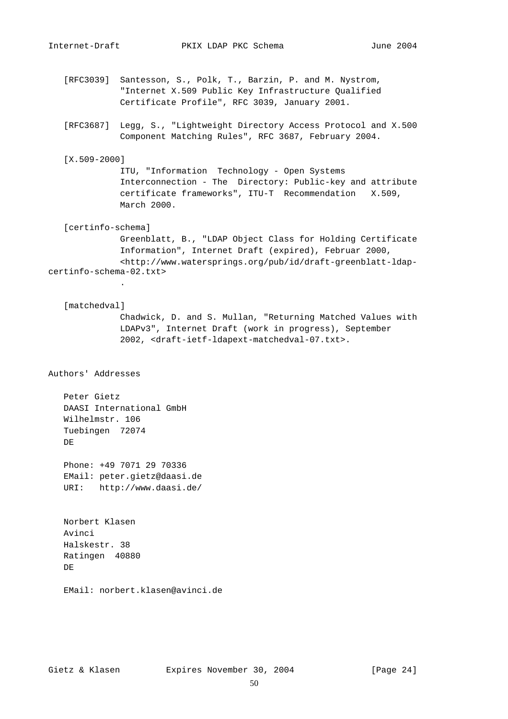- [RFC3039] Santesson, S., Polk, T., Barzin, P. and M. Nystrom, "Internet X.509 Public Key Infrastructure Qualified Certificate Profile", RFC 3039, January 2001.
- [RFC3687] Legg, S., "Lightweight Directory Access Protocol and X.500 Component Matching Rules", RFC 3687, February 2004.

[X.509-2000]

 ITU, "Information Technology - Open Systems Interconnection - The Directory: Public-key and attribute certificate frameworks", ITU-T Recommendation X.509, March 2000.

```
 [certinfo-schema]
               Greenblatt, B., "LDAP Object Class for Holding Certificate
               Information", Internet Draft (expired), Februar 2000,
               <http://www.watersprings.org/pub/id/draft-greenblatt-ldap-
certinfo-schema-02.txt>
```
# [matchedval] Chadwick, D. and S. Mullan, "Returning Matched Values with LDAPv3", Internet Draft (work in progress), September 2002, <draft-ietf-ldapext-matchedval-07.txt>.

```
Authors' Addresses
```
.

 Peter Gietz DAASI International GmbH Wilhelmstr. 106 Tuebingen 72074 DE

 Phone: +49 7071 29 70336 EMail: peter.gietz@daasi.de URI: http://www.daasi.de/

 Norbert Klasen Avinci Halskestr. 38 Ratingen 40880 DE EMail: norbert.klasen@avinci.de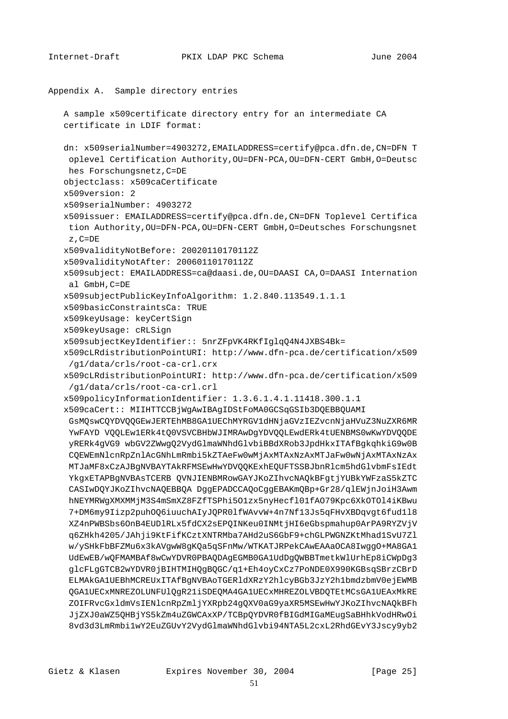```
 A sample x509certificate directory entry for an intermediate CA
 certificate in LDIF format:
```
 dn: x509serialNumber=4903272,EMAILADDRESS=certify@pca.dfn.de,CN=DFN T oplevel Certification Authority,OU=DFN-PCA,OU=DFN-CERT GmbH,O=Deutsc hes Forschungsnetz,C=DE

```
 objectclass: x509caCertificate
```
Appendix A. Sample directory entries

x509version: 2

```
 x509serialNumber: 4903272
```
- x509issuer: EMAILADDRESS=certify@pca.dfn.de,CN=DFN Toplevel Certifica tion Authority,OU=DFN-PCA,OU=DFN-CERT GmbH,O=Deutsches Forschungsnet z,C=DE
- x509validityNotBefore: 20020110170112Z
- x509validityNotAfter: 20060110170112Z

```
 x509subject: EMAILADDRESS=ca@daasi.de,OU=DAASI CA,O=DAASI Internation
 al GmbH,C=DE
```
- x509subjectPublicKeyInfoAlgorithm: 1.2.840.113549.1.1.1
- x509basicConstraintsCa: TRUE
- x509keyUsage: keyCertSign
- x509keyUsage: cRLSign
- x509subjectKeyIdentifier:: 5nrZFpVK4RKfIglqQ4N4JXBS4Bk=

```
 x509cLRdistributionPointURI: http://www.dfn-pca.de/certification/x509
  /g1/data/crls/root-ca-crl.crx
```

```
 x509cLRdistributionPointURI: http://www.dfn-pca.de/certification/x509
  /g1/data/crls/root-ca-crl.crl
```

```
 x509policyInformationIdentifier: 1.3.6.1.4.1.11418.300.1.1
```
x509caCert:: MIIHTTCCBjWgAwIBAgIDStFoMA0GCSqGSIb3DQEBBQUAMI

```
 GsMQswCQYDVQQGEwJERTEhMB8GA1UEChMYRGV1dHNjaGVzIEZvcnNjaHVuZ3NuZXR6MR
 YwFAYD VQQLEw1ERk4tQ0VSVCBHbWJIMRAwDgYDVQQLEwdERk4tUENBMS0wKwYDVQQDE
 yRERk4gVG9 wbGV2ZWwgQ2VydGlmaWNhdGlvbiBBdXRob3JpdHkxITAfBgkqhkiG9w0B
 CQEWEmNlcnRpZnlAcGNhLmRmbi5kZTAeFw0wMjAxMTAxNzAxMTJaFw0wNjAxMTAxNzAx
 MTJaMF8xCzAJBgNVBAYTAkRFMSEwHwYDVQQKExhEQUFTSSBJbnRlcm5hdGlvbmFsIEdt
YkgxETAPBgNVBAsTCERB QVNJIENBMRowGAYJKoZIhvcNAQkBFgtjYUBkYWFzaS5kZTC
 CASIwDQYJKoZIhvcNAQEBBQA DggEPADCCAQoCggEBAKmQBp+Gr28/qlEWjnJoiH3Awm
 hNEYMRWgXMXMMjM3S4mSmXZ8FZfTSPhi5O1zx5nyHecfl01fAO79Kpc6XkOTOl4iKBwu
 7+DM6my9Iizp2puhOQ6iuuchAIyJQPR0lfWAvvW+4n7Nf13Js5qFHvXBDqvgt6fud1l8
 XZ4nPWBSbs6OnB4EUDlRLx5fdCX2sEPQINKeu0INMtjHI6eGbspmahup0ArPA9RYZVjV
 q6ZHkh4205/JAhji9KtFifKCztXNTRMba7AHd2uS6GbF9+chGLPWGNZKtMhad1SvU7Zl
 w/ySHkFbBFZMu6x3kAVgwW8gKQa5qSFnMw/WTKATJRPekCAwEAAaOCA8IwggO+MA8GA1
 UdEwEB/wQFMAMBAf8wCwYDVR0PBAQDAgEGMB0GA1UdDgQWBBTmetkWlUrhEp8iCWpDg3
 glcFLgGTCB2wYDVR0jBIHTMIHQgBQGC/q1+Eh4oyCxCz7PoNDE0X990KGBsqSBrzCBrD
 ELMAkGA1UEBhMCREUxITAfBgNVBAoTGERldXRzY2hlcyBGb3JzY2h1bmdzbmV0ejEWMB
 QGA1UECxMNREZOLUNFUlQgR21iSDEQMA4GA1UECxMHREZOLVBDQTEtMCsGA1UEAxMkRE
 ZOIFRvcGxldmVsIENlcnRpZmljYXRpb24gQXV0aG9yaXR5MSEwHwYJKoZIhvcNAQkBFh
 JjZXJ0aWZ5QHBjYS5kZm4uZGWCAxXP/TCBpQYDVR0fBIGdMIGaMEugSaBHhkVodHRwOi
 8vd3d3LmRmbi1wY2EuZGUvY2VydGlmaWNhdGlvbi94NTA5L2cxL2RhdGEvY3Jscy9yb2
```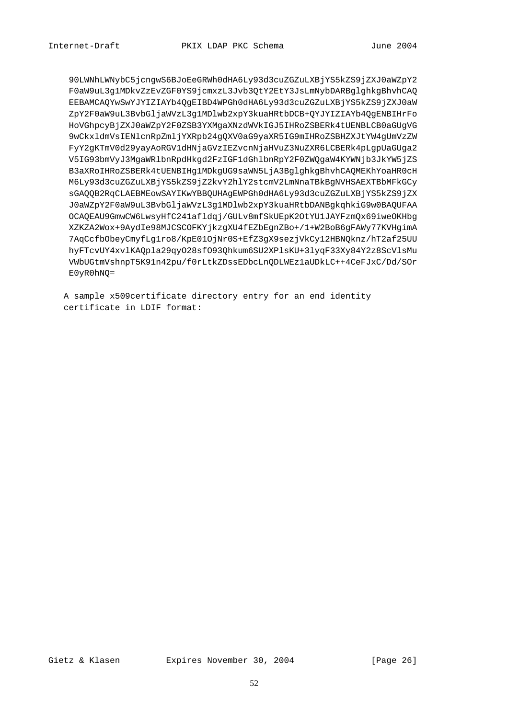90LWNhLWNybC5jcngwS6BJoEeGRWh0dHA6Ly93d3cuZGZuLXBjYS5kZS9jZXJ0aWZpY2 F0aW9uL3g1MDkvZzEvZGF0YS9jcmxzL3Jvb3QtY2EtY3JsLmNybDARBglghkgBhvhCAQ EEBAMCAQYwSwYJYIZIAYb4QgEIBD4WPGh0dHA6Ly93d3cuZGZuLXBjYS5kZS9jZXJ0aW ZpY2F0aW9uL3BvbGljaWVzL3g1MDlwb2xpY3kuaHRtbDCB+QYJYIZIAYb4QgENBIHrFo HoVGhpcyBjZXJ0aWZpY2F0ZSB3YXMgaXNzdWVkIGJ5IHRoZSBERk4tUENBLCB0aGUgVG 9wCkxldmVsIENlcnRpZmljYXRpb24gQXV0aG9yaXR5IG9mIHRoZSBHZXJtYW4gUmVzZW FyY2gKTmV0d29yayAoRGV1dHNjaGVzIEZvcnNjaHVuZ3NuZXR6LCBERk4pLgpUaGUga2 V5IG93bmVyJ3MgaWRlbnRpdHkgd2FzIGF1dGhlbnRpY2F0ZWQgaW4KYWNjb3JkYW5jZS B3aXRoIHRoZSBERk4tUENBIHg1MDkgUG9saWN5LjA3BglghkgBhvhCAQMEKhYoaHR0cH M6Ly93d3cuZGZuLXBjYS5kZS9jZ2kvY2hlY2stcmV2LmNnaTBkBgNVHSAEXTBbMFkGCy sGAQOB2RqCLAEBMEowSAYIKwYBBQUHAqEWPGh0dHA6Ly93d3cuZGZuLXBjYS5kZS9jZX J0aWZpY2F0aW9uL3BvbGljaWVzL3g1MDlwb2xpY3kuaHRtbDANBgkqhkiG9w0BAQUFAA OCAQEAU9GmwCW6LwsyHfC241afldqj/GULv8mfSkUEpK2OtYU1JAYFzmQx69iweOKHbg XZKZA2Wox+9AydIe98MJCSCOFKYjkzgXU4fEZbEgnZBo+/1+W2BoB6gFAWy77KVHgimA 7AqCcfbObeyCmyfLg1ro8/KpE01OjNr0S+EfZ3gX9sezjVkCy12HBNQknz/hT2af25UU hyFTcvUY4xvlKAQpla29qyO28sfO93Qhkum6SU2XPlsKU+3lyqF33Xy84Y2z8ScVlsMu VWbUGtmVshnpT5K91n42pu/f0rLtkZDssEDbcLnQDLWEz1aUDkLC++4CeFJxC/Dd/SOr E0yR0hNQ=

 A sample x509certificate directory entry for an end identity certificate in LDIF format: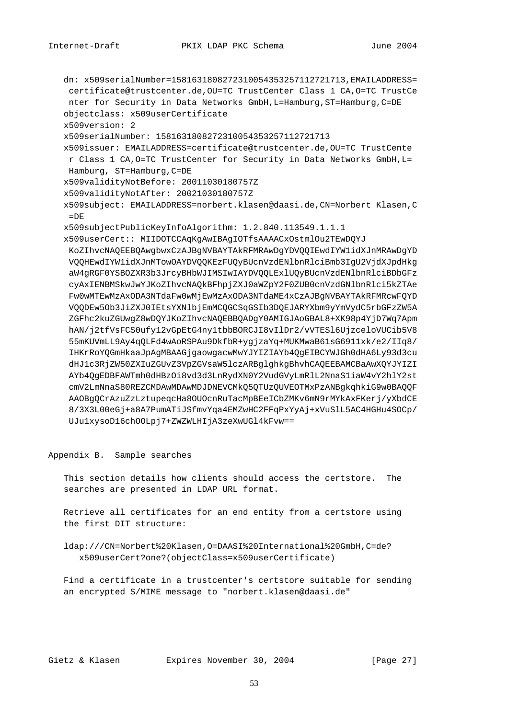```
 dn: x509serialNumber=1581631808272310054353257112721713,EMAILADDRESS=
  certificate@trustcenter.de,OU=TC TrustCenter Class 1 CA,O=TC TrustCe
nter for Security in Data Networks GmbH, L=Hamburg, ST=Hamburg, C=DE
 objectclass: x509userCertificate
 x509version: 2
 x509serialNumber: 1581631808272310054353257112721713
 x509issuer: EMAILADDRESS=certificate@trustcenter.de,OU=TC TrustCente
 r Class 1 CA,O=TC TrustCenter for Security in Data Networks GmbH,L=
 Hamburg, ST=Hamburg,C=DE
 x509validityNotBefore: 20011030180757Z
 x509validityNotAfter: 20021030180757Z
 x509subject: EMAILADDRESS=norbert.klasen@daasi.de,CN=Norbert Klasen,C
 =DE x509subjectPublicKeyInfoAlgorithm: 1.2.840.113549.1.1.1
 x509userCert:: MIIDOTCCAqKgAwIBAgIOTfsAAAACxOstmlOu2TEwDQYJ
  KoZIhvcNAQEEBQAwgbwxCzAJBgNVBAYTAkRFMRAwDgYDVQQIEwdIYW1idXJnMRAwDgYD
  VQQHEwdIYW1idXJnMTowOAYDVQQKEzFUQyBUcnVzdENlbnRlciBmb3IgU2VjdXJpdHkg
  aW4gRGF0YSBOZXR3b3JrcyBHbWJIMSIwIAYDVQQLExlUQyBUcnVzdENlbnRlciBDbGFz
  cyAxIENBMSkwJwYJKoZIhvcNAQkBFhpjZXJ0aWZpY2F0ZUB0cnVzdGNlbnRlci5kZTAe
  Fw0wMTEwMzAxODA3NTdaFw0wMjEwMzAxODA3NTdaME4xCzAJBgNVBAYTAkRFMRcwFQYD
  VQQDEw5Ob3JiZXJ0IEtsYXNlbjEmMCQGCSqGSIb3DQEJARYXbm9yYmVydC5rbGFzZW5A
  ZGFhc2kuZGUwgZ8wDQYJKoZIhvcNAQEBBQADgY0AMIGJAoGBAL8+XK98p4YjD7Wq7Apm
  hAN/j2tfVsFCS0ufy12vGpEtG4ny1tbbBORCJI8vIlDr2/vVTESl6UjzceloVUCib5V8
  55mKUVmLL9Ay4qQLFd4wAoRSPAu9DkfbR+ygjzaYq+MUKMwaB61sG6911xk/e2/IIq8/
  IHKrRoYQGmHkaaJpAgMBAAGjgaowgacwMwYJYIZIAYb4QgEIBCYWJGh0dHA6Ly93d3cu
  dHJ1c3RjZW50ZXIuZGUvZ3VpZGVsaW5lczARBglghkgBhvhCAQEEBAMCBaAwXQYJYIZI
  AYb4QgEDBFAWTmh0dHBzOi8vd3d3LnRydXN0Y2VudGVyLmRlL2NnaS1iaW4vY2hlY2st
  cmV2LmNnaS80REZCMDAwMDAwMDJDNEVCMkQ5QTUzQUVEOTMxPzANBgkqhkiG9w0BAQQF
  AAOBgQCrAzuZzLztupeqcHa8OUOcnRuTacMpBEeICbZMKv6mN9rMYkAxFKerj/yXbdCE
  8/3X3L00eGj+a8A7PumATiJSfmvYqa4EMZwHC2FFqPxYyAj+xVuSlL5AC4HGHu4SOCp/
  UJu1xysoD16chOOLpj7+ZWZWLHIjA3zeXwUGl4kFvw==
```
Appendix B. Sample searches

 This section details how clients should access the certstore. The searches are presented in LDAP URL format.

 Retrieve all certificates for an end entity from a certstore using the first DIT structure:

 ldap:///CN=Norbert%20Klasen,O=DAASI%20International%20GmbH,C=de? x509userCert?one?(objectClass=x509userCertificate)

 Find a certificate in a trustcenter's certstore suitable for sending an encrypted S/MIME message to "norbert.klasen@daasi.de"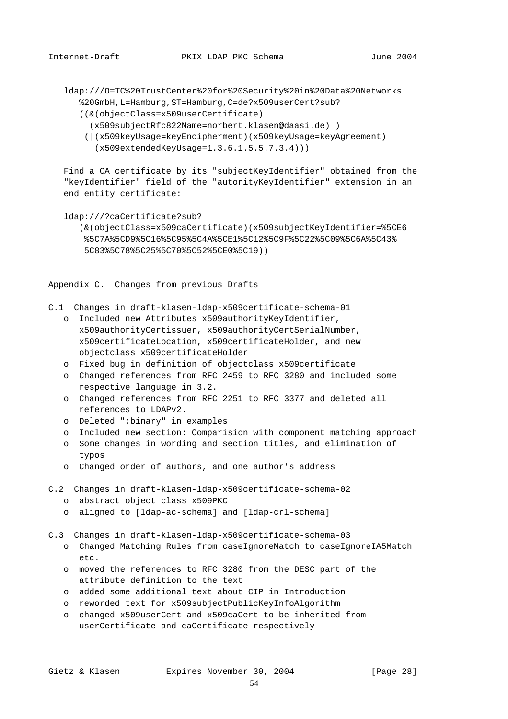ldap:///O=TC%20TrustCenter%20for%20Security%20in%20Data%20Networks %20GmbH,L=Hamburg,ST=Hamburg,C=de?x509userCert?sub?

- ((&(objectClass=x509userCertificate)
	- (x509subjectRfc822Name=norbert.klasen@daasi.de) )
- (|(x509keyUsage=keyEncipherment)(x509keyUsage=keyAgreement)  $(x509extendedKeyUsage=1.3.6.1.5.5.7.3.4)))$

 Find a CA certificate by its "subjectKeyIdentifier" obtained from the "keyIdentifier" field of the "autorityKeyIdentifier" extension in an end entity certificate:

ldap:///?caCertificate?sub?

```
 (&(objectClass=x509caCertificate)(x509subjectKeyIdentifier=%5CE6
 %5C7A%5CD9%5C16%5C95%5C4A%5CE1%5C12%5C9F%5C22%5C09%5C6A%5C43%
 5C83%5C78%5C25%5C70%5C52%5CE0%5C19))
```
Appendix C. Changes from previous Drafts

# C.1 Changes in draft-klasen-ldap-x509certificate-schema-01

- o Included new Attributes x509authorityKeyIdentifier, x509authorityCertissuer, x509authorityCertSerialNumber, x509certificateLocation, x509certificateHolder, and new objectclass x509certificateHolder
- o Fixed bug in definition of objectclass x509certificate
- o Changed references from RFC 2459 to RFC 3280 and included some respective language in 3.2.
- o Changed references from RFC 2251 to RFC 3377 and deleted all references to LDAPv2.
- o Deleted ";binary" in examples
- o Included new section: Comparision with component matching approach
- o Some changes in wording and section titles, and elimination of typos
- o Changed order of authors, and one author's address
- C.2 Changes in draft-klasen-ldap-x509certificate-schema-02
	- o abstract object class x509PKC
	- o aligned to [ldap-ac-schema] and [ldap-crl-schema]

C.3 Changes in draft-klasen-ldap-x509certificate-schema-03

- o Changed Matching Rules from caseIgnoreMatch to caseIgnoreIA5Match etc.
- o moved the references to RFC 3280 from the DESC part of the attribute definition to the text
- o added some additional text about CIP in Introduction
- o reworded text for x509subjectPublicKeyInfoAlgorithm
- o changed x509userCert and x509caCert to be inherited from userCertificate and caCertificate respectively

Gietz & Klasen **Expires November 30, 2004** [Page 28]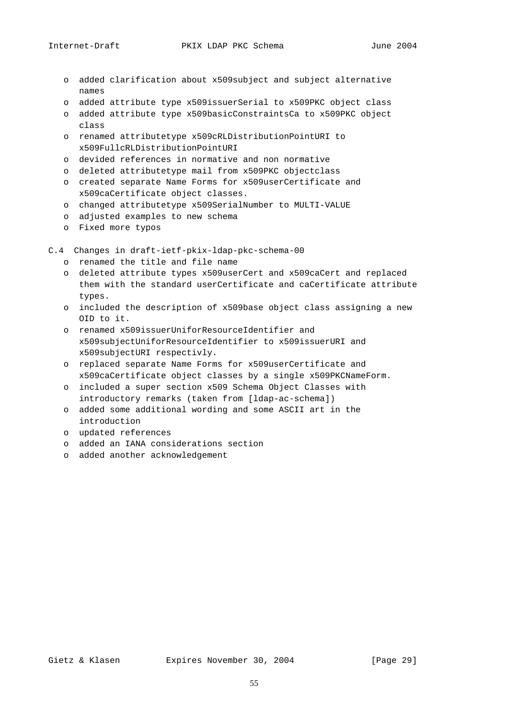- o added clarification about x509subject and subject alternative names
- o added attribute type x509issuerSerial to x509PKC object class
- o added attribute type x509basicConstraintsCa to x509PKC object class
- o renamed attributetype x509cRLDistributionPointURI to x509FullcRLDistributionPointURI
- o devided references in normative and non normative
- o deleted attributetype mail from x509PKC objectclass
- o created separate Name Forms for x509userCertificate and x509caCertificate object classes.
- o changed attributetype x509SerialNumber to MULTI-VALUE
- o adjusted examples to new schema
- o Fixed more typos
- C.4 Changes in draft-ietf-pkix-ldap-pkc-schema-00
	- o renamed the title and file name
	- o deleted attribute types x509userCert and x509caCert and replaced them with the standard userCertificate and caCertificate attribute types.
	- o included the description of x509base object class assigning a new OID to it.
	- o renamed x509issuerUniforResourceIdentifier and x509subjectUniforResourceIdentifier to x509issuerURI and x509subjectURI respectivly.
	- o replaced separate Name Forms for x509userCertificate and x509caCertificate object classes by a single x509PKCNameForm.
	- o included a super section x509 Schema Object Classes with introductory remarks (taken from [ldap-ac-schema])
	- o added some additional wording and some ASCII art in the introduction
	- o updated references
	- o added an IANA considerations section
	- o added another acknowledgement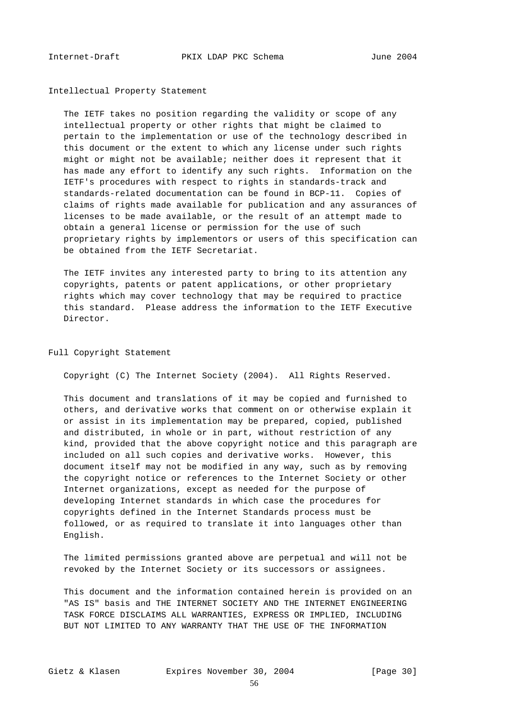### Intellectual Property Statement

 The IETF takes no position regarding the validity or scope of any intellectual property or other rights that might be claimed to pertain to the implementation or use of the technology described in this document or the extent to which any license under such rights might or might not be available; neither does it represent that it has made any effort to identify any such rights. Information on the IETF's procedures with respect to rights in standards-track and standards-related documentation can be found in BCP-11. Copies of claims of rights made available for publication and any assurances of licenses to be made available, or the result of an attempt made to obtain a general license or permission for the use of such proprietary rights by implementors or users of this specification can be obtained from the IETF Secretariat.

 The IETF invites any interested party to bring to its attention any copyrights, patents or patent applications, or other proprietary rights which may cover technology that may be required to practice this standard. Please address the information to the IETF Executive Director.

### Full Copyright Statement

Copyright (C) The Internet Society (2004). All Rights Reserved.

 This document and translations of it may be copied and furnished to others, and derivative works that comment on or otherwise explain it or assist in its implementation may be prepared, copied, published and distributed, in whole or in part, without restriction of any kind, provided that the above copyright notice and this paragraph are included on all such copies and derivative works. However, this document itself may not be modified in any way, such as by removing the copyright notice or references to the Internet Society or other Internet organizations, except as needed for the purpose of developing Internet standards in which case the procedures for copyrights defined in the Internet Standards process must be followed, or as required to translate it into languages other than English.

 The limited permissions granted above are perpetual and will not be revoked by the Internet Society or its successors or assignees.

 This document and the information contained herein is provided on an "AS IS" basis and THE INTERNET SOCIETY AND THE INTERNET ENGINEERING TASK FORCE DISCLAIMS ALL WARRANTIES, EXPRESS OR IMPLIED, INCLUDING BUT NOT LIMITED TO ANY WARRANTY THAT THE USE OF THE INFORMATION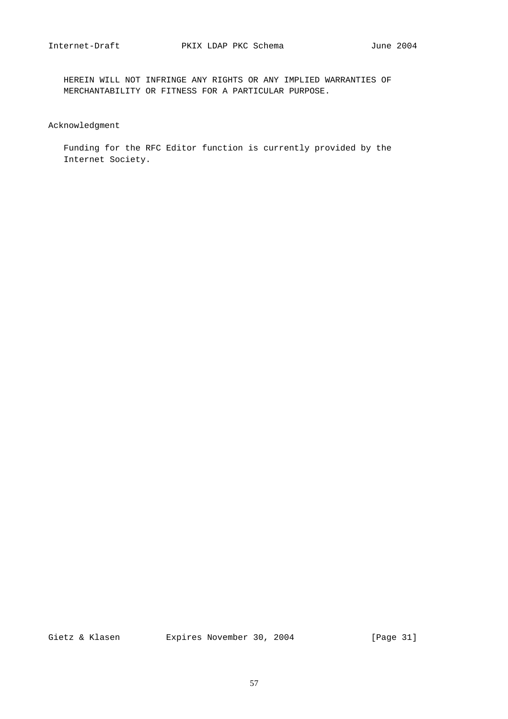HEREIN WILL NOT INFRINGE ANY RIGHTS OR ANY IMPLIED WARRANTIES OF MERCHANTABILITY OR FITNESS FOR A PARTICULAR PURPOSE.

Acknowledgment

 Funding for the RFC Editor function is currently provided by the Internet Society.

Gietz & Klasen Expires November 30, 2004 [Page 31]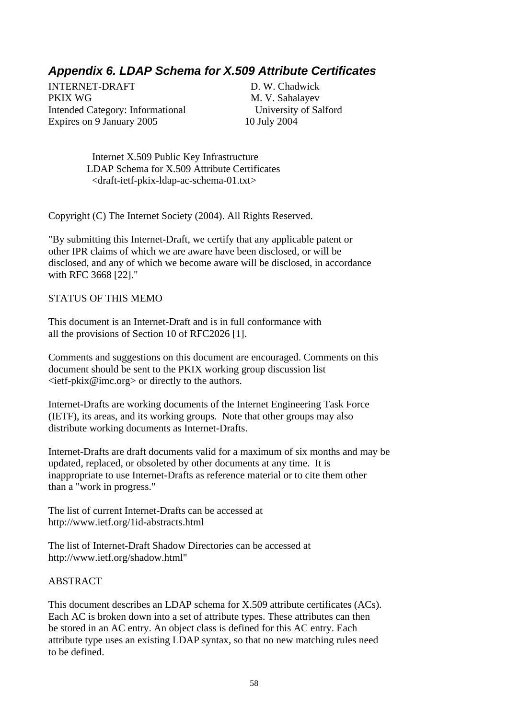# *Appendix 6. LDAP Schema for X.509 Attribute Certificates*

INTERNET-DRAFT D. W. Chadwick PKIX WG M. V. Sahalayev Intended Category: Informational University of Salford Expires on 9 January 2005 10 July 2004

 Internet X.509 Public Key Infrastructure LDAP Schema for X.509 Attribute Certificates <draft-ietf-pkix-ldap-ac-schema-01.txt>

Copyright (C) The Internet Society (2004). All Rights Reserved.

"By submitting this Internet-Draft, we certify that any applicable patent or other IPR claims of which we are aware have been disclosed, or will be disclosed, and any of which we become aware will be disclosed, in accordance with RFC 3668 [22]."

# STATUS OF THIS MEMO

This document is an Internet-Draft and is in full conformance with all the provisions of Section 10 of RFC2026 [1].

Comments and suggestions on this document are encouraged. Comments on this document should be sent to the PKIX working group discussion list  $\langle$ ietf-pkix@imc.org> or directly to the authors.

Internet-Drafts are working documents of the Internet Engineering Task Force (IETF), its areas, and its working groups. Note that other groups may also distribute working documents as Internet-Drafts.

Internet-Drafts are draft documents valid for a maximum of six months and may be updated, replaced, or obsoleted by other documents at any time. It is inappropriate to use Internet-Drafts as reference material or to cite them other than a "work in progress."

The list of current Internet-Drafts can be accessed at http://www.ietf.org/1id-abstracts.html

The list of Internet-Draft Shadow Directories can be accessed at http://www.ietf.org/shadow.html"

# **ABSTRACT**

This document describes an LDAP schema for X.509 attribute certificates (ACs). Each AC is broken down into a set of attribute types. These attributes can then be stored in an AC entry. An object class is defined for this AC entry. Each attribute type uses an existing LDAP syntax, so that no new matching rules need to be defined.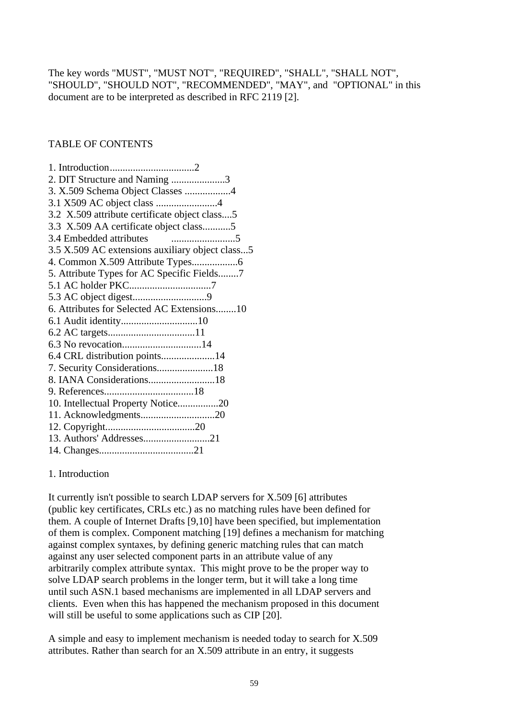The key words "MUST", "MUST NOT", "REQUIRED", "SHALL", "SHALL NOT", "SHOULD", "SHOULD NOT", "RECOMMENDED", "MAY", and "OPTIONAL" in this document are to be interpreted as described in RFC 2119 [2].

# TABLE OF CONTENTS

| 2. DIT Structure and Naming 3                   |
|-------------------------------------------------|
| 3. X.509 Schema Object Classes 4                |
| 3.1 X509 AC object class 4                      |
| 3.2 X.509 attribute certificate object class5   |
| 3.3 X.509 AA certificate object class5          |
| 3.4 Embedded attributes                         |
| 3.5 X.509 AC extensions auxiliary object class5 |
|                                                 |
| 5. Attribute Types for AC Specific Fields7      |
|                                                 |
|                                                 |
| 6. Attributes for Selected AC Extensions10      |
|                                                 |
|                                                 |
|                                                 |
| 6.4 CRL distribution points14                   |
| 7. Security Considerations18                    |
| 8. IANA Considerations18                        |
|                                                 |
| 10. Intellectual Property Notice20              |
| 11. Acknowledgments20                           |
|                                                 |
|                                                 |
|                                                 |

# 1. Introduction

It currently isn't possible to search LDAP servers for X.509 [6] attributes (public key certificates, CRLs etc.) as no matching rules have been defined for them. A couple of Internet Drafts [9,10] have been specified, but implementation of them is complex. Component matching [19] defines a mechanism for matching against complex syntaxes, by defining generic matching rules that can match against any user selected component parts in an attribute value of any arbitrarily complex attribute syntax. This might prove to be the proper way to solve LDAP search problems in the longer term, but it will take a long time until such ASN.1 based mechanisms are implemented in all LDAP servers and clients. Even when this has happened the mechanism proposed in this document will still be useful to some applications such as CIP [20].

A simple and easy to implement mechanism is needed today to search for X.509 attributes. Rather than search for an X.509 attribute in an entry, it suggests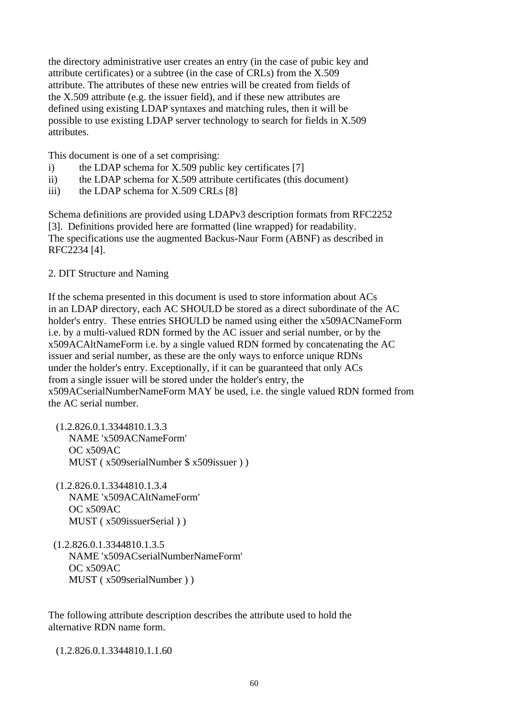the directory administrative user creates an entry (in the case of pubic key and attribute certificates) or a subtree (in the case of CRLs) from the X.509 attribute. The attributes of these new entries will be created from fields of the X.509 attribute (e.g. the issuer field), and if these new attributes are defined using existing LDAP syntaxes and matching rules, then it will be possible to use existing LDAP server technology to search for fields in X.509 attributes.

This document is one of a set comprising:

- i) the LDAP schema for X.509 public key certificates [7]
- ii) the LDAP schema for X.509 attribute certificates (this document)
- iii) the LDAP schema for X.509 CRLs [8]

Schema definitions are provided using LDAPv3 description formats from RFC2252 [3]. Definitions provided here are formatted (line wrapped) for readability. The specifications use the augmented Backus-Naur Form (ABNF) as described in RFC2234 [4].

2. DIT Structure and Naming

If the schema presented in this document is used to store information about ACs in an LDAP directory, each AC SHOULD be stored as a direct subordinate of the AC holder's entry. These entries SHOULD be named using either the x509ACNameForm i.e. by a multi-valued RDN formed by the AC issuer and serial number, or by the x509ACAltNameForm i.e. by a single valued RDN formed by concatenating the AC issuer and serial number, as these are the only ways to enforce unique RDNs under the holder's entry. Exceptionally, if it can be guaranteed that only ACs from a single issuer will be stored under the holder's entry, the x509ACserialNumberNameForm MAY be used, i.e. the single valued RDN formed from the AC serial number.

- (1.2.826.0.1.3344810.1.3.3 NAME 'x509ACNameForm' OC x509AC MUST ( x509serialNumber \$ x509issuer ) )
- (1.2.826.0.1.3344810.1.3.4 NAME 'x509ACAltNameForm' OC x509AC MUST ( x509issuerSerial ) )
- (1.2.826.0.1.3344810.1.3.5 NAME 'x509ACserialNumberNameForm' OC x509AC MUST ( x509serialNumber ) )

The following attribute description describes the attribute used to hold the alternative RDN name form.

(1.2.826.0.1.3344810.1.1.60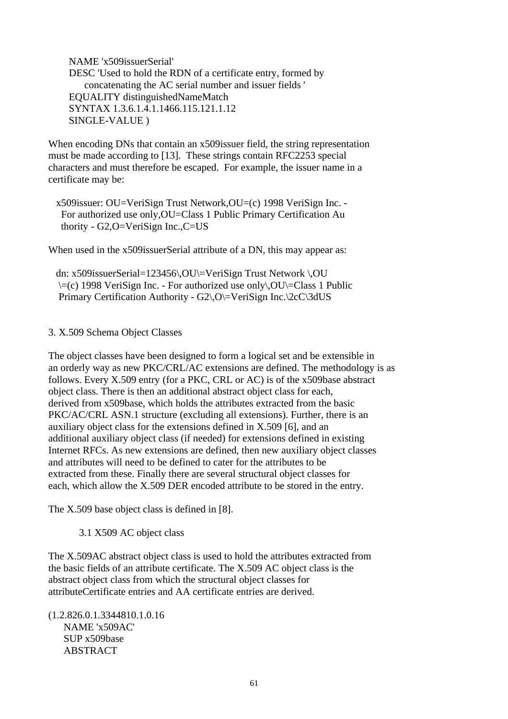NAME 'x509issuerSerial' DESC 'Used to hold the RDN of a certificate entry, formed by concatenating the AC serial number and issuer fields ' EQUALITY distinguishedNameMatch SYNTAX 1.3.6.1.4.1.1466.115.121.1.12 SINGLE-VALUE )

When encoding DNs that contain an x509issuer field, the string representation must be made according to [13]. These strings contain RFC2253 special characters and must therefore be escaped. For example, the issuer name in a certificate may be:

 x509issuer: OU=VeriSign Trust Network,OU=(c) 1998 VeriSign Inc. - For authorized use only,OU=Class 1 Public Primary Certification Au thority - G2,O=VeriSign Inc.,C=US

When used in the x509issuerSerial attribute of a DN, this may appear as:

 dn: x509issuerSerial=123456\,OU\=VeriSign Trust Network \,OU  $\equiv$ (c) 1998 VeriSign Inc. - For authorized use only\, OU\=Class 1 Public Primary Certification Authority - G2\, O\=VeriSign Inc.\2cC\3dUS

# 3. X.509 Schema Object Classes

The object classes have been designed to form a logical set and be extensible in an orderly way as new PKC/CRL/AC extensions are defined. The methodology is as follows. Every X.509 entry (for a PKC, CRL or AC) is of the x509base abstract object class. There is then an additional abstract object class for each, derived from x509base, which holds the attributes extracted from the basic PKC/AC/CRL ASN.1 structure (excluding all extensions). Further, there is an auxiliary object class for the extensions defined in X.509 [6], and an additional auxiliary object class (if needed) for extensions defined in existing Internet RFCs. As new extensions are defined, then new auxiliary object classes and attributes will need to be defined to cater for the attributes to be extracted from these. Finally there are several structural object classes for each, which allow the X.509 DER encoded attribute to be stored in the entry.

The X.509 base object class is defined in [8].

3.1 X509 AC object class

The X.509AC abstract object class is used to hold the attributes extracted from the basic fields of an attribute certificate. The X.509 AC object class is the abstract object class from which the structural object classes for attributeCertificate entries and AA certificate entries are derived.

(1.2.826.0.1.3344810.1.0.16 NAME 'x509AC' SUP x509base ABSTRACT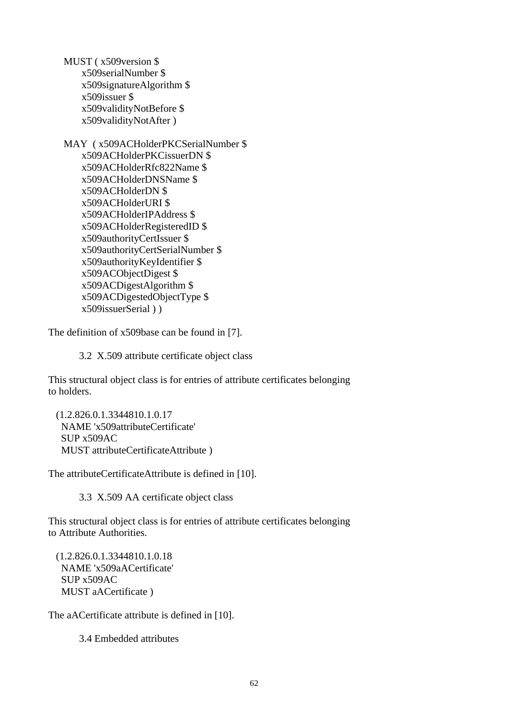MUST ( x509version \$ x509serialNumber \$ x509signatureAlgorithm \$ x509issuer \$ x509validityNotBefore \$ x509validityNotAfter )

 MAY ( x509ACHolderPKCSerialNumber \$ x509ACHolderPKCissuerDN \$ x509ACHolderRfc822Name \$ x509ACHolderDNSName \$ x509ACHolderDN \$ x509ACHolderURI \$ x509ACHolderIPAddress \$ x509ACHolderRegisteredID \$ x509authorityCertIssuer \$ x509authorityCertSerialNumber \$ x509authorityKeyIdentifier \$ x509ACObjectDigest \$ x509ACDigestAlgorithm \$ x509ACDigestedObjectType \$ x509issuerSerial ) )

The definition of x509base can be found in [7].

3.2 X.509 attribute certificate object class

This structural object class is for entries of attribute certificates belonging to holders.

 (1.2.826.0.1.3344810.1.0.17 NAME 'x509attributeCertificate' SUP x509AC MUST attributeCertificateAttribute )

The attributeCertificateAttribute is defined in [10].

3.3 X.509 AA certificate object class

This structural object class is for entries of attribute certificates belonging to Attribute Authorities.

 (1.2.826.0.1.3344810.1.0.18 NAME 'x509aACertificate' SUP x509AC MUST aACertificate )

The aACertificate attribute is defined in [10].

3.4 Embedded attributes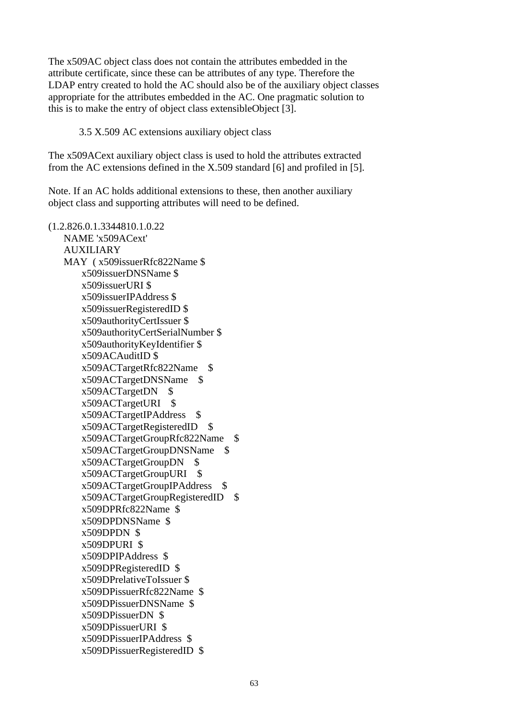The x509AC object class does not contain the attributes embedded in the attribute certificate, since these can be attributes of any type. Therefore the LDAP entry created to hold the AC should also be of the auxiliary object classes appropriate for the attributes embedded in the AC. One pragmatic solution to this is to make the entry of object class extensibleObject [3].

3.5 X.509 AC extensions auxiliary object class

The x509ACext auxiliary object class is used to hold the attributes extracted from the AC extensions defined in the X.509 standard [6] and profiled in [5].

Note. If an AC holds additional extensions to these, then another auxiliary object class and supporting attributes will need to be defined.

(1.2.826.0.1.3344810.1.0.22 NAME 'x509ACext' AUXILIARY MAY ( x509issuerRfc822Name \$ x509issuerDNSName \$ x509issuerURI \$ x509issuerIPAddress \$ x509issuerRegisteredID \$ x509authorityCertIssuer \$ x509authorityCertSerialNumber \$ x509authorityKeyIdentifier \$ x509ACAuditID \$ x509ACTargetRfc822Name \$ x509ACTargetDNSName \$ x509ACTargetDN \$ x509ACTargetURI \$ x509ACTargetIPAddress \$ x509ACTargetRegisteredID \$ x509ACTargetGroupRfc822Name \$ x509ACTargetGroupDNSName \$ x509ACTargetGroupDN \$ x509ACTargetGroupURI \$ x509ACTargetGroupIPAddress \$ x509ACTargetGroupRegisteredID \$ x509DPRfc822Name \$ x509DPDNSName \$  $x509$ DPDN \$ x509DPURI \$ x509DPIPAddress \$ x509DPRegisteredID \$ x509DPrelativeToIssuer \$ x509DPissuerRfc822Name \$ x509DPissuerDNSName \$ x509DPissuerDN \$ x509DPissuerURI \$ x509DPissuerIPAddress \$ x509DPissuerRegisteredID \$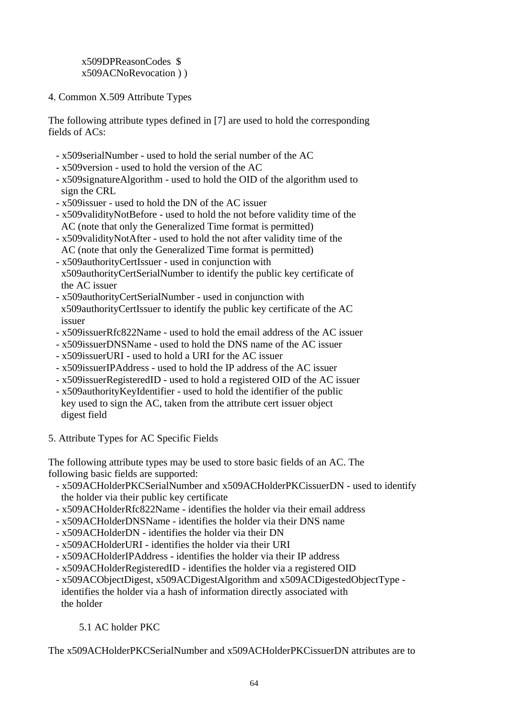x509DPReasonCodes \$ x509ACNoRevocation ) )

4. Common X.509 Attribute Types

The following attribute types defined in [7] are used to hold the corresponding fields of ACs:

- x509serialNumber used to hold the serial number of the AC
- x509version used to hold the version of the AC
- x509signatureAlgorithm used to hold the OID of the algorithm used to sign the CRL
- x509issuer used to hold the DN of the AC issuer
- x509validityNotBefore used to hold the not before validity time of the AC (note that only the Generalized Time format is permitted)
- x509validityNotAfter used to hold the not after validity time of the AC (note that only the Generalized Time format is permitted)
- x509authorityCertIssuer used in conjunction with x509authorityCertSerialNumber to identify the public key certificate of the AC issuer
- x509authorityCertSerialNumber used in conjunction with x509authorityCertIssuer to identify the public key certificate of the AC issuer
- x509issuerRfc822Name used to hold the email address of the AC issuer
- x509issuerDNSName used to hold the DNS name of the AC issuer
- x509issuerURI used to hold a URI for the AC issuer
- x509issuerIPAddress used to hold the IP address of the AC issuer
- x509issuerRegisteredID used to hold a registered OID of the AC issuer
- x509authorityKeyIdentifier used to hold the identifier of the public key used to sign the AC, taken from the attribute cert issuer object digest field
- 5. Attribute Types for AC Specific Fields

The following attribute types may be used to store basic fields of an AC. The following basic fields are supported:

- x509ACHolderPKCSerialNumber and x509ACHolderPKCissuerDN used to identify the holder via their public key certificate
- x509ACHolderRfc822Name identifies the holder via their email address
- x509ACHolderDNSName identifies the holder via their DNS name
- x509ACHolderDN identifies the holder via their DN
- x509ACHolderURI identifies the holder via their URI
- x509ACHolderIPAddress identifies the holder via their IP address
- x509ACHolderRegisteredID identifies the holder via a registered OID
- x509ACObjectDigest, x509ACDigestAlgorithm and x509ACDigestedObjectType identifies the holder via a hash of information directly associated with the holder

5.1 AC holder PKC

The x509ACHolderPKCSerialNumber and x509ACHolderPKCissuerDN attributes are to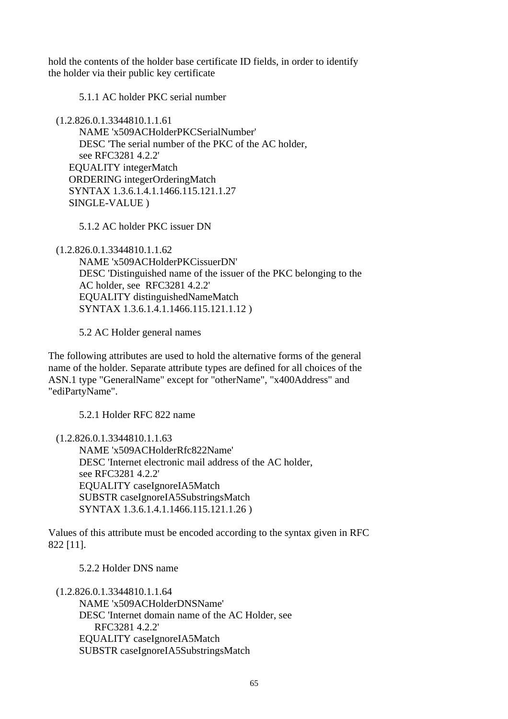hold the contents of the holder base certificate ID fields, in order to identify the holder via their public key certificate

5.1.1 AC holder PKC serial number

 (1.2.826.0.1.3344810.1.1.61 NAME 'x509ACHolderPKCSerialNumber' DESC 'The serial number of the PKC of the AC holder, see RFC3281 4.2.2' EQUALITY integerMatch ORDERING integerOrderingMatch SYNTAX 1.3.6.1.4.1.1466.115.121.1.27 SINGLE-VALUE )

5.1.2 AC holder PKC issuer DN

(1.2.826.0.1.3344810.1.1.62

 NAME 'x509ACHolderPKCissuerDN' DESC 'Distinguished name of the issuer of the PKC belonging to the AC holder, see RFC3281 4.2.2' EQUALITY distinguishedNameMatch SYNTAX 1.3.6.1.4.1.1466.115.121.1.12 )

5.2 AC Holder general names

The following attributes are used to hold the alternative forms of the general name of the holder. Separate attribute types are defined for all choices of the ASN.1 type "GeneralName" except for "otherName", "x400Address" and "ediPartyName".

5.2.1 Holder RFC 822 name

(1.2.826.0.1.3344810.1.1.63

 NAME 'x509ACHolderRfc822Name' DESC 'Internet electronic mail address of the AC holder, see RFC3281 4.2.2' EQUALITY caseIgnoreIA5Match SUBSTR caseIgnoreIA5SubstringsMatch SYNTAX 1.3.6.1.4.1.1466.115.121.1.26 )

Values of this attribute must be encoded according to the syntax given in RFC 822 [11].

5.2.2 Holder DNS name

(1.2.826.0.1.3344810.1.1.64

 NAME 'x509ACHolderDNSName' DESC 'Internet domain name of the AC Holder, see RFC3281 4.2.2' EQUALITY caseIgnoreIA5Match SUBSTR caseIgnoreIA5SubstringsMatch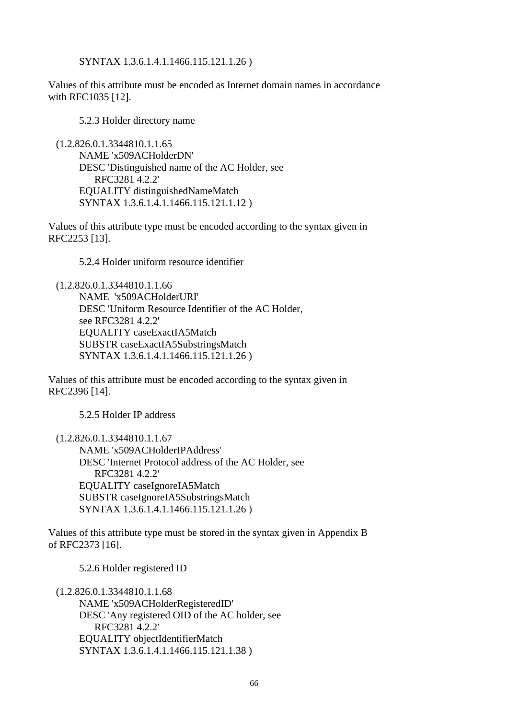SYNTAX 1.3.6.1.4.1.1466.115.121.1.26 )

Values of this attribute must be encoded as Internet domain names in accordance with RFC1035 [12].

5.2.3 Holder directory name

 (1.2.826.0.1.3344810.1.1.65 NAME 'x509ACHolderDN' DESC 'Distinguished name of the AC Holder, see RFC3281 4.2.2' EQUALITY distinguishedNameMatch SYNTAX 1.3.6.1.4.1.1466.115.121.1.12 )

Values of this attribute type must be encoded according to the syntax given in RFC2253 [13].

5.2.4 Holder uniform resource identifier

 (1.2.826.0.1.3344810.1.1.66 NAME 'x509ACHolderURI' DESC 'Uniform Resource Identifier of the AC Holder, see RFC3281 4.2.2' EQUALITY caseExactIA5Match SUBSTR caseExactIA5SubstringsMatch SYNTAX 1.3.6.1.4.1.1466.115.121.1.26 )

Values of this attribute must be encoded according to the syntax given in RFC2396 [14].

5.2.5 Holder IP address

 (1.2.826.0.1.3344810.1.1.67 NAME 'x509ACHolderIPAddress' DESC 'Internet Protocol address of the AC Holder, see RFC3281 4.2.2' EQUALITY caseIgnoreIA5Match SUBSTR caseIgnoreIA5SubstringsMatch SYNTAX 1.3.6.1.4.1.1466.115.121.1.26 )

Values of this attribute type must be stored in the syntax given in Appendix B of RFC2373 [16].

5.2.6 Holder registered ID

(1.2.826.0.1.3344810.1.1.68

 NAME 'x509ACHolderRegisteredID' DESC 'Any registered OID of the AC holder, see RFC3281 4.2.2' EQUALITY objectIdentifierMatch SYNTAX 1.3.6.1.4.1.1466.115.121.1.38 )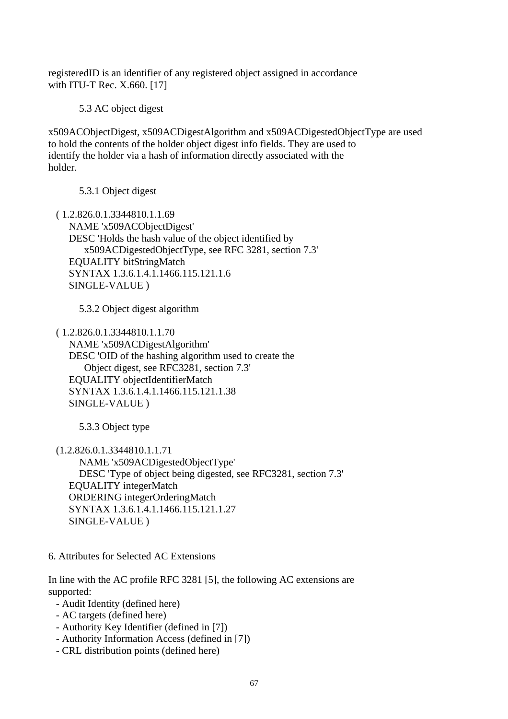registeredID is an identifier of any registered object assigned in accordance with ITU-T Rec. X.660. [17]

5.3 AC object digest

x509ACObjectDigest, x509ACDigestAlgorithm and x509ACDigestedObjectType are used to hold the contents of the holder object digest info fields. They are used to identify the holder via a hash of information directly associated with the holder.

5.3.1 Object digest

 ( 1.2.826.0.1.3344810.1.1.69 NAME 'x509ACObjectDigest' DESC 'Holds the hash value of the object identified by x509ACDigestedObjectType, see RFC 3281, section 7.3' EQUALITY bitStringMatch SYNTAX 1.3.6.1.4.1.1466.115.121.1.6 SINGLE-VALUE )

5.3.2 Object digest algorithm

 ( 1.2.826.0.1.3344810.1.1.70 NAME 'x509ACDigestAlgorithm' DESC 'OID of the hashing algorithm used to create the Object digest, see RFC3281, section 7.3' EQUALITY objectIdentifierMatch SYNTAX 1.3.6.1.4.1.1466.115.121.1.38 SINGLE-VALUE )

5.3.3 Object type

(1.2.826.0.1.3344810.1.1.71

 NAME 'x509ACDigestedObjectType' DESC 'Type of object being digested, see RFC3281, section 7.3' EQUALITY integerMatch ORDERING integerOrderingMatch SYNTAX 1.3.6.1.4.1.1466.115.121.1.27 SINGLE-VALUE )

6. Attributes for Selected AC Extensions

In line with the AC profile RFC 3281 [5], the following AC extensions are supported:

- Audit Identity (defined here)
- AC targets (defined here)
- Authority Key Identifier (defined in [7])
- Authority Information Access (defined in [7])
- CRL distribution points (defined here)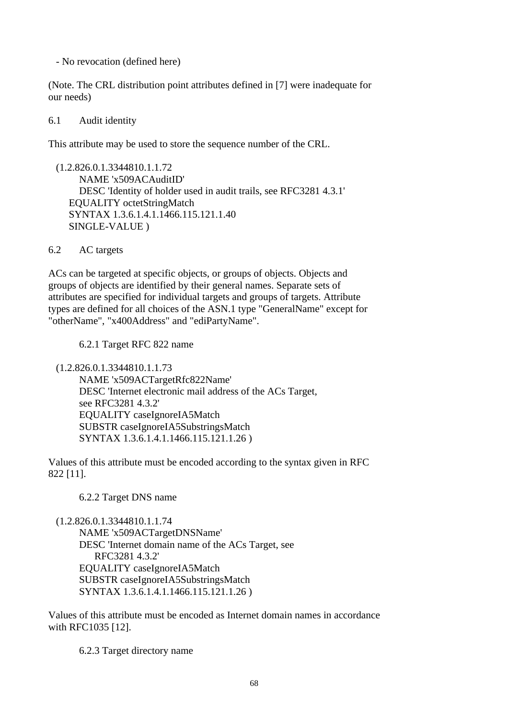- No revocation (defined here)

(Note. The CRL distribution point attributes defined in [7] were inadequate for our needs)

6.1 Audit identity

This attribute may be used to store the sequence number of the CRL.

 (1.2.826.0.1.3344810.1.1.72 NAME 'x509ACAuditID' DESC 'Identity of holder used in audit trails, see RFC3281 4.3.1' EQUALITY octetStringMatch SYNTAX 1.3.6.1.4.1.1466.115.121.1.40 SINGLE-VALUE )

6.2 AC targets

ACs can be targeted at specific objects, or groups of objects. Objects and groups of objects are identified by their general names. Separate sets of attributes are specified for individual targets and groups of targets. Attribute types are defined for all choices of the ASN.1 type "GeneralName" except for "otherName", "x400Address" and "ediPartyName".

6.2.1 Target RFC 822 name

(1.2.826.0.1.3344810.1.1.73

 NAME 'x509ACTargetRfc822Name' DESC 'Internet electronic mail address of the ACs Target, see RFC3281 4.3.2' EQUALITY caseIgnoreIA5Match SUBSTR caseIgnoreIA5SubstringsMatch SYNTAX 1.3.6.1.4.1.1466.115.121.1.26 )

Values of this attribute must be encoded according to the syntax given in RFC 822 [11].

6.2.2 Target DNS name

 (1.2.826.0.1.3344810.1.1.74 NAME 'x509ACTargetDNSName' DESC 'Internet domain name of the ACs Target, see RFC3281 4.3.2' EQUALITY caseIgnoreIA5Match SUBSTR caseIgnoreIA5SubstringsMatch SYNTAX 1.3.6.1.4.1.1466.115.121.1.26 )

Values of this attribute must be encoded as Internet domain names in accordance with RFC1035 [12].

6.2.3 Target directory name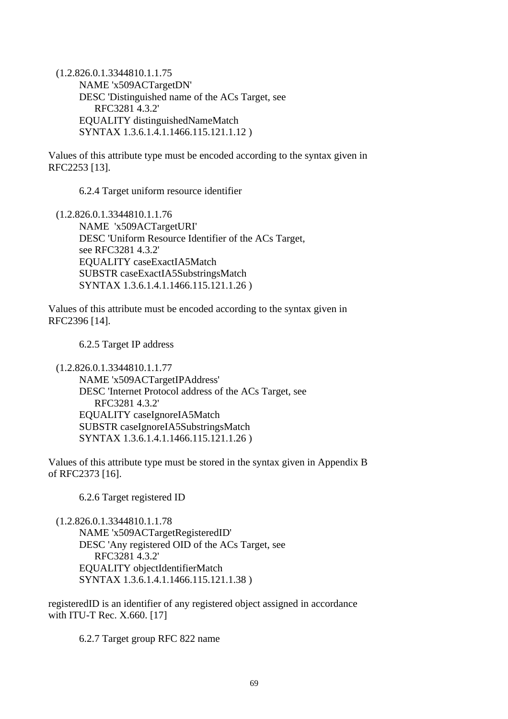(1.2.826.0.1.3344810.1.1.75 NAME 'x509ACTargetDN' DESC 'Distinguished name of the ACs Target, see RFC3281 4.3.2' EQUALITY distinguishedNameMatch SYNTAX 1.3.6.1.4.1.1466.115.121.1.12 )

Values of this attribute type must be encoded according to the syntax given in RFC2253 [13].

6.2.4 Target uniform resource identifier

 (1.2.826.0.1.3344810.1.1.76 NAME 'x509ACTargetURI' DESC 'Uniform Resource Identifier of the ACs Target, see RFC3281 4.3.2' EQUALITY caseExactIA5Match SUBSTR caseExactIA5SubstringsMatch SYNTAX 1.3.6.1.4.1.1466.115.121.1.26 )

Values of this attribute must be encoded according to the syntax given in RFC2396 [14].

6.2.5 Target IP address

 (1.2.826.0.1.3344810.1.1.77 NAME 'x509ACTargetIPAddress' DESC 'Internet Protocol address of the ACs Target, see RFC3281 4.3.2' EQUALITY caseIgnoreIA5Match SUBSTR caseIgnoreIA5SubstringsMatch SYNTAX 1.3.6.1.4.1.1466.115.121.1.26 )

Values of this attribute type must be stored in the syntax given in Appendix B of RFC2373 [16].

6.2.6 Target registered ID

 (1.2.826.0.1.3344810.1.1.78 NAME 'x509ACTargetRegisteredID' DESC 'Any registered OID of the ACs Target, see RFC3281 4.3.2' EQUALITY objectIdentifierMatch SYNTAX 1.3.6.1.4.1.1466.115.121.1.38 )

registeredID is an identifier of any registered object assigned in accordance with ITU-T Rec. X.660. [17]

6.2.7 Target group RFC 822 name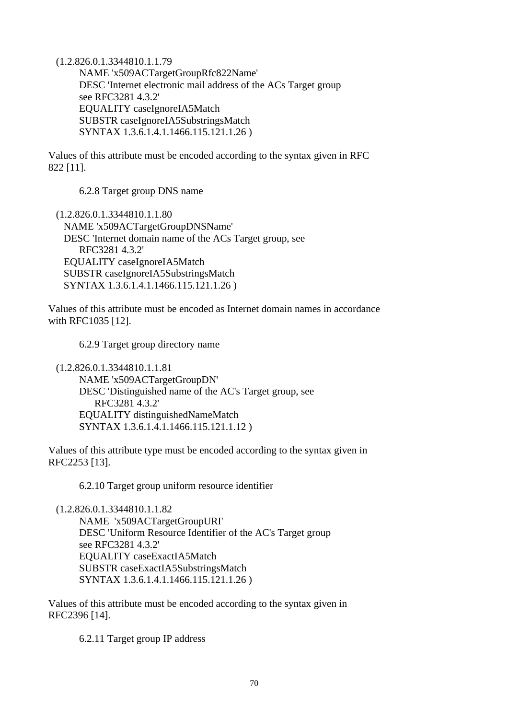(1.2.826.0.1.3344810.1.1.79

 NAME 'x509ACTargetGroupRfc822Name' DESC 'Internet electronic mail address of the ACs Target group see RFC3281 4.3.2' EQUALITY caseIgnoreIA5Match SUBSTR caseIgnoreIA5SubstringsMatch SYNTAX 1.3.6.1.4.1.1466.115.121.1.26 )

Values of this attribute must be encoded according to the syntax given in RFC 822 [11].

6.2.8 Target group DNS name

 (1.2.826.0.1.3344810.1.1.80 NAME 'x509ACTargetGroupDNSName' DESC 'Internet domain name of the ACs Target group, see RFC3281 4.3.2' EQUALITY caseIgnoreIA5Match SUBSTR caseIgnoreIA5SubstringsMatch SYNTAX 1.3.6.1.4.1.1466.115.121.1.26 )

Values of this attribute must be encoded as Internet domain names in accordance with RFC1035 [12].

6.2.9 Target group directory name

 (1.2.826.0.1.3344810.1.1.81 NAME 'x509ACTargetGroupDN' DESC 'Distinguished name of the AC's Target group, see RFC3281 4.3.2' EQUALITY distinguishedNameMatch SYNTAX 1.3.6.1.4.1.1466.115.121.1.12 )

Values of this attribute type must be encoded according to the syntax given in RFC2253 [13].

6.2.10 Target group uniform resource identifier

 (1.2.826.0.1.3344810.1.1.82 NAME 'x509ACTargetGroupURI' DESC 'Uniform Resource Identifier of the AC's Target group see RFC3281 4.3.2' EQUALITY caseExactIA5Match SUBSTR caseExactIA5SubstringsMatch SYNTAX 1.3.6.1.4.1.1466.115.121.1.26 )

Values of this attribute must be encoded according to the syntax given in RFC2396 [14].

6.2.11 Target group IP address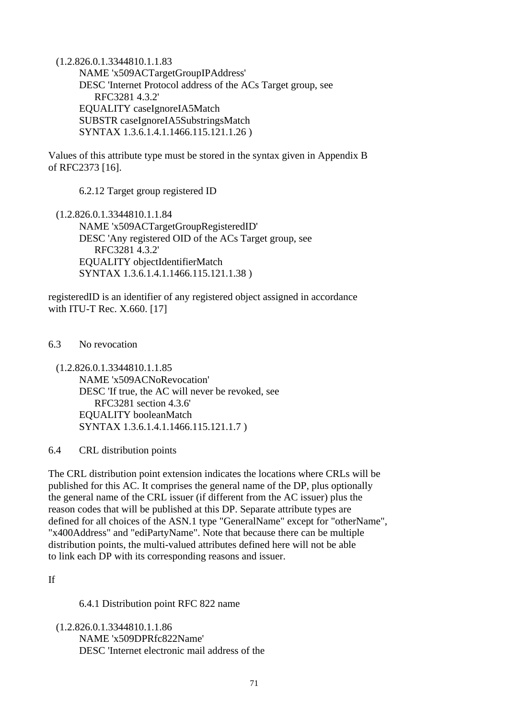(1.2.826.0.1.3344810.1.1.83 NAME 'x509ACTargetGroupIPAddress' DESC 'Internet Protocol address of the ACs Target group, see RFC3281 4.3.2' EQUALITY caseIgnoreIA5Match SUBSTR caseIgnoreIA5SubstringsMatch SYNTAX 1.3.6.1.4.1.1466.115.121.1.26 )

Values of this attribute type must be stored in the syntax given in Appendix B of RFC2373 [16].

6.2.12 Target group registered ID

 (1.2.826.0.1.3344810.1.1.84 NAME 'x509ACTargetGroupRegisteredID' DESC 'Any registered OID of the ACs Target group, see RFC3281 4.3.2' EQUALITY objectIdentifierMatch SYNTAX 1.3.6.1.4.1.1466.115.121.1.38 )

registeredID is an identifier of any registered object assigned in accordance with ITU-T Rec. X.660. [17]

6.3 No revocation

 (1.2.826.0.1.3344810.1.1.85 NAME 'x509ACNoRevocation' DESC 'If true, the AC will never be revoked, see RFC3281 section 4.3.6' EQUALITY booleanMatch SYNTAX 1.3.6.1.4.1.1466.115.121.1.7 )

6.4 CRL distribution points

The CRL distribution point extension indicates the locations where CRLs will be published for this AC. It comprises the general name of the DP, plus optionally the general name of the CRL issuer (if different from the AC issuer) plus the reason codes that will be published at this DP. Separate attribute types are defined for all choices of the ASN.1 type "GeneralName" except for "otherName", "x400Address" and "ediPartyName". Note that because there can be multiple distribution points, the multi-valued attributes defined here will not be able to link each DP with its corresponding reasons and issuer.

If

6.4.1 Distribution point RFC 822 name

 (1.2.826.0.1.3344810.1.1.86 NAME 'x509DPRfc822Name' DESC 'Internet electronic mail address of the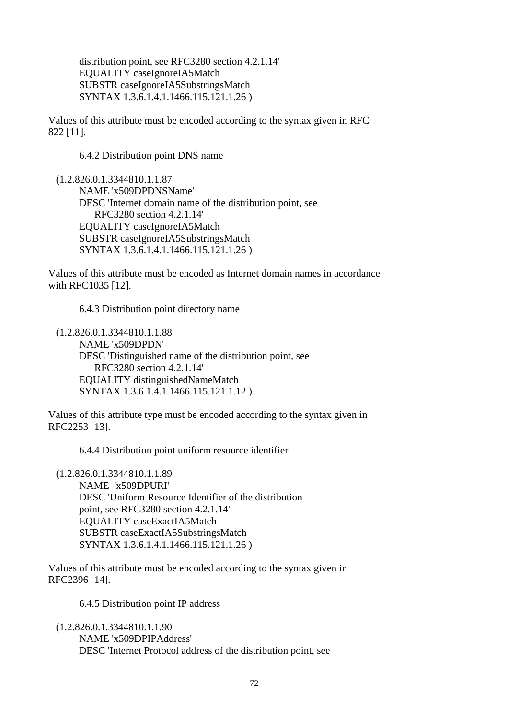distribution point, see RFC3280 section 4.2.1.14' EQUALITY caseIgnoreIA5Match SUBSTR caseIgnoreIA5SubstringsMatch SYNTAX 1.3.6.1.4.1.1466.115.121.1.26 )

Values of this attribute must be encoded according to the syntax given in RFC 822 [11].

6.4.2 Distribution point DNS name

 (1.2.826.0.1.3344810.1.1.87 NAME 'x509DPDNSName' DESC 'Internet domain name of the distribution point, see RFC3280 section 4.2.1.14' EQUALITY caseIgnoreIA5Match SUBSTR caseIgnoreIA5SubstringsMatch SYNTAX 1.3.6.1.4.1.1466.115.121.1.26 )

Values of this attribute must be encoded as Internet domain names in accordance with RFC1035 [12].

6.4.3 Distribution point directory name

 (1.2.826.0.1.3344810.1.1.88 NAME 'x509DPDN' DESC 'Distinguished name of the distribution point, see RFC3280 section 4.2.1.14' EQUALITY distinguishedNameMatch SYNTAX 1.3.6.1.4.1.1466.115.121.1.12 )

Values of this attribute type must be encoded according to the syntax given in RFC2253 [13].

6.4.4 Distribution point uniform resource identifier

 (1.2.826.0.1.3344810.1.1.89 NAME 'x509DPURI' DESC 'Uniform Resource Identifier of the distribution point, see RFC3280 section 4.2.1.14' EQUALITY caseExactIA5Match SUBSTR caseExactIA5SubstringsMatch SYNTAX 1.3.6.1.4.1.1466.115.121.1.26 )

Values of this attribute must be encoded according to the syntax given in RFC2396 [14].

6.4.5 Distribution point IP address

 (1.2.826.0.1.3344810.1.1.90 NAME 'x509DPIPAddress' DESC 'Internet Protocol address of the distribution point, see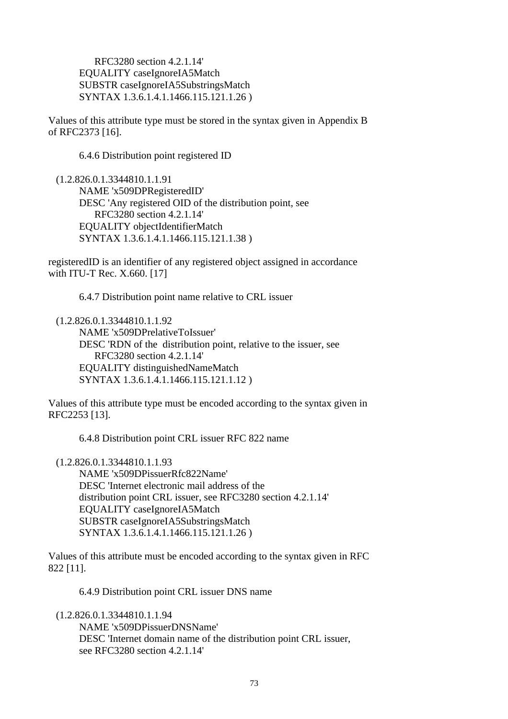RFC3280 section 4.2.1.14' EQUALITY caseIgnoreIA5Match SUBSTR caseIgnoreIA5SubstringsMatch SYNTAX 1.3.6.1.4.1.1466.115.121.1.26 )

Values of this attribute type must be stored in the syntax given in Appendix B of RFC2373 [16].

6.4.6 Distribution point registered ID

 (1.2.826.0.1.3344810.1.1.91 NAME 'x509DPRegisteredID' DESC 'Any registered OID of the distribution point, see RFC3280 section 4.2.1.14' EQUALITY objectIdentifierMatch SYNTAX 1.3.6.1.4.1.1466.115.121.1.38 )

registeredID is an identifier of any registered object assigned in accordance with ITU-T Rec. X.660. [17]

6.4.7 Distribution point name relative to CRL issuer

 (1.2.826.0.1.3344810.1.1.92 NAME 'x509DPrelativeToIssuer' DESC 'RDN of the distribution point, relative to the issuer, see RFC3280 section 4.2.1.14' EQUALITY distinguishedNameMatch SYNTAX 1.3.6.1.4.1.1466.115.121.1.12 )

Values of this attribute type must be encoded according to the syntax given in RFC2253 [13].

6.4.8 Distribution point CRL issuer RFC 822 name

(1.2.826.0.1.3344810.1.1.93

 NAME 'x509DPissuerRfc822Name' DESC 'Internet electronic mail address of the distribution point CRL issuer, see RFC3280 section 4.2.1.14' EQUALITY caseIgnoreIA5Match SUBSTR caseIgnoreIA5SubstringsMatch SYNTAX 1.3.6.1.4.1.1466.115.121.1.26 )

Values of this attribute must be encoded according to the syntax given in RFC 822 [11].

6.4.9 Distribution point CRL issuer DNS name

(1.2.826.0.1.3344810.1.1.94

 NAME 'x509DPissuerDNSName' DESC 'Internet domain name of the distribution point CRL issuer, see RFC3280 section 4.2.1.14'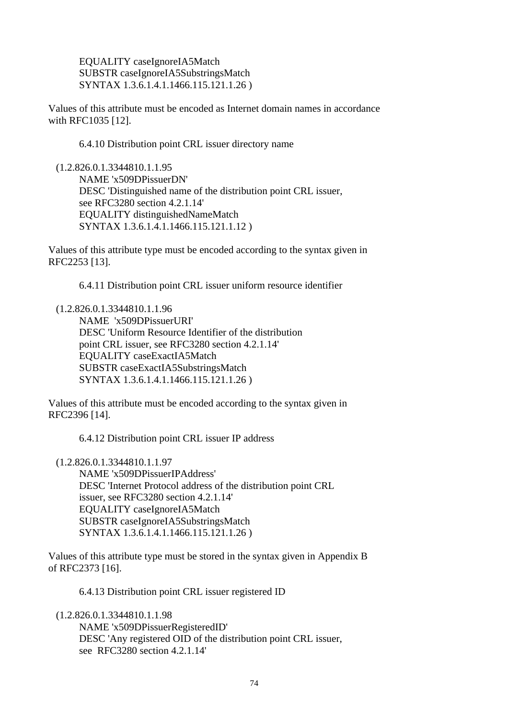EQUALITY caseIgnoreIA5Match SUBSTR caseIgnoreIA5SubstringsMatch SYNTAX 1.3.6.1.4.1.1466.115.121.1.26 )

Values of this attribute must be encoded as Internet domain names in accordance with RFC1035 [12].

6.4.10 Distribution point CRL issuer directory name

 (1.2.826.0.1.3344810.1.1.95 NAME 'x509DPissuerDN' DESC 'Distinguished name of the distribution point CRL issuer, see RFC3280 section 4.2.1.14' EQUALITY distinguishedNameMatch SYNTAX 1.3.6.1.4.1.1466.115.121.1.12 )

Values of this attribute type must be encoded according to the syntax given in RFC2253 [13].

6.4.11 Distribution point CRL issuer uniform resource identifier

(1.2.826.0.1.3344810.1.1.96

 NAME 'x509DPissuerURI' DESC 'Uniform Resource Identifier of the distribution point CRL issuer, see RFC3280 section 4.2.1.14' EQUALITY caseExactIA5Match SUBSTR caseExactIA5SubstringsMatch SYNTAX 1.3.6.1.4.1.1466.115.121.1.26 )

Values of this attribute must be encoded according to the syntax given in RFC2396 [14].

6.4.12 Distribution point CRL issuer IP address

(1.2.826.0.1.3344810.1.1.97

 NAME 'x509DPissuerIPAddress' DESC 'Internet Protocol address of the distribution point CRL issuer, see RFC3280 section 4.2.1.14' EQUALITY caseIgnoreIA5Match SUBSTR caseIgnoreIA5SubstringsMatch SYNTAX 1.3.6.1.4.1.1466.115.121.1.26 )

Values of this attribute type must be stored in the syntax given in Appendix B of RFC2373 [16].

6.4.13 Distribution point CRL issuer registered ID

(1.2.826.0.1.3344810.1.1.98

 NAME 'x509DPissuerRegisteredID' DESC 'Any registered OID of the distribution point CRL issuer, see RFC3280 section 4.2.1.14'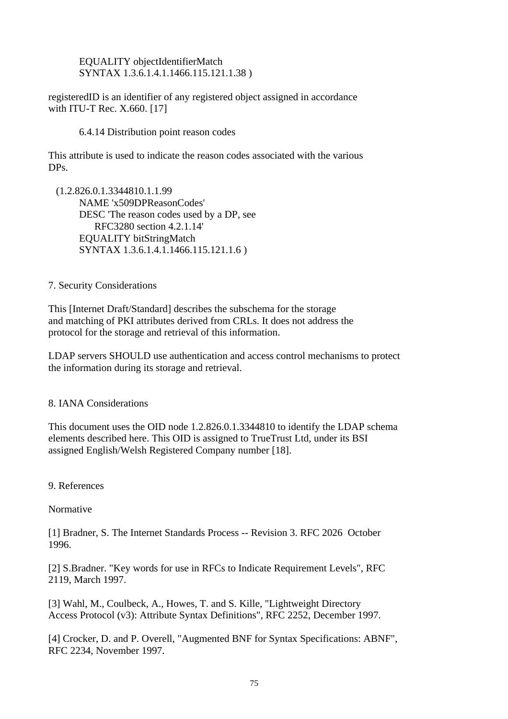EQUALITY objectIdentifierMatch SYNTAX 1.3.6.1.4.1.1466.115.121.1.38 )

registeredID is an identifier of any registered object assigned in accordance with ITU-T Rec. X.660. [17]

6.4.14 Distribution point reason codes

This attribute is used to indicate the reason codes associated with the various DP<sub>s</sub>.

 (1.2.826.0.1.3344810.1.1.99 NAME 'x509DPReasonCodes' DESC 'The reason codes used by a DP, see RFC3280 section 4.2.1.14' EQUALITY bitStringMatch SYNTAX 1.3.6.1.4.1.1466.115.121.1.6 )

7. Security Considerations

This [Internet Draft/Standard] describes the subschema for the storage and matching of PKI attributes derived from CRLs. It does not address the protocol for the storage and retrieval of this information.

LDAP servers SHOULD use authentication and access control mechanisms to protect the information during its storage and retrieval.

8. IANA Considerations

This document uses the OID node 1.2.826.0.1.3344810 to identify the LDAP schema elements described here. This OID is assigned to TrueTrust Ltd, under its BSI assigned English/Welsh Registered Company number [18].

9. References

Normative

[1] Bradner, S. The Internet Standards Process -- Revision 3. RFC 2026 October 1996.

[2] S.Bradner. "Key words for use in RFCs to Indicate Requirement Levels", RFC 2119, March 1997.

[3] Wahl, M., Coulbeck, A., Howes, T. and S. Kille, "Lightweight Directory Access Protocol (v3): Attribute Syntax Definitions", RFC 2252, December 1997.

[4] Crocker, D. and P. Overell, "Augmented BNF for Syntax Specifications: ABNF", RFC 2234, November 1997.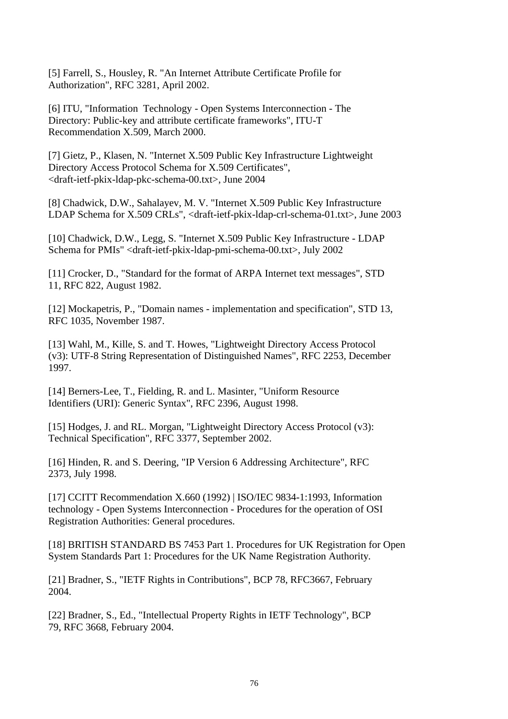[5] Farrell, S., Housley, R. "An Internet Attribute Certificate Profile for Authorization", RFC 3281, April 2002.

[6] ITU, "Information Technology - Open Systems Interconnection - The Directory: Public-key and attribute certificate frameworks", ITU-T Recommendation X.509, March 2000.

[7] Gietz, P., Klasen, N. "Internet X.509 Public Key Infrastructure Lightweight Directory Access Protocol Schema for X.509 Certificates", <draft-ietf-pkix-ldap-pkc-schema-00.txt>, June 2004

[8] Chadwick, D.W., Sahalayev, M. V. "Internet X.509 Public Key Infrastructure LDAP Schema for X.509 CRLs", <draft-ietf-pkix-ldap-crl-schema-01.txt>, June 2003

[10] Chadwick, D.W., Legg, S. "Internet X.509 Public Key Infrastructure - LDAP Schema for PMIs" <draft-ietf-pkix-ldap-pmi-schema-00.txt>, July 2002

[11] Crocker, D., "Standard for the format of ARPA Internet text messages", STD 11, RFC 822, August 1982.

[12] Mockapetris, P., "Domain names - implementation and specification", STD 13, RFC 1035, November 1987.

[13] Wahl, M., Kille, S. and T. Howes, "Lightweight Directory Access Protocol (v3): UTF-8 String Representation of Distinguished Names", RFC 2253, December 1997.

[14] Berners-Lee, T., Fielding, R. and L. Masinter, "Uniform Resource Identifiers (URI): Generic Syntax", RFC 2396, August 1998.

[15] Hodges, J. and RL. Morgan, "Lightweight Directory Access Protocol (v3): Technical Specification", RFC 3377, September 2002.

[16] Hinden, R. and S. Deering, "IP Version 6 Addressing Architecture", RFC 2373, July 1998.

[17] CCITT Recommendation X.660 (1992) | ISO/IEC 9834-1:1993, Information technology - Open Systems Interconnection - Procedures for the operation of OSI Registration Authorities: General procedures.

[18] BRITISH STANDARD BS 7453 Part 1. Procedures for UK Registration for Open System Standards Part 1: Procedures for the UK Name Registration Authority.

[21] Bradner, S., "IETF Rights in Contributions", BCP 78, RFC3667, February 2004.

[22] Bradner, S., Ed., "Intellectual Property Rights in IETF Technology", BCP 79, RFC 3668, February 2004.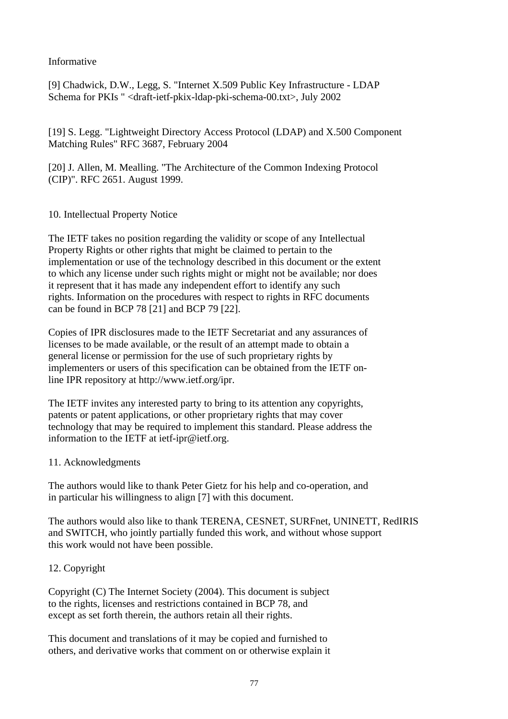Informative

[9] Chadwick, D.W., Legg, S. "Internet X.509 Public Key Infrastructure - LDAP Schema for PKIs " <draft-ietf-pkix-ldap-pki-schema-00.txt>, July 2002

[19] S. Legg. "Lightweight Directory Access Protocol (LDAP) and X.500 Component Matching Rules" RFC 3687, February 2004

[20] J. Allen, M. Mealling. "The Architecture of the Common Indexing Protocol (CIP)". RFC 2651. August 1999.

10. Intellectual Property Notice

The IETF takes no position regarding the validity or scope of any Intellectual Property Rights or other rights that might be claimed to pertain to the implementation or use of the technology described in this document or the extent to which any license under such rights might or might not be available; nor does it represent that it has made any independent effort to identify any such rights. Information on the procedures with respect to rights in RFC documents can be found in BCP 78 [21] and BCP 79 [22].

Copies of IPR disclosures made to the IETF Secretariat and any assurances of licenses to be made available, or the result of an attempt made to obtain a general license or permission for the use of such proprietary rights by implementers or users of this specification can be obtained from the IETF online IPR repository at http://www.ietf.org/ipr.

The IETF invites any interested party to bring to its attention any copyrights, patents or patent applications, or other proprietary rights that may cover technology that may be required to implement this standard. Please address the information to the IETF at ietf-ipr@ietf.org.

### 11. Acknowledgments

The authors would like to thank Peter Gietz for his help and co-operation, and in particular his willingness to align [7] with this document.

The authors would also like to thank TERENA, CESNET, SURFnet, UNINETT, RedIRIS and SWITCH, who jointly partially funded this work, and without whose support this work would not have been possible.

### 12. Copyright

Copyright (C) The Internet Society (2004). This document is subject to the rights, licenses and restrictions contained in BCP 78, and except as set forth therein, the authors retain all their rights.

This document and translations of it may be copied and furnished to others, and derivative works that comment on or otherwise explain it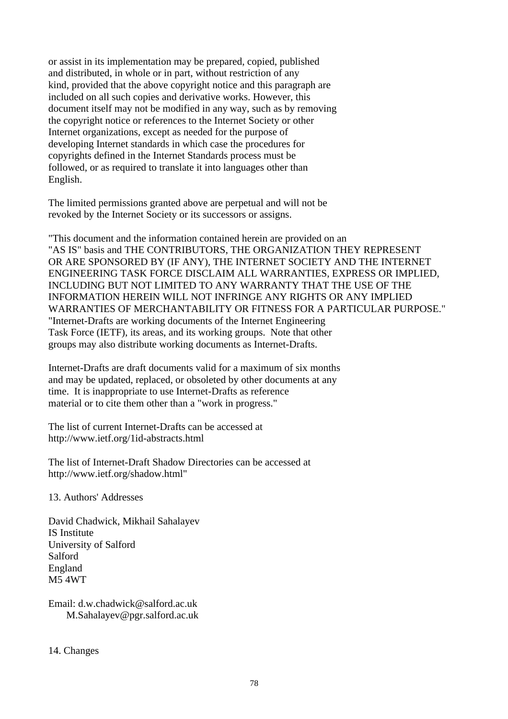or assist in its implementation may be prepared, copied, published and distributed, in whole or in part, without restriction of any kind, provided that the above copyright notice and this paragraph are included on all such copies and derivative works. However, this document itself may not be modified in any way, such as by removing the copyright notice or references to the Internet Society or other Internet organizations, except as needed for the purpose of developing Internet standards in which case the procedures for copyrights defined in the Internet Standards process must be followed, or as required to translate it into languages other than English.

The limited permissions granted above are perpetual and will not be revoked by the Internet Society or its successors or assigns.

"This document and the information contained herein are provided on an "AS IS" basis and THE CONTRIBUTORS, THE ORGANIZATION THEY REPRESENT OR ARE SPONSORED BY (IF ANY), THE INTERNET SOCIETY AND THE INTERNET ENGINEERING TASK FORCE DISCLAIM ALL WARRANTIES, EXPRESS OR IMPLIED, INCLUDING BUT NOT LIMITED TO ANY WARRANTY THAT THE USE OF THE INFORMATION HEREIN WILL NOT INFRINGE ANY RIGHTS OR ANY IMPLIED WARRANTIES OF MERCHANTABILITY OR FITNESS FOR A PARTICULAR PURPOSE." "Internet-Drafts are working documents of the Internet Engineering Task Force (IETF), its areas, and its working groups. Note that other groups may also distribute working documents as Internet-Drafts.

Internet-Drafts are draft documents valid for a maximum of six months and may be updated, replaced, or obsoleted by other documents at any time. It is inappropriate to use Internet-Drafts as reference material or to cite them other than a "work in progress."

The list of current Internet-Drafts can be accessed at http://www.ietf.org/1id-abstracts.html

The list of Internet-Draft Shadow Directories can be accessed at http://www.ietf.org/shadow.html"

13. Authors' Addresses

David Chadwick, Mikhail Sahalayev IS Institute University of Salford Salford England M5 4WT

Email: d.w.chadwick@salford.ac.uk M.Sahalayev@pgr.salford.ac.uk

14. Changes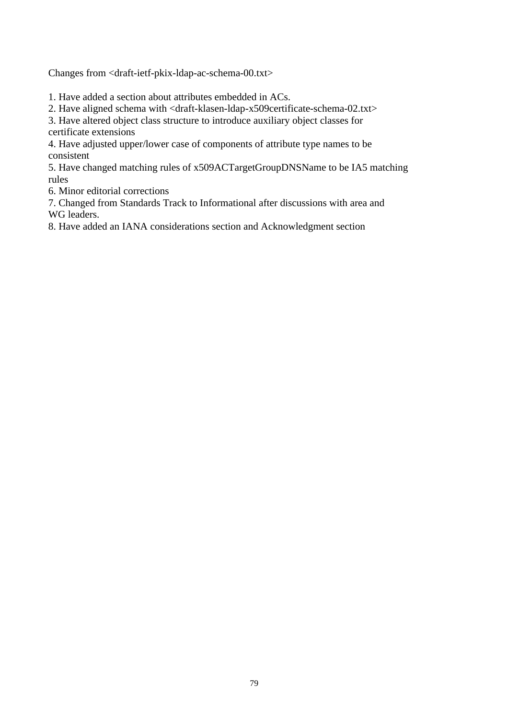Changes from <draft-ietf-pkix-ldap-ac-schema-00.txt>

1. Have added a section about attributes embedded in ACs.

2. Have aligned schema with <draft-klasen-ldap-x509certificate-schema-02.txt>

3. Have altered object class structure to introduce auxiliary object classes for certificate extensions

4. Have adjusted upper/lower case of components of attribute type names to be consistent

5. Have changed matching rules of x509ACTargetGroupDNSName to be IA5 matching rules

6. Minor editorial corrections

7. Changed from Standards Track to Informational after discussions with area and WG leaders.

8. Have added an IANA considerations section and Acknowledgment section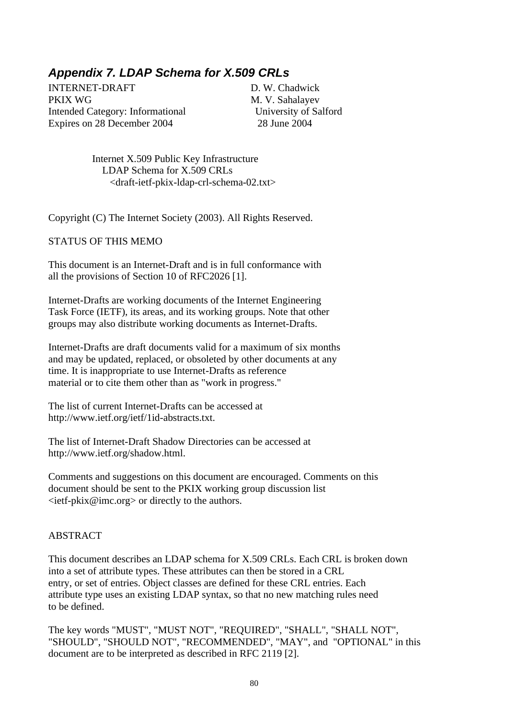# *Appendix 7. LDAP Schema for X.509 CRLs*

INTERNET-DRAFT D. W. Chadwick PKIX WG M. V. Sahalayev Intended Category: Informational University of Salford Expires on 28 December 2004 28 June 2004

 Internet X.509 Public Key Infrastructure LDAP Schema for X.509 CRLs <draft-ietf-pkix-ldap-crl-schema-02.txt>

Copyright (C) The Internet Society (2003). All Rights Reserved.

STATUS OF THIS MEMO

This document is an Internet-Draft and is in full conformance with all the provisions of Section 10 of RFC2026 [1].

Internet-Drafts are working documents of the Internet Engineering Task Force (IETF), its areas, and its working groups. Note that other groups may also distribute working documents as Internet-Drafts.

Internet-Drafts are draft documents valid for a maximum of six months and may be updated, replaced, or obsoleted by other documents at any time. It is inappropriate to use Internet-Drafts as reference material or to cite them other than as "work in progress."

The list of current Internet-Drafts can be accessed at http://www.ietf.org/ietf/1id-abstracts.txt.

The list of Internet-Draft Shadow Directories can be accessed at http://www.ietf.org/shadow.html.

Comments and suggestions on this document are encouraged. Comments on this document should be sent to the PKIX working group discussion list  $\langle \text{ietf-pkix}\,\mathcal{Q}\text{imc.org}\rangle$  or directly to the authors.

### ABSTRACT

This document describes an LDAP schema for X.509 CRLs. Each CRL is broken down into a set of attribute types. These attributes can then be stored in a CRL entry, or set of entries. Object classes are defined for these CRL entries. Each attribute type uses an existing LDAP syntax, so that no new matching rules need to be defined.

The key words "MUST", "MUST NOT", "REQUIRED", "SHALL", "SHALL NOT", "SHOULD", "SHOULD NOT", "RECOMMENDED", "MAY", and "OPTIONAL" in this document are to be interpreted as described in RFC 2119 [2].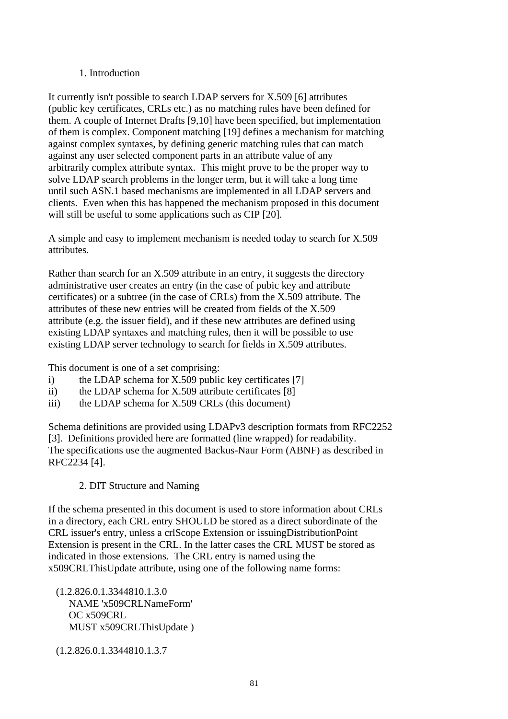### 1. Introduction

It currently isn't possible to search LDAP servers for X.509 [6] attributes (public key certificates, CRLs etc.) as no matching rules have been defined for them. A couple of Internet Drafts [9,10] have been specified, but implementation of them is complex. Component matching [19] defines a mechanism for matching against complex syntaxes, by defining generic matching rules that can match against any user selected component parts in an attribute value of any arbitrarily complex attribute syntax. This might prove to be the proper way to solve LDAP search problems in the longer term, but it will take a long time until such ASN.1 based mechanisms are implemented in all LDAP servers and clients. Even when this has happened the mechanism proposed in this document will still be useful to some applications such as CIP [20].

A simple and easy to implement mechanism is needed today to search for X.509 attributes.

Rather than search for an X.509 attribute in an entry, it suggests the directory administrative user creates an entry (in the case of pubic key and attribute certificates) or a subtree (in the case of CRLs) from the X.509 attribute. The attributes of these new entries will be created from fields of the X.509 attribute (e.g. the issuer field), and if these new attributes are defined using existing LDAP syntaxes and matching rules, then it will be possible to use existing LDAP server technology to search for fields in X.509 attributes.

This document is one of a set comprising:

- i) the LDAP schema for X.509 public key certificates [7]
- ii) the LDAP schema for X.509 attribute certificates [8]
- iii) the LDAP schema for X.509 CRLs (this document)

Schema definitions are provided using LDAPv3 description formats from RFC2252 [3]. Definitions provided here are formatted (line wrapped) for readability. The specifications use the augmented Backus-Naur Form (ABNF) as described in RFC2234 [4].

### 2. DIT Structure and Naming

If the schema presented in this document is used to store information about CRLs in a directory, each CRL entry SHOULD be stored as a direct subordinate of the CRL issuer's entry, unless a crlScope Extension or issuingDistributionPoint Extension is present in the CRL. In the latter cases the CRL MUST be stored as indicated in those extensions. The CRL entry is named using the x509CRLThisUpdate attribute, using one of the following name forms:

 (1.2.826.0.1.3344810.1.3.0 NAME 'x509CRLNameForm' OC x509CRL MUST x509CRLThisUpdate )

(1.2.826.0.1.3344810.1.3.7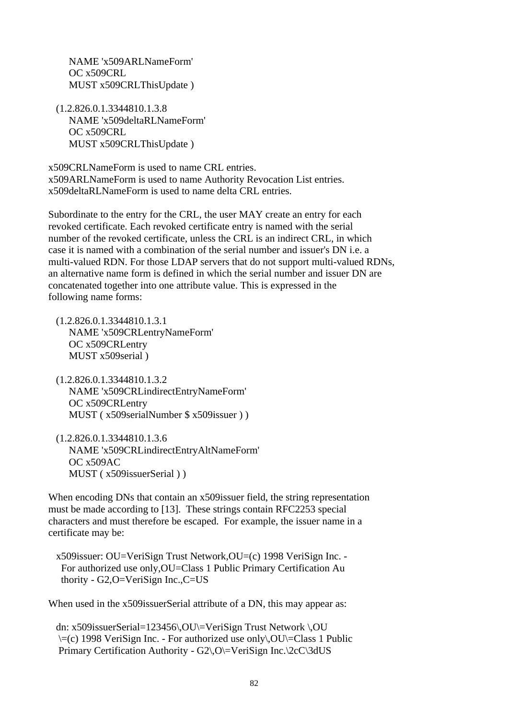NAME 'x509ARLNameForm' OC x509CRL MUST x509CRLThisUpdate )

 (1.2.826.0.1.3344810.1.3.8 NAME 'x509deltaRLNameForm' OC x509CRL MUST x509CRLThisUpdate )

x509CRLNameForm is used to name CRL entries. x509ARLNameForm is used to name Authority Revocation List entries. x509deltaRLNameForm is used to name delta CRL entries.

Subordinate to the entry for the CRL, the user MAY create an entry for each revoked certificate. Each revoked certificate entry is named with the serial number of the revoked certificate, unless the CRL is an indirect CRL, in which case it is named with a combination of the serial number and issuer's DN i.e. a multi-valued RDN. For those LDAP servers that do not support multi-valued RDNs, an alternative name form is defined in which the serial number and issuer DN are concatenated together into one attribute value. This is expressed in the following name forms:

 (1.2.826.0.1.3344810.1.3.1 NAME 'x509CRLentryNameForm' OC x509CRLentry MUST x509serial )

 (1.2.826.0.1.3344810.1.3.2 NAME 'x509CRLindirectEntryNameForm' OC x509CRLentry MUST ( x509serialNumber \$ x509issuer ) )

 (1.2.826.0.1.3344810.1.3.6 NAME 'x509CRLindirectEntryAltNameForm' OC x509AC MUST ( x509issuerSerial ) )

When encoding DNs that contain an x509issuer field, the string representation must be made according to [13]. These strings contain RFC2253 special characters and must therefore be escaped. For example, the issuer name in a certificate may be:

 x509issuer: OU=VeriSign Trust Network,OU=(c) 1998 VeriSign Inc. - For authorized use only,OU=Class 1 Public Primary Certification Au thority - G2,O=VeriSign Inc.,C=US

When used in the x509 issuer Serial attribute of a DN, this may appear as:

 dn: x509issuerSerial=123456\,OU\=VeriSign Trust Network \,OU  $\equiv$ (c) 1998 VeriSign Inc. - For authorized use only $\setminus$ OU $\equiv$ Class 1 Public Primary Certification Authority - G2\, O\=VeriSign Inc.\2cC\3dUS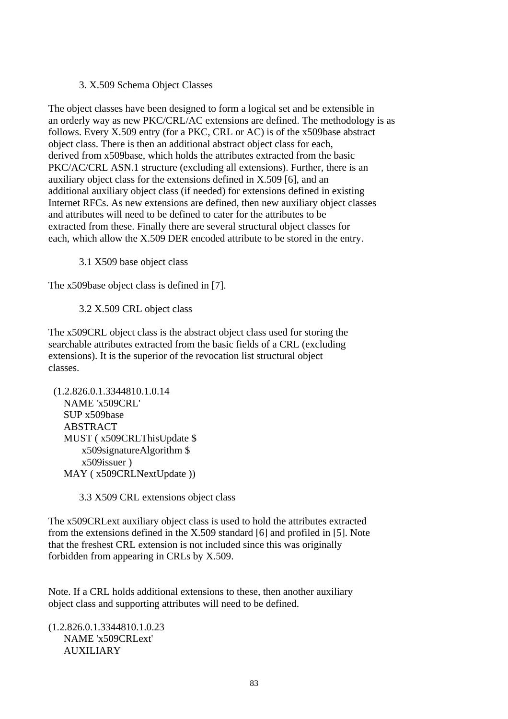3. X.509 Schema Object Classes

The object classes have been designed to form a logical set and be extensible in an orderly way as new PKC/CRL/AC extensions are defined. The methodology is as follows. Every X.509 entry (for a PKC, CRL or AC) is of the x509base abstract object class. There is then an additional abstract object class for each, derived from x509base, which holds the attributes extracted from the basic PKC/AC/CRL ASN.1 structure (excluding all extensions). Further, there is an auxiliary object class for the extensions defined in X.509 [6], and an additional auxiliary object class (if needed) for extensions defined in existing Internet RFCs. As new extensions are defined, then new auxiliary object classes and attributes will need to be defined to cater for the attributes to be extracted from these. Finally there are several structural object classes for each, which allow the X.509 DER encoded attribute to be stored in the entry.

3.1 X509 base object class

The x509base object class is defined in [7].

3.2 X.509 CRL object class

The x509CRL object class is the abstract object class used for storing the searchable attributes extracted from the basic fields of a CRL (excluding extensions). It is the superior of the revocation list structural object classes.

 (1.2.826.0.1.3344810.1.0.14 NAME 'x509CRL' SUP x509base **ABSTRACT**  MUST ( x509CRLThisUpdate \$ x509signatureAlgorithm \$ x509issuer ) MAY ( x509CRLNextUpdate ))

3.3 X509 CRL extensions object class

The x509CRLext auxiliary object class is used to hold the attributes extracted from the extensions defined in the X.509 standard [6] and profiled in [5]. Note that the freshest CRL extension is not included since this was originally forbidden from appearing in CRLs by X.509.

Note. If a CRL holds additional extensions to these, then another auxiliary object class and supporting attributes will need to be defined.

(1.2.826.0.1.3344810.1.0.23 NAME 'x509CRLext' AUXILIARY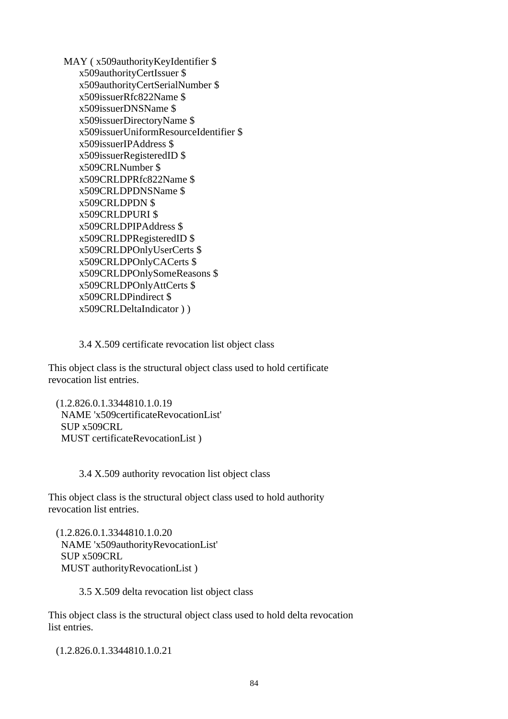MAY ( x509authorityKeyIdentifier \$ x509authorityCertIssuer \$ x509authorityCertSerialNumber \$ x509issuerRfc822Name \$ x509issuerDNSName \$ x509issuerDirectoryName \$ x509issuerUniformResourceIdentifier \$ x509issuerIPAddress \$ x509issuerRegisteredID \$ x509CRLNumber \$ x509CRLDPRfc822Name \$ x509CRLDPDNSName \$ x509CRLDPDN \$ x509CRLDPURI \$ x509CRLDPIPAddress \$ x509CRLDPRegisteredID \$ x509CRLDPOnlyUserCerts \$ x509CRLDPOnlyCACerts \$ x509CRLDPOnlySomeReasons \$ x509CRLDPOnlyAttCerts \$ x509CRLDPindirect \$ x509CRLDeltaIndicator ) )

3.4 X.509 certificate revocation list object class

This object class is the structural object class used to hold certificate revocation list entries.

 (1.2.826.0.1.3344810.1.0.19 NAME 'x509certificateRevocationList' SUP x509CRL MUST certificateRevocationList )

3.4 X.509 authority revocation list object class

This object class is the structural object class used to hold authority revocation list entries.

 (1.2.826.0.1.3344810.1.0.20 NAME 'x509authorityRevocationList' SUP x509CRL MUST authorityRevocationList )

3.5 X.509 delta revocation list object class

This object class is the structural object class used to hold delta revocation list entries.

(1.2.826.0.1.3344810.1.0.21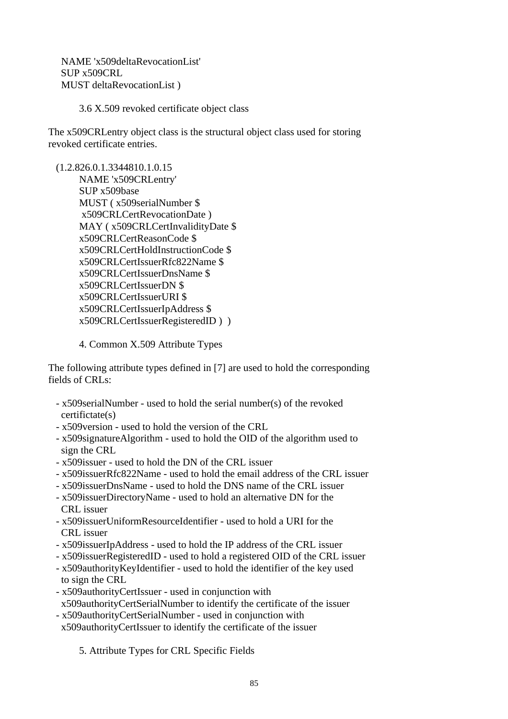NAME 'x509deltaRevocationList' SUP x509CRL MUST deltaRevocationList )

3.6 X.509 revoked certificate object class

The x509CRLentry object class is the structural object class used for storing revoked certificate entries.

 (1.2.826.0.1.3344810.1.0.15 NAME 'x509CRLentry' SUP x509base MUST ( x509serialNumber \$ x509CRLCertRevocationDate ) MAY ( x509CRLCertInvalidityDate \$ x509CRLCertReasonCode \$ x509CRLCertHoldInstructionCode \$ x509CRLCertIssuerRfc822Name \$ x509CRLCertIssuerDnsName \$ x509CRLCertIssuerDN \$ x509CRLCertIssuerURI \$ x509CRLCertIssuerIpAddress \$ x509CRLCertIssuerRegisteredID ) )

4. Common X.509 Attribute Types

The following attribute types defined in [7] are used to hold the corresponding fields of CRLs:

- x509serialNumber used to hold the serial number(s) of the revoked certifictate(s)
- x509version used to hold the version of the CRL
- x509signatureAlgorithm used to hold the OID of the algorithm used to sign the CRL
- x509issuer used to hold the DN of the CRL issuer
- x509issuerRfc822Name used to hold the email address of the CRL issuer
- x509issuerDnsName used to hold the DNS name of the CRL issuer
- x509issuerDirectoryName used to hold an alternative DN for the CRL issuer
- x509issuerUniformResourceIdentifier used to hold a URI for the CRL issuer
- x509issuerIpAddress used to hold the IP address of the CRL issuer
- x509issuerRegisteredID used to hold a registered OID of the CRL issuer
- x509authorityKeyIdentifier used to hold the identifier of the key used to sign the CRL
- x509authorityCertIssuer used in conjunction with x509authorityCertSerialNumber to identify the certificate of the issuer
- x509authorityCertSerialNumber used in conjunction with x509authorityCertIssuer to identify the certificate of the issuer

5. Attribute Types for CRL Specific Fields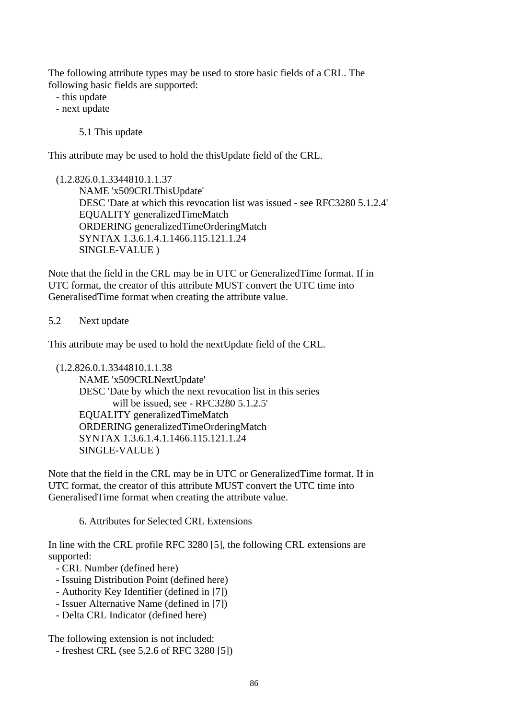The following attribute types may be used to store basic fields of a CRL. The following basic fields are supported:

- this update
- next update

5.1 This update

This attribute may be used to hold the thisUpdate field of the CRL.

 (1.2.826.0.1.3344810.1.1.37 NAME 'x509CRLThisUpdate' DESC 'Date at which this revocation list was issued - see RFC3280 5.1.2.4' EQUALITY generalizedTimeMatch ORDERING generalizedTimeOrderingMatch SYNTAX 1.3.6.1.4.1.1466.115.121.1.24 SINGLE-VALUE )

Note that the field in the CRL may be in UTC or GeneralizedTime format. If in UTC format, the creator of this attribute MUST convert the UTC time into GeneralisedTime format when creating the attribute value.

#### 5.2 Next update

This attribute may be used to hold the nextUpdate field of the CRL.

(1.2.826.0.1.3344810.1.1.38

 NAME 'x509CRLNextUpdate' DESC 'Date by which the next revocation list in this series will be issued, see - RFC3280 5.1.2.5' EQUALITY generalizedTimeMatch ORDERING generalizedTimeOrderingMatch SYNTAX 1.3.6.1.4.1.1466.115.121.1.24 SINGLE-VALUE )

Note that the field in the CRL may be in UTC or GeneralizedTime format. If in UTC format, the creator of this attribute MUST convert the UTC time into GeneralisedTime format when creating the attribute value.

6. Attributes for Selected CRL Extensions

In line with the CRL profile RFC 3280 [5], the following CRL extensions are supported:

- CRL Number (defined here)
- Issuing Distribution Point (defined here)
- Authority Key Identifier (defined in [7])
- Issuer Alternative Name (defined in [7])
- Delta CRL Indicator (defined here)

The following extension is not included:

- freshest CRL (see 5.2.6 of RFC 3280 [5])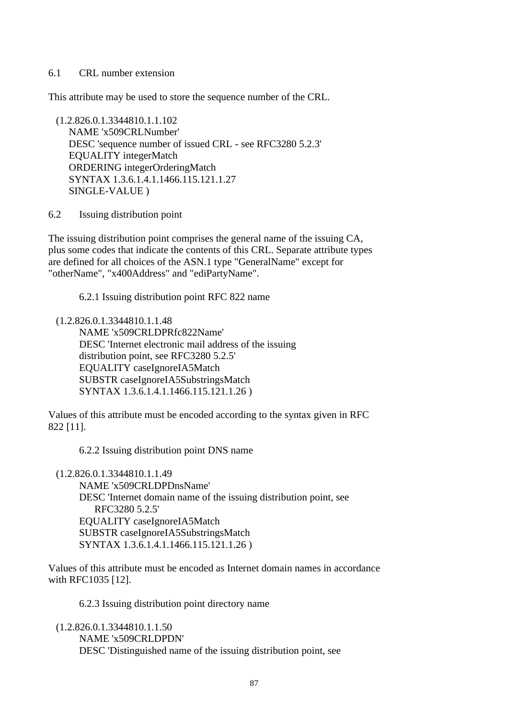#### 6.1 CRL number extension

This attribute may be used to store the sequence number of the CRL.

 (1.2.826.0.1.3344810.1.1.102 NAME 'x509CRLNumber' DESC 'sequence number of issued CRL - see RFC3280 5.2.3' EQUALITY integerMatch ORDERING integerOrderingMatch SYNTAX 1.3.6.1.4.1.1466.115.121.1.27 SINGLE-VALUE )

6.2 Issuing distribution point

The issuing distribution point comprises the general name of the issuing CA, plus some codes that indicate the contents of this CRL. Separate attribute types are defined for all choices of the ASN.1 type "GeneralName" except for "otherName", "x400Address" and "ediPartyName".

6.2.1 Issuing distribution point RFC 822 name

 (1.2.826.0.1.3344810.1.1.48 NAME 'x509CRLDPRfc822Name' DESC 'Internet electronic mail address of the issuing distribution point, see RFC3280 5.2.5' EQUALITY caseIgnoreIA5Match SUBSTR caseIgnoreIA5SubstringsMatch SYNTAX 1.3.6.1.4.1.1466.115.121.1.26 )

Values of this attribute must be encoded according to the syntax given in RFC 822 [11].

6.2.2 Issuing distribution point DNS name

 (1.2.826.0.1.3344810.1.1.49 NAME 'x509CRLDPDnsName' DESC 'Internet domain name of the issuing distribution point, see RFC3280 5.2.5' EQUALITY caseIgnoreIA5Match SUBSTR caseIgnoreIA5SubstringsMatch SYNTAX 1.3.6.1.4.1.1466.115.121.1.26 )

Values of this attribute must be encoded as Internet domain names in accordance with RFC1035 [12].

6.2.3 Issuing distribution point directory name

 (1.2.826.0.1.3344810.1.1.50 NAME 'x509CRLDPDN' DESC 'Distinguished name of the issuing distribution point, see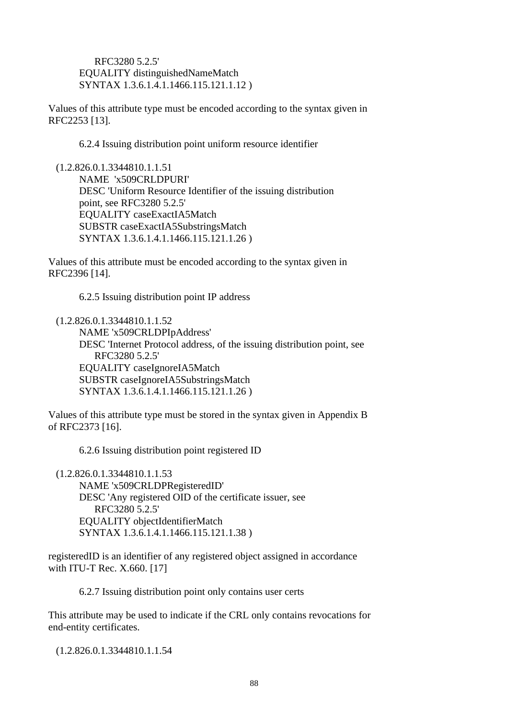RFC3280 5.2.5' EQUALITY distinguishedNameMatch SYNTAX 1.3.6.1.4.1.1466.115.121.1.12 )

Values of this attribute type must be encoded according to the syntax given in RFC2253 [13].

6.2.4 Issuing distribution point uniform resource identifier

 (1.2.826.0.1.3344810.1.1.51 NAME 'x509CRLDPURI' DESC 'Uniform Resource Identifier of the issuing distribution point, see RFC3280 5.2.5' EQUALITY caseExactIA5Match SUBSTR caseExactIA5SubstringsMatch SYNTAX 1.3.6.1.4.1.1466.115.121.1.26 )

Values of this attribute must be encoded according to the syntax given in RFC2396 [14].

6.2.5 Issuing distribution point IP address

 (1.2.826.0.1.3344810.1.1.52 NAME 'x509CRLDPIpAddress' DESC 'Internet Protocol address, of the issuing distribution point, see RFC3280 5.2.5' EQUALITY caseIgnoreIA5Match SUBSTR caseIgnoreIA5SubstringsMatch SYNTAX 1.3.6.1.4.1.1466.115.121.1.26 )

Values of this attribute type must be stored in the syntax given in Appendix B of RFC2373 [16].

6.2.6 Issuing distribution point registered ID

 (1.2.826.0.1.3344810.1.1.53 NAME 'x509CRLDPRegisteredID' DESC 'Any registered OID of the certificate issuer, see RFC3280 5.2.5' EQUALITY objectIdentifierMatch SYNTAX 1.3.6.1.4.1.1466.115.121.1.38 )

registeredID is an identifier of any registered object assigned in accordance with ITU-T Rec. X.660. [17]

6.2.7 Issuing distribution point only contains user certs

This attribute may be used to indicate if the CRL only contains revocations for end-entity certificates.

(1.2.826.0.1.3344810.1.1.54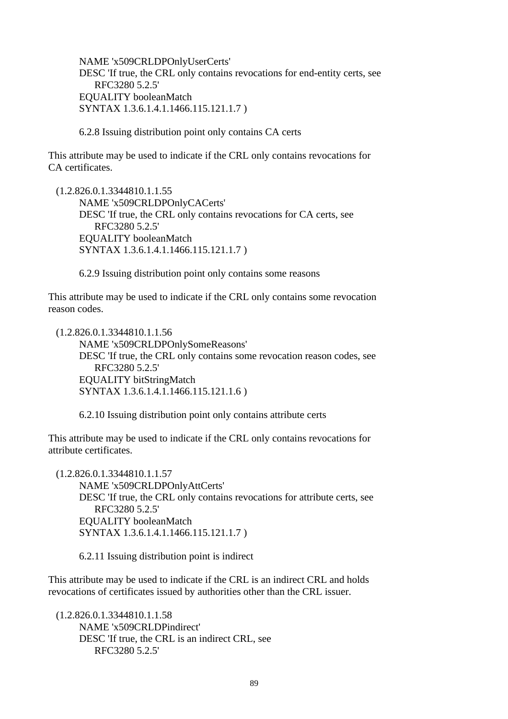NAME 'x509CRLDPOnlyUserCerts' DESC 'If true, the CRL only contains revocations for end-entity certs, see RFC3280 5.2.5' EQUALITY booleanMatch SYNTAX 1.3.6.1.4.1.1466.115.121.1.7 )

6.2.8 Issuing distribution point only contains CA certs

This attribute may be used to indicate if the CRL only contains revocations for CA certificates.

 (1.2.826.0.1.3344810.1.1.55 NAME 'x509CRLDPOnlyCACerts' DESC 'If true, the CRL only contains revocations for CA certs, see RFC3280 5.2.5' EQUALITY booleanMatch SYNTAX 1.3.6.1.4.1.1466.115.121.1.7 )

6.2.9 Issuing distribution point only contains some reasons

This attribute may be used to indicate if the CRL only contains some revocation reason codes.

 (1.2.826.0.1.3344810.1.1.56 NAME 'x509CRLDPOnlySomeReasons' DESC 'If true, the CRL only contains some revocation reason codes, see RFC3280 5.2.5' EQUALITY bitStringMatch SYNTAX 1.3.6.1.4.1.1466.115.121.1.6 )

6.2.10 Issuing distribution point only contains attribute certs

This attribute may be used to indicate if the CRL only contains revocations for attribute certificates.

 (1.2.826.0.1.3344810.1.1.57 NAME 'x509CRLDPOnlyAttCerts' DESC 'If true, the CRL only contains revocations for attribute certs, see RFC3280 5.2.5' EQUALITY booleanMatch SYNTAX 1.3.6.1.4.1.1466.115.121.1.7 )

6.2.11 Issuing distribution point is indirect

This attribute may be used to indicate if the CRL is an indirect CRL and holds revocations of certificates issued by authorities other than the CRL issuer.

 (1.2.826.0.1.3344810.1.1.58 NAME 'x509CRLDPindirect' DESC 'If true, the CRL is an indirect CRL, see RFC3280 5.2.5'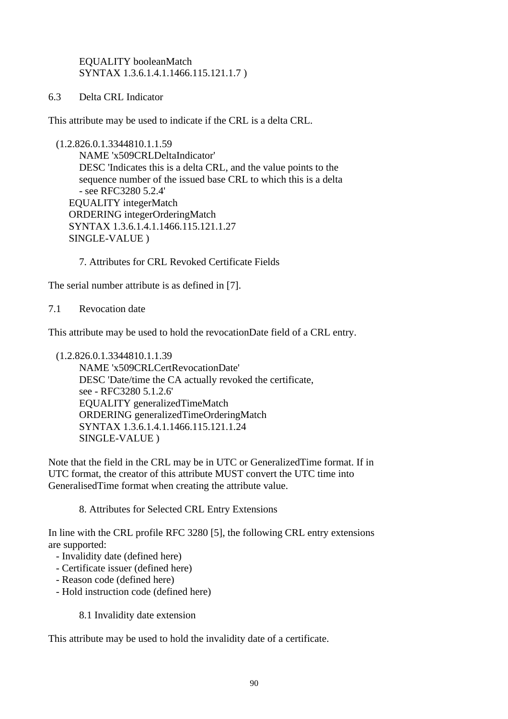EQUALITY booleanMatch SYNTAX 1.3.6.1.4.1.1466.115.121.1.7 )

6.3 Delta CRL Indicator

This attribute may be used to indicate if the CRL is a delta CRL.

 (1.2.826.0.1.3344810.1.1.59 NAME 'x509CRLDeltaIndicator' DESC 'Indicates this is a delta CRL, and the value points to the sequence number of the issued base CRL to which this is a delta - see RFC3280 5.2.4' EQUALITY integerMatch ORDERING integerOrderingMatch SYNTAX 1.3.6.1.4.1.1466.115.121.1.27 SINGLE-VALUE )

7. Attributes for CRL Revoked Certificate Fields

The serial number attribute is as defined in [7].

7.1 Revocation date

This attribute may be used to hold the revocationDate field of a CRL entry.

(1.2.826.0.1.3344810.1.1.39

 NAME 'x509CRLCertRevocationDate' DESC 'Date/time the CA actually revoked the certificate, see - RFC3280 5.1.2.6' EQUALITY generalizedTimeMatch ORDERING generalizedTimeOrderingMatch SYNTAX 1.3.6.1.4.1.1466.115.121.1.24 SINGLE-VALUE )

Note that the field in the CRL may be in UTC or GeneralizedTime format. If in UTC format, the creator of this attribute MUST convert the UTC time into GeneralisedTime format when creating the attribute value.

8. Attributes for Selected CRL Entry Extensions

In line with the CRL profile RFC 3280 [5], the following CRL entry extensions are supported:

- Invalidity date (defined here)
- Certificate issuer (defined here)
- Reason code (defined here)
- Hold instruction code (defined here)

8.1 Invalidity date extension

This attribute may be used to hold the invalidity date of a certificate.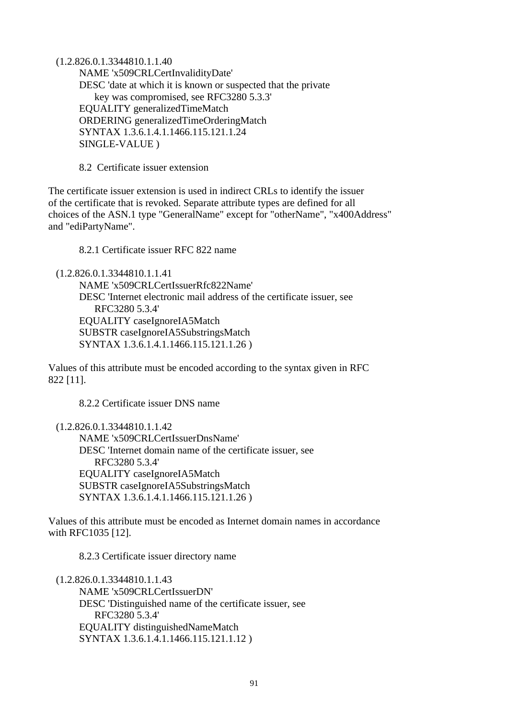(1.2.826.0.1.3344810.1.1.40 NAME 'x509CRLCertInvalidityDate' DESC 'date at which it is known or suspected that the private key was compromised, see RFC3280 5.3.3' EQUALITY generalizedTimeMatch ORDERING generalizedTimeOrderingMatch SYNTAX 1.3.6.1.4.1.1466.115.121.1.24 SINGLE-VALUE )

8.2 Certificate issuer extension

The certificate issuer extension is used in indirect CRLs to identify the issuer of the certificate that is revoked. Separate attribute types are defined for all choices of the ASN.1 type "GeneralName" except for "otherName", "x400Address" and "ediPartyName".

8.2.1 Certificate issuer RFC 822 name

 (1.2.826.0.1.3344810.1.1.41 NAME 'x509CRLCertIssuerRfc822Name' DESC 'Internet electronic mail address of the certificate issuer, see RFC3280 5.3.4' EQUALITY caseIgnoreIA5Match SUBSTR caseIgnoreIA5SubstringsMatch SYNTAX 1.3.6.1.4.1.1466.115.121.1.26 )

Values of this attribute must be encoded according to the syntax given in RFC 822 [11].

8.2.2 Certificate issuer DNS name

 (1.2.826.0.1.3344810.1.1.42 NAME 'x509CRLCertIssuerDnsName' DESC 'Internet domain name of the certificate issuer, see RFC3280 5.3.4' EQUALITY caseIgnoreIA5Match SUBSTR caseIgnoreIA5SubstringsMatch SYNTAX 1.3.6.1.4.1.1466.115.121.1.26 )

Values of this attribute must be encoded as Internet domain names in accordance with RFC1035 [12].

8.2.3 Certificate issuer directory name

 (1.2.826.0.1.3344810.1.1.43 NAME 'x509CRLCertIssuerDN' DESC 'Distinguished name of the certificate issuer, see RFC3280 5.3.4' EQUALITY distinguishedNameMatch SYNTAX 1.3.6.1.4.1.1466.115.121.1.12 )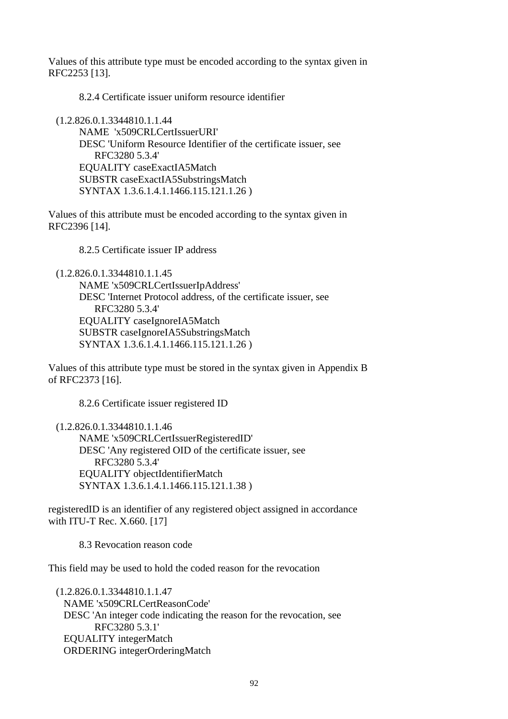Values of this attribute type must be encoded according to the syntax given in RFC2253 [13].

8.2.4 Certificate issuer uniform resource identifier

 (1.2.826.0.1.3344810.1.1.44 NAME 'x509CRLCertIssuerURI' DESC 'Uniform Resource Identifier of the certificate issuer, see RFC3280 5.3.4' EQUALITY caseExactIA5Match SUBSTR caseExactIA5SubstringsMatch SYNTAX 1.3.6.1.4.1.1466.115.121.1.26 )

Values of this attribute must be encoded according to the syntax given in RFC2396 [14].

8.2.5 Certificate issuer IP address

 (1.2.826.0.1.3344810.1.1.45 NAME 'x509CRLCertIssuerIpAddress' DESC 'Internet Protocol address, of the certificate issuer, see RFC3280 5.3.4' EQUALITY caseIgnoreIA5Match SUBSTR caseIgnoreIA5SubstringsMatch SYNTAX 1.3.6.1.4.1.1466.115.121.1.26 )

Values of this attribute type must be stored in the syntax given in Appendix B of RFC2373 [16].

8.2.6 Certificate issuer registered ID

 (1.2.826.0.1.3344810.1.1.46 NAME 'x509CRLCertIssuerRegisteredID' DESC 'Any registered OID of the certificate issuer, see RFC3280 5.3.4' EQUALITY objectIdentifierMatch SYNTAX 1.3.6.1.4.1.1466.115.121.1.38 )

registeredID is an identifier of any registered object assigned in accordance with ITU-T Rec. X.660. [17]

8.3 Revocation reason code

This field may be used to hold the coded reason for the revocation

 (1.2.826.0.1.3344810.1.1.47 NAME 'x509CRLCertReasonCode' DESC 'An integer code indicating the reason for the revocation, see RFC3280 5.3.1' EQUALITY integerMatch ORDERING integerOrderingMatch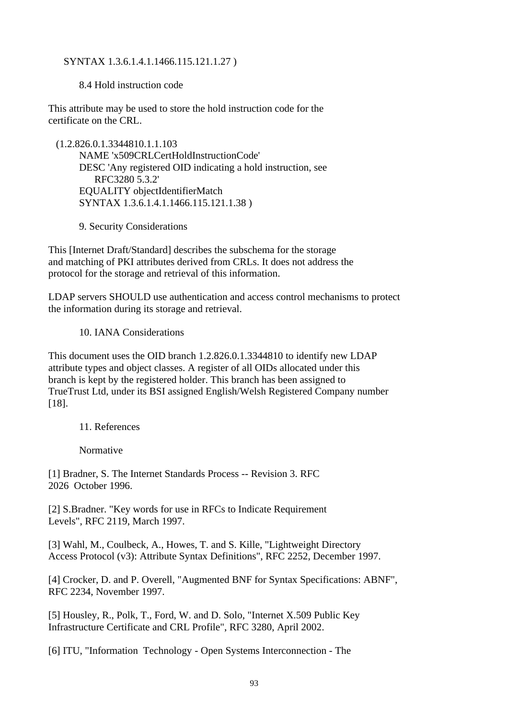### SYNTAX 1.3.6.1.4.1.1466.115.121.1.27 )

### 8.4 Hold instruction code

This attribute may be used to store the hold instruction code for the certificate on the CRL.

 (1.2.826.0.1.3344810.1.1.103 NAME 'x509CRLCertHoldInstructionCode' DESC 'Any registered OID indicating a hold instruction, see RFC3280 5.3.2' EQUALITY objectIdentifierMatch SYNTAX 1.3.6.1.4.1.1466.115.121.1.38 )

9. Security Considerations

This [Internet Draft/Standard] describes the subschema for the storage and matching of PKI attributes derived from CRLs. It does not address the protocol for the storage and retrieval of this information.

LDAP servers SHOULD use authentication and access control mechanisms to protect the information during its storage and retrieval.

10. IANA Considerations

This document uses the OID branch 1.2.826.0.1.3344810 to identify new LDAP attribute types and object classes. A register of all OIDs allocated under this branch is kept by the registered holder. This branch has been assigned to TrueTrust Ltd, under its BSI assigned English/Welsh Registered Company number [18].

### 11. References

Normative

[1] Bradner, S. The Internet Standards Process -- Revision 3. RFC 2026 October 1996.

[2] S.Bradner. "Key words for use in RFCs to Indicate Requirement Levels", RFC 2119, March 1997.

[3] Wahl, M., Coulbeck, A., Howes, T. and S. Kille, "Lightweight Directory Access Protocol (v3): Attribute Syntax Definitions", RFC 2252, December 1997.

[4] Crocker, D. and P. Overell, "Augmented BNF for Syntax Specifications: ABNF", RFC 2234, November 1997.

[5] Housley, R., Polk, T., Ford, W. and D. Solo, "Internet X.509 Public Key Infrastructure Certificate and CRL Profile", RFC 3280, April 2002.

[6] ITU, "Information Technology - Open Systems Interconnection - The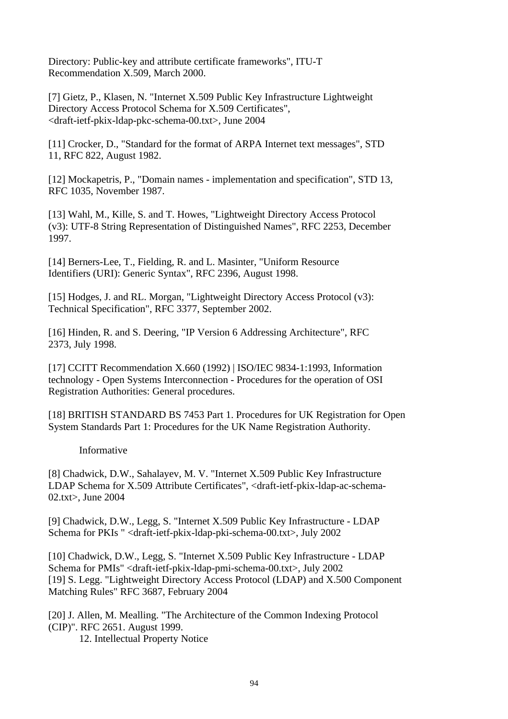Directory: Public-key and attribute certificate frameworks", ITU-T Recommendation X.509, March 2000.

[7] Gietz, P., Klasen, N. "Internet X.509 Public Key Infrastructure Lightweight Directory Access Protocol Schema for X.509 Certificates", <draft-ietf-pkix-ldap-pkc-schema-00.txt>, June 2004

[11] Crocker, D., "Standard for the format of ARPA Internet text messages", STD 11, RFC 822, August 1982.

[12] Mockapetris, P., "Domain names - implementation and specification", STD 13, RFC 1035, November 1987.

[13] Wahl, M., Kille, S. and T. Howes, "Lightweight Directory Access Protocol (v3): UTF-8 String Representation of Distinguished Names", RFC 2253, December 1997.

[14] Berners-Lee, T., Fielding, R. and L. Masinter, "Uniform Resource Identifiers (URI): Generic Syntax", RFC 2396, August 1998.

[15] Hodges, J. and RL. Morgan, "Lightweight Directory Access Protocol (v3): Technical Specification", RFC 3377, September 2002.

[16] Hinden, R. and S. Deering, "IP Version 6 Addressing Architecture", RFC 2373, July 1998.

[17] CCITT Recommendation X.660 (1992) | ISO/IEC 9834-1:1993, Information technology - Open Systems Interconnection - Procedures for the operation of OSI Registration Authorities: General procedures.

[18] BRITISH STANDARD BS 7453 Part 1. Procedures for UK Registration for Open System Standards Part 1: Procedures for the UK Name Registration Authority.

Informative

[8] Chadwick, D.W., Sahalayev, M. V. "Internet X.509 Public Key Infrastructure LDAP Schema for X.509 Attribute Certificates", <draft-ietf-pkix-ldap-ac-schema-02.txt>, June 2004

[9] Chadwick, D.W., Legg, S. "Internet X.509 Public Key Infrastructure - LDAP Schema for PKIs " <draft-ietf-pkix-ldap-pki-schema-00.txt>, July 2002

[10] Chadwick, D.W., Legg, S. "Internet X.509 Public Key Infrastructure - LDAP Schema for PMIs" <draft-ietf-pkix-ldap-pmi-schema-00.txt>, July 2002 [19] S. Legg. "Lightweight Directory Access Protocol (LDAP) and X.500 Component Matching Rules" RFC 3687, February 2004

[20] J. Allen, M. Mealling. "The Architecture of the Common Indexing Protocol (CIP)". RFC 2651. August 1999. 12. Intellectual Property Notice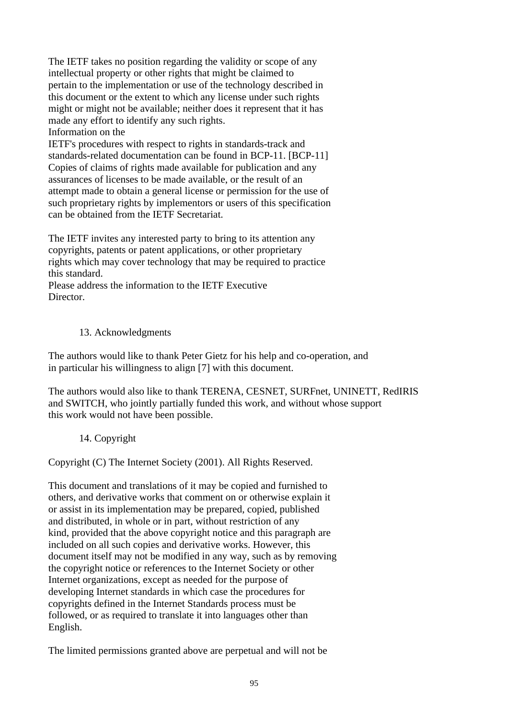The IETF takes no position regarding the validity or scope of any intellectual property or other rights that might be claimed to pertain to the implementation or use of the technology described in this document or the extent to which any license under such rights might or might not be available; neither does it represent that it has made any effort to identify any such rights.

### Information on the

IETF's procedures with respect to rights in standards-track and standards-related documentation can be found in BCP-11. [BCP-11] Copies of claims of rights made available for publication and any assurances of licenses to be made available, or the result of an attempt made to obtain a general license or permission for the use of such proprietary rights by implementors or users of this specification can be obtained from the IETF Secretariat.

The IETF invites any interested party to bring to its attention any copyrights, patents or patent applications, or other proprietary rights which may cover technology that may be required to practice this standard.

Please address the information to the IETF Executive Director.

## 13. Acknowledgments

The authors would like to thank Peter Gietz for his help and co-operation, and in particular his willingness to align [7] with this document.

The authors would also like to thank TERENA, CESNET, SURFnet, UNINETT, RedIRIS and SWITCH, who jointly partially funded this work, and without whose support this work would not have been possible.

# 14. Copyright

Copyright (C) The Internet Society (2001). All Rights Reserved.

This document and translations of it may be copied and furnished to others, and derivative works that comment on or otherwise explain it or assist in its implementation may be prepared, copied, published and distributed, in whole or in part, without restriction of any kind, provided that the above copyright notice and this paragraph are included on all such copies and derivative works. However, this document itself may not be modified in any way, such as by removing the copyright notice or references to the Internet Society or other Internet organizations, except as needed for the purpose of developing Internet standards in which case the procedures for copyrights defined in the Internet Standards process must be followed, or as required to translate it into languages other than English.

The limited permissions granted above are perpetual and will not be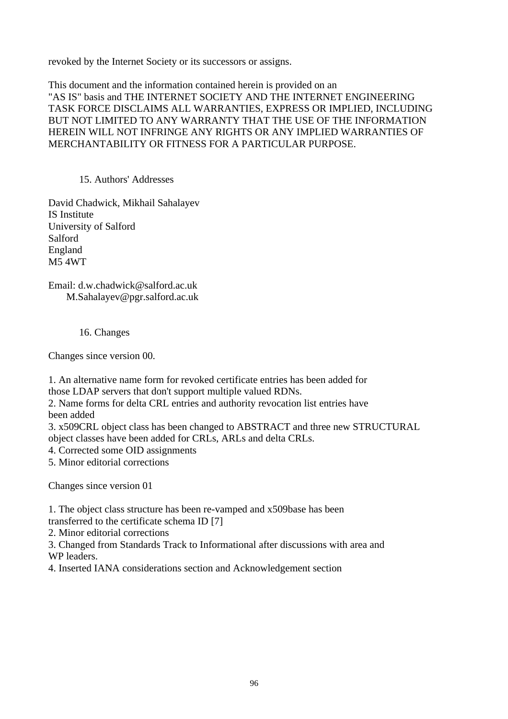revoked by the Internet Society or its successors or assigns.

This document and the information contained herein is provided on an "AS IS" basis and THE INTERNET SOCIETY AND THE INTERNET ENGINEERING TASK FORCE DISCLAIMS ALL WARRANTIES, EXPRESS OR IMPLIED, INCLUDING BUT NOT LIMITED TO ANY WARRANTY THAT THE USE OF THE INFORMATION HEREIN WILL NOT INFRINGE ANY RIGHTS OR ANY IMPLIED WARRANTIES OF MERCHANTABILITY OR FITNESS FOR A PARTICULAR PURPOSE.

## 15. Authors' Addresses

David Chadwick, Mikhail Sahalayev IS Institute University of Salford Salford England M5 4WT

Email: d.w.chadwick@salford.ac.uk M.Sahalayev@pgr.salford.ac.uk

16. Changes

Changes since version 00.

1. An alternative name form for revoked certificate entries has been added for those LDAP servers that don't support multiple valued RDNs.

2. Name forms for delta CRL entries and authority revocation list entries have been added

3. x509CRL object class has been changed to ABSTRACT and three new STRUCTURAL object classes have been added for CRLs, ARLs and delta CRLs.

4. Corrected some OID assignments

5. Minor editorial corrections

Changes since version 01

1. The object class structure has been re-vamped and x509base has been

transferred to the certificate schema ID [7]

2. Minor editorial corrections

3. Changed from Standards Track to Informational after discussions with area and WP leaders.

4. Inserted IANA considerations section and Acknowledgement section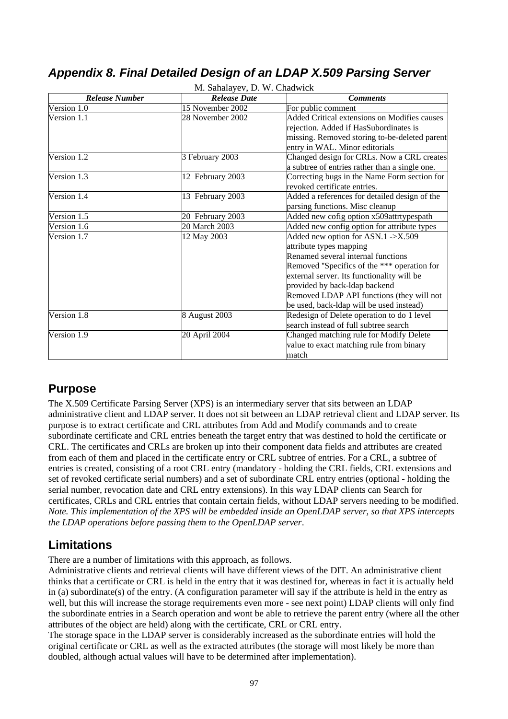| M. Sahalayev, D. W. Chadwick |                     |                                                |
|------------------------------|---------------------|------------------------------------------------|
| <b>Release Number</b>        | <b>Release Date</b> | <b>Comments</b>                                |
| Version 1.0                  | 15 November 2002    | For public comment                             |
| Version 1.1                  | 28 November 2002    | Added Critical extensions on Modifies causes   |
|                              |                     | rejection. Added if HasSubordinates is         |
|                              |                     | missing. Removed storing to-be-deleted parent  |
|                              |                     | entry in WAL. Minor editorials                 |
| Version 1.2                  | 3 February 2003     | Changed design for CRLs. Now a CRL creates     |
|                              |                     | a subtree of entries rather than a single one. |
| Version 1.3                  | 12 February 2003    | Correcting bugs in the Name Form section for   |
|                              |                     | revoked certificate entries.                   |
| Version 1.4                  | 13 February 2003    | Added a references for detailed design of the  |
|                              |                     | parsing functions. Misc cleanup                |
| Version 1.5                  | 20 February 2003    | Added new cofig option x509attrtypespath       |
| Version 1.6                  | 20 March 2003       | Added new config option for attribute types    |
| Version 1.7                  | 12 May 2003         | Added new option for ASN.1 ->X.509             |
|                              |                     | attribute types mapping                        |
|                              |                     | Renamed several internal functions             |
|                              |                     | Removed "Specifics of the *** operation for    |
|                              |                     | external server. Its functionality will be     |
|                              |                     | provided by back-ldap backend                  |
|                              |                     | Removed LDAP API functions (they will not      |
|                              |                     | be used, back-ldap will be used instead)       |
| Version 1.8                  | 8 August 2003       | Redesign of Delete operation to do 1 level     |
|                              |                     | search instead of full subtree search          |
| Version 1.9                  | 20 April 2004       | Changed matching rule for Modify Delete        |
|                              |                     | value to exact matching rule from binary       |
|                              |                     | match                                          |

# *Appendix 8. Final Detailed Design of an LDAP X.509 Parsing Server*

# **Purpose**

The X.509 Certificate Parsing Server (XPS) is an intermediary server that sits between an LDAP administrative client and LDAP server. It does not sit between an LDAP retrieval client and LDAP server. Its purpose is to extract certificate and CRL attributes from Add and Modify commands and to create subordinate certificate and CRL entries beneath the target entry that was destined to hold the certificate or CRL. The certificates and CRLs are broken up into their component data fields and attributes are created from each of them and placed in the certificate entry or CRL subtree of entries. For a CRL, a subtree of entries is created, consisting of a root CRL entry (mandatory - holding the CRL fields, CRL extensions and set of revoked certificate serial numbers) and a set of subordinate CRL entry entries (optional - holding the serial number, revocation date and CRL entry extensions). In this way LDAP clients can Search for certificates, CRLs and CRL entries that contain certain fields, without LDAP servers needing to be modified. *Note. This implementation of the XPS will be embedded inside an OpenLDAP server, so that XPS intercepts the LDAP operations before passing them to the OpenLDAP server*.

# **Limitations**

There are a number of limitations with this approach, as follows.

Administrative clients and retrieval clients will have different views of the DIT. An administrative client thinks that a certificate or CRL is held in the entry that it was destined for, whereas in fact it is actually held in (a) subordinate(s) of the entry. (A configuration parameter will say if the attribute is held in the entry as well, but this will increase the storage requirements even more - see next point) LDAP clients will only find the subordinate entries in a Search operation and wont be able to retrieve the parent entry (where all the other attributes of the object are held) along with the certificate, CRL or CRL entry.

The storage space in the LDAP server is considerably increased as the subordinate entries will hold the original certificate or CRL as well as the extracted attributes (the storage will most likely be more than doubled, although actual values will have to be determined after implementation).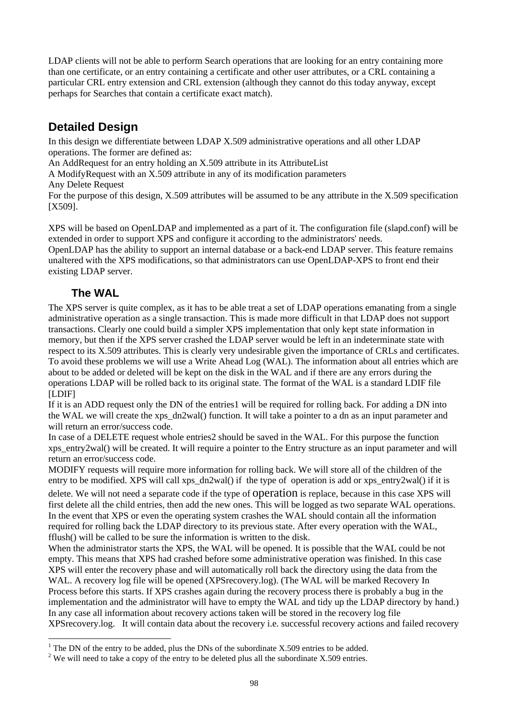LDAP clients will not be able to perform Search operations that are looking for an entry containing more than one certificate, or an entry containing a certificate and other user attributes, or a CRL containing a particular CRL entry extension and CRL extension (although they cannot do this today anyway, except perhaps for Searches that contain a certificate exact match).

# **Detailed Design**

In this design we differentiate between LDAP X.509 administrative operations and all other LDAP operations. The former are defined as:

An AddRequest for an entry holding an X.509 attribute in its AttributeList

A ModifyRequest with an X.509 attribute in any of its modification parameters

Any Delete Request

For the purpose of this design, X.509 attributes will be assumed to be any attribute in the X.509 specification [X509].

XPS will be based on OpenLDAP and implemented as a part of it. The configuration file (slapd.conf) will be extended in order to support XPS and configure it according to the administrators' needs. OpenLDAP has the ability to support an internal database or a back-end LDAP server. This feature remains unaltered with the XPS modifications, so that administrators can use OpenLDAP-XPS to front end their existing LDAP server.

# **The WAL**

The XPS server is quite complex, as it has to be able treat a set of LDAP operations emanating from a single administrative operation as a single transaction. This is made more difficult in that LDAP does not support transactions. Clearly one could build a simpler XPS implementation that only kept state information in memory, but then if the XPS server crashed the LDAP server would be left in an indeterminate state with respect to its X.509 attributes. This is clearly very undesirable given the importance of CRLs and certificates. To avoid these problems we will use a Write Ahead Log (WAL). The information about all entries which are about to be added or deleted will be kept on the disk in the WAL and if there are any errors during the operations LDAP will be rolled back to its original state. The format of the WAL is a standard LDIF file [LDIF]

If it is an ADD request only the DN of the entries1 will be required for rolling back. For adding a DN into the WAL we will create the xps\_dn2wal() function. It will take a pointer to a dn as an input parameter and will return an error/success code.

In case of a DELETE request whole entries2 should be saved in the WAL. For this purpose the function xps\_entry2wal() will be created. It will require a pointer to the Entry structure as an input parameter and will return an error/success code.

MODIFY requests will require more information for rolling back. We will store all of the children of the entry to be modified. XPS will call xps\_dn2wal() if the type of operation is add or xps\_entry2wal() if it is

delete. We will not need a separate code if the type of operation is replace, because in this case XPS will first delete all the child entries, then add the new ones. This will be logged as two separate WAL operations. In the event that XPS or even the operating system crashes the WAL should contain all the information required for rolling back the LDAP directory to its previous state. After every operation with the WAL, fflush() will be called to be sure the information is written to the disk.

When the administrator starts the XPS, the WAL will be opened. It is possible that the WAL could be not empty. This means that XPS had crashed before some administrative operation was finished. In this case XPS will enter the recovery phase and will automatically roll back the directory using the data from the WAL. A recovery log file will be opened (XPSrecovery.log). (The WAL will be marked Recovery In Process before this starts. If XPS crashes again during the recovery process there is probably a bug in the implementation and the administrator will have to empty the WAL and tidy up the LDAP directory by hand.) In any case all information about recovery actions taken will be stored in the recovery log file XPSrecovery.log. It will contain data about the recovery i.e. successful recovery actions and failed recovery

 $\overline{a}$ <sup>1</sup> The DN of the entry to be added, plus the DNs of the subordinate X.509 entries to be added.

<sup>&</sup>lt;sup>2</sup> We will need to take a copy of the entry to be deleted plus all the subordinate X.509 entries.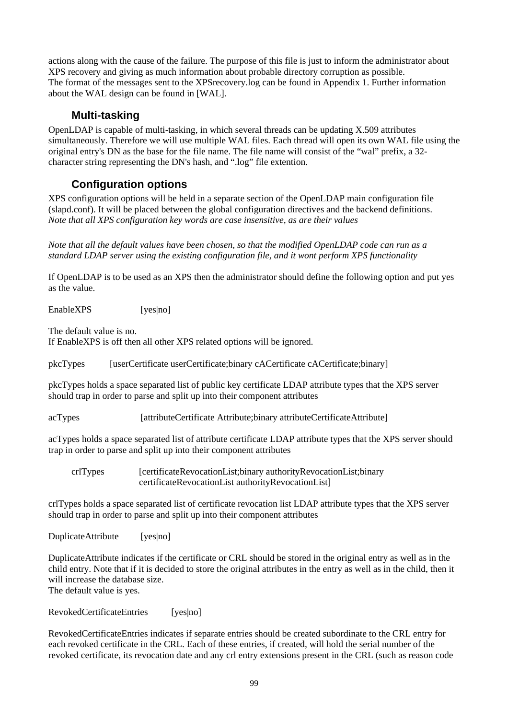actions along with the cause of the failure. The purpose of this file is just to inform the administrator about XPS recovery and giving as much information about probable directory corruption as possible. The format of the messages sent to the XPSrecovery.log can be found in Appendix 1. Further information about the WAL design can be found in [WAL].

# **Multi-tasking**

OpenLDAP is capable of multi-tasking, in which several threads can be updating X.509 attributes simultaneously. Therefore we will use multiple WAL files. Each thread will open its own WAL file using the original entry's DN as the base for the file name. The file name will consist of the "wal" prefix, a 32 character string representing the DN's hash, and ".log" file extention.

# **Configuration options**

XPS configuration options will be held in a separate section of the OpenLDAP main configuration file (slapd.conf). It will be placed between the global configuration directives and the backend definitions. *Note that all XPS configuration key words are case insensitive, as are their values*

*Note that all the default values have been chosen, so that the modified OpenLDAP code can run as a standard LDAP server using the existing configuration file, and it wont perform XPS functionality*

If OpenLDAP is to be used as an XPS then the administrator should define the following option and put yes as the value.

EnableXPS [yes|no]

The default value is no.

If EnableXPS is off then all other XPS related options will be ignored.

pkcTypes [userCertificate userCertificate;binary cACertificate cACertificate;binary]

pkcTypes holds a space separated list of public key certificate LDAP attribute types that the XPS server should trap in order to parse and split up into their component attributes

acTypes [attributeCertificate Attribute;binary attributeCertificateAttribute]

acTypes holds a space separated list of attribute certificate LDAP attribute types that the XPS server should trap in order to parse and split up into their component attributes

crlTypes [certificateRevocationList;binary authorityRevocationList;binary certificateRevocationList authorityRevocationList]

crlTypes holds a space separated list of certificate revocation list LDAP attribute types that the XPS server should trap in order to parse and split up into their component attributes

DuplicateAttribute [yes|no]

DuplicateAttribute indicates if the certificate or CRL should be stored in the original entry as well as in the child entry. Note that if it is decided to store the original attributes in the entry as well as in the child, then it will increase the database size. The default value is yes.

RevokedCertificateEntries [yes|no]

RevokedCertificateEntries indicates if separate entries should be created subordinate to the CRL entry for each revoked certificate in the CRL. Each of these entries, if created, will hold the serial number of the revoked certificate, its revocation date and any crl entry extensions present in the CRL (such as reason code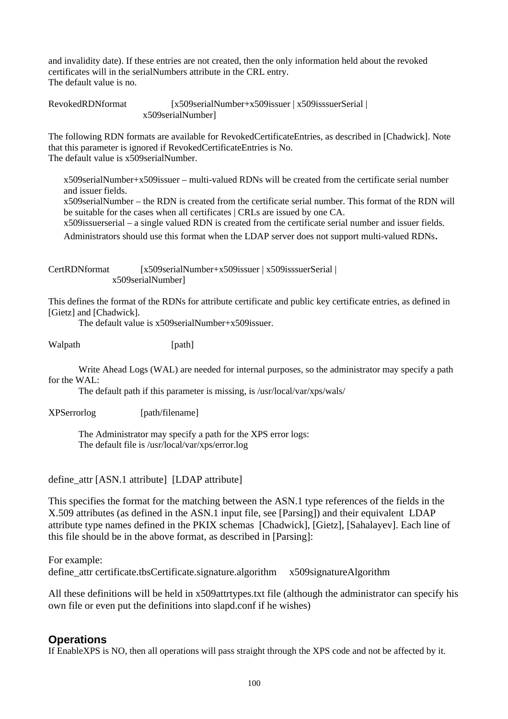and invalidity date). If these entries are not created, then the only information held about the revoked certificates will in the serialNumbers attribute in the CRL entry. The default value is no.

RevokedRDNformat [x509serialNumber+x509issuer | x509issuerSerial | x509serialNumber]

The following RDN formats are available for RevokedCertificateEntries, as described in [Chadwick]. Note that this parameter is ignored if RevokedCertificateEntries is No. The default value is x509 serialNumber.

x509serialNumber+x509issuer – multi-valued RDNs will be created from the certificate serial number and issuer fields.

x509serialNumber – the RDN is created from the certificate serial number. This format of the RDN will be suitable for the cases when all certificates | CRLs are issued by one CA.

x509issuerserial – a single valued RDN is created from the certificate serial number and issuer fields.

Administrators should use this format when the LDAP server does not support multi-valued RDNs.

 $CertRDN format$  [x509serialNumber+x509issuer | x509issuerSerial | x509serialNumber]

This defines the format of the RDNs for attribute certificate and public key certificate entries, as defined in [Gietz] and [Chadwick].

The default value is x509serialNumber+x509issuer.

Walpath [path]

Write Ahead Logs (WAL) are needed for internal purposes, so the administrator may specify a path for the WAL:

The default path if this parameter is missing, is /usr/local/var/xps/wals/

XPSerrorlog [path/filename]

The Administrator may specify a path for the XPS error logs: The default file is /usr/local/var/xps/error.log

define\_attr [ASN.1 attribute] [LDAP attribute]

This specifies the format for the matching between the ASN.1 type references of the fields in the X.509 attributes (as defined in the ASN.1 input file, see [Parsing]) and their equivalent LDAP attribute type names defined in the PKIX schemas [Chadwick], [Gietz], [Sahalayev]. Each line of this file should be in the above format, as described in [Parsing]:

For example:

define\_attr certificate.tbsCertificate.signature.algorithm x509signatureAlgorithm

All these definitions will be held in x509attrtypes.txt file (although the administrator can specify his own file or even put the definitions into slapd.conf if he wishes)

### **Operations**

If EnableXPS is NO, then all operations will pass straight through the XPS code and not be affected by it.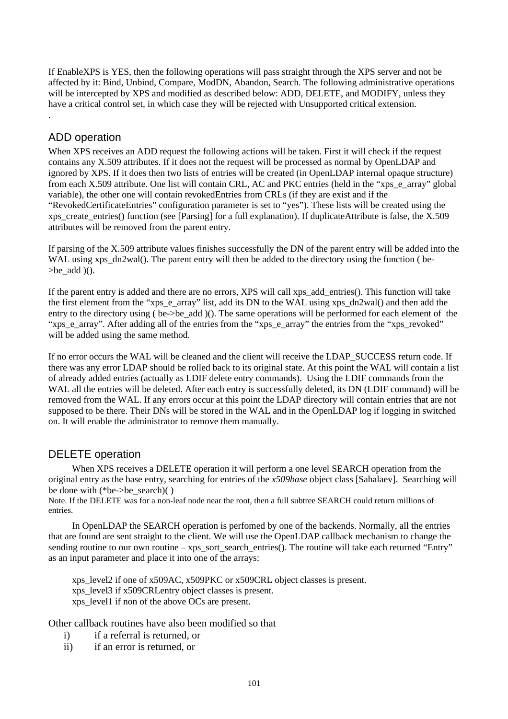If EnableXPS is YES, then the following operations will pass straight through the XPS server and not be affected by it: Bind, Unbind, Compare, ModDN, Abandon, Search. The following administrative operations will be intercepted by XPS and modified as described below: ADD, DELETE, and MODIFY, unless they have a critical control set, in which case they will be rejected with Unsupported critical extension.

## ADD operation

.

When XPS receives an ADD request the following actions will be taken. First it will check if the request contains any X.509 attributes. If it does not the request will be processed as normal by OpenLDAP and ignored by XPS. If it does then two lists of entries will be created (in OpenLDAP internal opaque structure) from each X.509 attribute. One list will contain CRL, AC and PKC entries (held in the "xps\_e\_array" global variable), the other one will contain revokedEntries from CRLs (if they are exist and if the "RevokedCertificateEntries" configuration parameter is set to "yes"). These lists will be created using the xps\_create\_entries() function (see [Parsing] for a full explanation). If duplicateAttribute is false, the X.509 attributes will be removed from the parent entry.

If parsing of the X.509 attribute values finishes successfully the DN of the parent entry will be added into the WAL using xps\_dn2wal(). The parent entry will then be added to the directory using the function ( be- $>$ be add  $)($ ).

If the parent entry is added and there are no errors, XPS will call xps\_add\_entries(). This function will take the first element from the "xps\_e\_array" list, add its DN to the WAL using xps\_dn2wal() and then add the entry to the directory using  $\overline{(}$  be->be add  $)$ . The same operations will be performed for each element of the "xps\_e\_array". After adding all of the entries from the "xps\_e\_array" the entries from the "xps\_revoked" will be added using the same method.

If no error occurs the WAL will be cleaned and the client will receive the LDAP\_SUCCESS return code. If there was any error LDAP should be rolled back to its original state. At this point the WAL will contain a list of already added entries (actually as LDIF delete entry commands). Using the LDIF commands from the WAL all the entries will be deleted. After each entry is successfully deleted, its DN (LDIF command) will be removed from the WAL. If any errors occur at this point the LDAP directory will contain entries that are not supposed to be there. Their DNs will be stored in the WAL and in the OpenLDAP log if logging in switched on. It will enable the administrator to remove them manually.

# DELETE operation

When XPS receives a DELETE operation it will perform a one level SEARCH operation from the original entry as the base entry, searching for entries of the *x509base* object class [Sahalaev]. Searching will be done with (\*be->be\_search)( )

Note. If the DELETE was for a non-leaf node near the root, then a full subtree SEARCH could return millions of entries.

In OpenLDAP the SEARCH operation is perfomed by one of the backends. Normally, all the entries that are found are sent straight to the client. We will use the OpenLDAP callback mechanism to change the sending routine to our own routine – xps\_sort\_search\_entries(). The routine will take each returned "Entry" as an input parameter and place it into one of the arrays:

xps level2 if one of x509AC, x509PKC or x509CRL object classes is present. xps\_level3 if x509CRLentry object classes is present. xps\_level1 if non of the above OCs are present.

Other callback routines have also been modified so that

- i) if a referral is returned, or
- ii) if an error is returned, or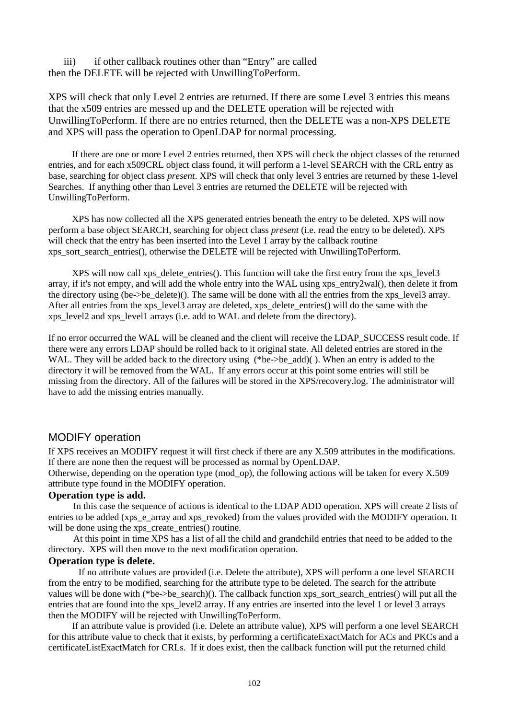iii) if other callback routines other than "Entry" are called then the DELETE will be rejected with UnwillingToPerform.

XPS will check that only Level 2 entries are returned. If there are some Level 3 entries this means that the x509 entries are messed up and the DELETE operation will be rejected with UnwillingToPerform. If there are no entries returned, then the DELETE was a non-XPS DELETE and XPS will pass the operation to OpenLDAP for normal processing.

If there are one or more Level 2 entries returned, then XPS will check the object classes of the returned entries, and for each x509CRL object class found, it will perform a 1-level SEARCH with the CRL entry as base, searching for object class *present*. XPS will check that only level 3 entries are returned by these 1-level Searches. If anything other than Level 3 entries are returned the DELETE will be rejected with UnwillingToPerform.

XPS has now collected all the XPS generated entries beneath the entry to be deleted. XPS will now perform a base object SEARCH, searching for object class *present* (i.e. read the entry to be deleted). XPS will check that the entry has been inserted into the Level 1 array by the callback routine xps sort search entries(), otherwise the DELETE will be rejected with UnwillingToPerform.

XPS will now call xps\_delete\_entries(). This function will take the first entry from the xps\_level3 array, if it's not empty, and will add the whole entry into the WAL using xps\_entry2wal(), then delete it from the directory using (be->be\_delete)(). The same will be done with all the entries from the xps\_level3 array. After all entries from the xps level3 array are deleted, xps delete entries() will do the same with the xps level2 and xps level1 arrays (i.e. add to WAL and delete from the directory).

If no error occurred the WAL will be cleaned and the client will receive the LDAP\_SUCCESS result code. If there were any errors LDAP should be rolled back to it original state. All deleted entries are stored in the WAL. They will be added back to the directory using (\*be->be\_add)(). When an entry is added to the directory it will be removed from the WAL. If any errors occur at this point some entries will still be missing from the directory. All of the failures will be stored in the XPS/recovery.log. The administrator will have to add the missing entries manually.

### MODIFY operation

If XPS receives an MODIFY request it will first check if there are any X.509 attributes in the modifications. If there are none then the request will be processed as normal by OpenLDAP. Otherwise, depending on the operation type (mod\_op), the following actions will be taken for every  $X.509$ 

attribute type found in the MODIFY operation.

### **Operation type is add.**

In this case the sequence of actions is identical to the LDAP ADD operation. XPS will create 2 lists of entries to be added (xps e\_array and xps\_revoked) from the values provided with the MODIFY operation. It will be done using the xps\_create\_entries() routine.

At this point in time XPS has a list of all the child and grandchild entries that need to be added to the directory. XPS will then move to the next modification operation.

#### **Operation type is delete.**

If no attribute values are provided (i.e. Delete the attribute), XPS will perform a one level SEARCH from the entry to be modified, searching for the attribute type to be deleted. The search for the attribute values will be done with (\*be->be\_search)(). The callback function xps\_sort\_search\_entries() will put all the entries that are found into the xps\_level2 array. If any entries are inserted into the level 1 or level 3 arrays then the MODIFY will be rejected with UnwillingToPerform.

If an attribute value is provided (i.e. Delete an attribute value), XPS will perform a one level SEARCH for this attribute value to check that it exists, by performing a certificateExactMatch for ACs and PKCs and a certificateListExactMatch for CRLs. If it does exist, then the callback function will put the returned child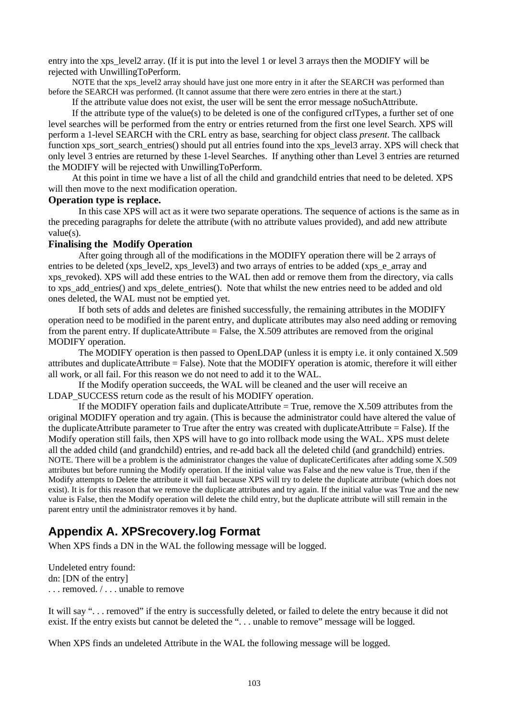entry into the xps\_level2 array. (If it is put into the level 1 or level 3 arrays then the MODIFY will be rejected with UnwillingToPerform.

NOTE that the xps\_level2 array should have just one more entry in it after the SEARCH was performed than before the SEARCH was performed. (It cannot assume that there were zero entries in there at the start.)

If the attribute value does not exist, the user will be sent the error message noSuchAttribute.

If the attribute type of the value(s) to be deleted is one of the configured crlTypes, a further set of one level searches will be performed from the entry or entries returned from the first one level Search. XPS will perform a 1-level SEARCH with the CRL entry as base, searching for object class *present*. The callback function xps\_sort\_search\_entries() should put all entries found into the xps\_level3 array. XPS will check that only level 3 entries are returned by these 1-level Searches. If anything other than Level 3 entries are returned the MODIFY will be rejected with UnwillingToPerform.

At this point in time we have a list of all the child and grandchild entries that need to be deleted. XPS will then move to the next modification operation.

#### **Operation type is replace.**

In this case XPS will act as it were two separate operations. The sequence of actions is the same as in the preceding paragraphs for delete the attribute (with no attribute values provided), and add new attribute value(s).

#### **Finalising the Modify Operation**

After going through all of the modifications in the MODIFY operation there will be 2 arrays of entries to be deleted (xps level2, xps level3) and two arrays of entries to be added (xps e array and xps revoked). XPS will add these entries to the WAL then add or remove them from the directory, via calls to xps\_add\_entries() and xps\_delete\_entries(). Note that whilst the new entries need to be added and old ones deleted, the WAL must not be emptied yet.

If both sets of adds and deletes are finished successfully, the remaining attributes in the MODIFY operation need to be modified in the parent entry, and duplicate attributes may also need adding or removing from the parent entry. If duplicateAttribute  $=$  False, the X.509 attributes are removed from the original MODIFY operation.

The MODIFY operation is then passed to OpenLDAP (unless it is empty i.e. it only contained X.509 attributes and duplicateAttribute = False). Note that the MODIFY operation is atomic, therefore it will either all work, or all fail. For this reason we do not need to add it to the WAL.

If the Modify operation succeeds, the WAL will be cleaned and the user will receive an LDAP\_SUCCESS return code as the result of his MODIFY operation.

If the MODIFY operation fails and duplicate Attribute  $=$  True, remove the X.509 attributes from the original MODIFY operation and try again. (This is because the administrator could have altered the value of the duplicateAttribute parameter to True after the entry was created with duplicateAttribute = False). If the Modify operation still fails, then XPS will have to go into rollback mode using the WAL. XPS must delete all the added child (and grandchild) entries, and re-add back all the deleted child (and grandchild) entries. NOTE. There will be a problem is the administrator changes the value of duplicateCertificates after adding some X.509 attributes but before running the Modify operation. If the initial value was False and the new value is True, then if the Modify attempts to Delete the attribute it will fail because XPS will try to delete the duplicate attribute (which does not exist). It is for this reason that we remove the duplicate attributes and try again. If the initial value was True and the new value is False, then the Modify operation will delete the child entry, but the duplicate attribute will still remain in the parent entry until the administrator removes it by hand.

# **Appendix A. XPSrecovery.log Format**

When XPS finds a DN in the WAL the following message will be logged.

Undeleted entry found: dn: [DN of the entry] . . . removed. / . . . unable to remove

It will say ". . . removed" if the entry is successfully deleted, or failed to delete the entry because it did not exist. If the entry exists but cannot be deleted the "... unable to remove" message will be logged.

When XPS finds an undeleted Attribute in the WAL the following message will be logged.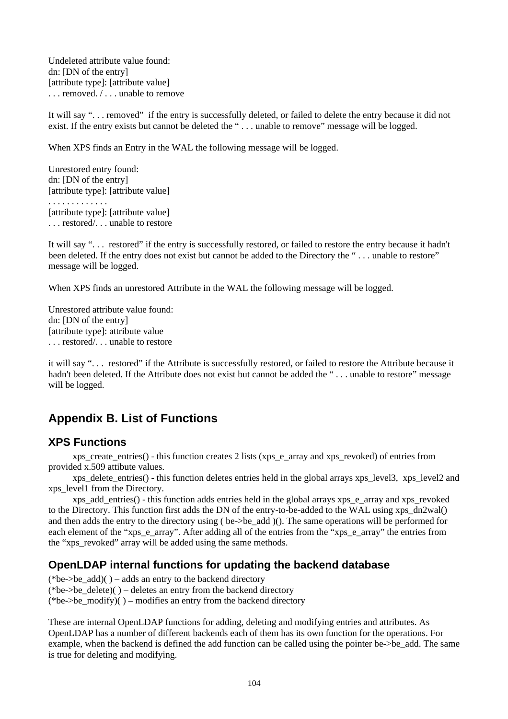Undeleted attribute value found: dn: [DN of the entry] [attribute type]: [attribute value] ... removed.  $/$ ... unable to remove

It will say ". . . removed" if the entry is successfully deleted, or failed to delete the entry because it did not exist. If the entry exists but cannot be deleted the "... unable to remove" message will be logged.

When XPS finds an Entry in the WAL the following message will be logged.

Unrestored entry found: dn: [DN of the entry] [attribute type]: [attribute value] . . . . . . . . . . . . . [attribute type]: [attribute value] . . . restored/. . . unable to restore

It will say ". . . restored" if the entry is successfully restored, or failed to restore the entry because it hadn't been deleted. If the entry does not exist but cannot be added to the Directory the " . . . unable to restore" message will be logged.

When XPS finds an unrestored Attribute in the WAL the following message will be logged.

Unrestored attribute value found: dn: [DN of the entry] [attribute type]: attribute value . . . restored/. . . unable to restore

it will say ". . . restored" if the Attribute is successfully restored, or failed to restore the Attribute because it hadn't been deleted. If the Attribute does not exist but cannot be added the "... unable to restore" message will be logged.

# **Appendix B. List of Functions**

# **XPS Functions**

xps\_create\_entries() - this function creates 2 lists (xps\_e\_array and xps\_revoked) of entries from provided x.509 attibute values.

xps\_delete\_entries() - this function deletes entries held in the global arrays xps\_level3, xps\_level2 and xps\_level1 from the Directory.

xps\_add\_entries() - this function adds entries held in the global arrays xps\_e\_array and xps\_revoked to the Directory. This function first adds the DN of the entry-to-be-added to the WAL using xps\_dn2wal() and then adds the entry to the directory using ( be->be \_add )(). The same operations will be performed for each element of the "xps\_e\_array". After adding all of the entries from the "xps\_e\_array" the entries from the "xps\_revoked" array will be added using the same methods.

# **OpenLDAP internal functions for updating the backend database**

 $(*be > be\_add)()$  – adds an entry to the backend directory (\*be->be\_delete)( ) – deletes an entry from the backend directory  $(*be > be _{modify})( )$  – modifies an entry from the backend directory

These are internal OpenLDAP functions for adding, deleting and modifying entries and attributes. As OpenLDAP has a number of different backends each of them has its own function for the operations. For example, when the backend is defined the add function can be called using the pointer be->be add. The same is true for deleting and modifying.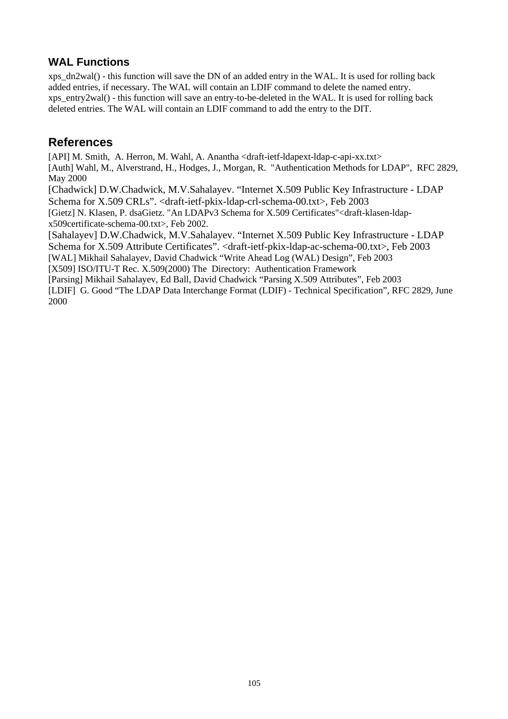# **WAL Functions**

xps\_dn2wal() - this function will save the DN of an added entry in the WAL. It is used for rolling back added entries, if necessary. The WAL will contain an LDIF command to delete the named entry. xps\_entry2wal() - this function will save an entry-to-be-deleted in the WAL. It is used for rolling back deleted entries. The WAL will contain an LDIF command to add the entry to the DIT.

# **References**

[API] M. Smith, A. Herron, M. Wahl, A. Anantha <draft-ietf-ldapext-ldap-c-api-xx.txt> [Auth] Wahl, M., Alverstrand, H., Hodges, J., Morgan, R. "Authentication Methods for LDAP", RFC 2829, May 2000

[Chadwick] D.W.Chadwick, M.V.Sahalayev. "Internet X.509 Public Key Infrastructure - LDAP Schema for X.509 CRLs". <draft-ietf-pkix-ldap-crl-schema-00.txt>, Feb 2003

[Gietz] N. Klasen, P. dsaGietz. "An LDAPv3 Schema for X.509 Certificates"<draft-klasen-ldapx509certificate-schema-00.txt>, Feb 2002.

[Sahalayev] D.W.Chadwick, M.V.Sahalayev. "Internet X.509 Public Key Infrastructure - LDAP Schema for X.509 Attribute Certificates". <draft-ietf-pkix-ldap-ac-schema-00.txt>, Feb 2003

[WAL] Mikhail Sahalayev, David Chadwick "Write Ahead Log (WAL) Design", Feb 2003

[X509] ISO/ITU-T Rec. X.509(2000) The Directory: Authentication Framework

[Parsing] Mikhail Sahalayev, Ed Ball, David Chadwick "Parsing X.509 Attributes", Feb 2003 [LDIF] G. Good "The LDAP Data Interchange Format (LDIF) - Technical Specification", RFC 2829, June 2000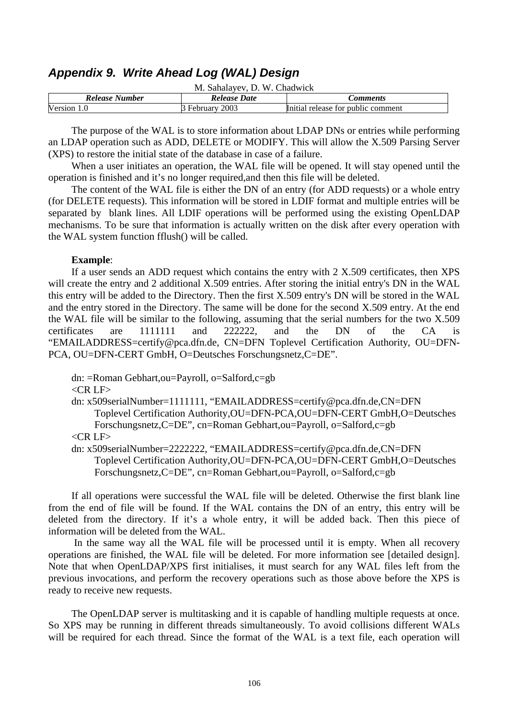# *Appendix 9. Write Ahead Log (WAL) Design*

| M. Sahalayev, D. W. Chadwick |               |                                    |  |
|------------------------------|---------------|------------------------------------|--|
| <b>Release Number</b>        | Release Date  | Comments                           |  |
| Version 1.0                  | February 2003 | Initial release for public comment |  |

The purpose of the WAL is to store information about LDAP DNs or entries while performing an LDAP operation such as ADD, DELETE or MODIFY. This will allow the X.509 Parsing Server (XPS) to restore the initial state of the database in case of a failure.

When a user initiates an operation, the WAL file will be opened. It will stay opened until the operation is finished and it's no longer required,and then this file will be deleted.

The content of the WAL file is either the DN of an entry (for ADD requests) or a whole entry (for DELETE requests). This information will be stored in LDIF format and multiple entries will be separated by blank lines. All LDIF operations will be performed using the existing OpenLDAP mechanisms. To be sure that information is actually written on the disk after every operation with the WAL system function fflush() will be called.

### **Example**:

If a user sends an ADD request which contains the entry with 2 X.509 certificates, then XPS will create the entry and 2 additional X.509 entries. After storing the initial entry's DN in the WAL this entry will be added to the Directory. Then the first X.509 entry's DN will be stored in the WAL and the entry stored in the Directory. The same will be done for the second X.509 entry. At the end the WAL file will be similar to the following, assuming that the serial numbers for the two X.509 certificates are 1111111 and 222222, and the DN of the CA is "EMAILADDRESS=certify@pca.dfn.de, CN=DFN Toplevel Certification Authority, OU=DFN-PCA, OU=DFN-CERT GmbH, O=Deutsches Forschungsnetz,C=DE".

dn: =Roman Gebhart,ou=Payroll, o=Salford,c=gb <CR LF>

```
dn: x509serialNumber=1111111, "EMAILADDRESS=certify@pca.dfn.de,CN=DFN 
    Toplevel Certification Authority,OU=DFN-PCA,OU=DFN-CERT GmbH,O=Deutsches 
    Forschungsnetz,C=DE", cn=Roman Gebhart,ou=Payroll, o=Salford,c=gb
\langleCR LF>dn: x509serialNumber=2222222, "EMAILADDRESS=certify@pca.dfn.de,CN=DFN 
    Toplevel Certification Authority,OU=DFN-PCA,OU=DFN-CERT GmbH,O=Deutsches 
    Forschungsnetz,C=DE", cn=Roman Gebhart,ou=Payroll, o=Salford,c=gb
```
If all operations were successful the WAL file will be deleted. Otherwise the first blank line from the end of file will be found. If the WAL contains the DN of an entry, this entry will be deleted from the directory. If it's a whole entry, it will be added back. Then this piece of information will be deleted from the WAL.

 In the same way all the WAL file will be processed until it is empty. When all recovery operations are finished, the WAL file will be deleted. For more information see [detailed design]. Note that when OpenLDAP/XPS first initialises, it must search for any WAL files left from the previous invocations, and perform the recovery operations such as those above before the XPS is ready to receive new requests.

The OpenLDAP server is multitasking and it is capable of handling multiple requests at once. So XPS may be running in different threads simultaneously. To avoid collisions different WALs will be required for each thread. Since the format of the WAL is a text file, each operation will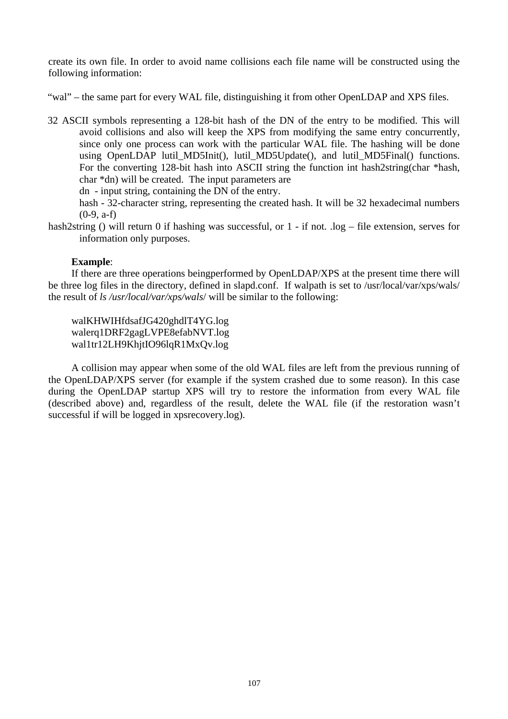create its own file. In order to avoid name collisions each file name will be constructed using the following information:

"wal" – the same part for every WAL file, distinguishing it from other OpenLDAP and XPS files.

32 ASCII symbols representing a 128-bit hash of the DN of the entry to be modified. This will avoid collisions and also will keep the XPS from modifying the same entry concurrently, since only one process can work with the particular WAL file. The hashing will be done using OpenLDAP lutil MD5Init(), lutil MD5Update(), and lutil MD5Final() functions. For the converting 128-bit hash into ASCII string the function int hash2string(char \*hash, char \*dn) will be created. The input parameters are

dn - input string, containing the DN of the entry.

hash - 32-character string, representing the created hash. It will be 32 hexadecimal numbers  $(0-9, a-f)$ 

hash2string () will return 0 if hashing was successful, or 1 - if not. .log – file extension, serves for information only purposes.

#### **Example**:

If there are three operations beingperformed by OpenLDAP/XPS at the present time there will be three log files in the directory, defined in slapd.conf. If walpath is set to /usr/local/var/xps/wals/ the result of *ls /usr/local/var/xps/wals*/ will be similar to the following:

walKHWIHfdsafJG420ghdlT4YG.log walerq1DRF2gagLVPE8efabNVT.log wal1tr12LH9KhjtIO96lqR1MxQv.log

A collision may appear when some of the old WAL files are left from the previous running of the OpenLDAP/XPS server (for example if the system crashed due to some reason). In this case during the OpenLDAP startup XPS will try to restore the information from every WAL file (described above) and, regardless of the result, delete the WAL file (if the restoration wasn't successful if will be logged in xpsrecovery.log).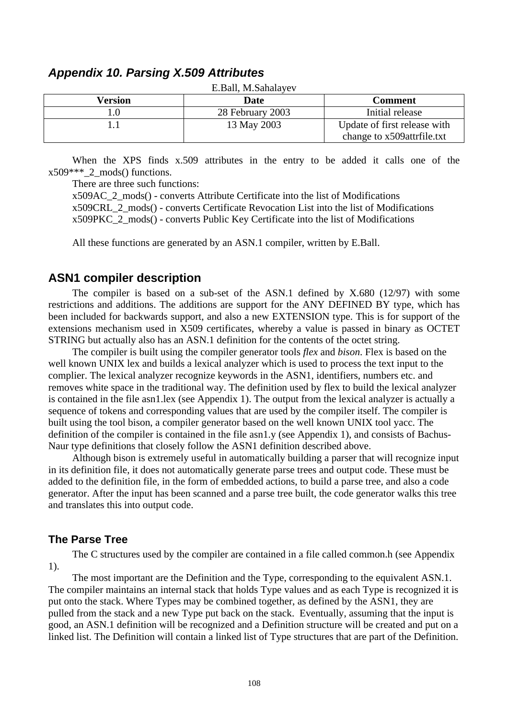### *Appendix 10. Parsing X.509 Attributes*

| E.Ball, M.Sahalayev |                  |                                                               |  |
|---------------------|------------------|---------------------------------------------------------------|--|
| Version             | Date             | <b>Comment</b>                                                |  |
| 1.0                 | 28 February 2003 | Initial release                                               |  |
|                     | 13 May 2003      | Update of first release with<br>change to x509 attractive.txt |  |

When the XPS finds x.509 attributes in the entry to be added it calls one of the  $x509***$  2 mods() functions.

There are three such functions:

x509AC\_2\_mods() - converts Attribute Certificate into the list of Modifications x509CRL\_2\_mods() - converts Certificate Revocation List into the list of Modifications x509PKC\_2\_mods() - converts Public Key Certificate into the list of Modifications

All these functions are generated by an ASN.1 compiler, written by E.Ball.

### **ASN1 compiler description**

The compiler is based on a sub-set of the ASN.1 defined by X.680 (12/97) with some restrictions and additions. The additions are support for the ANY DEFINED BY type, which has been included for backwards support, and also a new EXTENSION type. This is for support of the extensions mechanism used in X509 certificates, whereby a value is passed in binary as OCTET STRING but actually also has an ASN.1 definition for the contents of the octet string.

The compiler is built using the compiler generator tools *flex* and *bison*. Flex is based on the well known UNIX lex and builds a lexical analyzer which is used to process the text input to the complier. The lexical analyzer recognize keywords in the ASN1, identifiers, numbers etc. and removes white space in the traditional way. The definition used by flex to build the lexical analyzer is contained in the file asn1.lex (see Appendix 1). The output from the lexical analyzer is actually a sequence of tokens and corresponding values that are used by the compiler itself. The compiler is built using the tool bison, a compiler generator based on the well known UNIX tool yacc. The definition of the compiler is contained in the file asn1.y (see Appendix 1), and consists of Bachus-Naur type definitions that closely follow the ASN1 definition described above.

Although bison is extremely useful in automatically building a parser that will recognize input in its definition file, it does not automatically generate parse trees and output code. These must be added to the definition file, in the form of embedded actions, to build a parse tree, and also a code generator. After the input has been scanned and a parse tree built, the code generator walks this tree and translates this into output code.

#### **The Parse Tree**

The C structures used by the compiler are contained in a file called common.h (see Appendix 1).

The most important are the Definition and the Type, corresponding to the equivalent ASN.1. The compiler maintains an internal stack that holds Type values and as each Type is recognized it is put onto the stack. Where Types may be combined together, as defined by the ASN1, they are pulled from the stack and a new Type put back on the stack. Eventually, assuming that the input is good, an ASN.1 definition will be recognized and a Definition structure will be created and put on a linked list. The Definition will contain a linked list of Type structures that are part of the Definition.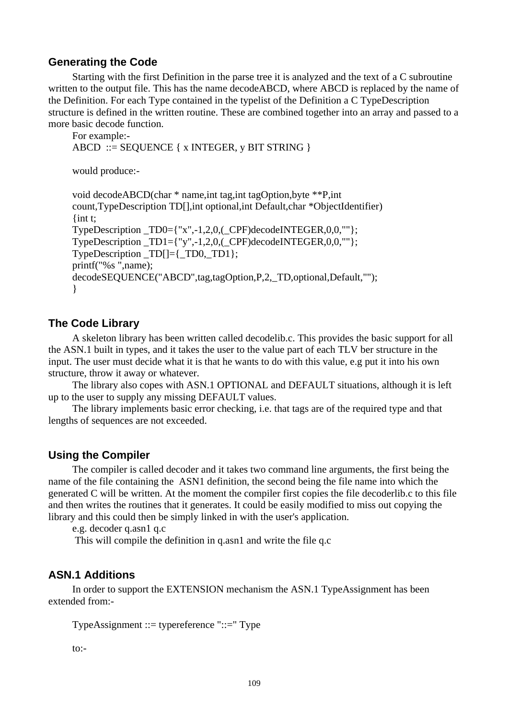#### **Generating the Code**

Starting with the first Definition in the parse tree it is analyzed and the text of a C subroutine written to the output file. This has the name decodeABCD, where ABCD is replaced by the name of the Definition. For each Type contained in the typelist of the Definition a C TypeDescription structure is defined in the written routine. These are combined together into an array and passed to a more basic decode function.

```
For example:-
ABCD ::= SEQUENCE { x INTEGER, y BIT STRING } 
would produce:-
void decodeABCD(char * name, int tag, int tagOption, byte **P, int
count,TypeDescription TD[],int optional,int Default,char *ObjectIdentifier) 
\{int t;
TypeDescription TD0 = \{ "x", -1, 2, 0, (CPF) decodeINTEGR, 0, 0, "" };TypeDescription _TD1={"y",-1,2,0,(_CPF)decodeINTEGER,0,0,""}; 
TypeDescription TD[] = \{TD0, TD1\};printf("%s ",name); 
decodeSEQUENCE("ABCD",tag,tagOption,P,2,_TD,optional,Default,""); 
}
```
### **The Code Library**

A skeleton library has been written called decodelib.c. This provides the basic support for all the ASN.1 built in types, and it takes the user to the value part of each TLV ber structure in the input. The user must decide what it is that he wants to do with this value, e.g put it into his own structure, throw it away or whatever.

The library also copes with ASN.1 OPTIONAL and DEFAULT situations, although it is left up to the user to supply any missing DEFAULT values.

The library implements basic error checking, i.e. that tags are of the required type and that lengths of sequences are not exceeded.

### **Using the Compiler**

The compiler is called decoder and it takes two command line arguments, the first being the name of the file containing the ASN1 definition, the second being the file name into which the generated C will be written. At the moment the compiler first copies the file decoderlib.c to this file and then writes the routines that it generates. It could be easily modified to miss out copying the library and this could then be simply linked in with the user's application.

e.g. decoder q.asn1 q.c

This will compile the definition in q.asn1 and write the file q.c

### **ASN.1 Additions**

In order to support the EXTENSION mechanism the ASN.1 TypeAssignment has been extended from:-

```
TypeAssignment ::= typereference "::=" Type
```

```
to:-
```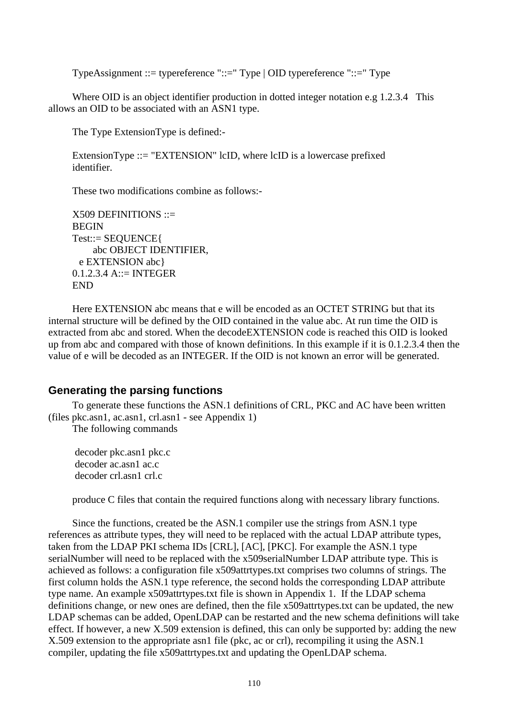TypeAssignment ::= typereference "::=" Type | OID typereference "::=" Type

Where OID is an object identifier production in dotted integer notation e.g 1.2.3.4 This allows an OID to be associated with an ASN1 type.

The Type ExtensionType is defined:-

ExtensionType ::= "EXTENSION" lcID, where lcID is a lowercase prefixed identifier.

These two modifications combine as follows:-

```
X509 DEFINITIONS ::= 
BEGIN 
Test::= SEQUENCE{ 
     abc OBJECT IDENTIFIER, 
 e EXTENSION abc} 
0.1.2.3.4 A::= INTEGER
END
```
Here EXTENSION abc means that e will be encoded as an OCTET STRING but that its internal structure will be defined by the OID contained in the value abc. At run time the OID is extracted from abc and stored. When the decodeEXTENSION code is reached this OID is looked up from abc and compared with those of known definitions. In this example if it is 0.1.2.3.4 then the value of e will be decoded as an INTEGER. If the OID is not known an error will be generated.

### **Generating the parsing functions**

To generate these functions the ASN.1 definitions of CRL, PKC and AC have been written (files pkc.asn1, ac.asn1, crl.asn1 - see Appendix 1)

The following commands

 decoder pkc.asn1 pkc.c decoder ac.asn1 ac.c decoder crl.asn1 crl.c

produce C files that contain the required functions along with necessary library functions.

Since the functions, created be the ASN.1 compiler use the strings from ASN.1 type references as attribute types, they will need to be replaced with the actual LDAP attribute types, taken from the LDAP PKI schema IDs [CRL], [AC], [PKC]. For example the ASN.1 type serialNumber will need to be replaced with the x509serialNumber LDAP attribute type. This is achieved as follows: a configuration file x509attrtypes.txt comprises two columns of strings. The first column holds the ASN.1 type reference, the second holds the corresponding LDAP attribute type name. An example x509attrtypes.txt file is shown in Appendix 1. If the LDAP schema definitions change, or new ones are defined, then the file x509attrtypes.txt can be updated, the new LDAP schemas can be added, OpenLDAP can be restarted and the new schema definitions will take effect. If however, a new X.509 extension is defined, this can only be supported by: adding the new X.509 extension to the appropriate asn1 file (pkc, ac or crl), recompiling it using the ASN.1 compiler, updating the file x509attrtypes.txt and updating the OpenLDAP schema.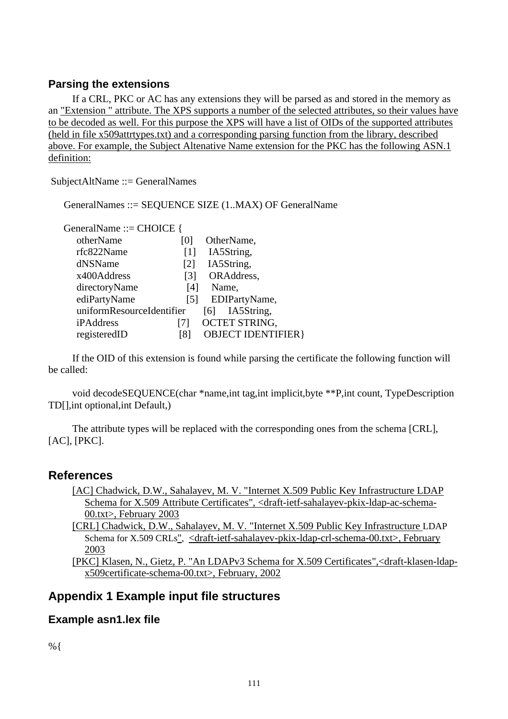# **Parsing the extensions**

If a CRL, PKC or AC has any extensions they will be parsed as and stored in the memory as an "Extension " attribute. The XPS supports a number of the selected attributes, so their values have to be decoded as well. For this purpose the XPS will have a list of OIDs of the supported attributes (held in file x509attrtypes.txt) and a corresponding parsing function from the library, described above. For example, the Subject Altenative Name extension for the PKC has the following ASN.1 definition:

SubjectAltName ::= GeneralNames

GeneralNames ::= SEQUENCE SIZE (1..MAX) OF GeneralName

| GeneralName ::= CHOICE {  |                   |                           |
|---------------------------|-------------------|---------------------------|
| otherName                 | [0]               | OtherName,                |
| rfc822Name                | $\lceil 1 \rceil$ | IA5String,                |
| dNSName                   | $\lceil 2 \rceil$ | IA5String,                |
| x400Address               | $\lceil 3 \rceil$ | ORAddress,                |
| directoryName             | [4]               | Name,                     |
| ediPartyName              | $\lceil 5 \rceil$ | EDIPartyName,             |
| uniformResourceIdentifier |                   | IA5String,<br>[6]         |
| iPAddress                 | 171               | <b>OCTET STRING,</b>      |
| registeredID              | [8]               | <b>OBJECT IDENTIFIER)</b> |

If the OID of this extension is found while parsing the certificate the following function will be called:

void decodeSEQUENCE(char \*name,int tag,int implicit,byte \*\*P,int count, TypeDescription TD[],int optional,int Default,)

The attribute types will be replaced with the corresponding ones from the schema [CRL], [AC], [PKC].

# **References**

- [AC] Chadwick, D.W., Sahalayev, M. V. "Internet X.509 Public Key Infrastructure LDAP Schema for X.509 Attribute Certificates", <draft-ietf-sahalayev-pkix-ldap-ac-schema-00.txt>, February 2003
- [CRL] Chadwick, D.W., Sahalayev, M. V. "Internet X.509 Public Key Infrastructure LDAP Schema for X.509 CRLs", <draft-ietf-sahalayev-pkix-ldap-crl-schema-00.txt>, February 2003

[PKC] Klasen, N., Gietz, P. "An LDAPv3 Schema for X.509 Certificates",<draft-klasen-ldapx509certificate-schema-00.txt>, February, 2002

# **Appendix 1 Example input file structures**

## **Example asn1.lex file**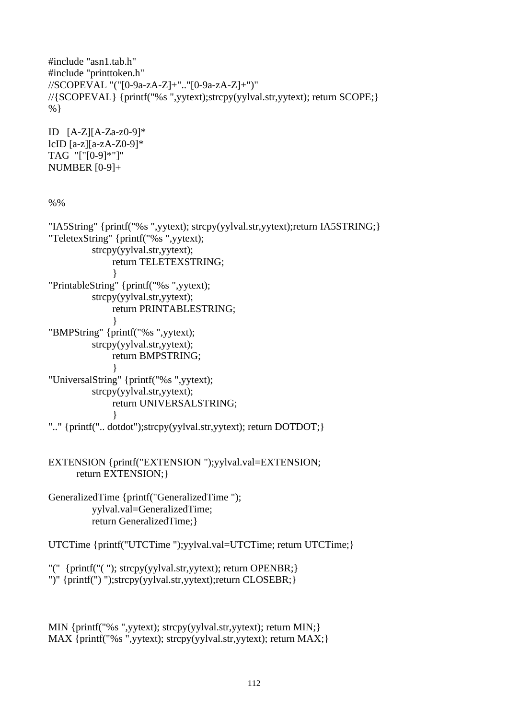```
#include "asn1.tab.h"
#include "printtoken.h"
//SCOPEVAL "("[0-9a-zA-Z]+".."[0-9a-zA-Z]+")"
//{SCOPEVAL} {printf("%s ",yytext);strcpy(yylval.str,yytext); return SCOPE;}
%}
ID [A-Z][A-Za-z0-9]* 
lcID [a-z][a-zA-Z0-9]*
TAG "["[0-9]*"]"
NUMBER [0-9]+
%%
"IA5String" {printf("%s ",yytext); strcpy(yylval.str,yytext);return IA5STRING;}
"TeletexString" {printf("%s ",yytext);
           strcpy(yylval.str,yytext);
                return TELETEXSTRING;
                }
"PrintableString" {printf("%s ",yytext);
           strcpy(yylval.str,yytext);
               return PRINTABLESTRING;
               }
"BMPString" {printf("%s ",yytext);
           strcpy(yylval.str,yytext);
               return BMPSTRING;
                }
"UniversalString" {printf("%s ",yytext);
           strcpy(yylval.str,yytext);
               return UNIVERSALSTRING;
                }
".." {printf(".. dotdot");strcpy(yylval.str,yytext); return DOTDOT;}
EXTENSION {printf("EXTENSION ");yylval.val=EXTENSION;
       return EXTENSION;}
GeneralizedTime {printf("GeneralizedTime ");
           yylval.val=GeneralizedTime; 
           return GeneralizedTime;}
UTCTime {printf("UTCTime ");yylval.val=UTCTime; return UTCTime;}
"(" {printf("( "); strcpy(yylval.str,yytext); return OPENBR;}
")" {printf(") ");strcpy(yylval.str,yytext);return CLOSEBR;}
```

```
MIN {printf("%s ",yytext); strcpy(yylval.str,yytext); return MIN;}
MAX {printf("%s ",yytext); strcpy(yylval.str,yytext); return MAX;}
```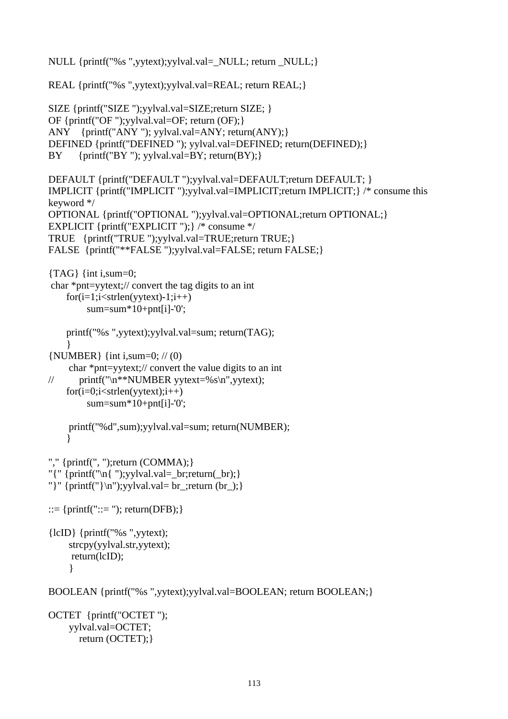```
NULL {printf("%s ",yytext);yylval.val=_NULL; return _NULL; }
REAL {printf("%s ",yytext);yylval.val=REAL; return REAL;}
SIZE {printf("SIZE ");yylval.val=SIZE;return SIZE; }
OF {printf("OF ");yylval.val=OF; return (OF);}
ANY {printf("ANY"); yylval.val=ANY; return(ANY);}
DEFINED {printf("DEFINED "); yylval.val=DEFINED; return(DEFINED);}
BY {printf("BY"); yylval.val=BY; return(BY); }
DEFAULT {printf("DEFAULT ");yylval.val=DEFAULT;return DEFAULT; }
IMPLICIT {printf("IMPLICIT ");yylval.val=IMPLICIT;return IMPLICIT;} /* consume this 
keyword */
OPTIONAL {printf("OPTIONAL ");yylval.val=OPTIONAL;return OPTIONAL;}
EXPLICIT {printf("EXPLICIT ");} /* consume */
TRUE {printf("TRUE ");yylval.val=TRUE;return TRUE;}
FALSE {printf("**FALSE ");yylval.val=FALSE; return FALSE; }
{TAG} {int i, sum=0;
 char *pnt=yytext;// convert the tag digits to an int
    for(i=1:i<strlen(vytext)-1:i++)
        sum=sum*10+pnt[i]-0 printf("%s ",yytext);yylval.val=sum; return(TAG);
 }
{NUMBER}} {int i,sum=0; // (0)
     char *pnt=yytext;// convert the value digits to an int
// printf("\n**NUMBER yytext=%s\n",yytext);
    for(i=0;i<strlen(yytext);i++)sum=sum*10+pnt[i]-'0'; printf("%d",sum);yylval.val=sum; return(NUMBER);
 }
"," {printf(", ");return (COMMA);}
"{" {printf("\n{ ");yylval.val=_br;return(_br); }
"}" {printf("}\n");yylval.val= br ; return (br); }
::= {print("::="); return (DFB);}
{lcID} {printf("%s ",yytext); 
     strcpy(yylval.str,yytext);
      return(lcID);
     }
BOOLEAN {printf("%s ",yytext);yylval.val=BOOLEAN; return BOOLEAN;}
OCTET {printf("OCTET "); 
     yylval.val=OCTET;
```

```
return (OCTET);}
```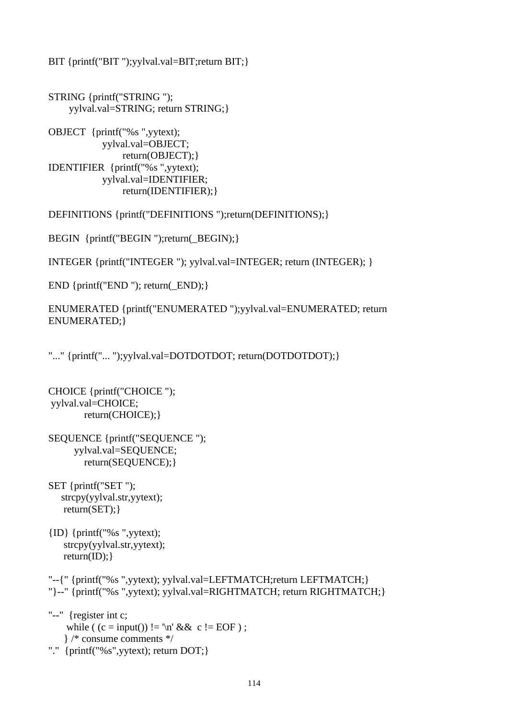BIT {printf("BIT ");yylval.val=BIT;return BIT;}

STRING {printf("STRING "); yylval.val=STRING; return STRING;}

OBJECT {printf("%s ",yytext); yylval.val=OBJECT; return(OBJECT);} IDENTIFIER {printf("%s ",yytext); yylval.val=IDENTIFIER; return(IDENTIFIER);}

DEFINITIONS {printf("DEFINITIONS ");return(DEFINITIONS);}

BEGIN {printf("BEGIN ");return(\_BEGIN);}

INTEGER {printf("INTEGER "); yylval.val=INTEGER; return (INTEGER); }

END {printf("END "); return(\_END);}

ENUMERATED {printf("ENUMERATED ");yylval.val=ENUMERATED; return ENUMERATED;}

"..." {printf("... ");yylval.val=DOTDOTDOT; return(DOTDOTDOT); }

```
CHOICE {printf("CHOICE ");
 yylval.val=CHOICE;
        return(CHOICE);}
```

```
SEQUENCE {printf("SEQUENCE ");
      yylval.val=SEQUENCE;
        return(SEQUENCE);}
```
- SET {printf("SET "); strcpy(yylval.str,yytext); return(SET);}
- {ID} {printf("%s ",yytext); strcpy(yylval.str,yytext); return(ID);  $\}$

```
"--{" {printf("%s ",yytext); yylval.val=LEFTMATCH;return LEFTMATCH;}
"}--" {printf("%s ",yytext); yylval.val=RIGHTMATCH; return RIGHTMATCH;}
```

```
"--" {register int c;
    while ( (c = input()) != '\n' && c != EOF ) ;
     } /* consume comments */
```
"." {printf("%s",yytext); return DOT;}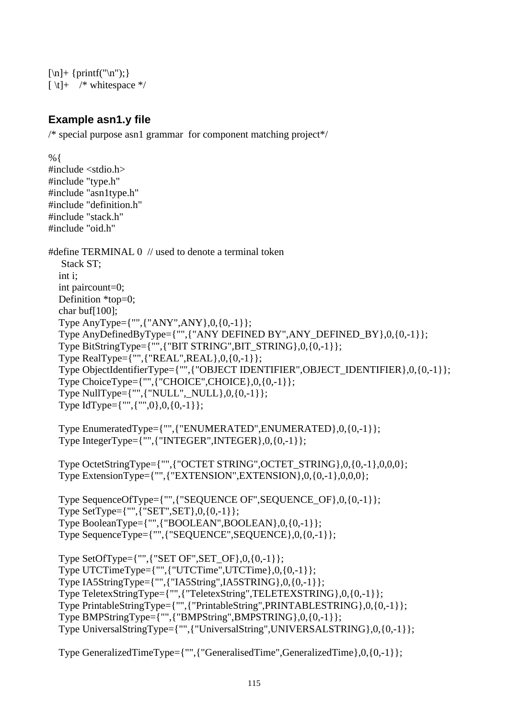$[\n\ln] + \{print(\n\pi");\}$  $\lceil \theta \rangle + \frac{1}{\sqrt{2}}$  whitespace \*/

# **Example asn1.y file**

/\* special purpose asn1 grammar for component matching project\*/

%{ #include <stdio.h> #include "type.h" #include "asn1type.h" #include "definition.h" #include "stack.h" #include "oid.h"

#define TERMINAL 0 // used to denote a terminal token Stack ST; int i; int paircount=0; Definition \*top=0; char buf[100]; Type AnyType={"",{"ANY",ANY},0,{0,-1}}; Type AnyDefinedByType={"",{"ANY DEFINED BY",ANY\_DEFINED\_BY},0,{0,-1}}; Type BitStringType={"",{"BIT STRING",BIT\_STRING},0,{0,-1}}; Type RealType={"",{"REAL",REAL},0,{0,-1}}; Type ObjectIdentifierType={"",{"OBJECT IDENTIFIER",OBJECT\_IDENTIFIER},0,{0,-1}}; Type ChoiceType={"",{"CHOICE",CHOICE},0,{0,-1}}; Type  $\text{NullType} = \{ \text{``}, \text{``NULL",\_NULL}\}, 0, \{0, -1\} \};$ Type IdType= $\{$ "", $\{$ "",0 $\}$ ,0, $\{0, -1\}$ ;

```
 Type EnumeratedType={"",{"ENUMERATED",ENUMERATED},0,{0,-1}};
 Type IntegerType={"",{"INTEGER",INTEGER},0,{0,-1}};
```

```
 Type OctetStringType={"",{"OCTET STRING",OCTET_STRING},0,{0,-1},0,0,0};
 Type ExtensionType={"",{"EXTENSION",EXTENSION},0,{0,-1},0,0,0};
```
 Type SequenceOfType={"",{"SEQUENCE OF",SEQUENCE\_OF},0,{0,-1}}; Type SetType={"",{"SET",SET},0,{0,-1}}; Type BooleanType={"",{"BOOLEAN",BOOLEAN},0,{0,-1}}; Type SequenceType={"",{"SEQUENCE",SEQUENCE},0,{0,-1}};

Type SetOfType={"",{"SET OF",SET OF}, $0, \{0, -1\}$ }; Type UTCTimeType={"",{"UTCTime",UTCTime},0,{0,-1}}; Type IA5StringType={"",{"IA5String",IA5STRING},0,{0,-1}}; Type TeletexStringType={"",{"TeletexString",TELETEXSTRING},0,{0,-1}}; Type PrintableStringType={"",{"PrintableString",PRINTABLESTRING},0,{0,-1}}; Type BMPStringType={"",{"BMPString",BMPSTRING},0,{0,-1}}; Type UniversalStringType={"",{"UniversalString",UNIVERSALSTRING},0,{0,-1}};

Type GeneralizedTimeType={"",{"GeneralisedTime",GeneralizedTime},0,{0,-1}};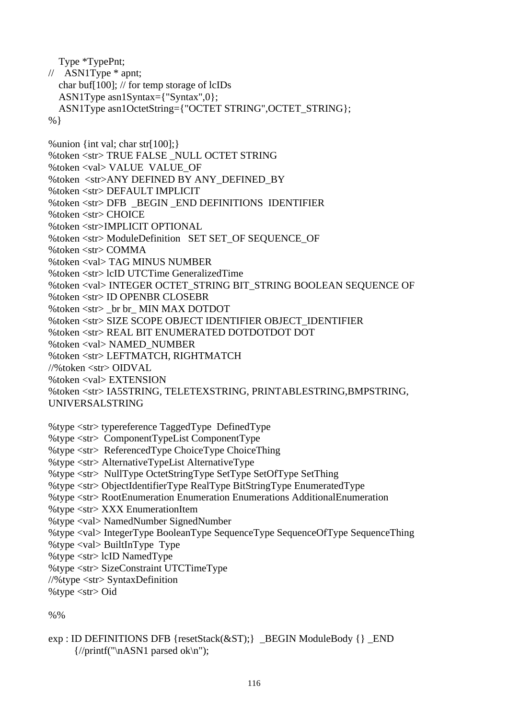Type \*TypePnt;

// ASN1Type \* apnt; char buf[100]; // for temp storage of lcIDs ASN1Type asn1Syntax={"Syntax",0}; ASN1Type asn1OctetString={"OCTET STRING", OCTET\_STRING}; %}

%union {int val; char str[100];}

%token <str> TRUE FALSE NULL OCTET STRING

- %token <val> VALUE VALUE\_OF
- %token <str>ANY DEFINED BY ANY\_DEFINED\_BY
- %token <str> DEFAULT IMPLICIT
- %token <str> DFB \_BEGIN \_END DEFINITIONS IDENTIFIER
- %token <str> CHOICE
- %token <str>IMPLICIT OPTIONAL
- %token <str>ModuleDefinition SET SET\_OF SEQUENCE\_OF
- %token <str> COMMA
- %token <val> TAG MINUS NUMBER
- %token <str> lcID UTCTime GeneralizedTime
- %token <val> INTEGER OCTET\_STRING BIT\_STRING BOOLEAN SEQUENCE OF
- %token <str> ID OPENBR CLOSEBR
- %token <str> br br MIN MAX DOTDOT
- %token <str> SIZE SCOPE OBJECT IDENTIFIER OBJECT\_IDENTIFIER
- %token <str> REAL BIT ENUMERATED DOTDOTDOT DOT
- %token <val> NAMED\_NUMBER
- %token <str> LEFTMATCH, RIGHTMATCH
- //%token <str> OIDVAL
- %token <val> EXTENSION

%token <str> IA5STRING, TELETEXSTRING, PRINTABLESTRING,BMPSTRING, UNIVERSALSTRING

%type <str> typereference TaggedType DefinedType

- %type <str> ComponentTypeList ComponentType
- %type <str> ReferencedType ChoiceType ChoiceThing
- %type <str> AlternativeTypeList AlternativeType
- %type <str> NullType OctetStringType SetType SetOfType SetThing
- %type <str> ObjectIdentifierType RealType BitStringType EnumeratedType
- %type <str> RootEnumeration Enumeration Enumerations AdditionalEnumeration
- %type <str> XXX EnumerationItem
- %type <val> NamedNumber SignedNumber
- %type <val> IntegerType BooleanType SequenceType SequenceOfType SequenceThing
- %type <val> BuiltInType Type
- %type <str> lcID NamedType
- %type <str> SizeConstraint UTCTimeType
- //%type <str> SyntaxDefinition
- %type <str> Oid

%%

exp : ID DEFINITIONS DFB {resetStack(&ST);} \_BEGIN ModuleBody {} \_END {//printf("\nASN1 parsed ok\n");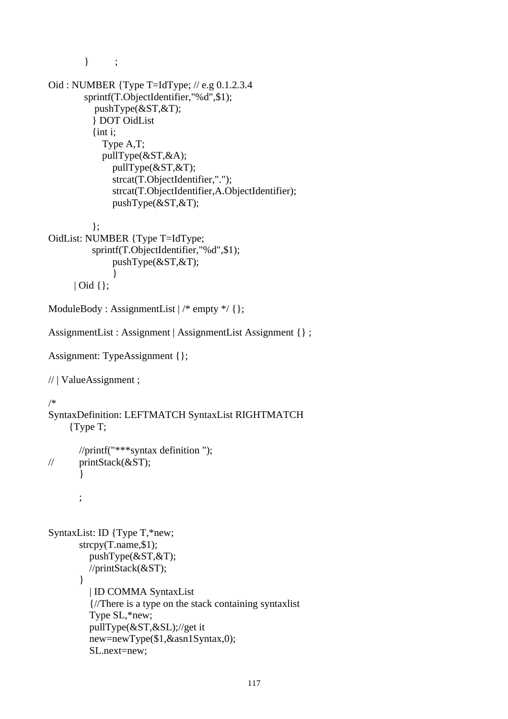```
 } ;
```

```
Oid : NUMBER {Type T=IdType; // e.g 0.1.2.3.4
         sprintf(T.ObjectIdentifier,"%d",$1);
           pushType(&ST,&T);
           } DOT OidList 
          \{int i;
             Type A,T;
            pullType(\&ST,\&A);
                pullType(&ST,&T);
                strcat(T.ObjectIdentifier,".");
                strcat(T.ObjectIdentifier,A.ObjectIdentifier);
                pushType(&ST,&T);
           };
OidList: NUMBER {Type T=IdType;
           sprintf(T.ObjectIdentifier,"%d",$1);
```

```
 pushType(&ST,&T);
           } 
 | Oid {};
```
ModuleBody : AssignmentList | /\* empty \*/ {};

AssignmentList : Assignment | AssignmentList Assignment { } ;

Assignment: TypeAssignment {};

// | ValueAssignment ;

;

#### /\*

### SyntaxDefinition: LEFTMATCH SyntaxList RIGHTMATCH {Type T;

```
//printf("***syntax definition ");
// printStack(&ST);
       }
```

```
SyntaxList: ID {Type T,*new;
       strcpy(T.name,$1);
          pushType(&ST,&T);
          //printStack(&ST);
        } 
          | ID COMMA SyntaxList 
          {//There is a type on the stack containing syntaxlist
          Type SL,*new;
          pullType(&ST,&SL);//get it
          new=newType($1,&asn1Syntax,0);
          SL.next=new;
```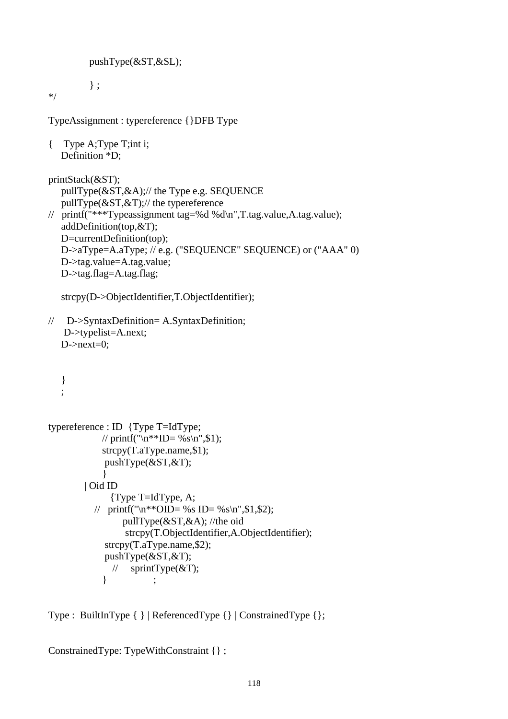pushType(&ST,&SL);

\*/

} ;

```
{ Type A;Type T;int i;
   Definition *D;
printStack(&ST);
    pullType(&ST,&A);// the Type e.g. SEQUENCE
  pullType(&ST,&T);// the typereference
// printf("***Typeassignment tag=%d %d\n",T.tag.value,A.tag.value);
```
TypeAssignment : typereference {}DFB Type

```
 addDefinition(top,&T);
 D=currentDefinition(top); 
 D->aType=A.aType; // e.g. ("SEQUENCE" SEQUENCE) or ("AAA" 0)
 D->tag.value=A.tag.value;
 D->tag.flag=A.tag.flag;
```
strcpy(D->ObjectIdentifier,T.ObjectIdentifier);

```
// D->SyntaxDefinition= A.SyntaxDefinition;
    D->typelist=A.next;
   D\rightarrownext=0;
```

```
 } 
   ;
typereference : ID {Type T=IdType;
           // printf("\n**ID= %s\n",$1);
             strcpy(T.aType.name,$1);
            pushType(\&ST,\&T);
 } 
        | Oid ID 
              {Type T=IdType, A;
          // printf("\n**OID= %s ID= %s\n",$1,$2);
                 pullType(&ST,&A); //the oid
                  strcpy(T.ObjectIdentifier,A.ObjectIdentifier);
             strcpy(T.aType.name,$2);
             pushType(&ST,&T);
              \frac{1}{2} sprintType(&T);
\} ;
```
Type : BuiltInType { } | ReferencedType {} | ConstrainedType {};

```
ConstrainedType: TypeWithConstraint {} ;
```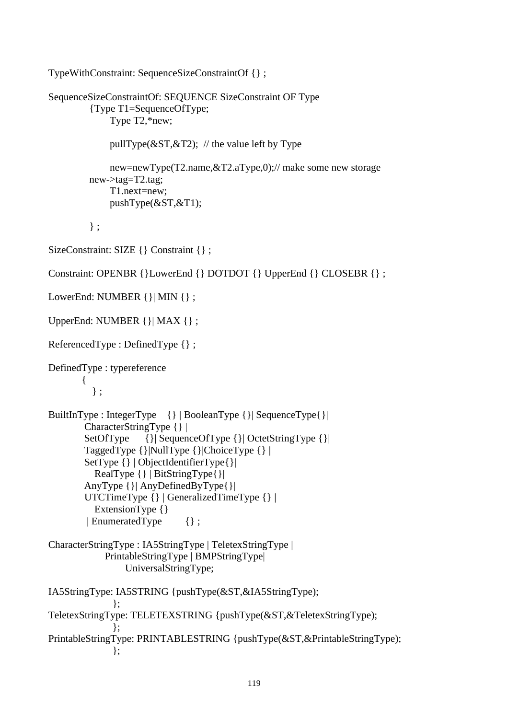```
TypeWithConstraint: SequenceSizeConstraintOf {} ;
```

```
SequenceSizeConstraintOf: SEQUENCE SizeConstraint OF Type 
         {Type T1=SequenceOfType;
             Type T2,*new;
             pullType(&ST,&T2); // the value left by Type
             new=newType(T2.name,&T2.aType,0);// make some new storage
         new->tag=T2.tag;
            T1.next=new;
             pushType(&ST,&T1);
         } ;
SizeConstraint: SIZE { } Constraint { } ;
Constraint: OPENBR {}LowerEnd {} DOTDOT {} UpperEnd {} CLOSEBR {} ;
LowerEnd: NUMBER {}| MIN {} :
UpperEnd: NUMBER {}| MAX {};
ReferencedType : DefinedType {} ;
DefinedType : typereference 
        {
          } ;
BuiltInType : IntegerType {} | BooleanType {}| SequenceType{}|
        CharacterStringType {} |
        SetOfType {}| SequenceOfType {}| OctetStringType {}|
        TaggedType {}|NullType {}|ChoiceType {} | 
        SetType {} | ObjectIdentifierType{}|
          RealType {} | BitStringType{}|
        AnyType {}| AnyDefinedByType{}|
       UTCTimeType { } | GeneralizedTimeType { } |
         ExtensionType { }
         | EnumeratedType {} ;
CharacterStringType : IA5StringType | TeletexStringType |
             PrintableStringType | BMPStringType|
                 UniversalStringType;
IA5StringType: IA5STRING {pushType(&ST,&IA5StringType);
 };
TeletexStringType: TELETEXSTRING {pushType(&ST,&TeletexStringType);
 }; 
PrintableStringType: PRINTABLESTRING {pushType(&ST,&PrintableStringType);
 };
```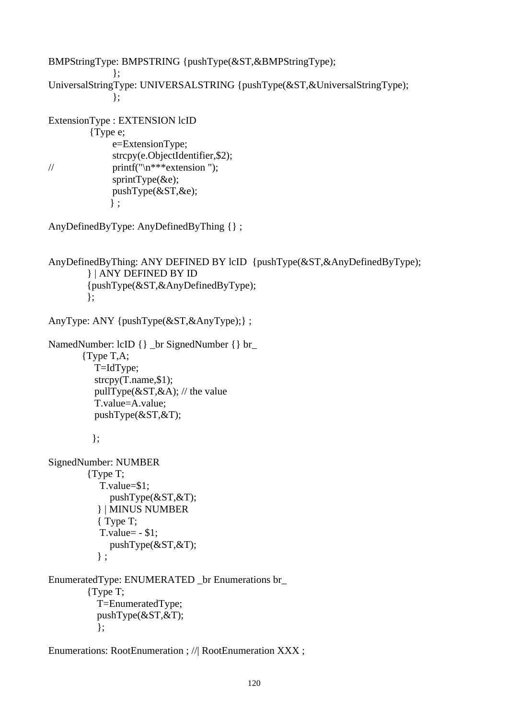```
BMPStringType: BMPSTRING {pushType(&ST,&BMPStringType);
 }; 
UniversalStringType: UNIVERSALSTRING {pushType(&ST,&UniversalStringType);
              };
ExtensionType : EXTENSION lcID
         {Type e;
              e=ExtensionType;
              strcpy(e.ObjectIdentifier,$2);
// \text{printf("n***extension ")};
              sprintType(&e);
              pushType(&ST,&e);
             } ;
AnyDefinedByType: AnyDefinedByThing {} ;
AnyDefinedByThing: ANY DEFINED BY lcID {pushType(&ST,&AnyDefinedByType);
         } | ANY DEFINED BY ID
         {pushType(&ST,&AnyDefinedByType);
         };
AnyType: ANY {pushType(&ST, & AnyType); };
NamedNumber: lcID {} _br SignedNumber {} br_
        {Type T,A;
          T=IdType;
         strcpy(T.name, $1);
         pullType(&ST, &A); // the value
          T.value=A.value;
          pushType(&ST,&T);
          };
SignedNumber: NUMBER 
         {Type T;
           T.value=$1;
            pushType(&ST,&T);
           } | MINUS NUMBER 
           { Type T;
           T.value= - $1;
            pushType(&ST,&T);
           } ;
EnumeratedType: ENUMERATED _br Enumerations br_ 
         {Type T;
           T=EnumeratedType;
          pushType(\&ST,\&T);
           };
```
Enumerations: RootEnumeration ; //| RootEnumeration XXX ;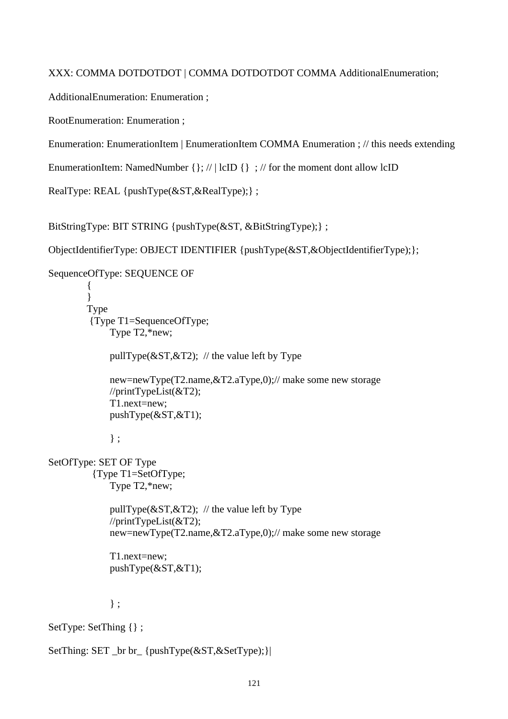#### XXX: COMMA DOTDOTDOT | COMMA DOTDOTDOT COMMA AdditionalEnumeration;

AdditionalEnumeration: Enumeration ;

RootEnumeration: Enumeration ;

Enumeration: EnumerationItem | EnumerationItem COMMA Enumeration ; // this needs extending

EnumerationItem: NamedNumber { }; // | lcID { } ; // for the moment dont allow lcID

RealType: REAL {pushType(&ST, & RealType); };

BitStringType: BIT STRING {pushType(&ST, &BitStringType);} ;

ObjectIdentifierType: OBJECT IDENTIFIER {pushType(&ST,&ObjectIdentifierType);};

SequenceOfType: SEQUENCE OF

 $\left\{ \begin{array}{c} \end{array} \right.$ 

 } Type {Type T1=SequenceOfType; Type T2,\*new;

pullType( $&ST,&T2$ ); // the value left by Type

new=newType(T2.name,&T2.aType,0);// make some new storage //printTypeList(&T2); T1.next=new; pushType(&ST,&T1);

} ;

SetOfType: SET OF Type {Type T1=SetOfType; Type T2,\*new;

> pullType( $&ST,&T2$ ); // the value left by Type  $\sqrt{\text{printTypeList}(\&T2)}$ ; new=newType(T2.name,&T2.aType,0);// make some new storage

T1.next=new; pushType(&ST,&T1);

} ;

SetType: SetThing {} ;

SetThing: SET \_br br\_ {pushType(&ST,&SetType);}|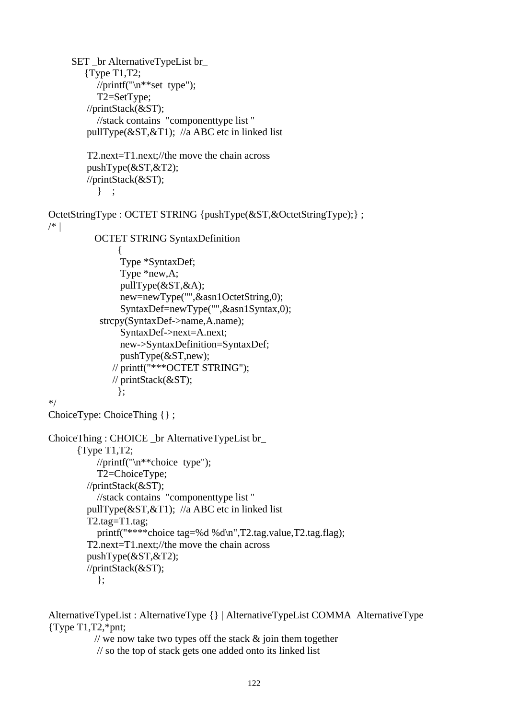```
SET br AlternativeTypeList br
        {Type T1,T2;} //printf("\n**set type");
            T2=SetType;
          //printStack(&ST);
            //stack contains "componenttype list "
          pullType(&ST,&T1); //a ABC etc in linked list
          T2.next=T1.next;//the move the chain across
          pushType(&ST,&T2);
          //printStack(&ST);
            } ;
OctetStringType : OCTET STRING {pushType(&ST,&OctetStringType);} ;
/* |
           OCTET STRING SyntaxDefinition
               {
                 Type *SyntaxDef;
                 Type *new,A;
                  pullType(&ST,&A);
                  new=newType("",&asn1OctetString,0);
                  SyntaxDef=newType("",&asn1Syntax,0);
             strcpy(SyntaxDef->name,A.name);
                  SyntaxDef->next=A.next;
                  new->SyntaxDefinition=SyntaxDef;
                  pushType(&ST,new);
                // printf("***OCTET STRING");
                // printStack(&ST);
                 };
*/
ChoiceType: ChoiceThing {} ;
ChoiceThing : CHOICE _br AlternativeTypeList br_
      {Type T1,T2;}\frac{1}{p} //printf("\n**choice type");
            T2=ChoiceType;
          //printStack(&ST);
            //stack contains "componenttype list "
         pullType(&ST,&T1); //a ABC etc in linked list
         T2.tag = T1.tag;
            printf("****choice tag=%d %d\n",T2.tag.value,T2.tag.flag);
          T2.next=T1.next;//the move the chain across
          pushType(&ST,&T2);
          //printStack(&ST);
            };
```
AlternativeTypeList : AlternativeType {} | AlternativeTypeList COMMA AlternativeType {Type T1,T2,\*pnt;

> // we now take two types off the stack  $\&$  join them together // so the top of stack gets one added onto its linked list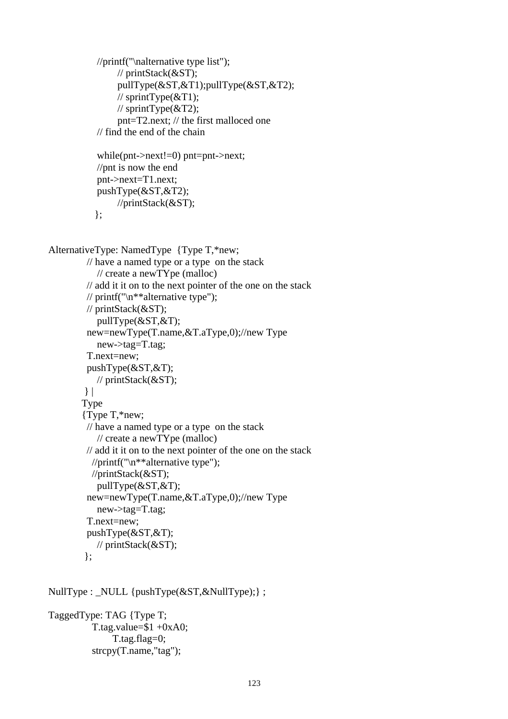```
 //printf("\nalternative type list");
      // printStack(&ST);
      pullType(&ST,&T1);pullType(&ST,&T2);
     // sprintType(\&T1);
     \frac{1}{2} sprintType(&T2);
      pnt=T2.next; // the first malloced one
 // find the end of the chain
 while(pnt->next!=0) pnt=pnt->next;
```

```
 //pnt is now the end
 pnt->next=T1.next;
 pushType(&ST,&T2);
     //printStack(&ST);
```

```
 };
```

```
AlternativeType: NamedType {Type T,*new;
          // have a named type or a type on the stack
             // create a newTYpe (malloc)
          // add it it on to the next pointer of the one on the stack
          // printf("\n**alternative type");
          // printStack(&ST);
             pullType(&ST,&T);
          new=newType(T.name,&T.aType,0);//new Type 
             new->tag=T.tag;
          T.next=new;
          pushType(&ST,&T);
             // printStack(&ST); 
          } | 
         Type 
         {Type T,*new;
          // have a named type or a type on the stack
             // create a newTYpe (malloc)
          // add it it on to the next pointer of the one on the stack
          //printf("\mathbf{h}^*alternative type");
           //printStack(&ST);
             pullType(&ST,&T);
          new=newType(T.name,&T.aType,0);//new Type 
             new->tag=T.tag;
          T.next=new;
         pushType(\&ST,\&T);
             // printStack(&ST); 
          };
```
NullType : \_NULL {pushType(&ST,&NullType);} ;

TaggedType: TAG {Type T; T.tag.value= $$1 + 0xA0$ ; T.tag.flag=0; strcpy(T.name,"tag");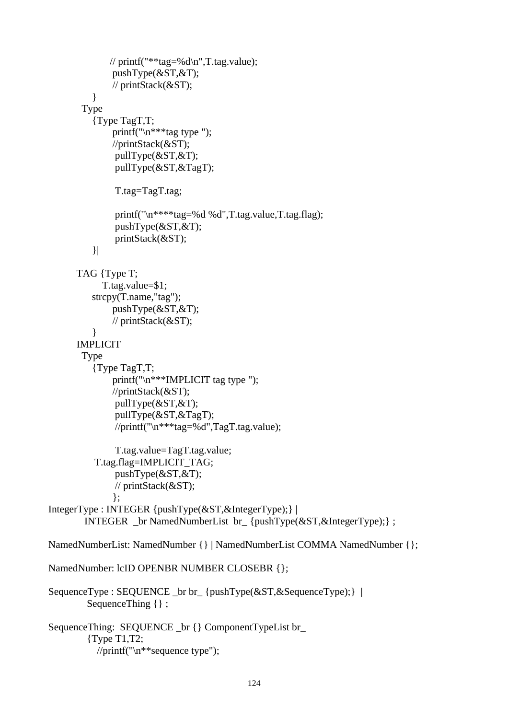```
// printf("**tag=%d\n", T.tag.value);
               pushType(&ST,&T);
               // printStack(&ST);
          }
        Type 
          {Type TagT,T;
              printf("\mathbf{m}***tag type ");
               //printStack(&ST);
               pullType(&ST,&T);
               pullType(&ST,&TagT);
               T.tag=TagT.tag;
                printf("\n****tag=%d %d",T.tag.value,T.tag.flag);
               pushType(&ST,&T);
               printStack(&ST);
          }|
       TAG {Type T;
             T.tag.value=$1;
          strcpy(T.name,"tag");
              pushType(\&ST,\&T); // printStack(&ST);
 }
       IMPLICIT 
        Type 
          {Type TagT,T;
               printf("\n***IMPLICIT tag type ");
               //printStack(&ST);
               pullType(&ST,&T);
               pullType(&ST,&TagT);
               //printf("\n***tag=%d",TagT.tag.value);
                T.tag.value=TagT.tag.value;
           T.tag.flag=IMPLICIT_TAG;
               pushType(\&ST,\&T); // printStack(&ST);
               };
IntegerType : INTEGER {pushType(&ST,&IntegerType);} | 
         INTEGER _br NamedNumberList br_ {pushType(&ST,&IntegerType);} ;
NamedNumberList: NamedNumber {} | NamedNumberList COMMA NamedNumber {};
NamedNumber: lcID OPENBR NUMBER CLOSEBR {};
SequenceType : SEQUENCE _br br_ {pushType(&ST,&SequenceType);} | 
        SequenceThing { } ;
SequenceThing: SEQUENCE _br {} ComponentTypeList br_ 
         {Type T1,T2;
           //printf("\n**sequence type");
```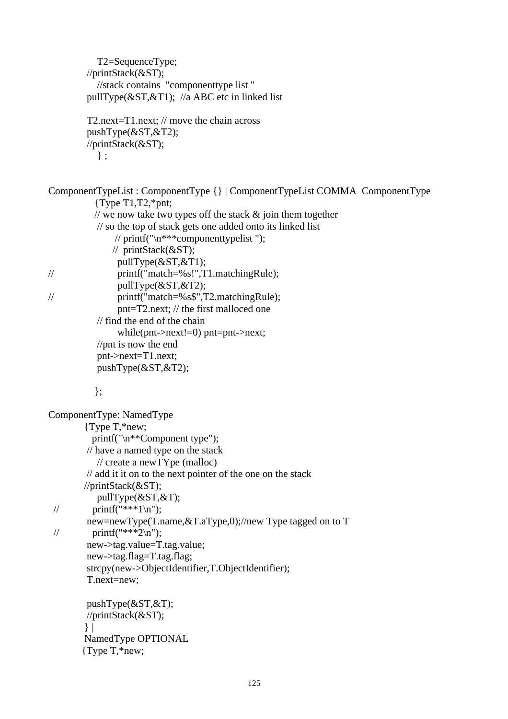```
 T2=SequenceType;
 //printStack(&ST);
   //stack contains "componenttype list "
pullType(&ST,&T1); //a ABC etc in linked list
 T2.next=T1.next; // move the chain across
 pushType(&ST,&T2);
```
 //printStack(&ST); } ;

ComponentTypeList : ComponentType {} | ComponentTypeList COMMA ComponentType {Type T1,T2,\*pnt; // we now take two types off the stack  $\&$  join them together // so the top of stack gets one added onto its linked list //  $print('\\n***component typelist'$  // printStack(&ST); pullType(&ST,&T1); // printf("match=%s!",T1.matchingRule); pullType(&ST,&T2); // printf("match=%s\$",T2.matchingRule); pnt=T2.next; // the first malloced one // find the end of the chain while(pnt->next!=0) pnt=pnt->next; //pnt is now the end pnt->next=T1.next; pushType(&ST,&T2);

};

```
ComponentType: NamedType 
         {Type T,*new;
           printf("\n**Component type");
          // have a named type on the stack
            // create a newTYpe (malloc)
          // add it it on to the next pointer of the one on the stack
         //printStack(&ST);
            pullType(&ST,&T);
 // \text{printf}("***1\,n");
          new=newType(T.name,&T.aType,0);//new Type tagged on to T
 // \text{printf}("***2\text{~n}"); new->tag.value=T.tag.value;
          new->tag.flag=T.tag.flag;
          strcpy(new->ObjectIdentifier,T.ObjectIdentifier);
          T.next=new;
         pushType(\&ST,\&T);
          //printStack(&ST); 
         } |
         NamedType OPTIONAL
         {Type T,*new;
```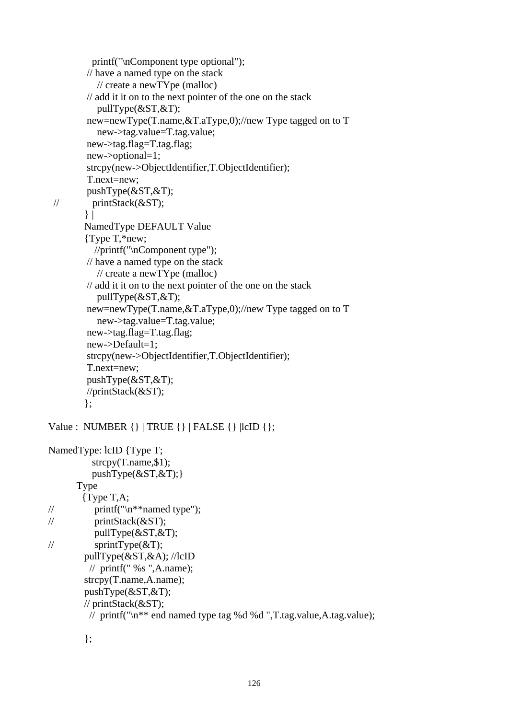```
 printf("\nComponent type optional");
        // have a named type on the stack
           // create a newTYpe (malloc)
        // add it it on to the next pointer of the one on the stack
           pullType(&ST,&T);
         new=newType(T.name,&T.aType,0);//new Type tagged on to T
           new->tag.value=T.tag.value;
         new->tag.flag=T.tag.flag;
         new->optional=1;
         strcpy(new->ObjectIdentifier,T.ObjectIdentifier);
         T.next=new;
         pushType(&ST,&T);
 // printStack(&ST); 
        } |
        NamedType DEFAULT Value
        {Type T,*new;
          //printf("\nComponent type");
        // have a named type on the stack
           // create a newTYpe (malloc)
        // add it it on to the next pointer of the one on the stack
           pullType(&ST,&T);
         new=newType(T.name,&T.aType,0);//new Type tagged on to T
           new->tag.value=T.tag.value;
         new->tag.flag=T.tag.flag;
         new->Default=1;
         strcpy(new->ObjectIdentifier,T.ObjectIdentifier);
         T.next=new;
         pushType(&ST,&T);
        //printStack(&ST); 
        };
```
Value : NUMBER  $\{\}\$  TRUE  $\{\}\$  FALSE  $\{\}\$ lcID  $\{\};$ 

};

```
NamedType: lcID {Type T;
         strcpy(T.name,$1);
         pushType(\&ST,\&T); Type 
        {Type T,A;
// \text{printf("n**named type");}// printStack(&ST);
          pullType(\&ST,\&T);
// sprintType(\&T); pullType(&ST,&A); //lcID
         // printf(" %s ",A.name);
         strcpy(T.name,A.name);
        pushType(&ST,&T);
        // printStack(&ST);
        // print("n** end named type tag %d %d ", T.tag.value, A.tag.value);
```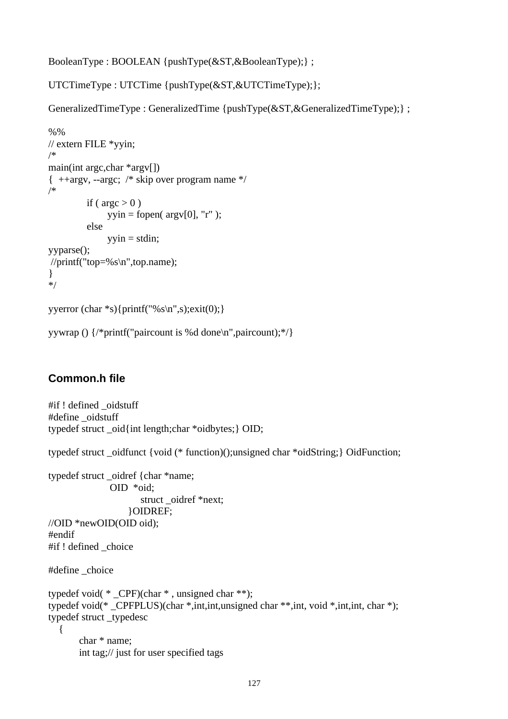BooleanType : BOOLEAN {pushType(&ST, &BooleanType); } ;

UTCTimeType : UTCTime {pushType(&ST,&UTCTimeType);};

GeneralizedTimeType : GeneralizedTime {pushType(&ST, & GeneralizedTimeType); } ;

```
%%
// extern FILE *yyin;
/*
main(int argc,char *argv[])
\{ +\text{arg}v, -\text{arg}c; /* skip over program name */
/*
          if (\arg c > 0)
                y\sin = fopen(\argv[0], "r";
           else
                y\sin = \text{stdin};yyparse();
\frac{\pi}{2} //printf("top=%s\n",top.name);
}
*/
```

```
yyerror (char *s){printf("%s\n",s);exit(0);}
```

```
yywrap () {/*printf("paircount is %d done\n",paircount);*/}
```
# **Common.h file**

```
#if ! defined _oidstuff
#define _oidstuff
typedef struct _oid{int length;char *oidbytes;} OID;
```
typedef struct \_oidfunct {void (\* function)();unsigned char \*oidString;} OidFunction;

typedef struct \_oidref {char \*name; OID \*oid; struct oidref \*next; }OIDREF; //OID \*newOID(OID oid); #endif #if ! defined \_choice #define \_choice

```
typedef void(* _CPF)(char *, unsigned char **);
typedef void(* _CPFPLUS)(char *,int,int,unsigned char **,int, void *,int,int, char *);
typedef struct _typedesc
   {
       char * name;
```

```
int tag;// just for user specified tags
```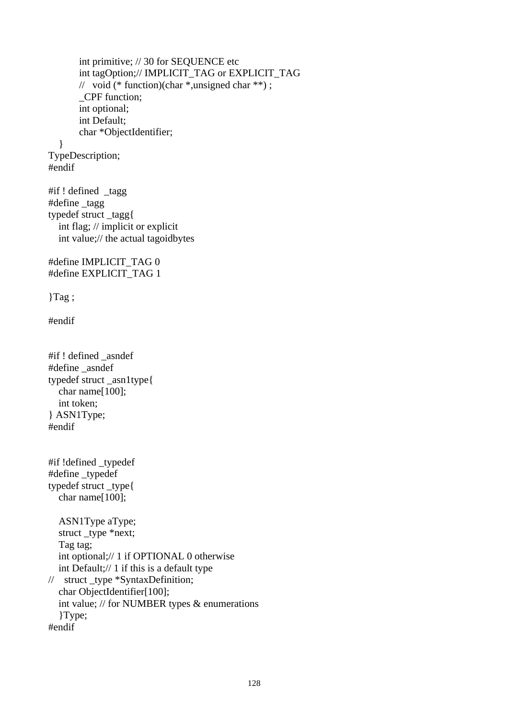```
int primitive; // 30 for SEQUENCE etc
       int tagOption;// IMPLICIT_TAG or EXPLICIT_TAG
       // void (* function)(char *,unsigned char **);
       _CPF function;
       int optional;
       int Default;
       char *ObjectIdentifier;
   }
TypeDescription;
#endif 
#if ! defined _tagg
#define _tagg
typedef struct _tagg{
   int flag; // implicit or explicit
   int value;// the actual tagoidbytes
#define IMPLICIT_TAG 0
#define EXPLICIT_TAG 1
}Tag ;
#endif
#if ! defined _asndef
#define _asndef
typedef struct _asn1type{
   char name[100];
   int token;
} ASN1Type;
#endif
#if !defined _typedef
#define _typedef
typedef struct _type{
  char name[100];
   ASN1Type aType;
   struct _type *next;
   Tag tag;
   int optional;// 1 if OPTIONAL 0 otherwise
   int Default;// 1 if this is a default type 
// struct _type *SyntaxDefinition;
   char ObjectIdentifier[100];
   int value; // for NUMBER types & enumerations
   }Type;
#endif
```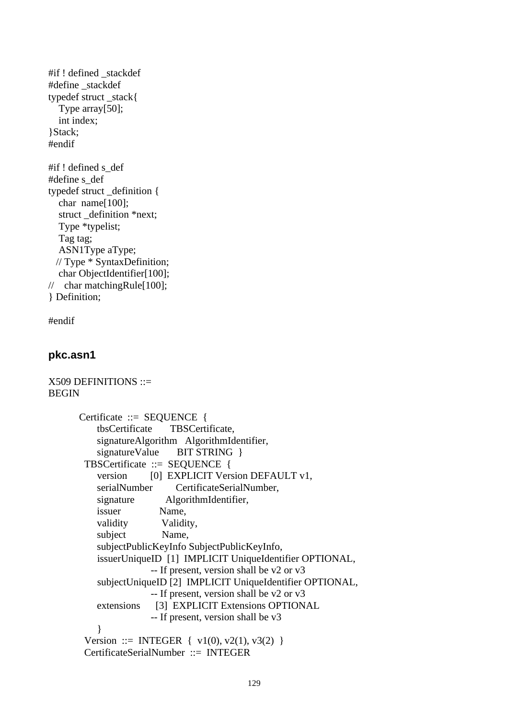#if ! defined \_stackdef #define \_stackdef typedef struct \_stack{ Type array[50]; int index; }Stack; #endif #if ! defined s def #define s\_def typedef struct \_definition { char name[100]; struct \_definition \*next; Type \*typelist; Tag tag; ASN1Type aType; // Type \* SyntaxDefinition; char ObjectIdentifier[100]; // char matchingRule[100]; } Definition;

```
#endif
```
## **pkc.asn1**

 $X509$  DEFINITIONS  $::=$ 

BEGIN Certificate ::= SEQUENCE { tbsCertificate TBSCertificate, signatureAlgorithm AlgorithmIdentifier, signatureValue BIT STRING } TBSCertificate ::= SEQUENCE { version [0] EXPLICIT Version DEFAULT v1, serialNumber CertificateSerialNumber, signature AlgorithmIdentifier, issuer Name, validity **Validity**, subject Name, subjectPublicKeyInfo SubjectPublicKeyInfo, issuerUniqueID [1] IMPLICIT UniqueIdentifier OPTIONAL, -- If present, version shall be v2 or v3 subjectUniqueID [2] IMPLICIT UniqueIdentifier OPTIONAL, -- If present, version shall be v2 or v3 extensions [3] EXPLICIT Extensions OPTIONAL -- If present, version shall be v3 } Version ::= INTEGER {  $v1(0)$ ,  $v2(1)$ ,  $v3(2)$  } CertificateSerialNumber ::= INTEGER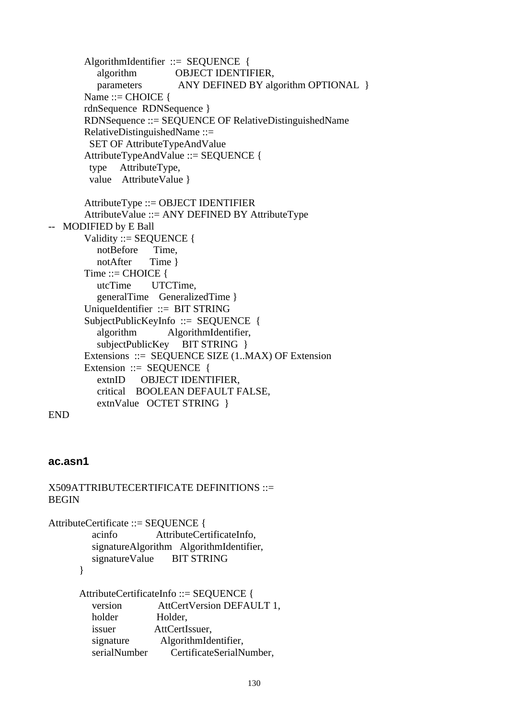```
 AlgorithmIdentifier ::= SEQUENCE {
          algorithm OBJECT IDENTIFIER,
         parameters ANY DEFINED BY algorithm OPTIONAL }
       Name ::= CHOICE {
        rdnSequence RDNSequence }
        RDNSequence ::= SEQUENCE OF RelativeDistinguishedName
        RelativeDistinguishedName ::=
         SET OF AttributeTypeAndValue
        AttributeTypeAndValue ::= SEQUENCE {
         type AttributeType,
        value AttributeValue }
        AttributeType ::= OBJECT IDENTIFIER
        AttributeValue ::= ANY DEFINED BY AttributeType
-- MODIFIED by E Ball
        Validity ::= SEQUENCE {
          notBefore Time,
          notAfter Time }
        Time ::= CHOICE {
          utcTime UTCTime,
          generalTime GeneralizedTime }
        UniqueIdentifier ::= BIT STRING
        SubjectPublicKeyInfo ::= SEQUENCE {
          algorithm AlgorithmIdentifier,
         subjectPublicKey BIT STRING }
        Extensions ::= SEQUENCE SIZE (1..MAX) OF Extension
        Extension ::= SEQUENCE {
          extnID OBJECT IDENTIFIER,
          critical BOOLEAN DEFAULT FALSE,
          extnValue OCTET STRING }
```
END

### **ac.asn1**

X509ATTRIBUTECERTIFICATE DEFINITIONS ::= BEGIN

AttributeCertificate ::= SEQUENCE { acinfo AttributeCertificateInfo, signatureAlgorithm AlgorithmIdentifier, signatureValue BIT STRING } AttributeCertificateInfo ::= SEQUENCE { version AttCertVersion DEFAULT 1, holder Holder, issuer AttCertIssuer, signature AlgorithmIdentifier, serialNumber CertificateSerialNumber,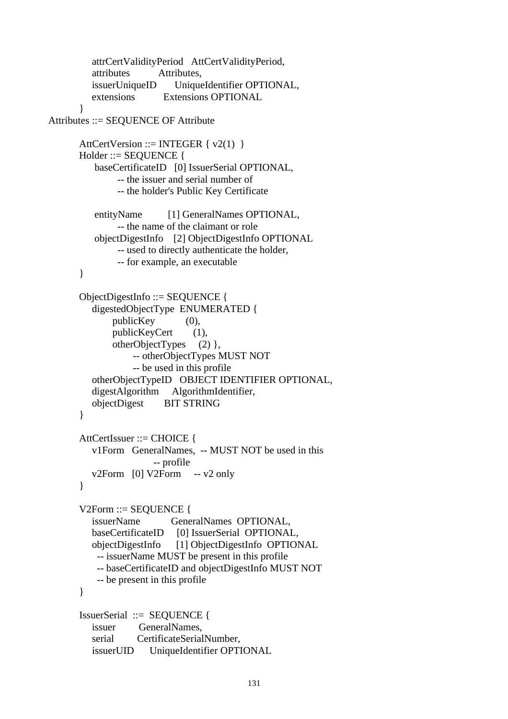```
 attrCertValidityPeriod AttCertValidityPeriod,
          attributes Attributes,
          issuerUniqueID UniqueIdentifier OPTIONAL,
          extensions Extensions OPTIONAL
 }
Attributes ::= SEQUENCE OF Attribute
      AttCertVersion ::= INTEGER {v2(1)}
       Holder ::= SEQUENCE {
          baseCertificateID [0] IssuerSerial OPTIONAL,
               -- the issuer and serial number of
               -- the holder's Public Key Certificate
          entityName [1] GeneralNames OPTIONAL,
                -- the name of the claimant or role
          objectDigestInfo [2] ObjectDigestInfo OPTIONAL
                -- used to directly authenticate the holder,
               -- for example, an executable
       }
       ObjectDigestInfo ::= SEQUENCE {
          digestedObjectType ENUMERATED {
              publicKey (0),
             publicKeyCert (1),
             otherObjectTypes (2) },
                   -- otherObjectTypes MUST NOT
                   -- be used in this profile
          otherObjectTypeID OBJECT IDENTIFIER OPTIONAL,
          digestAlgorithm AlgorithmIdentifier,
          objectDigest BIT STRING
       }
       AttCertIssuer ::= CHOICE {
          v1Form GeneralNames, -- MUST NOT be used in this
                       -- profile
         v2Form [0] V2Form -- v2 only
       }
       V2Form ::= SEQUENCE {
          issuerName GeneralNames OPTIONAL,
         baseCertificateID [0] IssuerSerial OPTIONAL,
          objectDigestInfo [1] ObjectDigestInfo OPTIONAL
           -- issuerName MUST be present in this profile
           -- baseCertificateID and objectDigestInfo MUST NOT
           -- be present in this profile
       }
       IssuerSerial ::= SEQUENCE {
          issuer GeneralNames,
          serial CertificateSerialNumber,
          issuerUID UniqueIdentifier OPTIONAL
```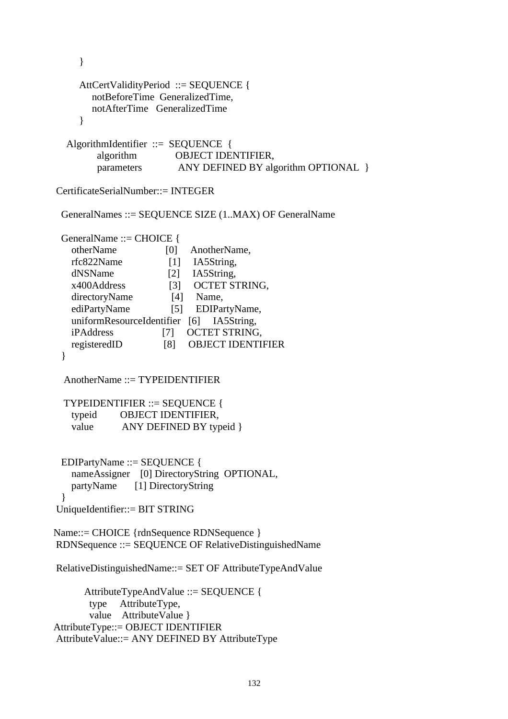```
 }
     AttCertValidityPeriod ::= SEQUENCE {
        notBeforeTime GeneralizedTime,
        notAfterTime GeneralizedTime
      }
   AlgorithmIdentifier ::= SEQUENCE {
         algorithm OBJECT IDENTIFIER,
        parameters ANY DEFINED BY algorithm OPTIONAL }
 CertificateSerialNumber::= INTEGER 
  GeneralNames ::= SEQUENCE SIZE (1..MAX) OF GeneralName
  GeneralName ::= CHOICE {
    otherName [0] AnotherName,
   rfc822Name [1] IA5String,
    dNSName [2] IA5String,
   x400Address [3] OCTET STRING,<br>directoryName [4] Name.
   directoryName
   ediPartyName [5] EDIPartyName,
    uniformResourceIdentifier [6] IA5String,
   iPAddress [7] OCTET STRING,
    registeredID [8] OBJECT IDENTIFIER
  }
  AnotherName ::= TYPEIDENTIFIER
  TYPEIDENTIFIER ::= SEQUENCE {
    typeid OBJECT IDENTIFIER,
   value ANY DEFINED BY typeid }
  EDIPartyName ::= SEQUENCE {
    nameAssigner [0] DirectoryString OPTIONAL,
    partyName [1] DirectoryString 
  }
 UniqueIdentifier::= BIT STRING
Name::= CHOICE {rdnSequence RDNSequence }
 RDNSequence ::= SEQUENCE OF RelativeDistinguishedName
 RelativeDistinguishedName::= SET OF AttributeTypeAndValue
       AttributeTypeAndValue ::= SEQUENCE {
        type AttributeType,
       value AttributeValue }
 AttributeType::= OBJECT IDENTIFIER
 AttributeValue::= ANY DEFINED BY AttributeType
```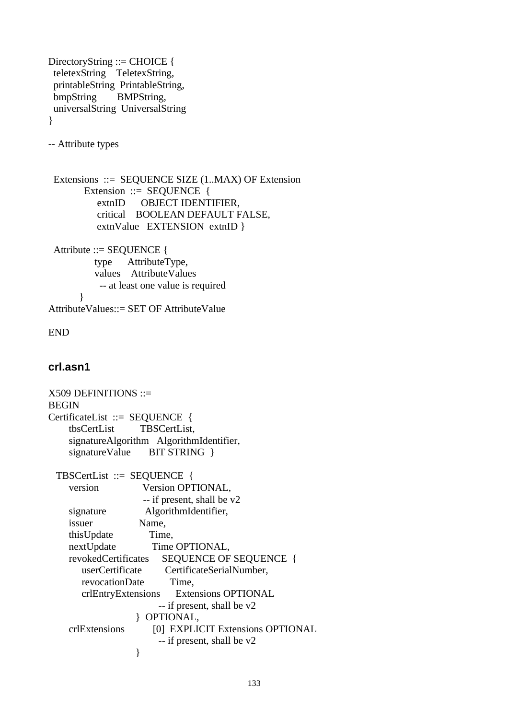```
DirectoryString ::= CHOICE {
  teletexString TeletexString,
  printableString PrintableString,
  bmpString BMPString,
  universalString UniversalString
}
-- Attribute types 
  Extensions ::= SEQUENCE SIZE (1..MAX) OF Extension
        Extension ::= SEQUENCE {
           extnID OBJECT IDENTIFIER,
           critical BOOLEAN DEFAULT FALSE,
           extnValue EXTENSION extnID } 
  Attribute ::= SEQUENCE {
           type AttributeType,
           values AttributeValues
            -- at least one value is required
        }
AttributeValues::= SET OF AttributeValue 
END
```
### **crl.asn1**

```
X509 DEFINITIONS ::=
BEGIN
CertificateList ::= SEQUENCE {
     tbsCertList TBSCertList,
     signatureAlgorithm AlgorithmIdentifier,
    signatureValue BIT STRING }
  TBSCertList ::= SEQUENCE {
     version Version OPTIONAL,
                   -- if present, shall be v2
    signature AlgorithmIdentifier,
     issuer Name,
     thisUpdate Time,
     nextUpdate Time OPTIONAL,
     revokedCertificates SEQUENCE OF SEQUENCE {
       userCertificate CertificateSerialNumber,
       revocationDate Time,
       crlEntryExtensions Extensions OPTIONAL
                      -- if present, shall be v2
                  } OPTIONAL,
     crlExtensions [0] EXPLICIT Extensions OPTIONAL
                      -- if present, shall be v2
 }
```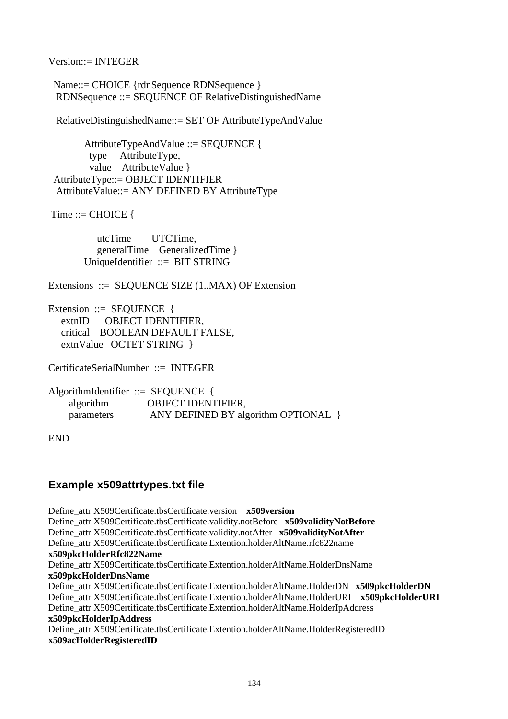Version::= INTEGER

Name::= CHOICE {rdnSequence RDNSequence } RDNSequence ::= SEQUENCE OF RelativeDistinguishedName

RelativeDistinguishedName::= SET OF AttributeTypeAndValue

 AttributeTypeAndValue ::= SEQUENCE { type AttributeType, value AttributeValue } AttributeType::= OBJECT IDENTIFIER AttributeValue::= ANY DEFINED BY AttributeType

Time ::= CHOICE {

 utcTime UTCTime, generalTime GeneralizedTime } UniqueIdentifier ::= BIT STRING

Extensions ::= SEQUENCE SIZE (1..MAX) OF Extension

Extension ::= SEQUENCE { extnID OBJECT IDENTIFIER, critical BOOLEAN DEFAULT FALSE, extnValue OCTET STRING }

CertificateSerialNumber ::= INTEGER

AlgorithmIdentifier ::= SEQUENCE { algorithm OBJECT IDENTIFIER, parameters ANY DEFINED BY algorithm OPTIONAL }

END

## **Example x509attrtypes.txt file**

Define\_attr X509Certificate.tbsCertificate.version **x509version** Define attr X509Certificate.tbsCertificate.validity.notBefore **x509validityNotBefore** Define\_attr X509Certificate.tbsCertificate.validity.notAfter **x509validityNotAfter** Define\_attr X509Certificate.tbsCertificate.Extention.holderAltName.rfc822name **x509pkcHolderRfc822Name** Define\_attr X509Certificate.tbsCertificate.Extention.holderAltName.HolderDnsName **x509pkcHolderDnsName**  Define\_attr X509Certificate.tbsCertificate.Extention.holderAltName.HolderDN **x509pkcHolderDN** Define\_attr X509Certificate.tbsCertificate.Extention.holderAltName.HolderURI **x509pkcHolderURI** Define\_attr X509Certificate.tbsCertificate.Extention.holderAltName.HolderIpAddress **x509pkcHolderIpAddress** Define\_attr X509Certificate.tbsCertificate.Extention.holderAltName.HolderRegisteredID **x509acHolderRegisteredID**

#### 134